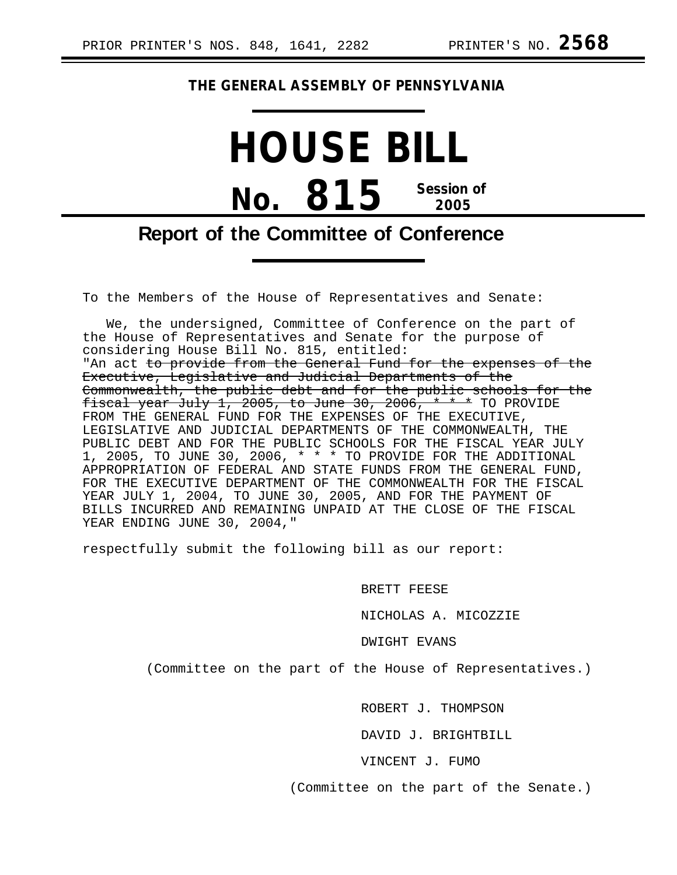## **THE GENERAL ASSEMBLY OF PENNSYLVANIA**

## **HOUSE BILL No. 815 Session of 2005**

## **Report of the Committee of Conference**

To the Members of the House of Representatives and Senate:

We, the undersigned, Committee of Conference on the part of the House of Representatives and Senate for the purpose of considering House Bill No. 815, entitled:

"An act <del>to provide from the General Fund for the expenses of the</del> Executive, Legislative and Judicial Departments of the Commonwealth, the public debt and for the public schools for the fiscal year July 1, 2005, to June 30, 2006,  $* + *$  TO PROVIDE FROM THE GENERAL FUND FOR THE EXPENSES OF THE EXECUTIVE, LEGISLATIVE AND JUDICIAL DEPARTMENTS OF THE COMMONWEALTH, THE PUBLIC DEBT AND FOR THE PUBLIC SCHOOLS FOR THE FISCAL YEAR JULY 1, 2005, TO JUNE 30, 2006, \* \* \* TO PROVIDE FOR THE ADDITIONAL APPROPRIATION OF FEDERAL AND STATE FUNDS FROM THE GENERAL FUND, FOR THE EXECUTIVE DEPARTMENT OF THE COMMONWEALTH FOR THE FISCAL YEAR JULY 1, 2004, TO JUNE 30, 2005, AND FOR THE PAYMENT OF BILLS INCURRED AND REMAINING UNPAID AT THE CLOSE OF THE FISCAL YEAR ENDING JUNE 30, 2004,"

respectfully submit the following bill as our report:

## BRETT FEESE

NICHOLAS A. MICOZZIE

DWIGHT EVANS

(Committee on the part of the House of Representatives.)

ROBERT J. THOMPSON

DAVID J. BRIGHTBILL

VINCENT J. FUMO

(Committee on the part of the Senate.)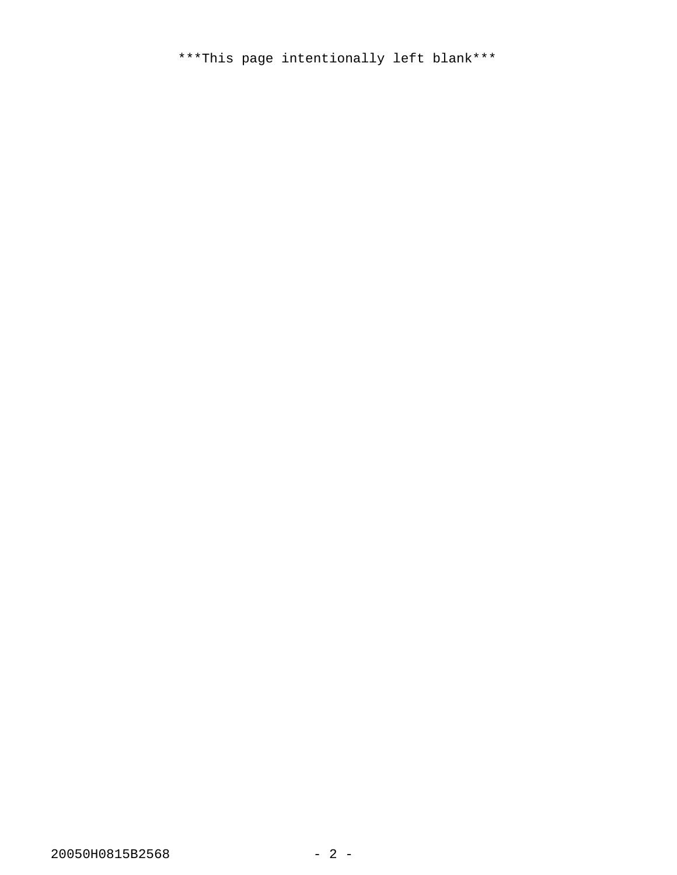\*\*\*This page intentionally left blank\*\*\*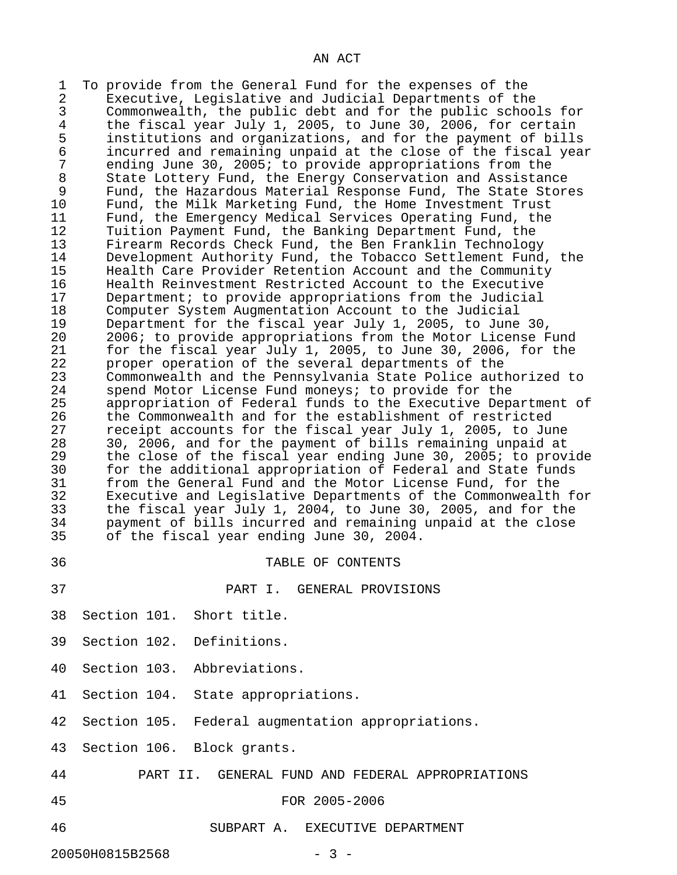1 To provide from the General Fund for the expenses of the 2 Executive, Legislative and Judicial Departments of the Commonwealth, the public debt and for the public schools for 4 the fiscal year July 1, 2005, to June 30, 2006, for certain 5 institutions and organizations, and for the payment of bills 6 incurred and remaining unpaid at the close of the fiscal year<br>7 ending June 30, 2005; to provide appropriations from the ending June 30, 2005; to provide appropriations from the 8 State Lottery Fund, the Energy Conservation and Assistance 9 Fund, the Hazardous Material Response Fund, The State Stores 10 Fund, the Milk Marketing Fund, the Home Investment Trust 11 Fund, the Emergency Medical Services Operating Fund, the<br>12 Tuition Payment Fund, the Banking Department Fund, the 12 Tuition Payment Fund, the Banking Department Fund, the Firearm Records Check Fund, the Ben Franklin Technology 14 Development Authority Fund, the Tobacco Settlement Fund, the 15 Health Care Provider Retention Account and the Community 16 Health Reinvestment Restricted Account to the Executive 17 Department; to provide appropriations from the Judicial<br>18 Oomputer System Augmentation Account to the Judicial 18 Computer System Augmentation Account to the Judicial 19 Department for the fiscal year July 1, 2005, to June 30, 20 2006; to provide appropriations from the Motor License Fund 21 for the fiscal year July 1, 2005, to June 30, 2006, for the<br>22 proper operation of the several departments of the 22 proper operation of the several departments of the 23 Commonwealth and the Pennsylvania State Police authorized to 24 spend Motor License Fund moneys; to provide for the appropriation of Federal funds to the Executive Department of 26 the Commonwealth and for the establishment of restricted 27 a receipt accounts for the fiscal year July 1, 2005, to June<br>28 30, 2006, and for the payment of bills remaining unpaid at 28 30, 2006, and for the payment of bills remaining unpaid at<br>29 the close of the fiscal year ending June 30, 2005; to prov the close of the fiscal year ending June 30, 2005; to provide 30 for the additional appropriation of Federal and State funds<br>31 from the General Fund and the Motor License Fund, for the from the General Fund and the Motor License Fund, for the 32 Executive and Legislative Departments of the Commonwealth for 33 the fiscal year July 1, 2004, to June 30, 2005, and for the<br>34 payment of bills incurred and remaining unpaid at the close payment of bills incurred and remaining unpaid at the close 35 of the fiscal year ending June 30, 2004.

| 36              | TABLE OF CONTENTS                                    |
|-----------------|------------------------------------------------------|
| 37              | PART I. GENERAL PROVISIONS                           |
| 38              | Section 101. Short title.                            |
|                 | 39 Section 102. Definitions.                         |
|                 | 40 Section 103. Abbreviations.                       |
|                 | 41 Section 104. State appropriations.                |
|                 | 42 Section 105. Federal augmentation appropriations. |
|                 | 43 Section 106. Block grants.                        |
| 44              | PART II. GENERAL FUND AND FEDERAL APPROPRIATIONS     |
| 45              | FOR 2005-2006                                        |
| 46              | SUBPART A. EXECUTIVE DEPARTMENT                      |
| 20050H0815B2568 | $-3 -$                                               |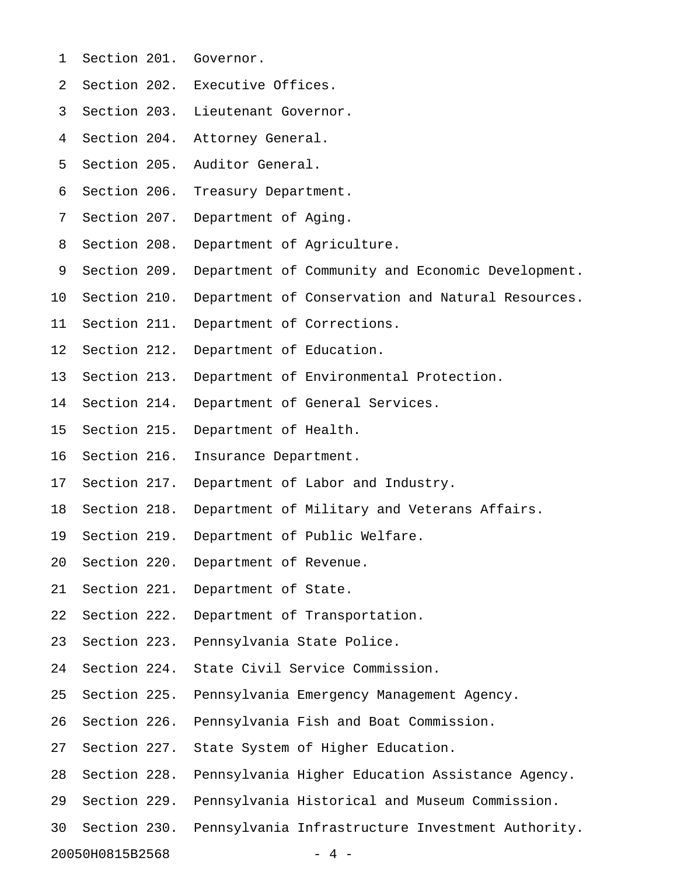- 1 Section 201. Governor.
- 2 Section 202. Executive Offices.
- 3 Section 203. Lieutenant Governor.
- 4 Section 204. Attorney General.
- 5 Section 205. Auditor General.
- 6 Section 206. Treasury Department.
- 7 Section 207. Department of Aging.
- 8 Section 208. Department of Agriculture.
- 9 Section 209. Department of Community and Economic Development.
- 10 Section 210. Department of Conservation and Natural Resources.
- 11 Section 211. Department of Corrections.
- 12 Section 212. Department of Education.
- 13 Section 213. Department of Environmental Protection.
- 14 Section 214. Department of General Services.
- 15 Section 215. Department of Health.
- 16 Section 216. Insurance Department.
- 17 Section 217. Department of Labor and Industry.
- 18 Section 218. Department of Military and Veterans Affairs.
- 19 Section 219. Department of Public Welfare.
- 20 Section 220. Department of Revenue.
- 21 Section 221. Department of State.
- 22 Section 222. Department of Transportation.
- 23 Section 223. Pennsylvania State Police.
- 24 Section 224. State Civil Service Commission.
- 25 Section 225. Pennsylvania Emergency Management Agency.
- 26 Section 226. Pennsylvania Fish and Boat Commission.
- 27 Section 227. State System of Higher Education.
- 28 Section 228. Pennsylvania Higher Education Assistance Agency.
- 29 Section 229. Pennsylvania Historical and Museum Commission.
- 30 Section 230. Pennsylvania Infrastructure Investment Authority.

20050H0815B2568 - 4 -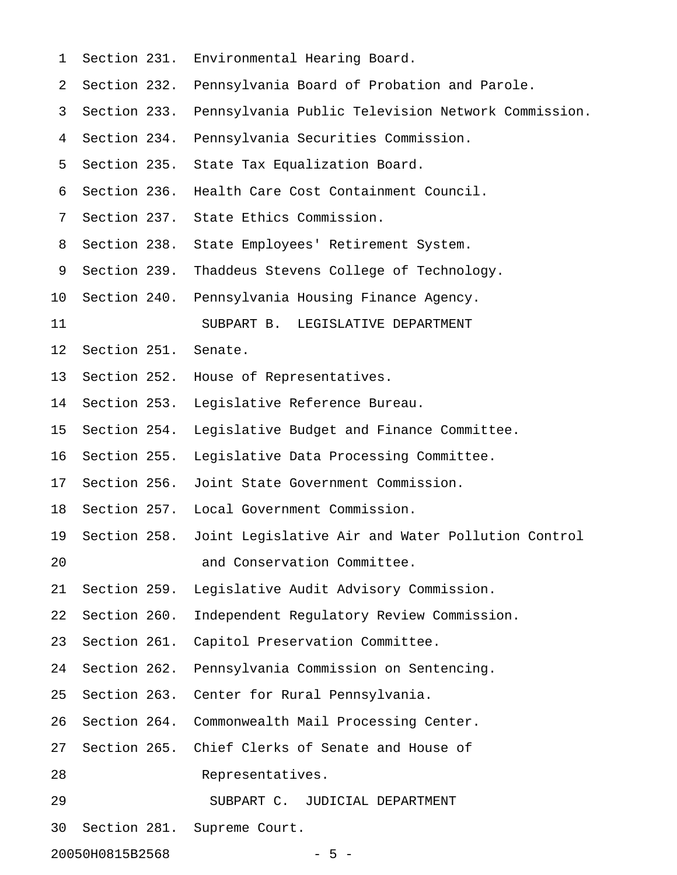| $\mathbf{1}$    |              | Section 231. Environmental Hearing Board.          |  |
|-----------------|--------------|----------------------------------------------------|--|
| 2               | Section 232. | Pennsylvania Board of Probation and Parole.        |  |
| 3               | Section 233. | Pennsylvania Public Television Network Commission. |  |
| $\overline{4}$  | Section 234. | Pennsylvania Securities Commission.                |  |
| 5               | Section 235. | State Tax Equalization Board.                      |  |
| 6               | Section 236. | Health Care Cost Containment Council.              |  |
| 7               |              | Section 237. State Ethics Commission.              |  |
| 8               | Section 238. | State Employees' Retirement System.                |  |
| 9               | Section 239. | Thaddeus Stevens College of Technology.            |  |
| 10              | Section 240. | Pennsylvania Housing Finance Agency.               |  |
| 11              |              | SUBPART B. LEGISLATIVE DEPARTMENT                  |  |
| 12              | Section 251. | Senate.                                            |  |
| 13              |              | Section 252. House of Representatives.             |  |
| 14              | Section 253. | Legislative Reference Bureau.                      |  |
| 15              | Section 254. | Legislative Budget and Finance Committee.          |  |
| 16              | Section 255. | Legislative Data Processing Committee.             |  |
| 17              | Section 256. | Joint State Government Commission.                 |  |
| 18              | Section 257. | Local Government Commission.                       |  |
| 19              | Section 258. | Joint Legislative Air and Water Pollution Control  |  |
| 20              |              | and Conservation Committee.                        |  |
| 21              | Section 259. | Legislative Audit Advisory Commission.             |  |
| 22              | Section 260. | Independent Regulatory Review Commission.          |  |
| 23              | Section 261. | Capitol Preservation Committee.                    |  |
| 24              | Section 262. | Pennsylvania Commission on Sentencing.             |  |
| 25              | Section 263. | Center for Rural Pennsylvania.                     |  |
| 26              | Section 264. | Commonwealth Mail Processing Center.               |  |
| 27              | Section 265. | Chief Clerks of Senate and House of                |  |
| 28              |              | Representatives.                                   |  |
| 29              |              | SUBPART C. JUDICIAL DEPARTMENT                     |  |
| 30              |              | Section 281. Supreme Court.                        |  |
| 20050H0815B2568 |              | $-5 -$                                             |  |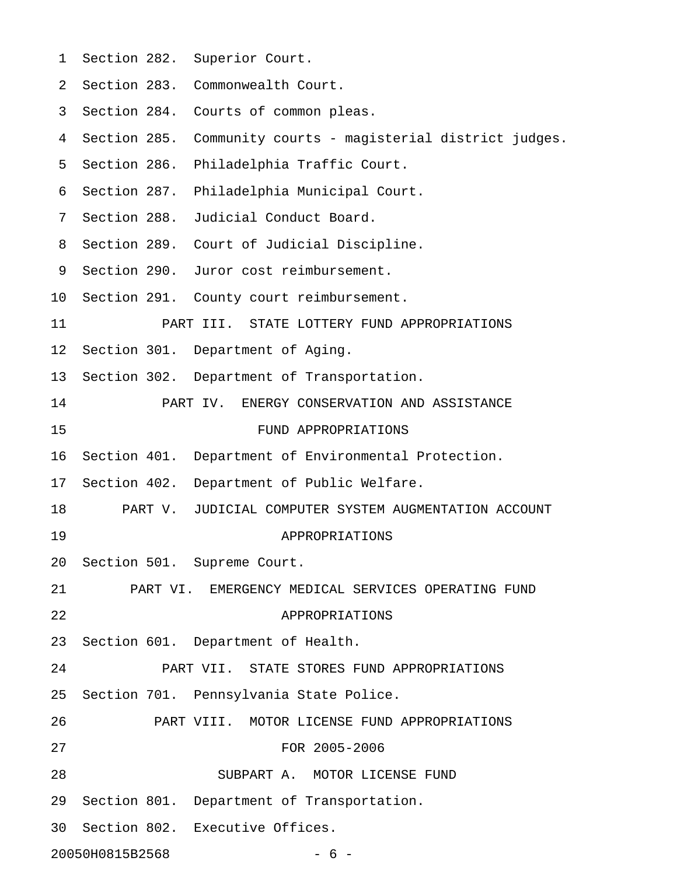1 Section 282. Superior Court. 2 Section 283. Commonwealth Court. 3 Section 284. Courts of common pleas. 4 Section 285. Community courts - magisterial district judges. 5 Section 286. Philadelphia Traffic Court. 6 Section 287. Philadelphia Municipal Court. 7 Section 288. Judicial Conduct Board. 8 Section 289. Court of Judicial Discipline. 9 Section 290. Juror cost reimbursement. 10 Section 291. County court reimbursement. 11 PART III. STATE LOTTERY FUND APPROPRIATIONS 12 Section 301. Department of Aging. 13 Section 302. Department of Transportation. 14 PART IV. ENERGY CONSERVATION AND ASSISTANCE 15 FUND APPROPRIATIONS 16 Section 401. Department of Environmental Protection. 17 Section 402. Department of Public Welfare. 18 PART V. JUDICIAL COMPUTER SYSTEM AUGMENTATION ACCOUNT 19 APPROPRIATIONS 20 Section 501. Supreme Court. 21 PART VI. EMERGENCY MEDICAL SERVICES OPERATING FUND 22 APPROPRIATIONS 23 Section 601. Department of Health. 24 PART VII. STATE STORES FUND APPROPRIATIONS 25 Section 701. Pennsylvania State Police. 26 PART VIII. MOTOR LICENSE FUND APPROPRIATIONS 27 FOR 2005-2006 28 SUBPART A. MOTOR LICENSE FUND 29 Section 801. Department of Transportation. 30 Section 802. Executive Offices. 20050H0815B2568 - 6 -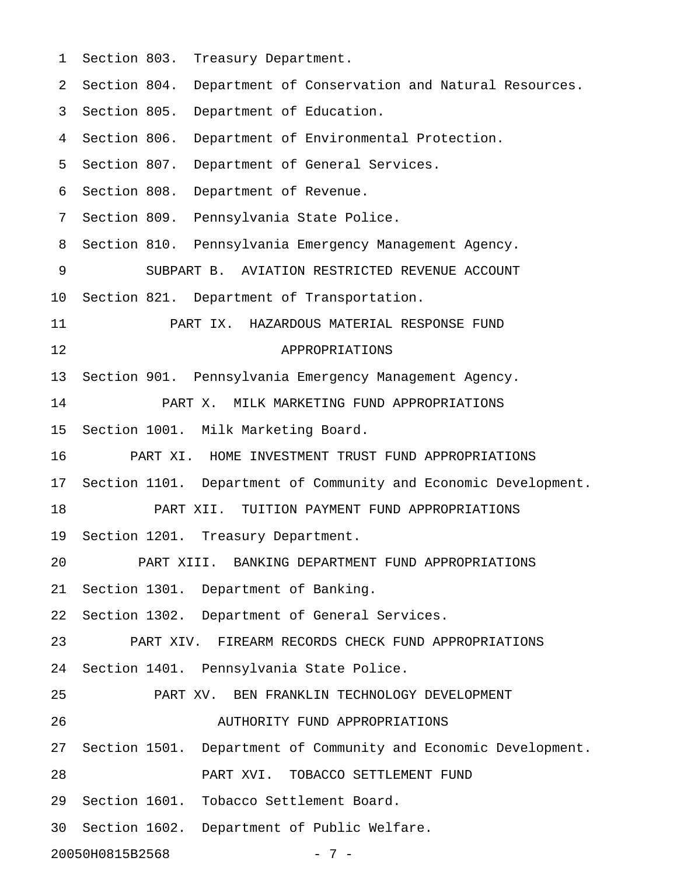1 Section 803. Treasury Department. 2 Section 804. Department of Conservation and Natural Resources. 3 Section 805. Department of Education. 4 Section 806. Department of Environmental Protection. 5 Section 807. Department of General Services. 6 Section 808. Department of Revenue. 7 Section 809. Pennsylvania State Police. 8 Section 810. Pennsylvania Emergency Management Agency. 9 SUBPART B. AVIATION RESTRICTED REVENUE ACCOUNT 10 Section 821. Department of Transportation. 11 PART IX. HAZARDOUS MATERIAL RESPONSE FUND 12 APPROPRIATIONS 13 Section 901. Pennsylvania Emergency Management Agency. 14 PART X. MILK MARKETING FUND APPROPRIATIONS 15 Section 1001. Milk Marketing Board. 16 PART XI. HOME INVESTMENT TRUST FUND APPROPRIATIONS 17 Section 1101. Department of Community and Economic Development. 18 PART XII. TUITION PAYMENT FUND APPROPRIATIONS 19 Section 1201. Treasury Department. 20 PART XIII. BANKING DEPARTMENT FUND APPROPRIATIONS 21 Section 1301. Department of Banking. 22 Section 1302. Department of General Services. 23 PART XIV. FIREARM RECORDS CHECK FUND APPROPRIATIONS 24 Section 1401. Pennsylvania State Police. 25 PART XV. BEN FRANKLIN TECHNOLOGY DEVELOPMENT 26 AUTHORITY FUND APPROPRIATIONS 27 Section 1501. Department of Community and Economic Development. 28 PART XVI. TOBACCO SETTLEMENT FUND 29 Section 1601. Tobacco Settlement Board. 30 Section 1602. Department of Public Welfare.

20050H0815B2568 - 7 -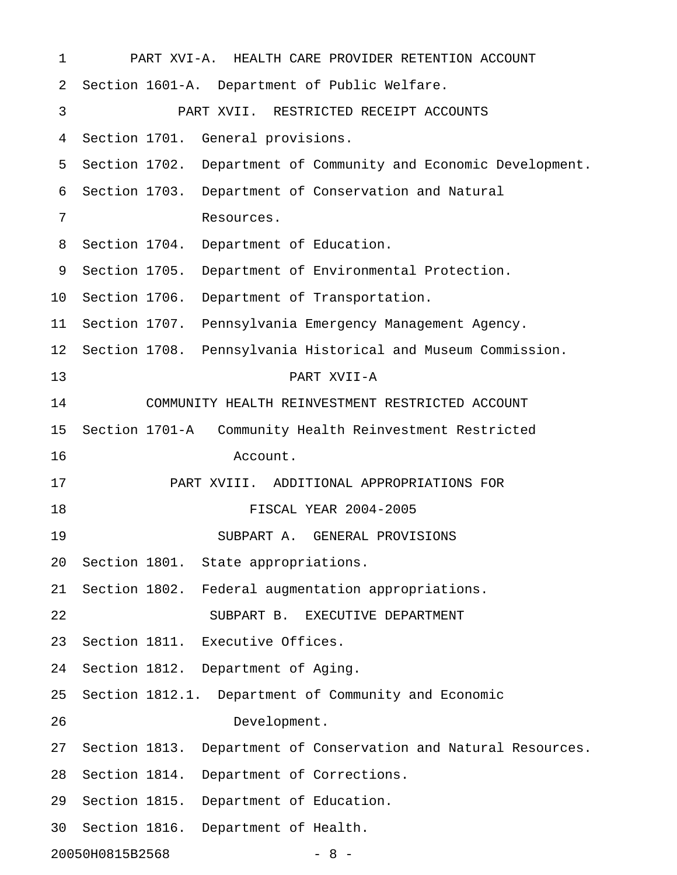1 PART XVI-A. HEALTH CARE PROVIDER RETENTION ACCOUNT 2 Section 1601-A. Department of Public Welfare. 3 PART XVII. RESTRICTED RECEIPT ACCOUNTS 4 Section 1701. General provisions. 5 Section 1702. Department of Community and Economic Development. 6 Section 1703. Department of Conservation and Natural 7 Resources. 8 Section 1704. Department of Education. 9 Section 1705. Department of Environmental Protection. 10 Section 1706. Department of Transportation. 11 Section 1707. Pennsylvania Emergency Management Agency. 12 Section 1708. Pennsylvania Historical and Museum Commission. 13 PART XVII-A 14 COMMUNITY HEALTH REINVESTMENT RESTRICTED ACCOUNT 15 Section 1701-A Community Health Reinvestment Restricted 16 Account. 17 PART XVIII. ADDITIONAL APPROPRIATIONS FOR 18 FISCAL YEAR 2004-2005 19 SUBPART A. GENERAL PROVISIONS 20 Section 1801. State appropriations. 21 Section 1802. Federal augmentation appropriations. 22 SUBPART B. EXECUTIVE DEPARTMENT 23 Section 1811. Executive Offices. 24 Section 1812. Department of Aging. 25 Section 1812.1. Department of Community and Economic 26 Development. 27 Section 1813. Department of Conservation and Natural Resources. 28 Section 1814. Department of Corrections. 29 Section 1815. Department of Education. 30 Section 1816. Department of Health.

20050H0815B2568 - 8 -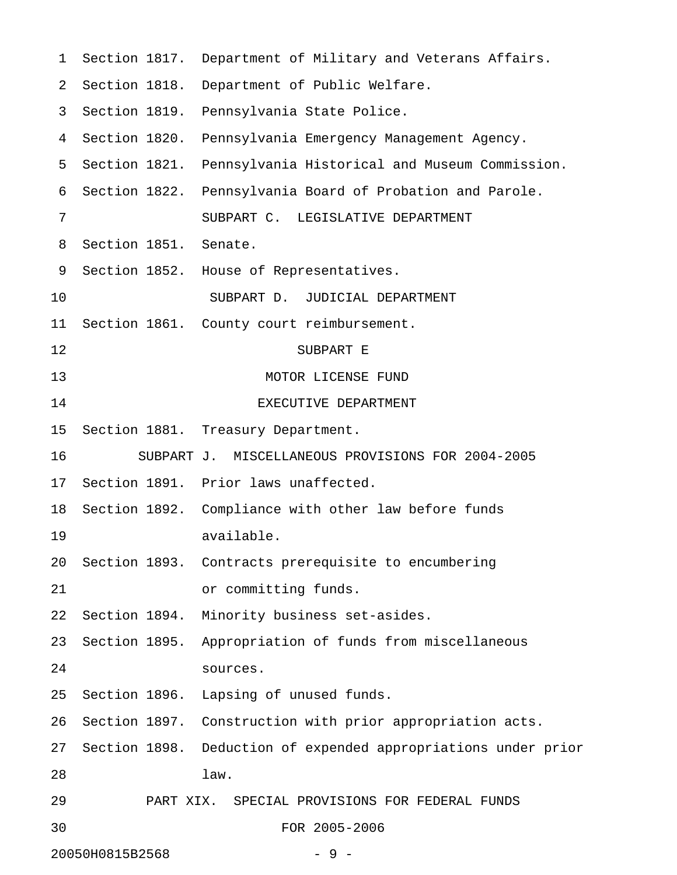| $\mathbf 1$              |               | Section 1817. Department of Military and Veterans Affairs.     |  |  |
|--------------------------|---------------|----------------------------------------------------------------|--|--|
| 2                        | Section 1818. | Department of Public Welfare.                                  |  |  |
| 3                        | Section 1819. | Pennsylvania State Police.                                     |  |  |
| 4                        | Section 1820. | Pennsylvania Emergency Management Agency.                      |  |  |
| 5                        | Section 1821. | Pennsylvania Historical and Museum Commission.                 |  |  |
| 6                        |               | Section 1822. Pennsylvania Board of Probation and Parole.      |  |  |
| 7                        |               | SUBPART C. LEGISLATIVE DEPARTMENT                              |  |  |
| 8                        | Section 1851. | Senate.                                                        |  |  |
| 9                        |               | Section 1852. House of Representatives.                        |  |  |
| 10                       |               | SUBPART D. JUDICIAL DEPARTMENT                                 |  |  |
| 11                       |               | Section 1861. County court reimbursement.                      |  |  |
| 12                       |               | SUBPART E                                                      |  |  |
| 13                       |               | MOTOR LICENSE FUND                                             |  |  |
| 14                       |               | EXECUTIVE DEPARTMENT                                           |  |  |
| 15                       |               | Section 1881. Treasury Department.                             |  |  |
| 16                       |               | SUBPART J. MISCELLANEOUS PROVISIONS FOR 2004-2005              |  |  |
| 17                       |               | Section 1891. Prior laws unaffected.                           |  |  |
| 18                       |               | Section 1892. Compliance with other law before funds           |  |  |
| 19                       |               | available.                                                     |  |  |
| 20                       |               | Section 1893. Contracts prerequisite to encumbering            |  |  |
| 21                       |               | or committing funds.                                           |  |  |
| 22                       |               | Section 1894. Minority business set-asides.                    |  |  |
| 23                       |               | Section 1895. Appropriation of funds from miscellaneous        |  |  |
| 24                       |               | sources.                                                       |  |  |
| 25                       |               | Section 1896. Lapsing of unused funds.                         |  |  |
| 26                       |               | Section 1897. Construction with prior appropriation acts.      |  |  |
| 27                       |               | Section 1898. Deduction of expended appropriations under prior |  |  |
| 28                       |               | law.                                                           |  |  |
| 29                       | PART XIX.     | SPECIAL PROVISIONS FOR FEDERAL FUNDS                           |  |  |
| 30                       |               | FOR 2005-2006                                                  |  |  |
| 20050H0815B2568<br>- 9 - |               |                                                                |  |  |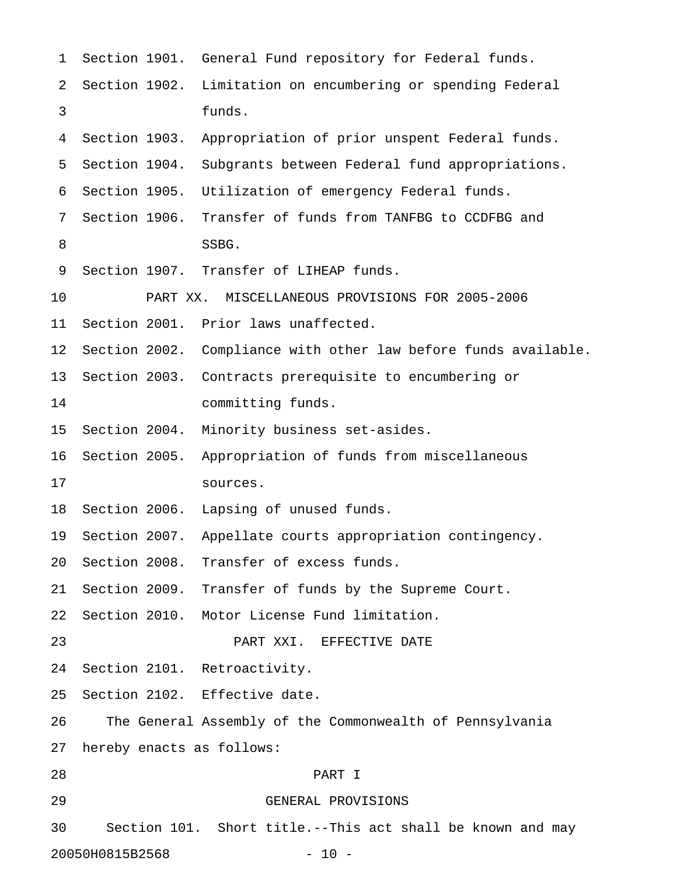1 Section 1901. General Fund repository for Federal funds. 2 Section 1902. Limitation on encumbering or spending Federal 3 funds. 4 Section 1903. Appropriation of prior unspent Federal funds. 5 Section 1904. Subgrants between Federal fund appropriations. 6 Section 1905. Utilization of emergency Federal funds. 7 Section 1906. Transfer of funds from TANFBG to CCDFBG and 8 SSBG. 9 Section 1907. Transfer of LIHEAP funds. 10 PART XX. MISCELLANEOUS PROVISIONS FOR 2005-2006 11 Section 2001. Prior laws unaffected. 12 Section 2002. Compliance with other law before funds available. 13 Section 2003. Contracts prerequisite to encumbering or 14 committing funds. 15 Section 2004. Minority business set-asides. 16 Section 2005. Appropriation of funds from miscellaneous 17 sources. 18 Section 2006. Lapsing of unused funds. 19 Section 2007. Appellate courts appropriation contingency. 20 Section 2008. Transfer of excess funds. 21 Section 2009. Transfer of funds by the Supreme Court. 22 Section 2010. Motor License Fund limitation. 23 PART XXI. EFFECTIVE DATE 24 Section 2101. Retroactivity. 25 Section 2102. Effective date. 26 The General Assembly of the Commonwealth of Pennsylvania 27 hereby enacts as follows: 28 PART I 29 GENERAL PROVISIONS 30 Section 101. Short title.--This act shall be known and may 20050H0815B2568 - 10 -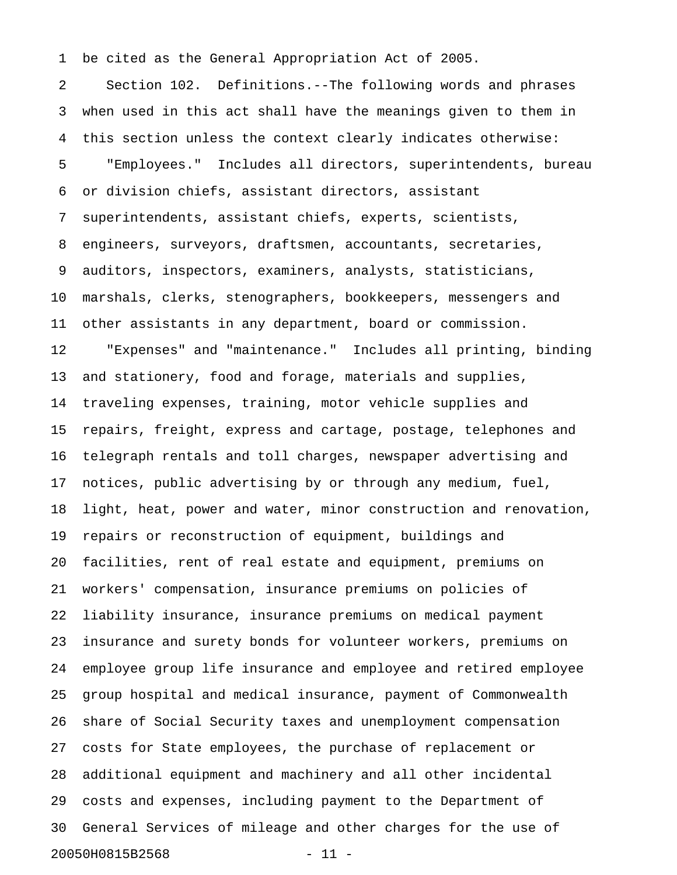1 be cited as the General Appropriation Act of 2005.

2 Section 102. Definitions.--The following words and phrases 3 when used in this act shall have the meanings given to them in 4 this section unless the context clearly indicates otherwise: 5 "Employees." Includes all directors, superintendents, bureau 6 or division chiefs, assistant directors, assistant 7 superintendents, assistant chiefs, experts, scientists, 8 engineers, surveyors, draftsmen, accountants, secretaries, 9 auditors, inspectors, examiners, analysts, statisticians, 10 marshals, clerks, stenographers, bookkeepers, messengers and 11 other assistants in any department, board or commission. 12 "Expenses" and "maintenance." Includes all printing, binding 13 and stationery, food and forage, materials and supplies, 14 traveling expenses, training, motor vehicle supplies and 15 repairs, freight, express and cartage, postage, telephones and 16 telegraph rentals and toll charges, newspaper advertising and 17 notices, public advertising by or through any medium, fuel, 18 light, heat, power and water, minor construction and renovation, 19 repairs or reconstruction of equipment, buildings and 20 facilities, rent of real estate and equipment, premiums on 21 workers' compensation, insurance premiums on policies of 22 liability insurance, insurance premiums on medical payment 23 insurance and surety bonds for volunteer workers, premiums on 24 employee group life insurance and employee and retired employee 25 group hospital and medical insurance, payment of Commonwealth 26 share of Social Security taxes and unemployment compensation 27 costs for State employees, the purchase of replacement or 28 additional equipment and machinery and all other incidental 29 costs and expenses, including payment to the Department of 30 General Services of mileage and other charges for the use of 20050H0815B2568 - 11 -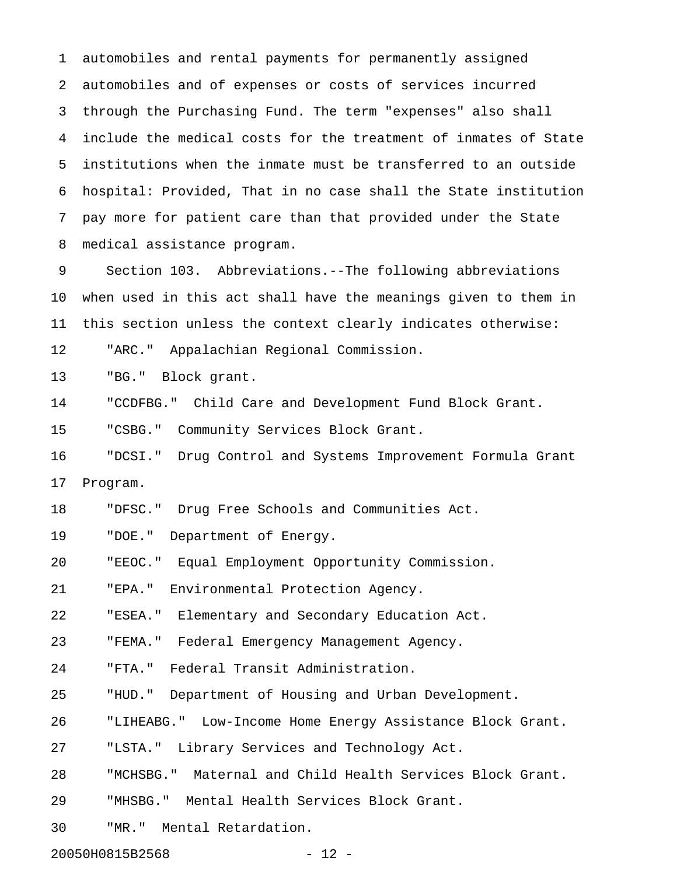1 automobiles and rental payments for permanently assigned 2 automobiles and of expenses or costs of services incurred 3 through the Purchasing Fund. The term "expenses" also shall 4 include the medical costs for the treatment of inmates of State 5 institutions when the inmate must be transferred to an outside 6 hospital: Provided, That in no case shall the State institution 7 pay more for patient care than that provided under the State 8 medical assistance program.

9 Section 103. Abbreviations.--The following abbreviations 10 when used in this act shall have the meanings given to them in 11 this section unless the context clearly indicates otherwise: 12 "ARC." Appalachian Regional Commission.

13 "BG." Block grant.

14 "CCDFBG." Child Care and Development Fund Block Grant.

15 "CSBG." Community Services Block Grant.

16 "DCSI." Drug Control and Systems Improvement Formula Grant 17 Program.

18 "DFSC." Drug Free Schools and Communities Act.

19 "DOE." Department of Energy.

20 "EEOC." Equal Employment Opportunity Commission.

21 "EPA." Environmental Protection Agency.

22 "ESEA." Elementary and Secondary Education Act.

23 "FEMA." Federal Emergency Management Agency.

24 "FTA." Federal Transit Administration.

25 "HUD." Department of Housing and Urban Development.

26 "LIHEABG." Low-Income Home Energy Assistance Block Grant.

27 "LSTA." Library Services and Technology Act.

28 "MCHSBG." Maternal and Child Health Services Block Grant.

29 "MHSBG." Mental Health Services Block Grant.

30 "MR." Mental Retardation.

20050H0815B2568 - 12 -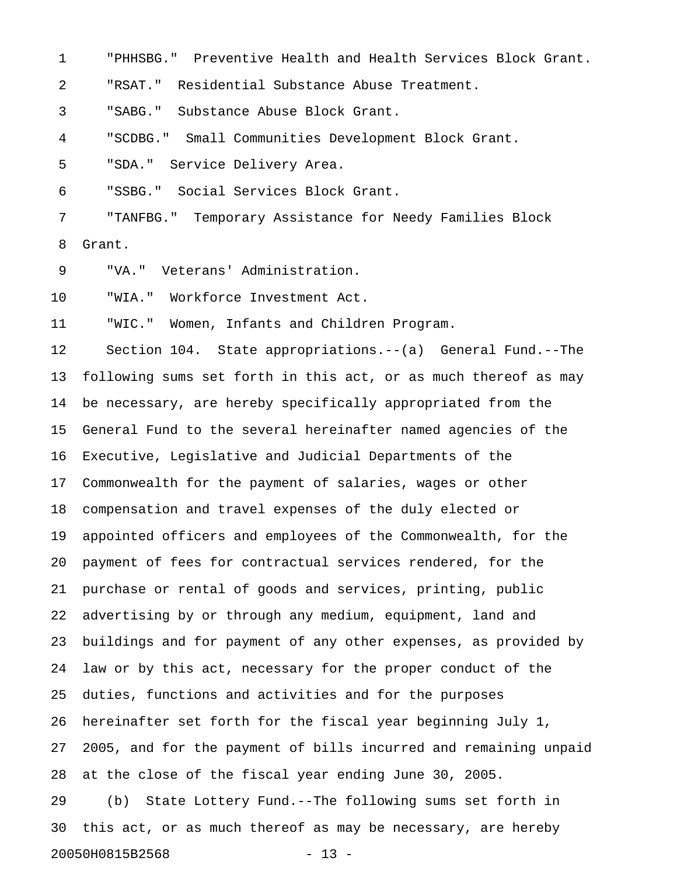1 "PHHSBG." Preventive Health and Health Services Block Grant.

2 "RSAT." Residential Substance Abuse Treatment.

3 "SABG." Substance Abuse Block Grant.

4 "SCDBG." Small Communities Development Block Grant.

5 "SDA." Service Delivery Area.

6 "SSBG." Social Services Block Grant.

7 "TANFBG." Temporary Assistance for Needy Families Block 8 Grant.

9 "VA." Veterans' Administration.

10 "WIA." Workforce Investment Act.

11 "WIC." Women, Infants and Children Program.

12 Section 104. State appropriations.--(a) General Fund.--The 13 following sums set forth in this act, or as much thereof as may 14 be necessary, are hereby specifically appropriated from the 15 General Fund to the several hereinafter named agencies of the 16 Executive, Legislative and Judicial Departments of the 17 Commonwealth for the payment of salaries, wages or other 18 compensation and travel expenses of the duly elected or 19 appointed officers and employees of the Commonwealth, for the 20 payment of fees for contractual services rendered, for the 21 purchase or rental of goods and services, printing, public 22 advertising by or through any medium, equipment, land and 23 buildings and for payment of any other expenses, as provided by 24 law or by this act, necessary for the proper conduct of the 25 duties, functions and activities and for the purposes 26 hereinafter set forth for the fiscal year beginning July 1, 27 2005, and for the payment of bills incurred and remaining unpaid 28 at the close of the fiscal year ending June 30, 2005. 29 (b) State Lottery Fund.--The following sums set forth in

20050H0815B2568 - 13 -

30 this act, or as much thereof as may be necessary, are hereby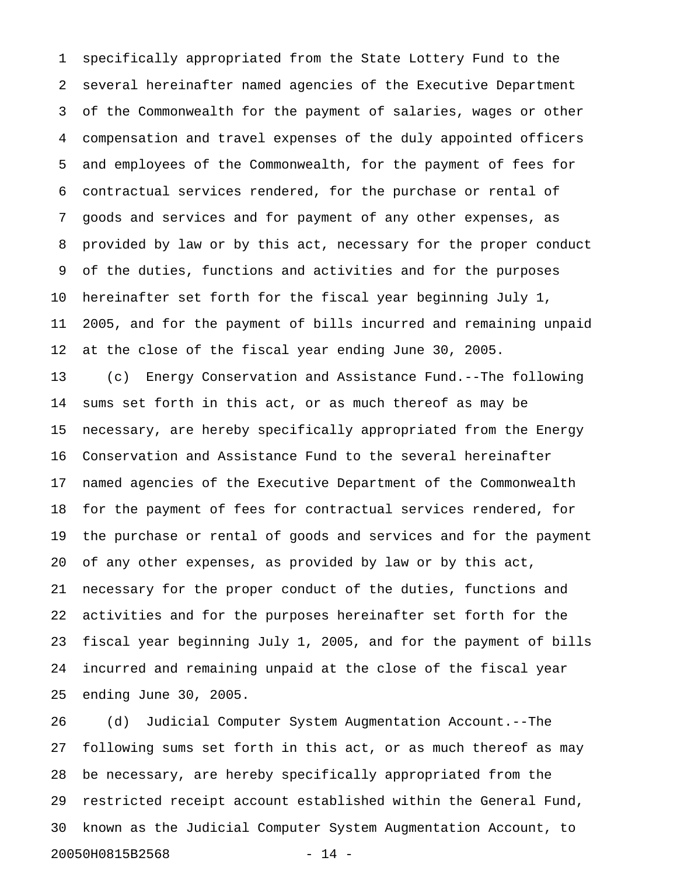1 specifically appropriated from the State Lottery Fund to the 2 several hereinafter named agencies of the Executive Department 3 of the Commonwealth for the payment of salaries, wages or other 4 compensation and travel expenses of the duly appointed officers 5 and employees of the Commonwealth, for the payment of fees for 6 contractual services rendered, for the purchase or rental of 7 goods and services and for payment of any other expenses, as 8 provided by law or by this act, necessary for the proper conduct 9 of the duties, functions and activities and for the purposes 10 hereinafter set forth for the fiscal year beginning July 1, 11 2005, and for the payment of bills incurred and remaining unpaid 12 at the close of the fiscal year ending June 30, 2005.

13 (c) Energy Conservation and Assistance Fund.--The following 14 sums set forth in this act, or as much thereof as may be 15 necessary, are hereby specifically appropriated from the Energy 16 Conservation and Assistance Fund to the several hereinafter 17 named agencies of the Executive Department of the Commonwealth 18 for the payment of fees for contractual services rendered, for 19 the purchase or rental of goods and services and for the payment 20 of any other expenses, as provided by law or by this act, 21 necessary for the proper conduct of the duties, functions and 22 activities and for the purposes hereinafter set forth for the 23 fiscal year beginning July 1, 2005, and for the payment of bills 24 incurred and remaining unpaid at the close of the fiscal year 25 ending June 30, 2005.

26 (d) Judicial Computer System Augmentation Account.--The 27 following sums set forth in this act, or as much thereof as may 28 be necessary, are hereby specifically appropriated from the 29 restricted receipt account established within the General Fund, 30 known as the Judicial Computer System Augmentation Account, to 20050H0815B2568 - 14 -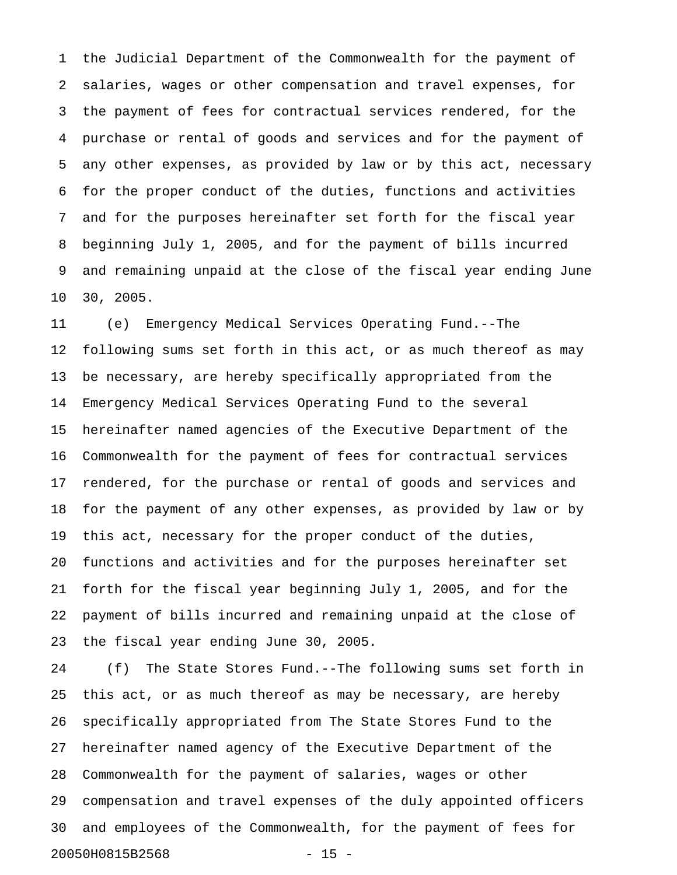1 the Judicial Department of the Commonwealth for the payment of 2 salaries, wages or other compensation and travel expenses, for 3 the payment of fees for contractual services rendered, for the 4 purchase or rental of goods and services and for the payment of 5 any other expenses, as provided by law or by this act, necessary 6 for the proper conduct of the duties, functions and activities 7 and for the purposes hereinafter set forth for the fiscal year 8 beginning July 1, 2005, and for the payment of bills incurred 9 and remaining unpaid at the close of the fiscal year ending June 10 30, 2005.

11 (e) Emergency Medical Services Operating Fund.--The 12 following sums set forth in this act, or as much thereof as may 13 be necessary, are hereby specifically appropriated from the 14 Emergency Medical Services Operating Fund to the several 15 hereinafter named agencies of the Executive Department of the 16 Commonwealth for the payment of fees for contractual services 17 rendered, for the purchase or rental of goods and services and 18 for the payment of any other expenses, as provided by law or by 19 this act, necessary for the proper conduct of the duties, 20 functions and activities and for the purposes hereinafter set 21 forth for the fiscal year beginning July 1, 2005, and for the 22 payment of bills incurred and remaining unpaid at the close of 23 the fiscal year ending June 30, 2005.

24 (f) The State Stores Fund.--The following sums set forth in 25 this act, or as much thereof as may be necessary, are hereby 26 specifically appropriated from The State Stores Fund to the 27 hereinafter named agency of the Executive Department of the 28 Commonwealth for the payment of salaries, wages or other 29 compensation and travel expenses of the duly appointed officers 30 and employees of the Commonwealth, for the payment of fees for 20050H0815B2568 - 15 -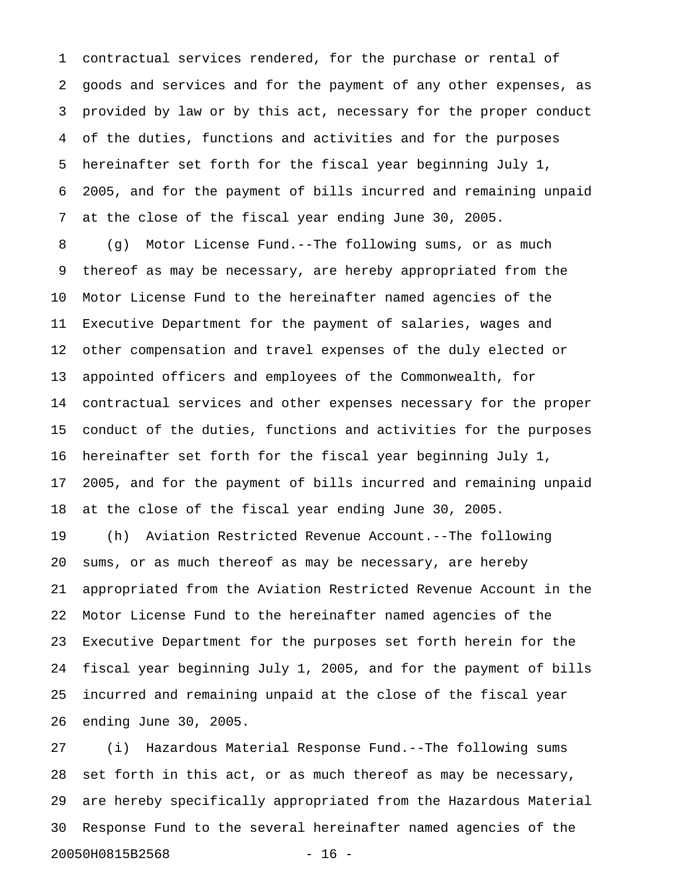1 contractual services rendered, for the purchase or rental of 2 goods and services and for the payment of any other expenses, as 3 provided by law or by this act, necessary for the proper conduct 4 of the duties, functions and activities and for the purposes 5 hereinafter set forth for the fiscal year beginning July 1, 6 2005, and for the payment of bills incurred and remaining unpaid 7 at the close of the fiscal year ending June 30, 2005.

8 (g) Motor License Fund.--The following sums, or as much 9 thereof as may be necessary, are hereby appropriated from the 10 Motor License Fund to the hereinafter named agencies of the 11 Executive Department for the payment of salaries, wages and 12 other compensation and travel expenses of the duly elected or 13 appointed officers and employees of the Commonwealth, for 14 contractual services and other expenses necessary for the proper 15 conduct of the duties, functions and activities for the purposes 16 hereinafter set forth for the fiscal year beginning July 1, 17 2005, and for the payment of bills incurred and remaining unpaid 18 at the close of the fiscal year ending June 30, 2005.

19 (h) Aviation Restricted Revenue Account.--The following 20 sums, or as much thereof as may be necessary, are hereby 21 appropriated from the Aviation Restricted Revenue Account in the 22 Motor License Fund to the hereinafter named agencies of the 23 Executive Department for the purposes set forth herein for the 24 fiscal year beginning July 1, 2005, and for the payment of bills 25 incurred and remaining unpaid at the close of the fiscal year 26 ending June 30, 2005.

27 (i) Hazardous Material Response Fund.--The following sums 28 set forth in this act, or as much thereof as may be necessary, 29 are hereby specifically appropriated from the Hazardous Material 30 Response Fund to the several hereinafter named agencies of the 20050H0815B2568 - 16 -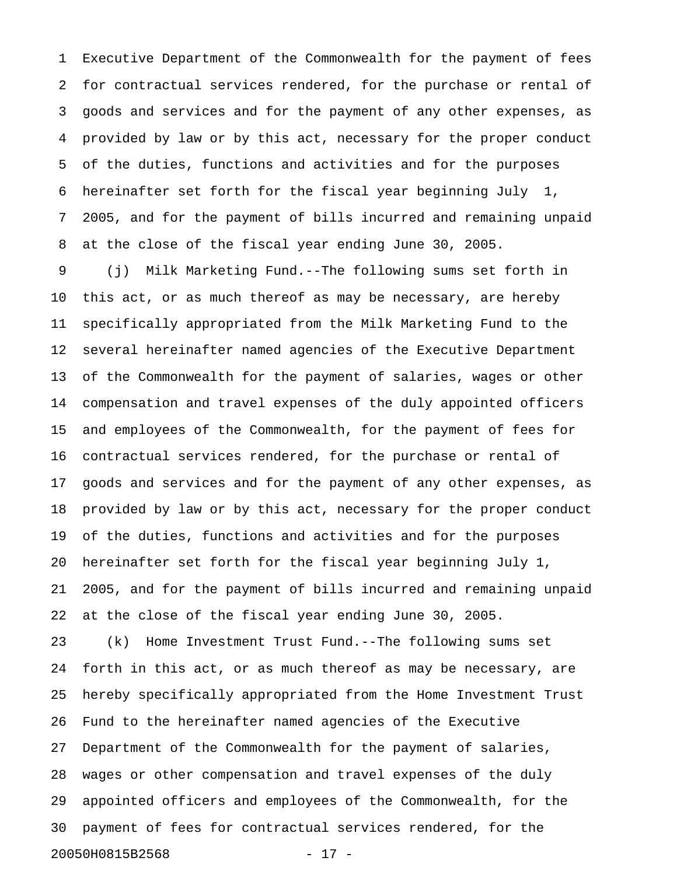1 Executive Department of the Commonwealth for the payment of fees 2 for contractual services rendered, for the purchase or rental of 3 goods and services and for the payment of any other expenses, as 4 provided by law or by this act, necessary for the proper conduct 5 of the duties, functions and activities and for the purposes 6 hereinafter set forth for the fiscal year beginning July 1, 7 2005, and for the payment of bills incurred and remaining unpaid 8 at the close of the fiscal year ending June 30, 2005.

9 (j) Milk Marketing Fund.--The following sums set forth in 10 this act, or as much thereof as may be necessary, are hereby 11 specifically appropriated from the Milk Marketing Fund to the 12 several hereinafter named agencies of the Executive Department 13 of the Commonwealth for the payment of salaries, wages or other 14 compensation and travel expenses of the duly appointed officers 15 and employees of the Commonwealth, for the payment of fees for 16 contractual services rendered, for the purchase or rental of 17 goods and services and for the payment of any other expenses, as 18 provided by law or by this act, necessary for the proper conduct 19 of the duties, functions and activities and for the purposes 20 hereinafter set forth for the fiscal year beginning July 1, 21 2005, and for the payment of bills incurred and remaining unpaid 22 at the close of the fiscal year ending June 30, 2005.

23 (k) Home Investment Trust Fund.--The following sums set 24 forth in this act, or as much thereof as may be necessary, are 25 hereby specifically appropriated from the Home Investment Trust 26 Fund to the hereinafter named agencies of the Executive 27 Department of the Commonwealth for the payment of salaries, 28 wages or other compensation and travel expenses of the duly 29 appointed officers and employees of the Commonwealth, for the 30 payment of fees for contractual services rendered, for the 20050H0815B2568 - 17 -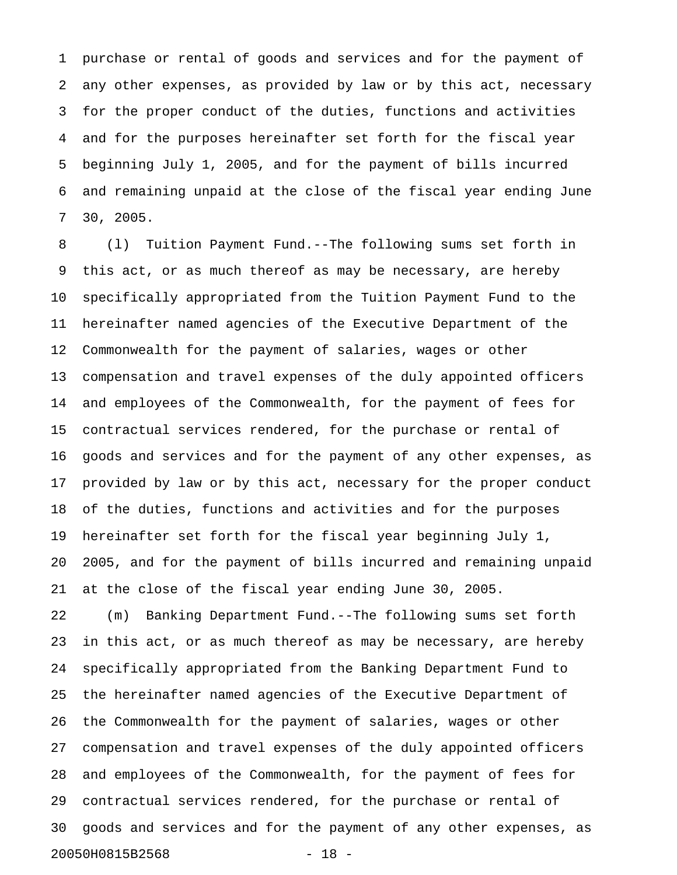1 purchase or rental of goods and services and for the payment of 2 any other expenses, as provided by law or by this act, necessary 3 for the proper conduct of the duties, functions and activities 4 and for the purposes hereinafter set forth for the fiscal year 5 beginning July 1, 2005, and for the payment of bills incurred 6 and remaining unpaid at the close of the fiscal year ending June 7 30, 2005.

8 (l) Tuition Payment Fund.--The following sums set forth in 9 this act, or as much thereof as may be necessary, are hereby 10 specifically appropriated from the Tuition Payment Fund to the 11 hereinafter named agencies of the Executive Department of the 12 Commonwealth for the payment of salaries, wages or other 13 compensation and travel expenses of the duly appointed officers 14 and employees of the Commonwealth, for the payment of fees for 15 contractual services rendered, for the purchase or rental of 16 goods and services and for the payment of any other expenses, as 17 provided by law or by this act, necessary for the proper conduct 18 of the duties, functions and activities and for the purposes 19 hereinafter set forth for the fiscal year beginning July 1, 20 2005, and for the payment of bills incurred and remaining unpaid 21 at the close of the fiscal year ending June 30, 2005.

22 (m) Banking Department Fund.--The following sums set forth 23 in this act, or as much thereof as may be necessary, are hereby 24 specifically appropriated from the Banking Department Fund to 25 the hereinafter named agencies of the Executive Department of 26 the Commonwealth for the payment of salaries, wages or other 27 compensation and travel expenses of the duly appointed officers 28 and employees of the Commonwealth, for the payment of fees for 29 contractual services rendered, for the purchase or rental of 30 goods and services and for the payment of any other expenses, as 20050H0815B2568 - 18 -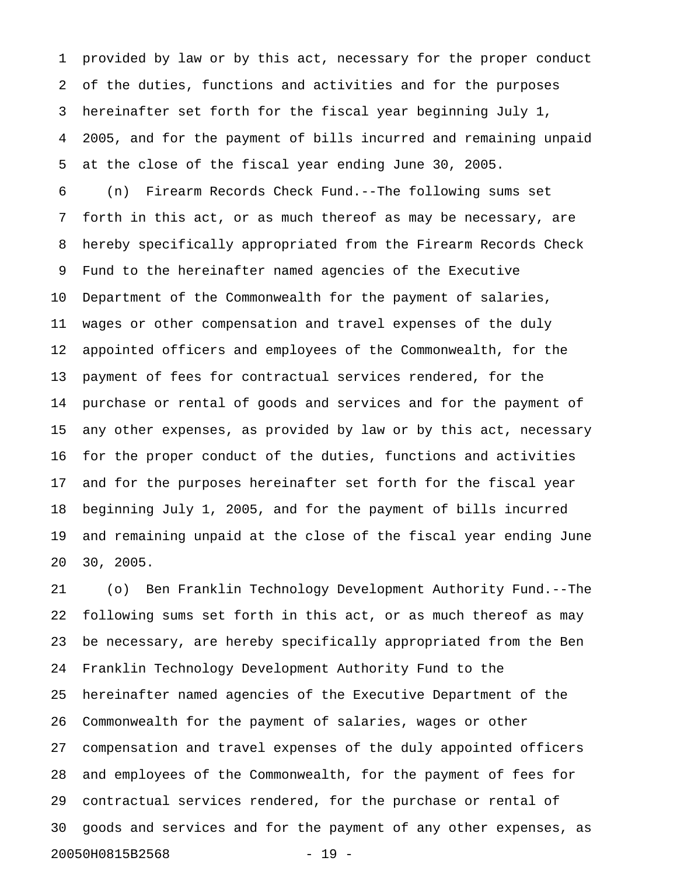1 provided by law or by this act, necessary for the proper conduct 2 of the duties, functions and activities and for the purposes 3 hereinafter set forth for the fiscal year beginning July 1, 4 2005, and for the payment of bills incurred and remaining unpaid 5 at the close of the fiscal year ending June 30, 2005.

6 (n) Firearm Records Check Fund.--The following sums set 7 forth in this act, or as much thereof as may be necessary, are 8 hereby specifically appropriated from the Firearm Records Check 9 Fund to the hereinafter named agencies of the Executive 10 Department of the Commonwealth for the payment of salaries, 11 wages or other compensation and travel expenses of the duly 12 appointed officers and employees of the Commonwealth, for the 13 payment of fees for contractual services rendered, for the 14 purchase or rental of goods and services and for the payment of 15 any other expenses, as provided by law or by this act, necessary 16 for the proper conduct of the duties, functions and activities 17 and for the purposes hereinafter set forth for the fiscal year 18 beginning July 1, 2005, and for the payment of bills incurred 19 and remaining unpaid at the close of the fiscal year ending June 20 30, 2005.

21 (o) Ben Franklin Technology Development Authority Fund.--The 22 following sums set forth in this act, or as much thereof as may 23 be necessary, are hereby specifically appropriated from the Ben 24 Franklin Technology Development Authority Fund to the 25 hereinafter named agencies of the Executive Department of the 26 Commonwealth for the payment of salaries, wages or other 27 compensation and travel expenses of the duly appointed officers 28 and employees of the Commonwealth, for the payment of fees for 29 contractual services rendered, for the purchase or rental of 30 goods and services and for the payment of any other expenses, as 20050H0815B2568 - 19 -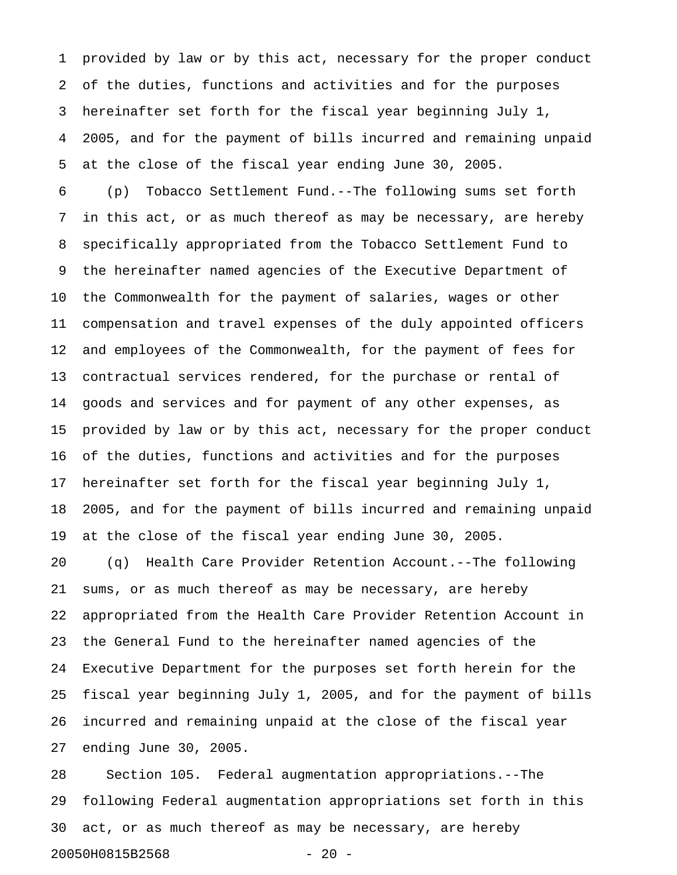1 provided by law or by this act, necessary for the proper conduct 2 of the duties, functions and activities and for the purposes 3 hereinafter set forth for the fiscal year beginning July 1, 4 2005, and for the payment of bills incurred and remaining unpaid 5 at the close of the fiscal year ending June 30, 2005.

6 (p) Tobacco Settlement Fund.--The following sums set forth 7 in this act, or as much thereof as may be necessary, are hereby 8 specifically appropriated from the Tobacco Settlement Fund to 9 the hereinafter named agencies of the Executive Department of 10 the Commonwealth for the payment of salaries, wages or other 11 compensation and travel expenses of the duly appointed officers 12 and employees of the Commonwealth, for the payment of fees for 13 contractual services rendered, for the purchase or rental of 14 goods and services and for payment of any other expenses, as 15 provided by law or by this act, necessary for the proper conduct 16 of the duties, functions and activities and for the purposes 17 hereinafter set forth for the fiscal year beginning July 1, 18 2005, and for the payment of bills incurred and remaining unpaid 19 at the close of the fiscal year ending June 30, 2005.

20 (q) Health Care Provider Retention Account.--The following 21 sums, or as much thereof as may be necessary, are hereby 22 appropriated from the Health Care Provider Retention Account in 23 the General Fund to the hereinafter named agencies of the 24 Executive Department for the purposes set forth herein for the 25 fiscal year beginning July 1, 2005, and for the payment of bills 26 incurred and remaining unpaid at the close of the fiscal year 27 ending June 30, 2005.

28 Section 105. Federal augmentation appropriations.--The 29 following Federal augmentation appropriations set forth in this 30 act, or as much thereof as may be necessary, are hereby 20050H0815B2568 - 20 -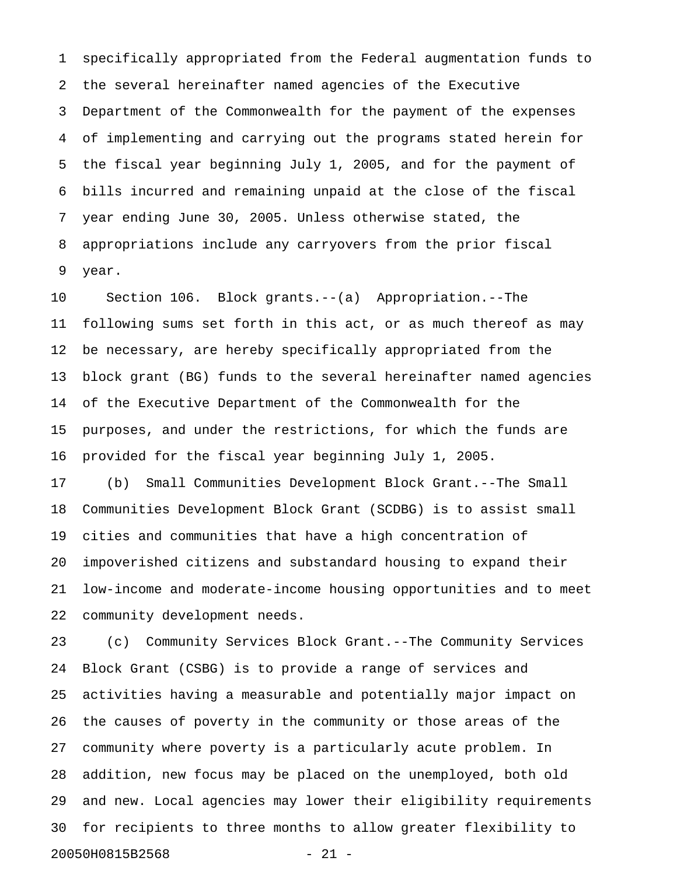1 specifically appropriated from the Federal augmentation funds to 2 the several hereinafter named agencies of the Executive 3 Department of the Commonwealth for the payment of the expenses 4 of implementing and carrying out the programs stated herein for 5 the fiscal year beginning July 1, 2005, and for the payment of 6 bills incurred and remaining unpaid at the close of the fiscal 7 year ending June 30, 2005. Unless otherwise stated, the 8 appropriations include any carryovers from the prior fiscal 9 year.

10 Section 106. Block grants.--(a) Appropriation.--The 11 following sums set forth in this act, or as much thereof as may 12 be necessary, are hereby specifically appropriated from the 13 block grant (BG) funds to the several hereinafter named agencies 14 of the Executive Department of the Commonwealth for the 15 purposes, and under the restrictions, for which the funds are 16 provided for the fiscal year beginning July 1, 2005.

17 (b) Small Communities Development Block Grant.--The Small 18 Communities Development Block Grant (SCDBG) is to assist small 19 cities and communities that have a high concentration of 20 impoverished citizens and substandard housing to expand their 21 low-income and moderate-income housing opportunities and to meet 22 community development needs.

23 (c) Community Services Block Grant.--The Community Services 24 Block Grant (CSBG) is to provide a range of services and 25 activities having a measurable and potentially major impact on 26 the causes of poverty in the community or those areas of the 27 community where poverty is a particularly acute problem. In 28 addition, new focus may be placed on the unemployed, both old 29 and new. Local agencies may lower their eligibility requirements 30 for recipients to three months to allow greater flexibility to 20050H0815B2568 - 21 -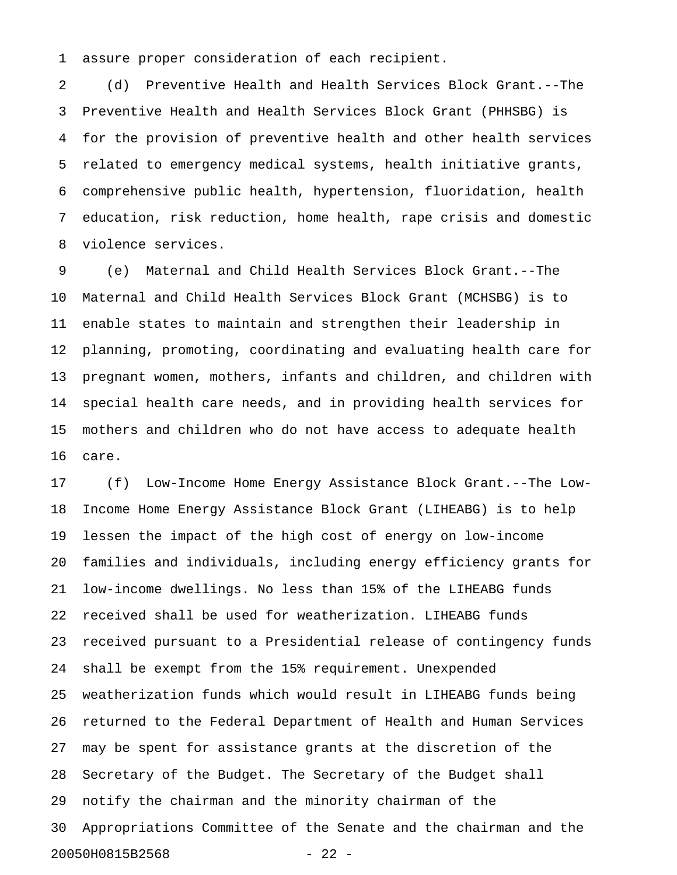1 assure proper consideration of each recipient.

2 (d) Preventive Health and Health Services Block Grant.--The 3 Preventive Health and Health Services Block Grant (PHHSBG) is 4 for the provision of preventive health and other health services 5 related to emergency medical systems, health initiative grants, 6 comprehensive public health, hypertension, fluoridation, health 7 education, risk reduction, home health, rape crisis and domestic 8 violence services.

9 (e) Maternal and Child Health Services Block Grant.--The 10 Maternal and Child Health Services Block Grant (MCHSBG) is to 11 enable states to maintain and strengthen their leadership in 12 planning, promoting, coordinating and evaluating health care for 13 pregnant women, mothers, infants and children, and children with 14 special health care needs, and in providing health services for 15 mothers and children who do not have access to adequate health 16 care.

17 (f) Low-Income Home Energy Assistance Block Grant.--The Low-18 Income Home Energy Assistance Block Grant (LIHEABG) is to help 19 lessen the impact of the high cost of energy on low-income 20 families and individuals, including energy efficiency grants for 21 low-income dwellings. No less than 15% of the LIHEABG funds 22 received shall be used for weatherization. LIHEABG funds 23 received pursuant to a Presidential release of contingency funds 24 shall be exempt from the 15% requirement. Unexpended 25 weatherization funds which would result in LIHEABG funds being 26 returned to the Federal Department of Health and Human Services 27 may be spent for assistance grants at the discretion of the 28 Secretary of the Budget. The Secretary of the Budget shall 29 notify the chairman and the minority chairman of the 30 Appropriations Committee of the Senate and the chairman and the 20050H0815B2568 - 22 -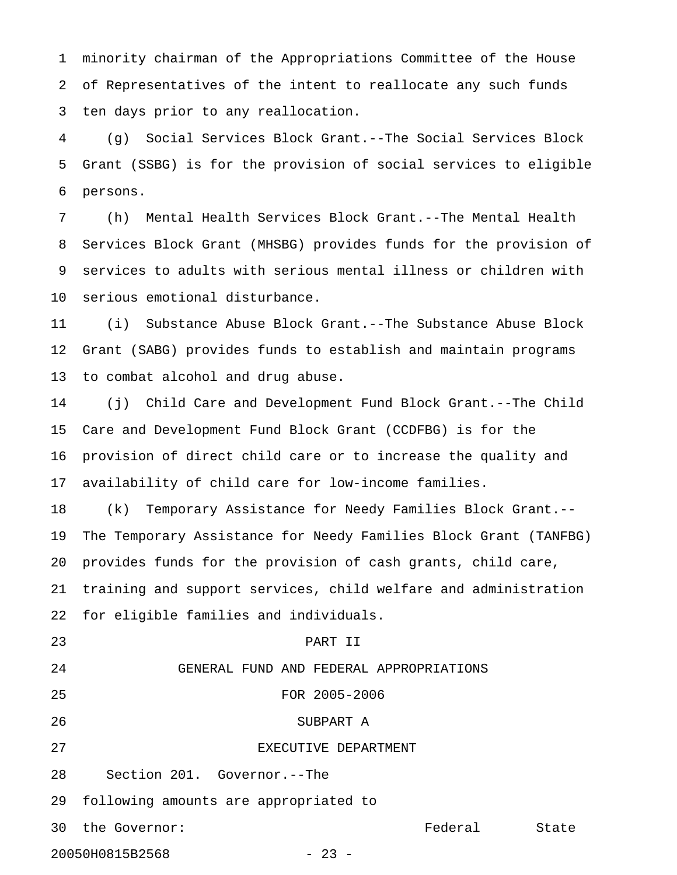1 minority chairman of the Appropriations Committee of the House 2 of Representatives of the intent to reallocate any such funds 3 ten days prior to any reallocation.

4 (g) Social Services Block Grant.--The Social Services Block 5 Grant (SSBG) is for the provision of social services to eligible 6 persons.

7 (h) Mental Health Services Block Grant.--The Mental Health 8 Services Block Grant (MHSBG) provides funds for the provision of 9 services to adults with serious mental illness or children with 10 serious emotional disturbance.

11 (i) Substance Abuse Block Grant.--The Substance Abuse Block 12 Grant (SABG) provides funds to establish and maintain programs 13 to combat alcohol and drug abuse.

14 (j) Child Care and Development Fund Block Grant.--The Child 15 Care and Development Fund Block Grant (CCDFBG) is for the 16 provision of direct child care or to increase the quality and 17 availability of child care for low-income families.

18 (k) Temporary Assistance for Needy Families Block Grant.-- 19 The Temporary Assistance for Needy Families Block Grant (TANFBG) 20 provides funds for the provision of cash grants, child care, 21 training and support services, child welfare and administration 22 for eligible families and individuals.

23 PART II 24 GENERAL FUND AND FEDERAL APPROPRIATIONS 25 FOR 2005-2006 26 SUBPART A 27 EXECUTIVE DEPARTMENT 28 Section 201. Governor.--The 29 following amounts are appropriated to 30 the Governor: The Governor State State State State State State State State State

20050H0815B2568 - 23 -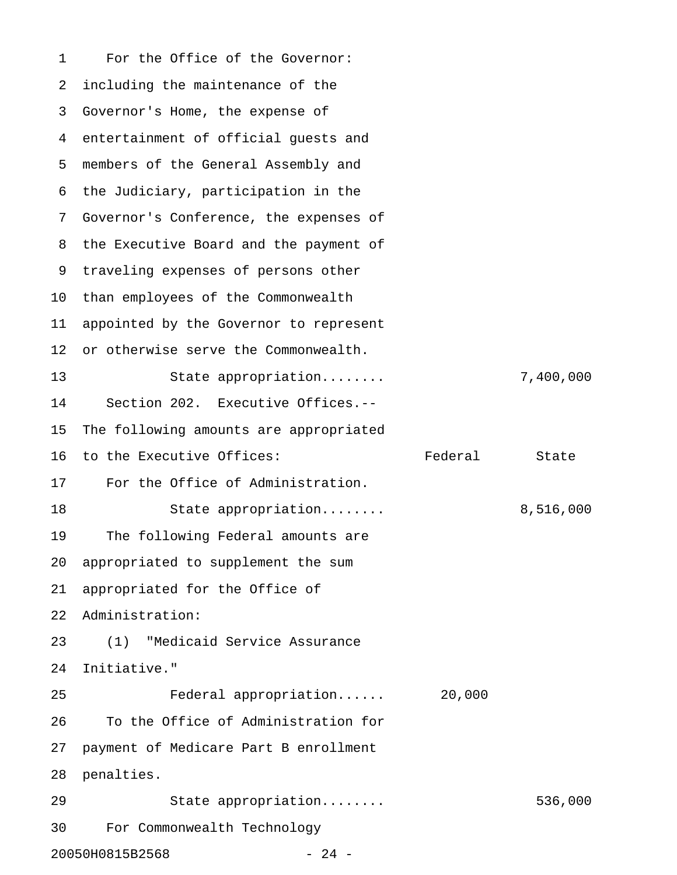1 For the Office of the Governor: 2 including the maintenance of the 3 Governor's Home, the expense of 4 entertainment of official guests and 5 members of the General Assembly and 6 the Judiciary, participation in the 7 Governor's Conference, the expenses of 8 the Executive Board and the payment of 9 traveling expenses of persons other 10 than employees of the Commonwealth 11 appointed by the Governor to represent 12 or otherwise serve the Commonwealth. 13 State appropriation........ 7,400,000 14 Section 202. Executive Offices.-- 15 The following amounts are appropriated 16 to the Executive Offices: The State State State State 17 For the Office of Administration. 18 State appropriation........ 8,516,000 19 The following Federal amounts are 20 appropriated to supplement the sum 21 appropriated for the Office of 22 Administration: 23 (1) "Medicaid Service Assurance 24 Initiative." 25 Federal appropriation...... 20,000 26 To the Office of Administration for 27 payment of Medicare Part B enrollment 28 penalties. 29 State appropriation........ 536,000 30 For Commonwealth Technology

20050H0815B2568 - 24 -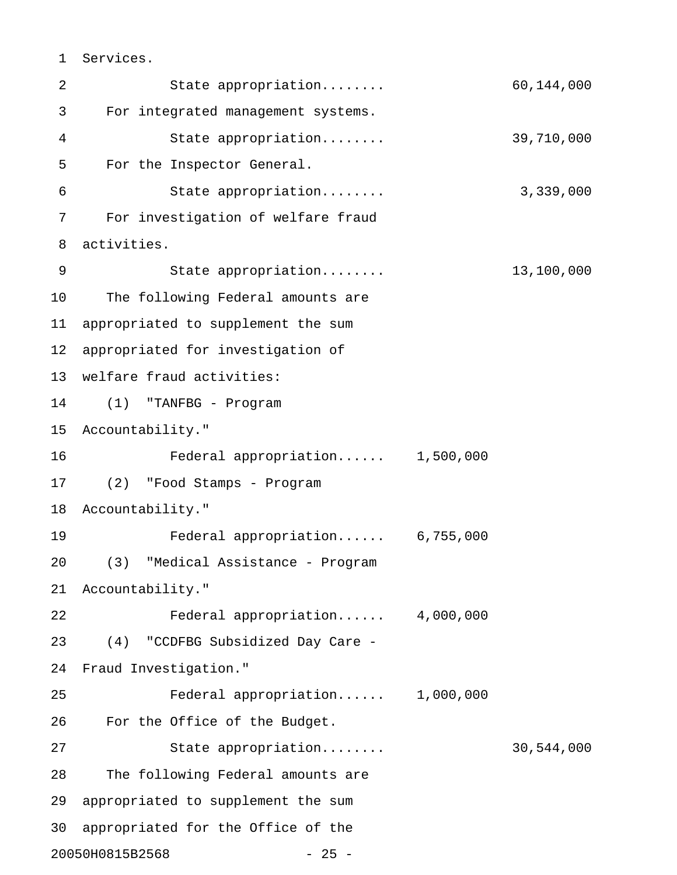1 Services.

2 State appropriation........ 60,144,000 3 For integrated management systems. 4 State appropriation........ 39,710,000 5 For the Inspector General. 6 State appropriation........ 3,339,000 7 For investigation of welfare fraud 8 activities. 9 State appropriation........ 13,100,000 10 The following Federal amounts are 11 appropriated to supplement the sum 12 appropriated for investigation of 13 welfare fraud activities: 14 (1) "TANFBG - Program 15 Accountability." 16 Federal appropriation...... 1,500,000 17 (2) "Food Stamps - Program 18 Accountability." 19 Federal appropriation...... 6,755,000 20 (3) "Medical Assistance - Program 21 Accountability." 22 Federal appropriation...... 4,000,000 23 (4) "CCDFBG Subsidized Day Care - 24 Fraud Investigation." 25 Federal appropriation...... 1,000,000 26 For the Office of the Budget. 27 State appropriation........ 30,544,000 28 The following Federal amounts are 29 appropriated to supplement the sum 30 appropriated for the Office of the 20050H0815B2568 - 25 -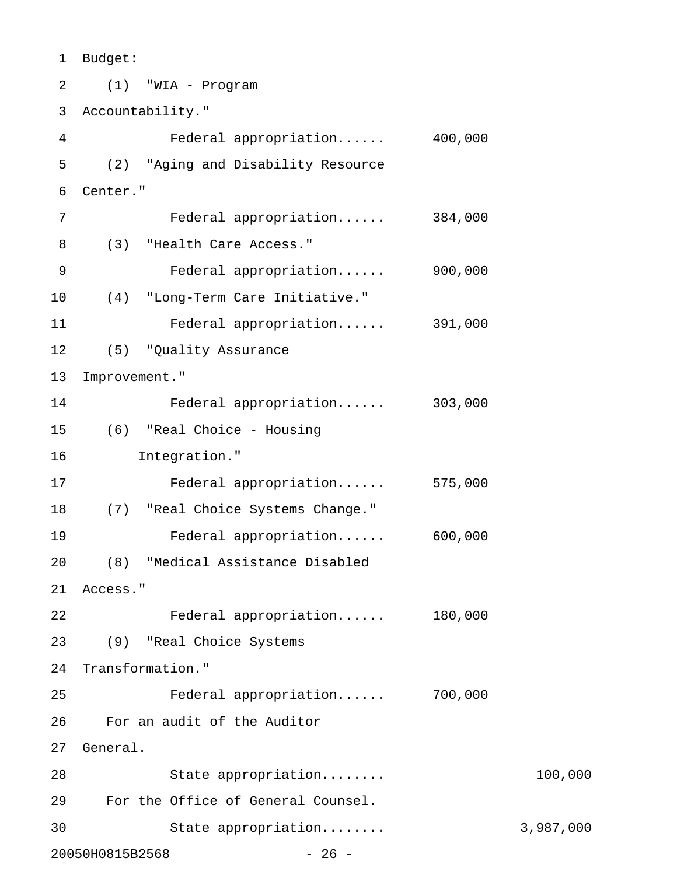| $\mathbf{1}$   | Budget:                            |         |           |  |  |  |  |  |
|----------------|------------------------------------|---------|-----------|--|--|--|--|--|
| 2              | $(1)$ "WIA - Program               |         |           |  |  |  |  |  |
| 3              | Accountability."                   |         |           |  |  |  |  |  |
| $\overline{4}$ | Federal appropriation 400,000      |         |           |  |  |  |  |  |
| 5              | (2) "Aging and Disability Resource |         |           |  |  |  |  |  |
| 6              | Center."                           |         |           |  |  |  |  |  |
| 7              | Federal appropriation 384,000      |         |           |  |  |  |  |  |
| 8              | (3) "Health Care Access."          |         |           |  |  |  |  |  |
| 9              | Federal appropriation              | 900,000 |           |  |  |  |  |  |
| $10 \,$        | (4) "Long-Term Care Initiative."   |         |           |  |  |  |  |  |
| 11             | Federal appropriation 391,000      |         |           |  |  |  |  |  |
| 12             | (5) "Quality Assurance             |         |           |  |  |  |  |  |
| 13             | Improvement."                      |         |           |  |  |  |  |  |
| 14             | Federal appropriation 303,000      |         |           |  |  |  |  |  |
| 15             | (6) "Real Choice - Housing         |         |           |  |  |  |  |  |
| 16             | Integration."                      |         |           |  |  |  |  |  |
| 17             | Federal appropriation 575,000      |         |           |  |  |  |  |  |
| 18             | (7) "Real Choice Systems Change."  |         |           |  |  |  |  |  |
| 19             | Federal appropriation              | 600,000 |           |  |  |  |  |  |
| 20             | (8) "Medical Assistance Disabled   |         |           |  |  |  |  |  |
| 21             | Access."                           |         |           |  |  |  |  |  |
| 22             | Federal appropriation              | 180,000 |           |  |  |  |  |  |
| 23             | (9) "Real Choice Systems           |         |           |  |  |  |  |  |
| 24             | Transformation."                   |         |           |  |  |  |  |  |
| 25             | Federal appropriation              | 700,000 |           |  |  |  |  |  |
| 26             | For an audit of the Auditor        |         |           |  |  |  |  |  |
| 27             | General.                           |         |           |  |  |  |  |  |
| 28             | State appropriation                |         | 100,000   |  |  |  |  |  |
| 29             | For the Office of General Counsel. |         |           |  |  |  |  |  |
| 30             | State appropriation                |         | 3,987,000 |  |  |  |  |  |
|                | $-26 -$<br>20050H0815B2568         |         |           |  |  |  |  |  |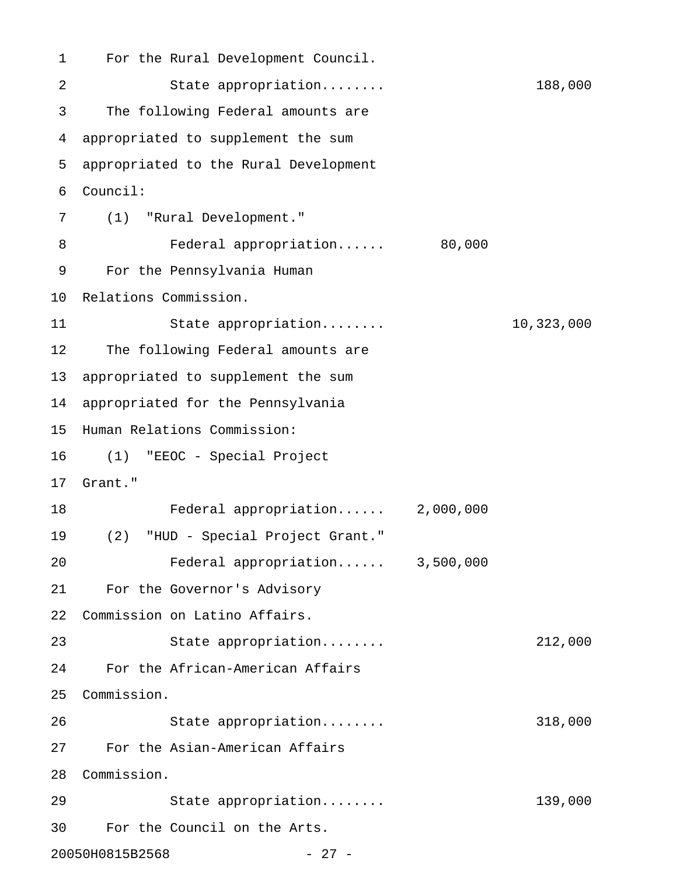1 For the Rural Development Council. 2 State appropriation........ 188,000 3 The following Federal amounts are 4 appropriated to supplement the sum 5 appropriated to the Rural Development 6 Council: 7 (1) "Rural Development." 8 Federal appropriation...... 80,000 9 For the Pennsylvania Human 10 Relations Commission. 11 State appropriation........ 10,323,000 12 The following Federal amounts are 13 appropriated to supplement the sum 14 appropriated for the Pennsylvania 15 Human Relations Commission: 16 (1) "EEOC - Special Project 17 Grant." 18 Federal appropriation...... 2,000,000 19 (2) "HUD - Special Project Grant." 20 Federal appropriation...... 3,500,000 21 For the Governor's Advisory 22 Commission on Latino Affairs. 23 State appropriation........ 212,000 24 For the African-American Affairs 25 Commission. 26 State appropriation........ 318,000 27 For the Asian-American Affairs 28 Commission. 29 State appropriation........ 139,000 30 For the Council on the Arts. 20050H0815B2568 - 27 -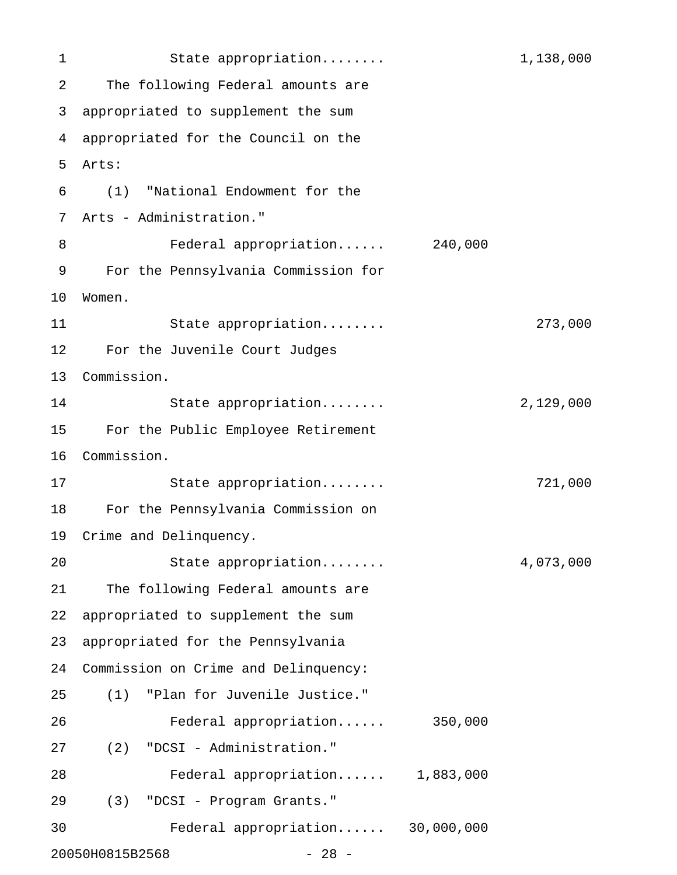1 State appropriation........ 1,138,000 2 The following Federal amounts are 3 appropriated to supplement the sum 4 appropriated for the Council on the 5 Arts: 6 (1) "National Endowment for the 7 Arts - Administration." 8 Federal appropriation...... 240,000 9 For the Pennsylvania Commission for 10 Women. 11 State appropriation........ 273,000 12 For the Juvenile Court Judges 13 Commission. 14 State appropriation........ 2,129,000 15 For the Public Employee Retirement 16 Commission. 17 State appropriation........ 721,000 18 For the Pennsylvania Commission on 19 Crime and Delinquency. 20 State appropriation........ 4,073,000 21 The following Federal amounts are 22 appropriated to supplement the sum 23 appropriated for the Pennsylvania 24 Commission on Crime and Delinquency: 25 (1) "Plan for Juvenile Justice." 26 Federal appropriation...... 350,000 27 (2) "DCSI - Administration." 28 Federal appropriation...... 1,883,000 29 (3) "DCSI - Program Grants." 30 Federal appropriation...... 30,000,000 20050H0815B2568 - 28 -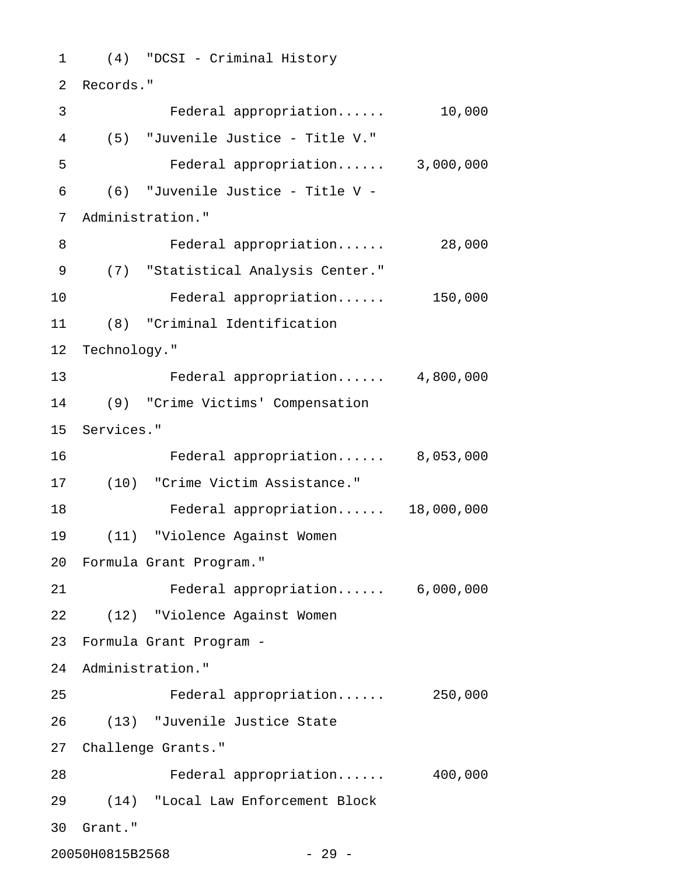1 (4) "DCSI - Criminal History 2 Records." 3 Federal appropriation...... 10,000 4 (5) "Juvenile Justice - Title V." 5 Federal appropriation...... 3,000,000 6 (6) "Juvenile Justice - Title V - 7 Administration." 8 Federal appropriation...... 28,000 9 (7) "Statistical Analysis Center." 10 Federal appropriation...... 150,000 11 (8) "Criminal Identification 12 Technology." 13 Federal appropriation...... 4,800,000 14 (9) "Crime Victims' Compensation 15 Services." 16 Federal appropriation...... 8,053,000 17 (10) "Crime Victim Assistance." 18 Federal appropriation...... 18,000,000 19 (11) "Violence Against Women 20 Formula Grant Program." 21 Federal appropriation...... 6,000,000 22 (12) "Violence Against Women 23 Formula Grant Program - 24 Administration." 25 Federal appropriation...... 250,000 26 (13) "Juvenile Justice State 27 Challenge Grants." 28 Federal appropriation...... 400,000 29 (14) "Local Law Enforcement Block 30 Grant." 20050H0815B2568 - 29 -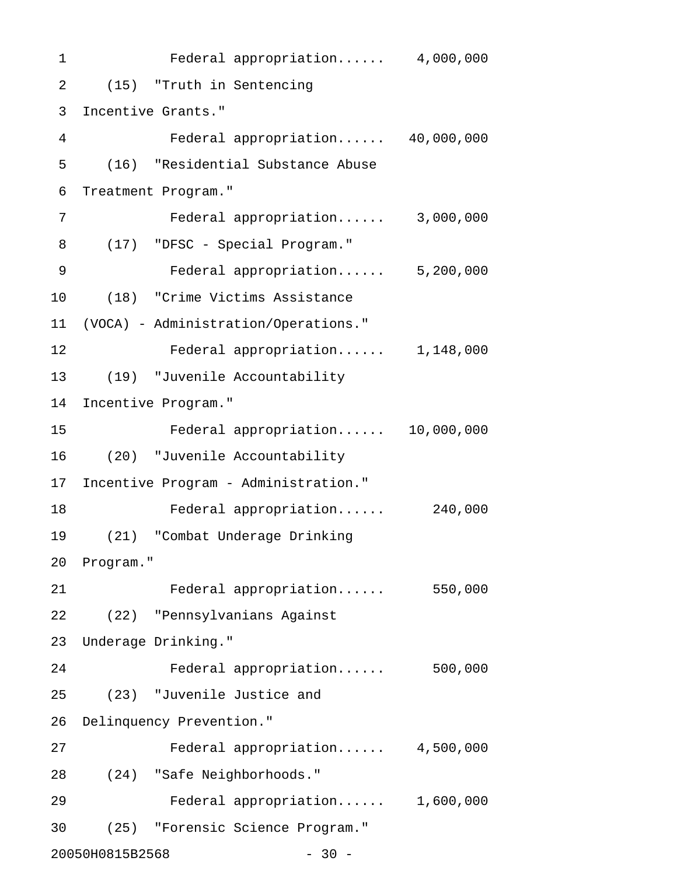1 Federal appropriation...... 4,000,000 2 (15) "Truth in Sentencing 3 Incentive Grants." 4 Federal appropriation...... 40,000,000 5 (16) "Residential Substance Abuse 6 Treatment Program." 7 Federal appropriation...... 3,000,000 8 (17) "DFSC - Special Program." 9 Federal appropriation...... 5,200,000 10 (18) "Crime Victims Assistance 11 (VOCA) - Administration/Operations." 12 Federal appropriation...... 1,148,000 13 (19) "Juvenile Accountability 14 Incentive Program." 15 Federal appropriation...... 10,000,000 16 (20) "Juvenile Accountability 17 Incentive Program - Administration." 18 Federal appropriation...... 240,000 19 (21) "Combat Underage Drinking 20 Program." 21 Federal appropriation...... 550,000 22 (22) "Pennsylvanians Against 23 Underage Drinking." 24 Federal appropriation...... 500,000 25 (23) "Juvenile Justice and 26 Delinquency Prevention." 27 Federal appropriation...... 4,500,000 28 (24) "Safe Neighborhoods." 29 Federal appropriation...... 1,600,000 30 (25) "Forensic Science Program." 20050H0815B2568 - 30 -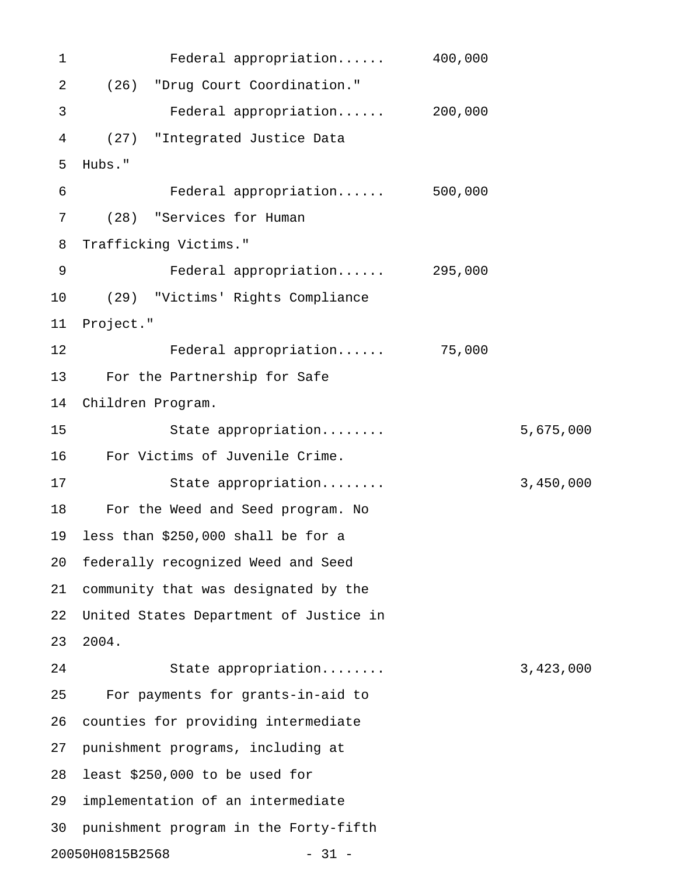1 Federal appropriation...... 400,000 2 (26) "Drug Court Coordination." 3 Federal appropriation...... 200,000 4 (27) "Integrated Justice Data 5 Hubs." 6 Federal appropriation...... 500,000 7 (28) "Services for Human 8 Trafficking Victims." 9 Federal appropriation...... 295,000 10 (29) "Victims' Rights Compliance 11 Project." 12 Federal appropriation...... 75,000 13 For the Partnership for Safe 14 Children Program. 15 State appropriation........ 5,675,000 16 For Victims of Juvenile Crime. 17 State appropriation........ 3,450,000 18 For the Weed and Seed program. No 19 less than \$250,000 shall be for a 20 federally recognized Weed and Seed 21 community that was designated by the 22 United States Department of Justice in 23 2004. 24 State appropriation........ 3,423,000 25 For payments for grants-in-aid to 26 counties for providing intermediate 27 punishment programs, including at 28 least \$250,000 to be used for 29 implementation of an intermediate 30 punishment program in the Forty-fifth 20050H0815B2568 - 31 -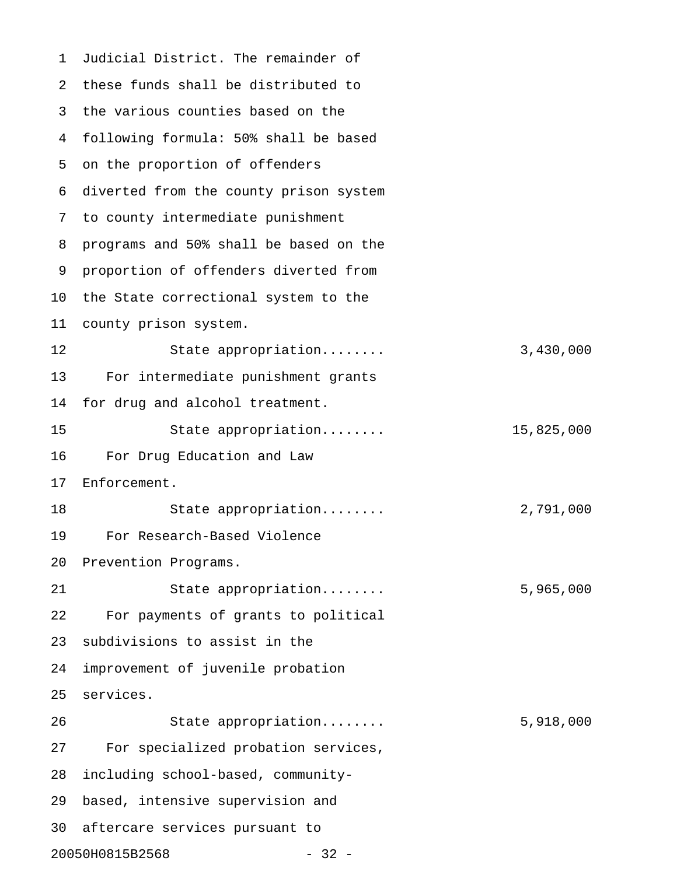1 Judicial District. The remainder of 2 these funds shall be distributed to 3 the various counties based on the 4 following formula: 50% shall be based 5 on the proportion of offenders 6 diverted from the county prison system 7 to county intermediate punishment 8 programs and 50% shall be based on the 9 proportion of offenders diverted from 10 the State correctional system to the 11 county prison system. 12 State appropriation........ 3,430,000 13 For intermediate punishment grants 14 for drug and alcohol treatment. 15 State appropriation........ 15,825,000 16 For Drug Education and Law 17 Enforcement. 18 State appropriation........ 2,791,000 19 For Research-Based Violence 20 Prevention Programs. 21 State appropriation........ 5,965,000 22 For payments of grants to political 23 subdivisions to assist in the 24 improvement of juvenile probation 25 services. 26 State appropriation........ 5,918,000 27 For specialized probation services, 28 including school-based, community-29 based, intensive supervision and 30 aftercare services pursuant to

20050H0815B2568 - 32 -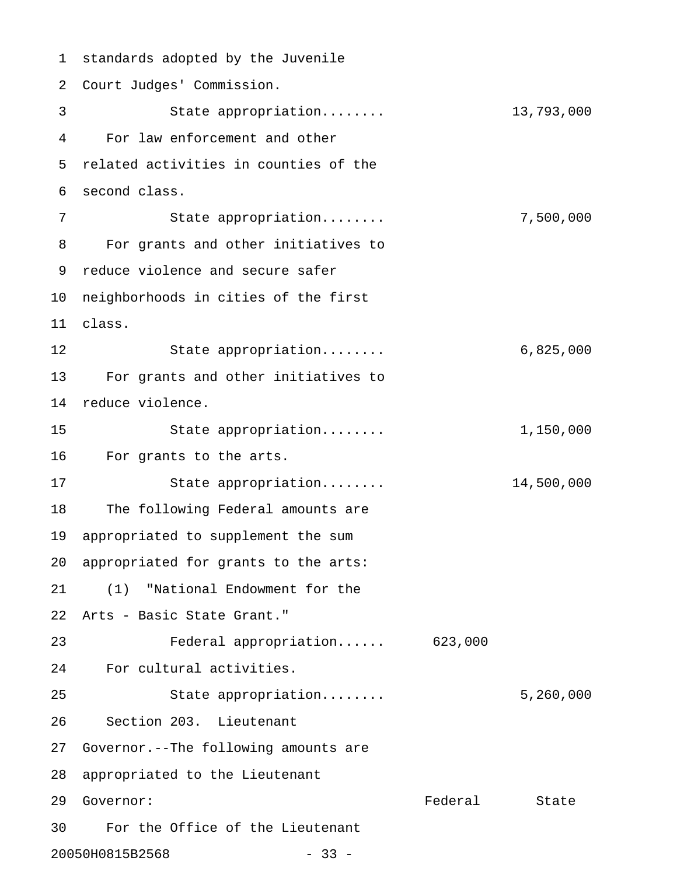1 standards adopted by the Juvenile 2 Court Judges' Commission. 3 State appropriation........ 13,793,000 4 For law enforcement and other 5 related activities in counties of the 6 second class. 7 State appropriation....... 7,500,000 8 For grants and other initiatives to 9 reduce violence and secure safer 10 neighborhoods in cities of the first 11 class. 12 State appropriation........ 6,825,000 13 For grants and other initiatives to 14 reduce violence. 15 State appropriation........ 1,150,000 16 For grants to the arts. 17 State appropriation........ 14,500,000 18 The following Federal amounts are 19 appropriated to supplement the sum 20 appropriated for grants to the arts: 21 (1) "National Endowment for the 22 Arts - Basic State Grant." 23 Federal appropriation...... 623,000 24 For cultural activities. 25 State appropriation........ 5,260,000 26 Section 203. Lieutenant 27 Governor.--The following amounts are 28 appropriated to the Lieutenant 29 Governor: Federal State 30 For the Office of the Lieutenant 20050H0815B2568 - 33 -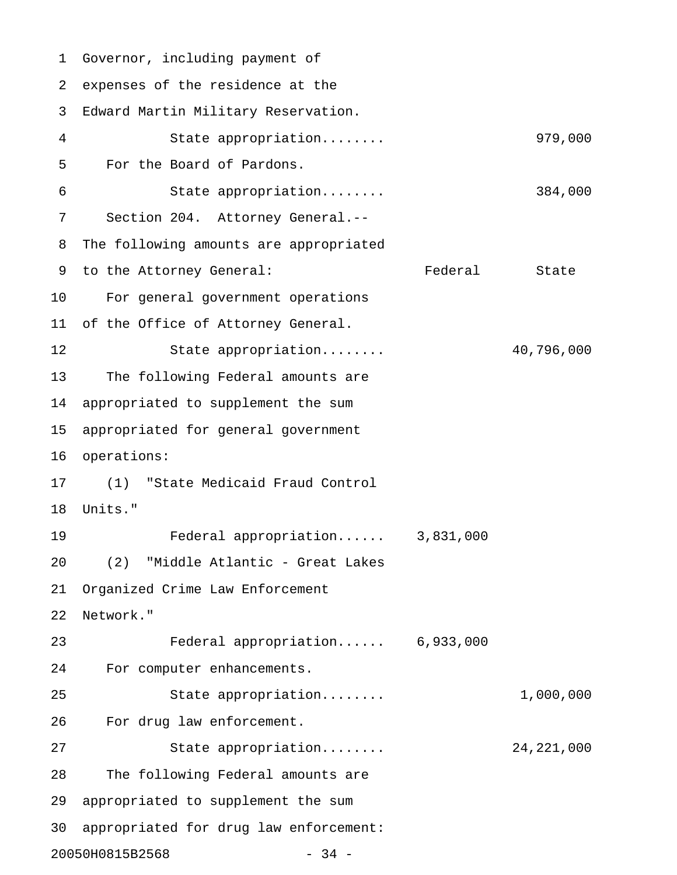1 Governor, including payment of 2 expenses of the residence at the 3 Edward Martin Military Reservation. 4 State appropriation........ 979,000 5 For the Board of Pardons. 6 State appropriation........ 384,000 7 Section 204. Attorney General.-- 8 The following amounts are appropriated 9 to the Attorney General: The State State State State 10 For general government operations 11 of the Office of Attorney General. 12 State appropriation........ 40,796,000 13 The following Federal amounts are 14 appropriated to supplement the sum 15 appropriated for general government 16 operations: 17 (1) "State Medicaid Fraud Control 18 Units." 19 Federal appropriation...... 3,831,000 20 (2) "Middle Atlantic - Great Lakes 21 Organized Crime Law Enforcement 22 Network." 23 Federal appropriation...... 6,933,000 24 For computer enhancements. 25 State appropriation........ 1,000,000 26 For drug law enforcement. 27 State appropriation........ 24,221,000 28 The following Federal amounts are 29 appropriated to supplement the sum 30 appropriated for drug law enforcement: 20050H0815B2568 - 34 -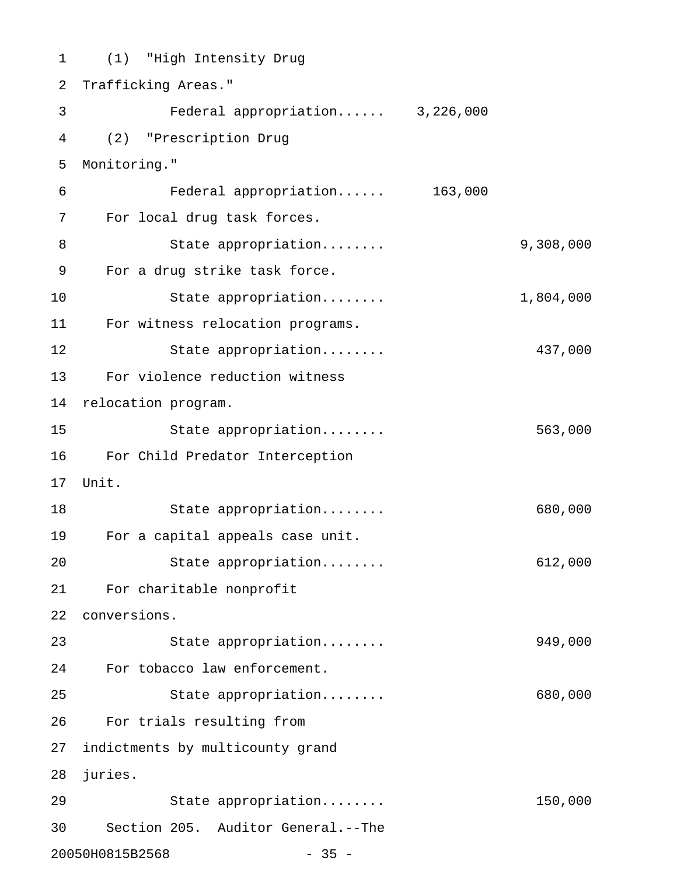1 (1) "High Intensity Drug 2 Trafficking Areas." 3 Federal appropriation...... 3,226,000 4 (2) "Prescription Drug 5 Monitoring." 6 Federal appropriation...... 163,000 7 For local drug task forces. 8 State appropriation........ 9,308,000 9 For a drug strike task force. 10 State appropriation....... 1,804,000 11 For witness relocation programs. 12 State appropriation........ 437,000 13 For violence reduction witness 14 relocation program. 15 State appropriation........ 563,000 16 For Child Predator Interception 17 Unit. 18 State appropriation........ 680,000 19 For a capital appeals case unit. 20 State appropriation........ 612,000 21 For charitable nonprofit 22 conversions. 23 State appropriation........ 949,000 24 For tobacco law enforcement. 25 State appropriation........ 680,000 26 For trials resulting from 27 indictments by multicounty grand 28 juries. 29 State appropriation........ 150,000 30 Section 205. Auditor General.--The 20050H0815B2568 - 35 -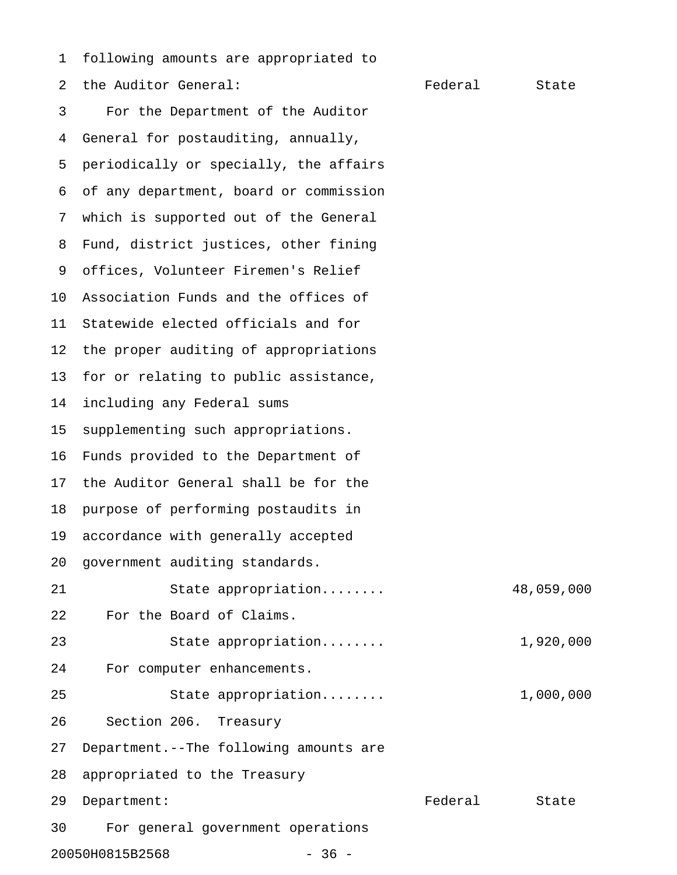1 following amounts are appropriated to

2 the Auditor General: The State State State State State State 3 For the Department of the Auditor 4 General for postauditing, annually, 5 periodically or specially, the affairs 6 of any department, board or commission 7 which is supported out of the General 8 Fund, district justices, other fining 9 offices, Volunteer Firemen's Relief 10 Association Funds and the offices of 11 Statewide elected officials and for 12 the proper auditing of appropriations 13 for or relating to public assistance, 14 including any Federal sums 15 supplementing such appropriations. 16 Funds provided to the Department of 17 the Auditor General shall be for the 18 purpose of performing postaudits in 19 accordance with generally accepted 20 government auditing standards. 21 State appropriation........ 48,059,000 22 For the Board of Claims. 23 State appropriation........ 1,920,000 24 For computer enhancements. 25 State appropriation........ 1,000,000 26 Section 206. Treasury 27 Department.--The following amounts are 28 appropriated to the Treasury 29 Department: The state of the State State State State State State State 30 For general government operations 20050H0815B2568 - 36 -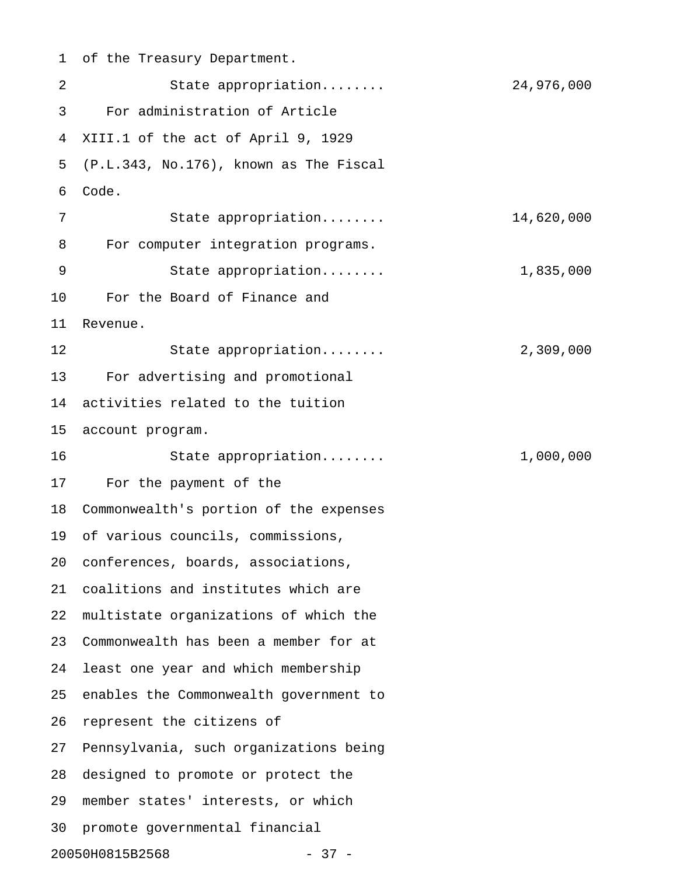1 of the Treasury Department.

2 State appropriation........ 24,976,000 3 For administration of Article 4 XIII.1 of the act of April 9, 1929 5 (P.L.343, No.176), known as The Fiscal 6 Code. 7 State appropriation....... 14,620,000 8 For computer integration programs. 9 State appropriation........ 1,835,000 10 For the Board of Finance and 11 Revenue. 12 State appropriation........ 2,309,000 13 For advertising and promotional 14 activities related to the tuition 15 account program. 16 State appropriation........ 1,000,000 17 For the payment of the 18 Commonwealth's portion of the expenses 19 of various councils, commissions, 20 conferences, boards, associations, 21 coalitions and institutes which are 22 multistate organizations of which the 23 Commonwealth has been a member for at 24 least one year and which membership 25 enables the Commonwealth government to 26 represent the citizens of 27 Pennsylvania, such organizations being 28 designed to promote or protect the 29 member states' interests, or which 30 promote governmental financial 20050H0815B2568 - 37 -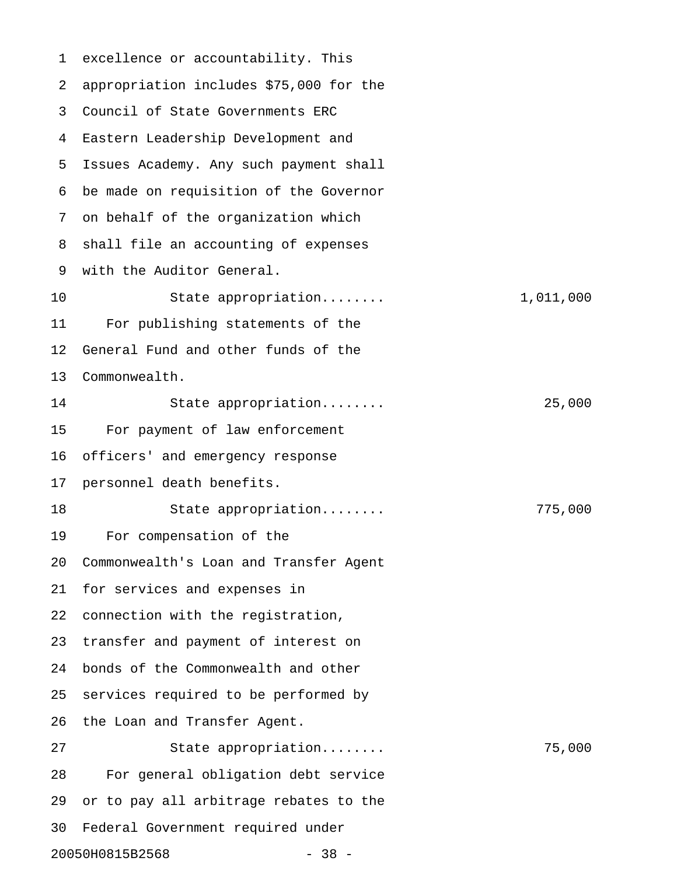| 1  | excellence or accountability. This      |           |
|----|-----------------------------------------|-----------|
| 2  | appropriation includes \$75,000 for the |           |
| 3  | Council of State Governments ERC        |           |
| 4  | Eastern Leadership Development and      |           |
| 5  | Issues Academy. Any such payment shall  |           |
| 6  | be made on requisition of the Governor  |           |
| 7  | on behalf of the organization which     |           |
| 8  | shall file an accounting of expenses    |           |
| 9  | with the Auditor General.               |           |
| 10 | State appropriation                     | 1,011,000 |
| 11 | For publishing statements of the        |           |
| 12 | General Fund and other funds of the     |           |
| 13 | Commonwealth.                           |           |
| 14 | State appropriation                     | 25,000    |
| 15 | For payment of law enforcement          |           |
| 16 | officers' and emergency response        |           |
| 17 | personnel death benefits.               |           |
| 18 | State appropriation                     | 775,000   |
| 19 | For compensation of the                 |           |
| 20 | Commonwealth's Loan and Transfer Agent  |           |
| 21 | for services and expenses in            |           |
| 22 | connection with the registration,       |           |
| 23 | transfer and payment of interest on     |           |
| 24 | bonds of the Commonwealth and other     |           |
| 25 | services required to be performed by    |           |
| 26 | the Loan and Transfer Agent.            |           |
| 27 | State appropriation                     | 75,000    |
| 28 | For general obligation debt service     |           |
| 29 | or to pay all arbitrage rebates to the  |           |
| 30 | Federal Government required under       |           |
|    | 20050H0815B2568<br>$-38 -$              |           |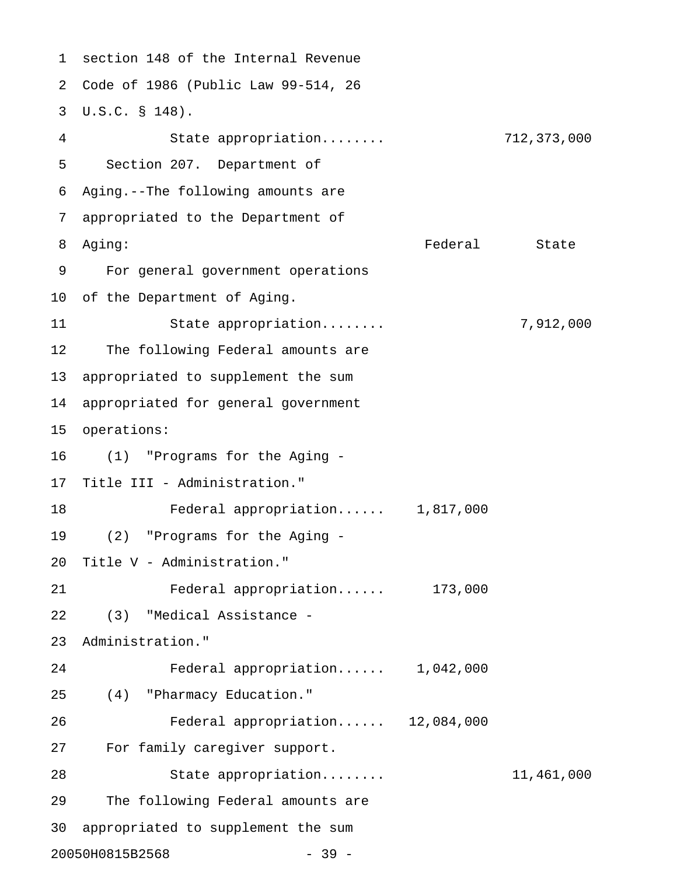1 section 148 of the Internal Revenue 2 Code of 1986 (Public Law 99-514, 26 3 U.S.C. § 148). 4 State appropriation........ 712,373,000 5 Section 207. Department of 6 Aging.--The following amounts are 7 appropriated to the Department of 8 Aging: State State State State State State State State State State State State 9 For general government operations 10 of the Department of Aging. 11 State appropriation........ 7,912,000 12 The following Federal amounts are 13 appropriated to supplement the sum 14 appropriated for general government 15 operations: 16 (1) "Programs for the Aging - 17 Title III - Administration." 18 Federal appropriation...... 1,817,000 19 (2) "Programs for the Aging - 20 Title V - Administration." 21 Federal appropriation...... 173,000 22 (3) "Medical Assistance - 23 Administration." 24 Federal appropriation...... 1,042,000 25 (4) "Pharmacy Education." 26 Federal appropriation...... 12,084,000 27 For family caregiver support. 28 State appropriation........ 11,461,000 29 The following Federal amounts are 30 appropriated to supplement the sum 20050H0815B2568 - 39 -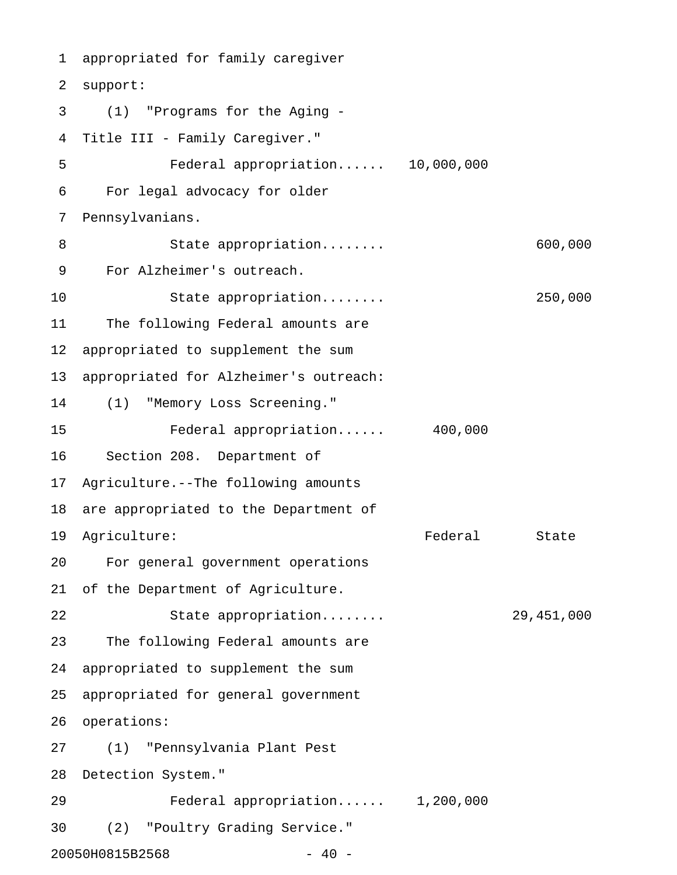1 appropriated for family caregiver 2 support: 3 (1) "Programs for the Aging - 4 Title III - Family Caregiver." 5 Federal appropriation...... 10,000,000 6 For legal advocacy for older 7 Pennsylvanians. 8 State appropriation........ 600,000 9 For Alzheimer's outreach. 10 State appropriation........ 250,000 11 The following Federal amounts are 12 appropriated to supplement the sum 13 appropriated for Alzheimer's outreach: 14 (1) "Memory Loss Screening." 15 Federal appropriation...... 400,000 16 Section 208. Department of 17 Agriculture.--The following amounts 18 are appropriated to the Department of 19 Agriculture: Federal State 20 For general government operations 21 of the Department of Agriculture. 22 State appropriation........ 29,451,000 23 The following Federal amounts are 24 appropriated to supplement the sum 25 appropriated for general government 26 operations: 27 (1) "Pennsylvania Plant Pest 28 Detection System." 29 Federal appropriation...... 1,200,000 30 (2) "Poultry Grading Service." 20050H0815B2568 - 40 -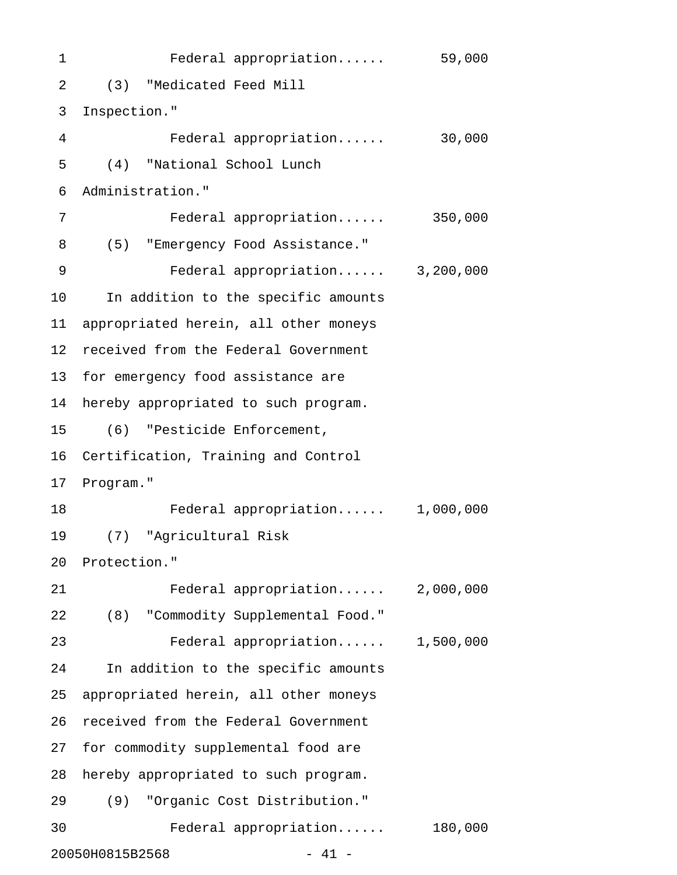1 Federal appropriation...... 59,000 2 (3) "Medicated Feed Mill 3 Inspection." 4 Federal appropriation...... 30,000 5 (4) "National School Lunch 6 Administration." 7 Federal appropriation...... 350,000 8 (5) "Emergency Food Assistance." 9 Federal appropriation...... 3,200,000 10 In addition to the specific amounts 11 appropriated herein, all other moneys 12 received from the Federal Government 13 for emergency food assistance are 14 hereby appropriated to such program. 15 (6) "Pesticide Enforcement, 16 Certification, Training and Control 17 Program." 18 Federal appropriation...... 1,000,000 19 (7) "Agricultural Risk 20 Protection." 21 Federal appropriation...... 2,000,000 22 (8) "Commodity Supplemental Food." 23 Federal appropriation...... 1,500,000 24 In addition to the specific amounts 25 appropriated herein, all other moneys 26 received from the Federal Government 27 for commodity supplemental food are 28 hereby appropriated to such program. 29 (9) "Organic Cost Distribution." 30 Federal appropriation...... 180,000 20050H0815B2568 - 41 -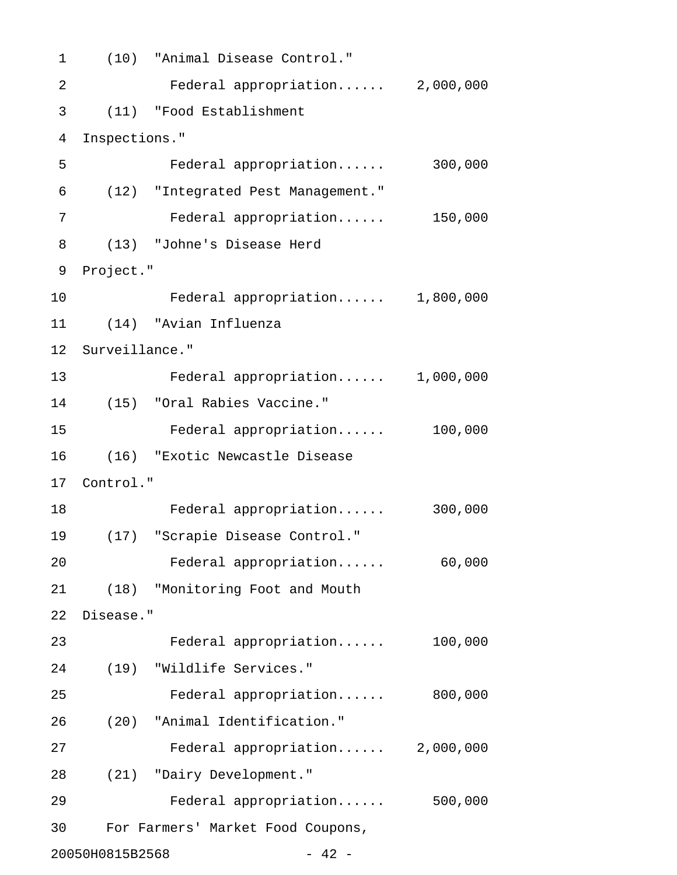1 (10) "Animal Disease Control." 2 Federal appropriation...... 2,000,000 3 (11) "Food Establishment 4 Inspections." 5 Federal appropriation...... 300,000 6 (12) "Integrated Pest Management." 7 Federal appropriation...... 150,000 8 (13) "Johne's Disease Herd 9 Project." 10 Federal appropriation...... 1,800,000 11 (14) "Avian Influenza 12 Surveillance." 13 Federal appropriation...... 1,000,000 14 (15) "Oral Rabies Vaccine." 15 Federal appropriation...... 100,000 16 (16) "Exotic Newcastle Disease 17 Control." 18 Federal appropriation...... 300,000 19 (17) "Scrapie Disease Control." 20 Federal appropriation...... 60,000 21 (18) "Monitoring Foot and Mouth 22 Disease." 23 Federal appropriation...... 100,000 24 (19) "Wildlife Services." 25 Federal appropriation...... 800,000 26 (20) "Animal Identification." 27 Federal appropriation...... 2,000,000 28 (21) "Dairy Development." 29 Federal appropriation...... 500,000 30 For Farmers' Market Food Coupons, 20050H0815B2568 - 42 -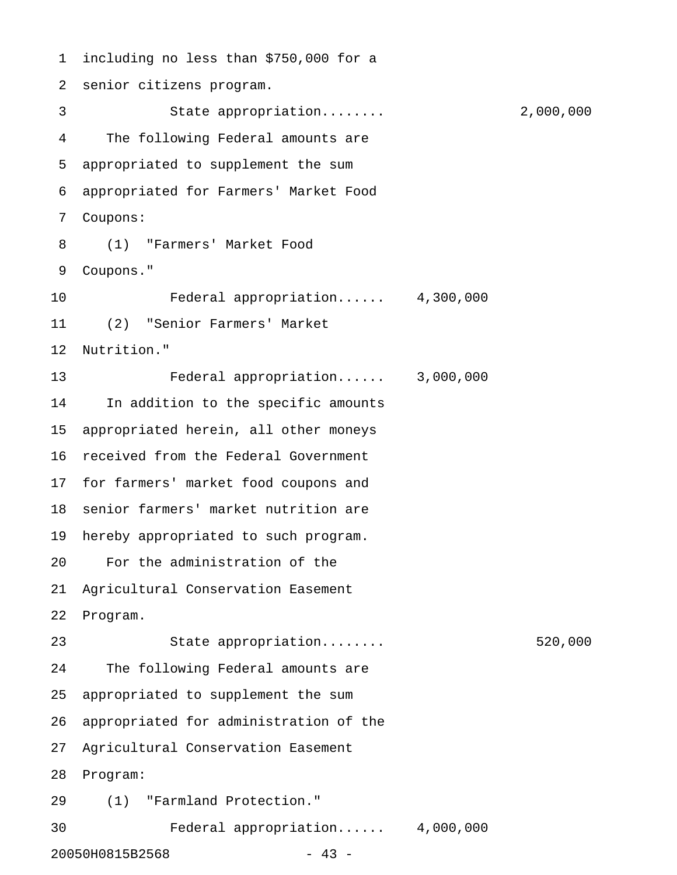1 including no less than \$750,000 for a

2 senior citizens program.

3 State appropriation........ 2,000,000 4 The following Federal amounts are 5 appropriated to supplement the sum 6 appropriated for Farmers' Market Food 7 Coupons: 8 (1) "Farmers' Market Food 9 Coupons." 10 Federal appropriation...... 4,300,000 11 (2) "Senior Farmers' Market 12 Nutrition." 13 Federal appropriation...... 3,000,000 14 In addition to the specific amounts 15 appropriated herein, all other moneys 16 received from the Federal Government 17 for farmers' market food coupons and 18 senior farmers' market nutrition are 19 hereby appropriated to such program. 20 For the administration of the 21 Agricultural Conservation Easement 22 Program. 23 State appropriation........ 520,000 24 The following Federal amounts are 25 appropriated to supplement the sum 26 appropriated for administration of the 27 Agricultural Conservation Easement 28 Program: 29 (1) "Farmland Protection." 30 Federal appropriation...... 4,000,000 20050H0815B2568 - 43 -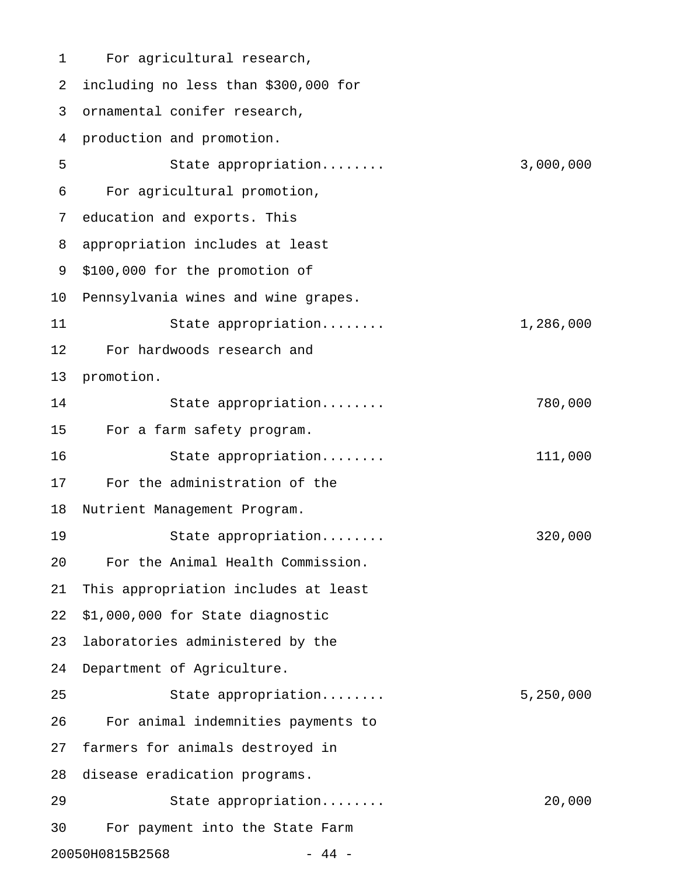1 For agricultural research, 2 including no less than \$300,000 for 3 ornamental conifer research, 4 production and promotion. 5 State appropriation........ 3,000,000 6 For agricultural promotion, 7 education and exports. This 8 appropriation includes at least 9 \$100,000 for the promotion of 10 Pennsylvania wines and wine grapes. 11 State appropriation....... 1,286,000 12 For hardwoods research and 13 promotion. 14 State appropriation........ 780,000 15 For a farm safety program. 16 State appropriation........ 111,000 17 For the administration of the 18 Nutrient Management Program. 19 State appropriation........ 320,000 20 For the Animal Health Commission. 21 This appropriation includes at least 22 \$1,000,000 for State diagnostic 23 laboratories administered by the 24 Department of Agriculture. 25 State appropriation........ 5,250,000 26 For animal indemnities payments to 27 farmers for animals destroyed in 28 disease eradication programs. 29 State appropriation........ 20,000 30 For payment into the State Farm 20050H0815B2568 - 44 -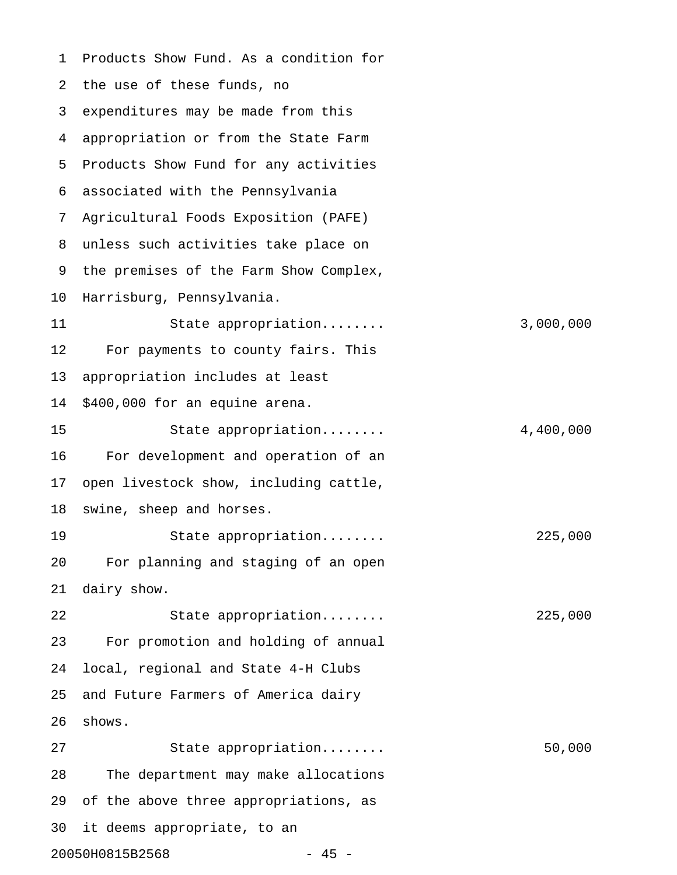1 Products Show Fund. As a condition for 2 the use of these funds, no 3 expenditures may be made from this 4 appropriation or from the State Farm 5 Products Show Fund for any activities 6 associated with the Pennsylvania 7 Agricultural Foods Exposition (PAFE) 8 unless such activities take place on 9 the premises of the Farm Show Complex, 10 Harrisburg, Pennsylvania. 11 State appropriation........ 3,000,000 12 For payments to county fairs. This 13 appropriation includes at least 14 \$400,000 for an equine arena. 15 State appropriation........ 4,400,000 16 For development and operation of an 17 open livestock show, including cattle, 18 swine, sheep and horses. 19 State appropriation........ 225,000 20 For planning and staging of an open 21 dairy show. 22 State appropriation........ 225,000 23 For promotion and holding of annual 24 local, regional and State 4-H Clubs 25 and Future Farmers of America dairy 26 shows. 27 State appropriation........ 50,000 28 The department may make allocations 29 of the above three appropriations, as 30 it deems appropriate, to an 20050H0815B2568 - 45 -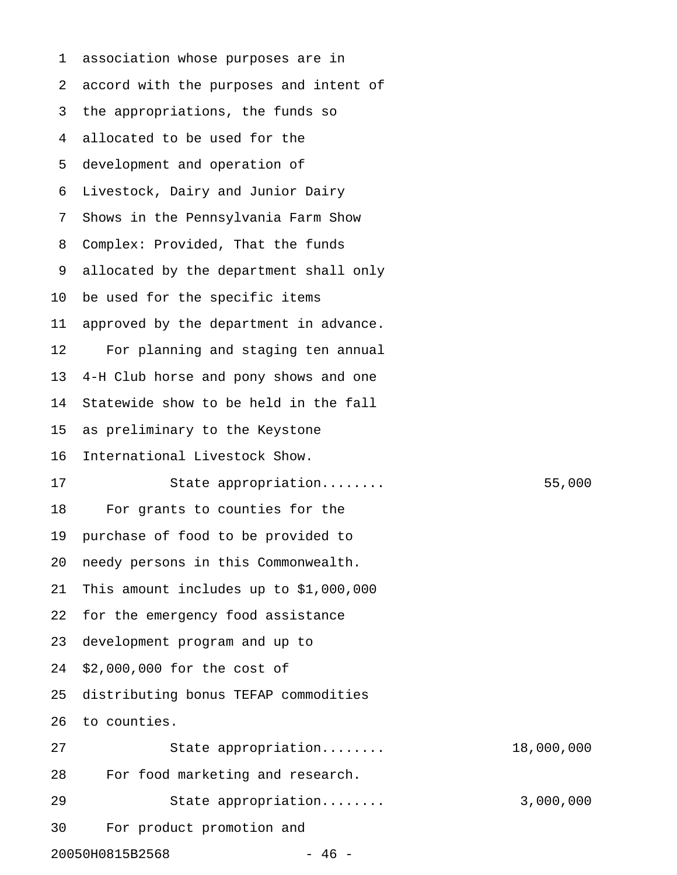1 association whose purposes are in 2 accord with the purposes and intent of 3 the appropriations, the funds so 4 allocated to be used for the 5 development and operation of 6 Livestock, Dairy and Junior Dairy 7 Shows in the Pennsylvania Farm Show 8 Complex: Provided, That the funds 9 allocated by the department shall only 10 be used for the specific items 11 approved by the department in advance. 12 For planning and staging ten annual 13 4-H Club horse and pony shows and one 14 Statewide show to be held in the fall 15 as preliminary to the Keystone 16 International Livestock Show. 17 State appropriation........ 55,000 18 For grants to counties for the 19 purchase of food to be provided to 20 needy persons in this Commonwealth. 21 This amount includes up to \$1,000,000 22 for the emergency food assistance 23 development program and up to 24 \$2,000,000 for the cost of 25 distributing bonus TEFAP commodities 26 to counties. 27 State appropriation........ 18,000,000 28 For food marketing and research. 29 State appropriation........ 3,000,000 30 For product promotion and

20050H0815B2568 - 46 -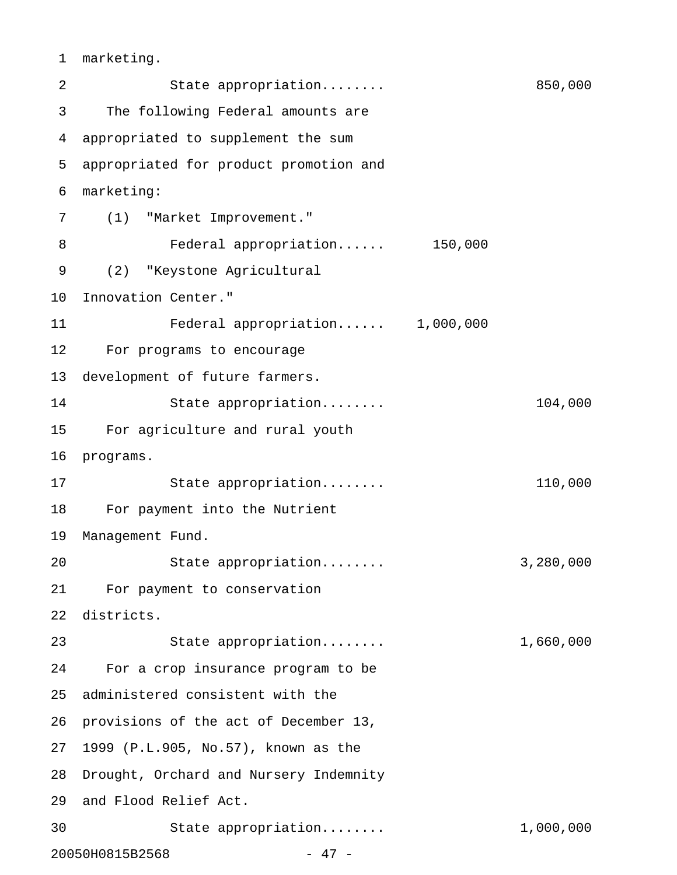1 marketing.

2 State appropriation........ 850,000 3 The following Federal amounts are 4 appropriated to supplement the sum 5 appropriated for product promotion and 6 marketing: 7 (1) "Market Improvement." 8 Federal appropriation...... 150,000 9 (2) "Keystone Agricultural 10 Innovation Center." 11 Federal appropriation...... 1,000,000 12 For programs to encourage 13 development of future farmers. 14 State appropriation........ 104,000 15 For agriculture and rural youth 16 programs. 17 State appropriation........ 110,000 18 For payment into the Nutrient 19 Management Fund. 20 State appropriation........ 3,280,000 21 For payment to conservation 22 districts. 23 State appropriation........ 1,660,000 24 For a crop insurance program to be 25 administered consistent with the 26 provisions of the act of December 13, 27 1999 (P.L.905, No.57), known as the 28 Drought, Orchard and Nursery Indemnity 29 and Flood Relief Act. 30 State appropriation........ 1,000,000 20050H0815B2568 - 47 -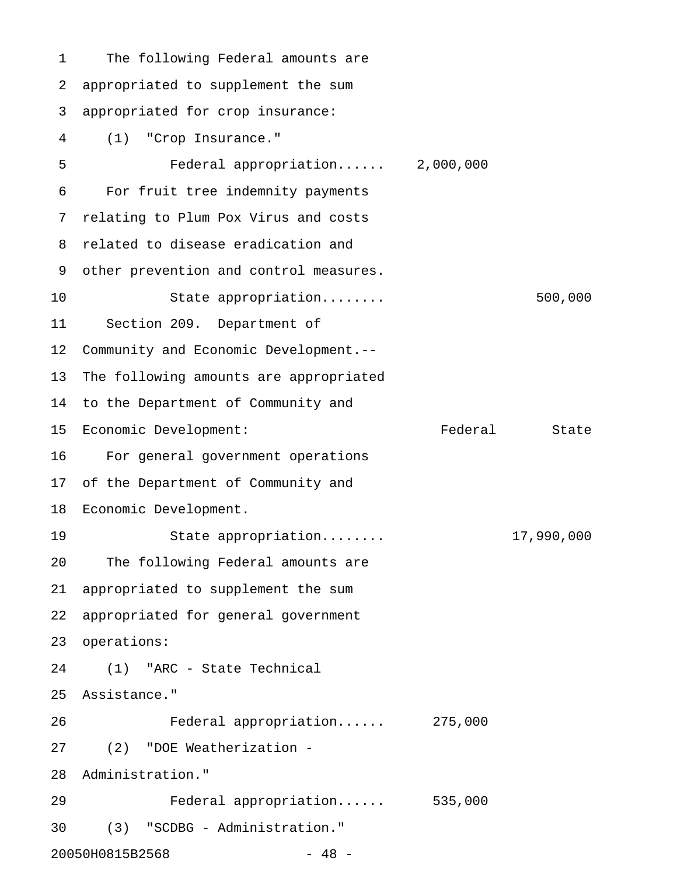1 The following Federal amounts are 2 appropriated to supplement the sum 3 appropriated for crop insurance: 4 (1) "Crop Insurance." 5 Federal appropriation...... 2,000,000 6 For fruit tree indemnity payments 7 relating to Plum Pox Virus and costs 8 related to disease eradication and 9 other prevention and control measures. 10 State appropriation....... 500,000 11 Section 209. Department of 12 Community and Economic Development.-- 13 The following amounts are appropriated 14 to the Department of Community and 15 Economic Development: Federal State 16 For general government operations 17 of the Department of Community and 18 Economic Development. 19 State appropriation........ 17,990,000 20 The following Federal amounts are 21 appropriated to supplement the sum 22 appropriated for general government 23 operations: 24 (1) "ARC - State Technical 25 Assistance." 26 Federal appropriation...... 275,000 27 (2) "DOE Weatherization - 28 Administration." 29 Federal appropriation...... 535,000 30 (3) "SCDBG - Administration."

20050H0815B2568 - 48 -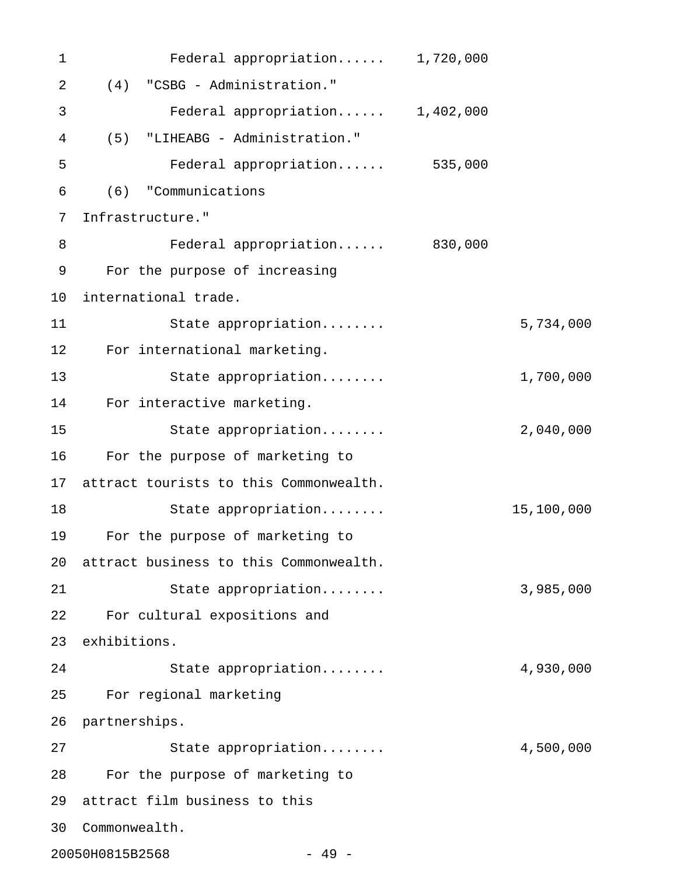| 1  | Federal appropriation 1,720,000        |            |
|----|----------------------------------------|------------|
| 2  | "CSBG - Administration."<br>(4)        |            |
| 3  | Federal appropriation $1,402,000$      |            |
| 4  | "LIHEABG - Administration."<br>(5)     |            |
| 5  | Federal appropriation 535,000          |            |
| 6  | "Communications<br>(6)                 |            |
| 7  | Infrastructure."                       |            |
| 8  | Federal appropriation 830,000          |            |
| 9  | For the purpose of increasing          |            |
| 10 | international trade.                   |            |
| 11 | State appropriation                    | 5,734,000  |
| 12 | For international marketing.           |            |
| 13 | State appropriation                    | 1,700,000  |
| 14 | For interactive marketing.             |            |
| 15 | State appropriation                    | 2,040,000  |
| 16 | For the purpose of marketing to        |            |
| 17 | attract tourists to this Commonwealth. |            |
| 18 | State appropriation                    | 15,100,000 |
| 19 | For the purpose of marketing to        |            |
| 20 | attract business to this Commonwealth. |            |
| 21 | State appropriation                    | 3,985,000  |
| 22 | For cultural expositions and           |            |
| 23 | exhibitions.                           |            |
| 24 | State appropriation                    | 4,930,000  |
| 25 | For regional marketing                 |            |
| 26 | partnerships.                          |            |
| 27 | State appropriation                    | 4,500,000  |
| 28 | For the purpose of marketing to        |            |
| 29 | attract film business to this          |            |
| 30 | Commonwealth.                          |            |
|    | 20050H0815B2568<br>49 –                |            |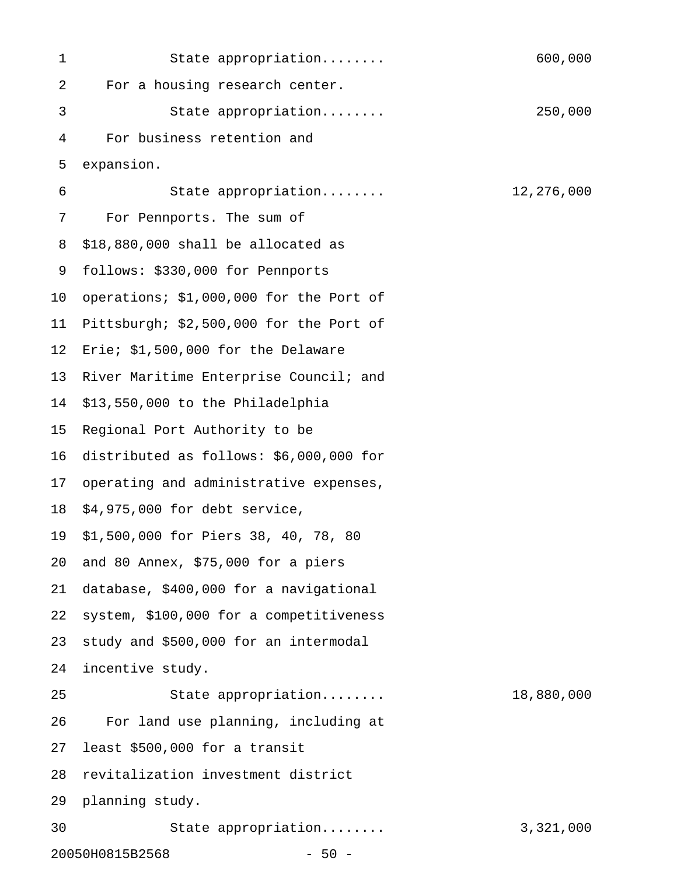1 State appropriation........ 600,000 2 For a housing research center. 3 State appropriation........ 250,000 4 For business retention and 5 expansion. 6 State appropriation........ 12,276,000 7 For Pennports. The sum of 8 \$18,880,000 shall be allocated as 9 follows: \$330,000 for Pennports 10 operations; \$1,000,000 for the Port of 11 Pittsburgh; \$2,500,000 for the Port of 12 Erie; \$1,500,000 for the Delaware 13 River Maritime Enterprise Council; and 14 \$13,550,000 to the Philadelphia 15 Regional Port Authority to be 16 distributed as follows: \$6,000,000 for 17 operating and administrative expenses, 18 \$4,975,000 for debt service, 19 \$1,500,000 for Piers 38, 40, 78, 80 20 and 80 Annex, \$75,000 for a piers 21 database, \$400,000 for a navigational 22 system, \$100,000 for a competitiveness 23 study and \$500,000 for an intermodal 24 incentive study. 25 State appropriation........ 18,880,000 26 For land use planning, including at 27 least \$500,000 for a transit 28 revitalization investment district 29 planning study. 30 State appropriation........ 3,321,000 20050H0815B2568 - 50 -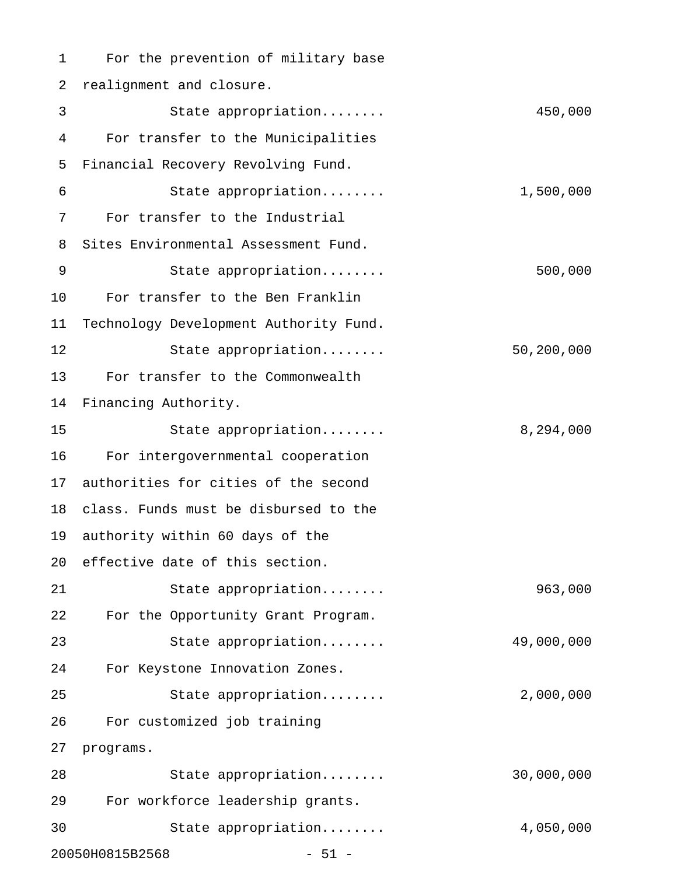1 For the prevention of military base 2 realignment and closure. 3 State appropriation........ 450,000 4 For transfer to the Municipalities 5 Financial Recovery Revolving Fund. 6 State appropriation........ 1,500,000 7 For transfer to the Industrial 8 Sites Environmental Assessment Fund. 9 State appropriation........ 500,000 10 For transfer to the Ben Franklin 11 Technology Development Authority Fund. 12 State appropriation........ 50,200,000 13 For transfer to the Commonwealth 14 Financing Authority. 15 State appropriation........ 8,294,000 16 For intergovernmental cooperation 17 authorities for cities of the second 18 class. Funds must be disbursed to the 19 authority within 60 days of the 20 effective date of this section. 21 State appropriation........ 963,000 22 For the Opportunity Grant Program. 23 State appropriation........ 49,000,000 24 For Keystone Innovation Zones. 25 State appropriation........ 2,000,000 26 For customized job training 27 programs. 28 State appropriation........ 30,000,000 29 For workforce leadership grants. 30 State appropriation........ 4,050,000

20050H0815B2568 - 51 -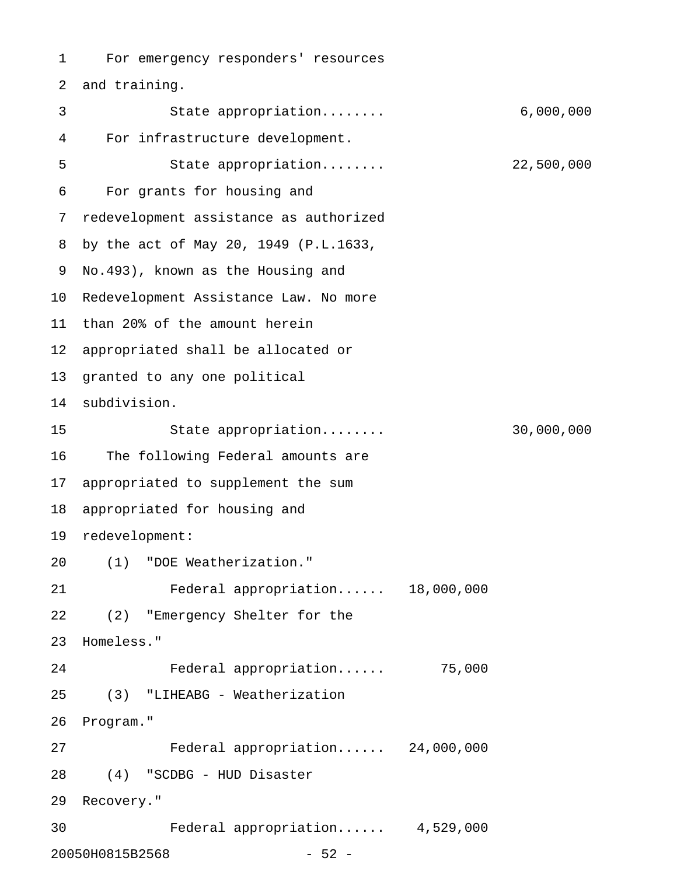1 For emergency responders' resources 2 and training. 3 State appropriation........ 6,000,000 4 For infrastructure development. 5 State appropriation........ 22,500,000 6 For grants for housing and 7 redevelopment assistance as authorized 8 by the act of May 20, 1949 (P.L.1633, 9 No.493), known as the Housing and 10 Redevelopment Assistance Law. No more 11 than 20% of the amount herein 12 appropriated shall be allocated or 13 granted to any one political 14 subdivision. 15 State appropriation........ 30,000,000 16 The following Federal amounts are 17 appropriated to supplement the sum 18 appropriated for housing and 19 redevelopment: 20 (1) "DOE Weatherization." 21 Federal appropriation...... 18,000,000 22 (2) "Emergency Shelter for the 23 Homeless." 24 Federal appropriation...... 75,000 25 (3) "LIHEABG - Weatherization 26 Program." 27 Federal appropriation...... 24,000,000 28 (4) "SCDBG - HUD Disaster 29 Recovery." 30 Federal appropriation...... 4,529,000

20050H0815B2568 - 52 -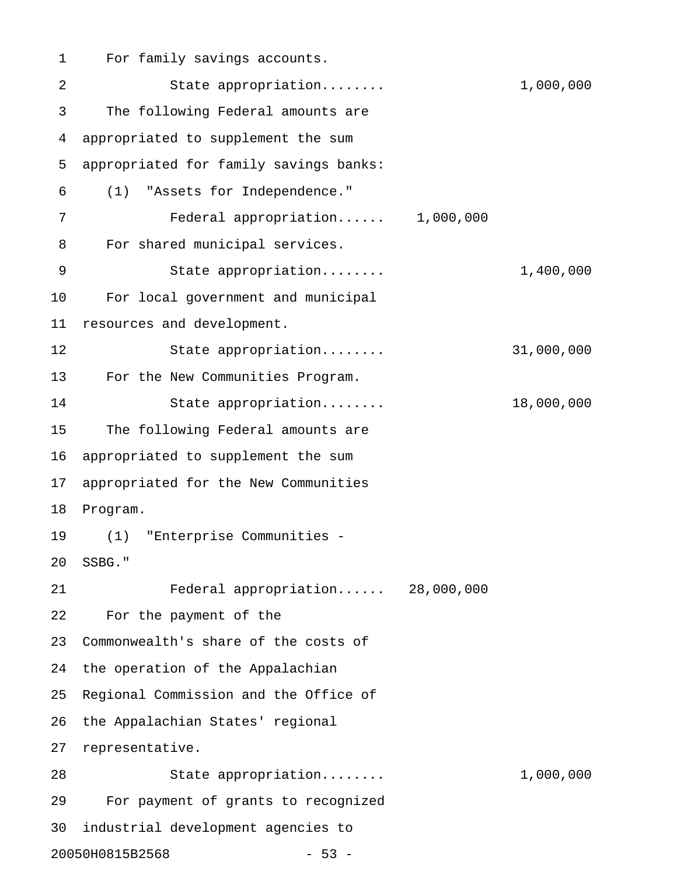1 For family savings accounts. 2 State appropriation........ 1,000,000 3 The following Federal amounts are 4 appropriated to supplement the sum 5 appropriated for family savings banks: 6 (1) "Assets for Independence." 7 Federal appropriation...... 1,000,000 8 For shared municipal services. 9 State appropriation........ 1,400,000 10 For local government and municipal 11 resources and development. 12 State appropriation........ 31,000,000 13 For the New Communities Program. 14 State appropriation........ 18,000,000 15 The following Federal amounts are 16 appropriated to supplement the sum 17 appropriated for the New Communities 18 Program. 19 (1) "Enterprise Communities - 20 SSBG." 21 Federal appropriation...... 28,000,000 22 For the payment of the 23 Commonwealth's share of the costs of 24 the operation of the Appalachian 25 Regional Commission and the Office of 26 the Appalachian States' regional 27 representative. 28 State appropriation........ 1,000,000 29 For payment of grants to recognized 30 industrial development agencies to

20050H0815B2568 - 53 -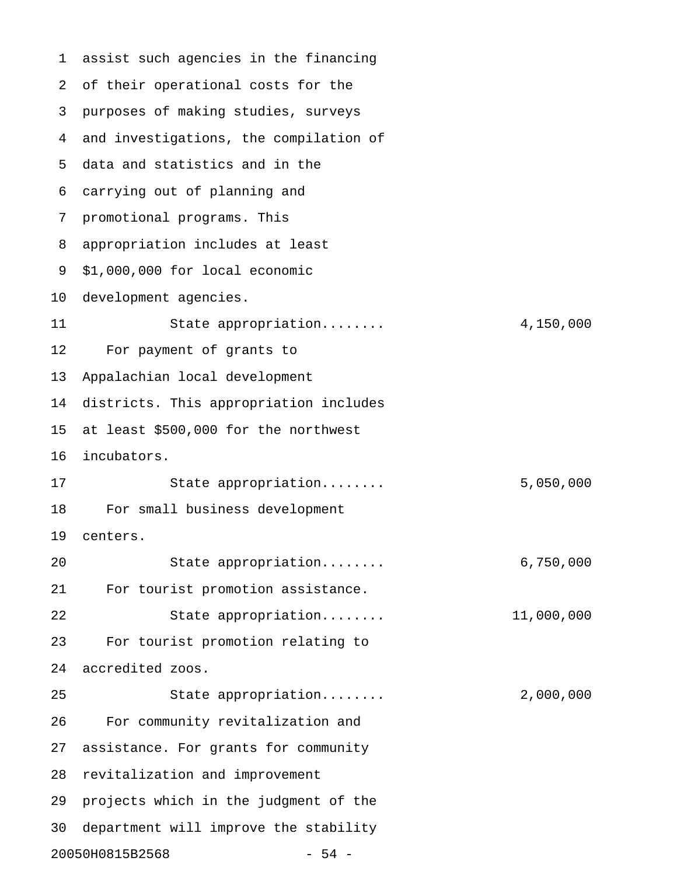1 assist such agencies in the financing 2 of their operational costs for the 3 purposes of making studies, surveys 4 and investigations, the compilation of 5 data and statistics and in the 6 carrying out of planning and 7 promotional programs. This 8 appropriation includes at least 9 \$1,000,000 for local economic 10 development agencies. 11 State appropriation........ 4,150,000 12 For payment of grants to 13 Appalachian local development 14 districts. This appropriation includes 15 at least \$500,000 for the northwest 16 incubators. 17 State appropriation........ 5,050,000 18 For small business development 19 centers. 20 State appropriation........ 6,750,000 21 For tourist promotion assistance. 22 State appropriation........ 11,000,000 23 For tourist promotion relating to 24 accredited zoos. 25 State appropriation........ 2,000,000 26 For community revitalization and 27 assistance. For grants for community 28 revitalization and improvement 29 projects which in the judgment of the 30 department will improve the stability 20050H0815B2568 - 54 -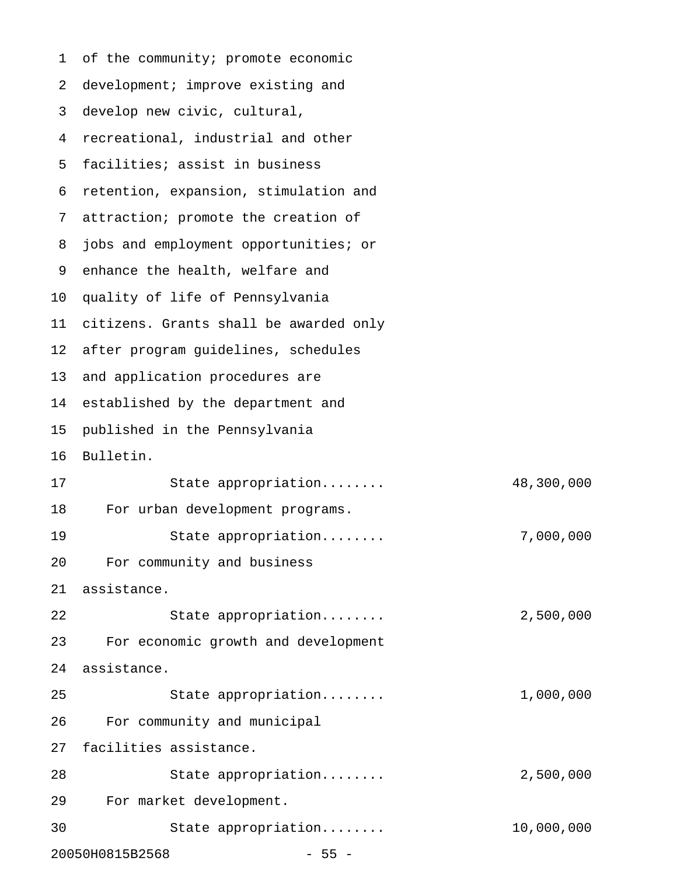| $\mathbf 1$ | of the community; promote economic     |            |
|-------------|----------------------------------------|------------|
| 2           | development; improve existing and      |            |
| 3           | develop new civic, cultural,           |            |
| 4           | recreational, industrial and other     |            |
| 5           | facilities; assist in business         |            |
| 6           | retention, expansion, stimulation and  |            |
| 7           | attraction; promote the creation of    |            |
| 8           | jobs and employment opportunities; or  |            |
| 9           | enhance the health, welfare and        |            |
| 10          | quality of life of Pennsylvania        |            |
| 11          | citizens. Grants shall be awarded only |            |
| 12          | after program guidelines, schedules    |            |
| 13          | and application procedures are         |            |
| 14          | established by the department and      |            |
| 15          | published in the Pennsylvania          |            |
| 16          | Bulletin.                              |            |
| 17          | State appropriation                    | 48,300,000 |
| 18          | For urban development programs.        |            |
| 19          | State appropriation                    | 7,000,000  |
| 20          | For community and business             |            |
| 21          | assistance.                            |            |
| 22          | State appropriation                    | 2,500,000  |
| 23          | For economic growth and development    |            |
| 24          | assistance.                            |            |
| 25          | State appropriation                    | 1,000,000  |
| 26          | For community and municipal            |            |
| 27          | facilities assistance.                 |            |
| 28          | State appropriation                    | 2,500,000  |
| 29          | For market development.                |            |
| 30          | State appropriation                    | 10,000,000 |
|             | $-55 -$<br>20050H0815B2568             |            |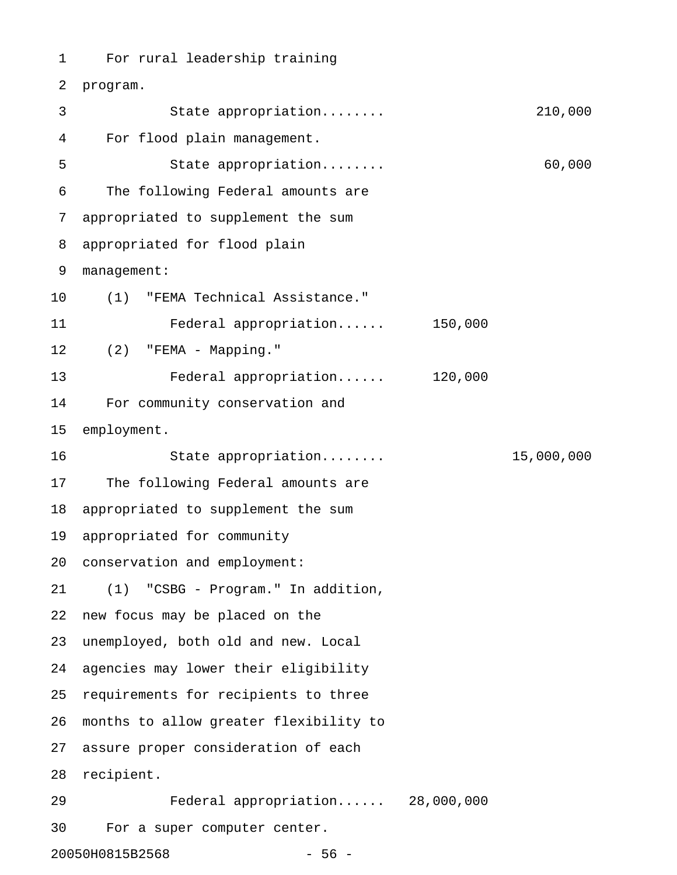1 For rural leadership training 2 program. 3 State appropriation........ 210,000 4 For flood plain management. 5 State appropriation........ 60,000 6 The following Federal amounts are 7 appropriated to supplement the sum 8 appropriated for flood plain 9 management: 10 (1) "FEMA Technical Assistance." 11 Federal appropriation...... 150,000 12 (2) "FEMA - Mapping." 13 Federal appropriation...... 120,000 14 For community conservation and 15 employment. 16 State appropriation........ 15,000,000 17 The following Federal amounts are 18 appropriated to supplement the sum 19 appropriated for community 20 conservation and employment: 21 (1) "CSBG - Program." In addition, 22 new focus may be placed on the 23 unemployed, both old and new. Local 24 agencies may lower their eligibility 25 requirements for recipients to three 26 months to allow greater flexibility to 27 assure proper consideration of each 28 recipient. 29 Federal appropriation...... 28,000,000 30 For a super computer center.

```
20050H0815B2568 - 56 -
```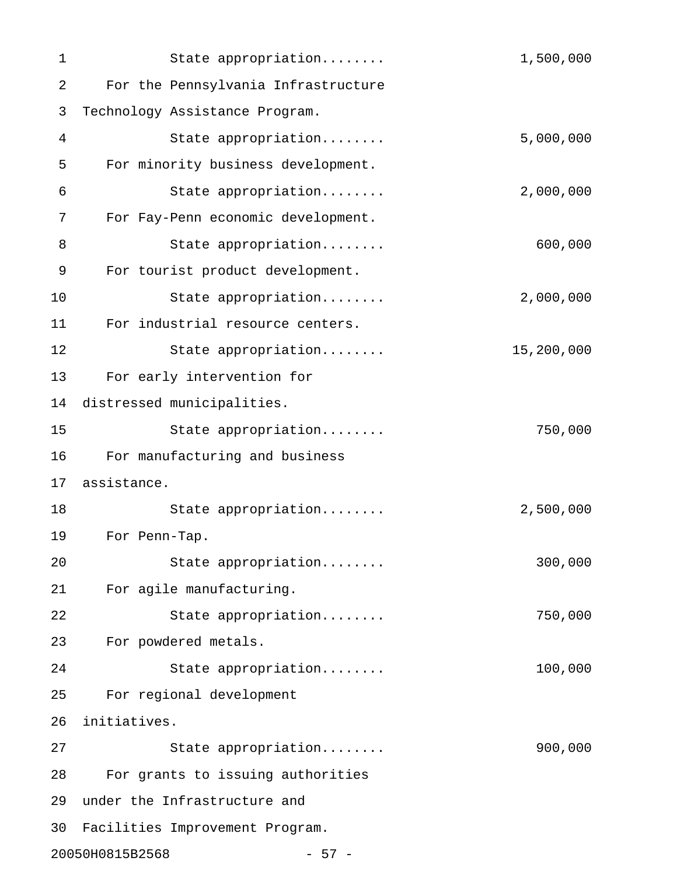| 1              | State appropriation                 | 1,500,000  |
|----------------|-------------------------------------|------------|
| 2              | For the Pennsylvania Infrastructure |            |
| 3              | Technology Assistance Program.      |            |
| $\overline{4}$ | State appropriation                 | 5,000,000  |
| 5              | For minority business development.  |            |
| 6              | State appropriation                 | 2,000,000  |
| 7              | For Fay-Penn economic development.  |            |
| 8              | State appropriation                 | 600,000    |
| 9              | For tourist product development.    |            |
| 10             | State appropriation                 | 2,000,000  |
| 11             | For industrial resource centers.    |            |
| 12             | State appropriation                 | 15,200,000 |
| 13             | For early intervention for          |            |
| 14             | distressed municipalities.          |            |
| 15             | State appropriation                 | 750,000    |
| 16             | For manufacturing and business      |            |
| 17             | assistance.                         |            |
| 18             | State appropriation                 | 2,500,000  |
| 19             | For Penn-Tap.                       |            |
| 20             | State appropriation                 | 300,000    |
| 21             | For agile manufacturing.            |            |
| 22             | State appropriation                 | 750,000    |
| 23             | For powdered metals.                |            |
| 24             | State appropriation                 | 100,000    |
| 25             | For regional development            |            |
| 26             | initiatives.                        |            |
| 27             | State appropriation                 | 900,000    |
| 28             | For grants to issuing authorities   |            |
| 29             | under the Infrastructure and        |            |
| 30             | Facilities Improvement Program.     |            |
|                | 20050H0815B2568<br>$-57 -$          |            |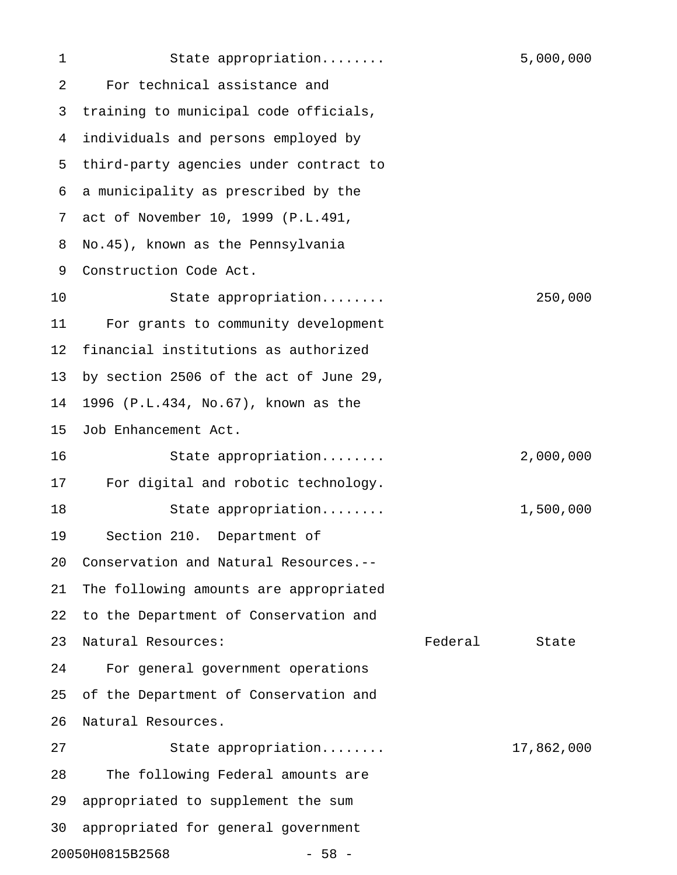| 1               | State appropriation                    |         | 5,000,000  |
|-----------------|----------------------------------------|---------|------------|
| 2               | For technical assistance and           |         |            |
| 3               | training to municipal code officials,  |         |            |
| 4               | individuals and persons employed by    |         |            |
| 5               | third-party agencies under contract to |         |            |
| 6               | a municipality as prescribed by the    |         |            |
| 7               | act of November 10, 1999 (P.L.491,     |         |            |
| 8               | No.45), known as the Pennsylvania      |         |            |
| 9               | Construction Code Act.                 |         |            |
| 10              | State appropriation                    |         | 250,000    |
| 11              | For grants to community development    |         |            |
| 12 <sub>1</sub> | financial institutions as authorized   |         |            |
| 13              | by section 2506 of the act of June 29, |         |            |
| 14              | 1996 (P.L.434, No.67), known as the    |         |            |
| 15              | Job Enhancement Act.                   |         |            |
| 16              | State appropriation                    |         | 2,000,000  |
| 17              | For digital and robotic technology.    |         |            |
| 18              | State appropriation                    |         | 1,500,000  |
| 19              | Section 210. Department of             |         |            |
| 20              | Conservation and Natural Resources.--  |         |            |
| 21              | The following amounts are appropriated |         |            |
| 22              | to the Department of Conservation and  |         |            |
| 23              | Natural Resources:                     | Federal | State      |
| 24              | For general government operations      |         |            |
| 25              | of the Department of Conservation and  |         |            |
| 26              | Natural Resources.                     |         |            |
| 27              | State appropriation                    |         | 17,862,000 |
| 28              | The following Federal amounts are      |         |            |
| 29              | appropriated to supplement the sum     |         |            |
| 30              | appropriated for general government    |         |            |
|                 | 20050H0815B2568<br>$-58 -$             |         |            |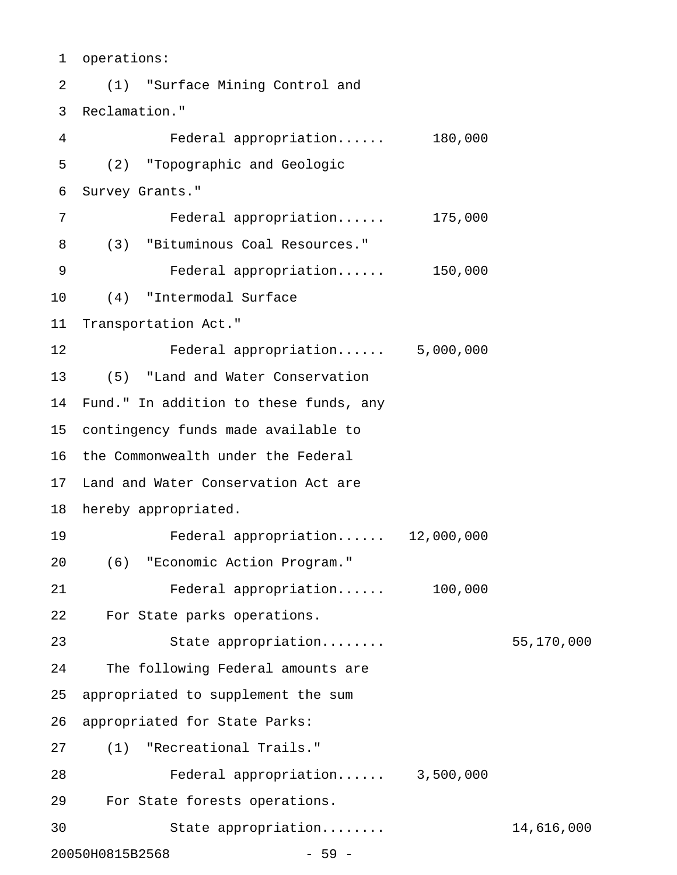1 operations: 2 (1) "Surface Mining Control and 3 Reclamation." 4 Federal appropriation...... 180,000 5 (2) "Topographic and Geologic 6 Survey Grants." 7 Federal appropriation...... 175,000 8 (3) "Bituminous Coal Resources." 9 Federal appropriation...... 150,000 10 (4) "Intermodal Surface 11 Transportation Act." 12 Federal appropriation...... 5,000,000 13 (5) "Land and Water Conservation 14 Fund." In addition to these funds, any 15 contingency funds made available to 16 the Commonwealth under the Federal 17 Land and Water Conservation Act are 18 hereby appropriated. 19 Federal appropriation...... 12,000,000 20 (6) "Economic Action Program." 21 Federal appropriation...... 100,000 22 For State parks operations. 23 State appropriation........ 55,170,000 24 The following Federal amounts are 25 appropriated to supplement the sum 26 appropriated for State Parks: 27 (1) "Recreational Trails." 28 Federal appropriation...... 3,500,000 29 For State forests operations. 30 State appropriation........ 14,616,000 20050H0815B2568 - 59 -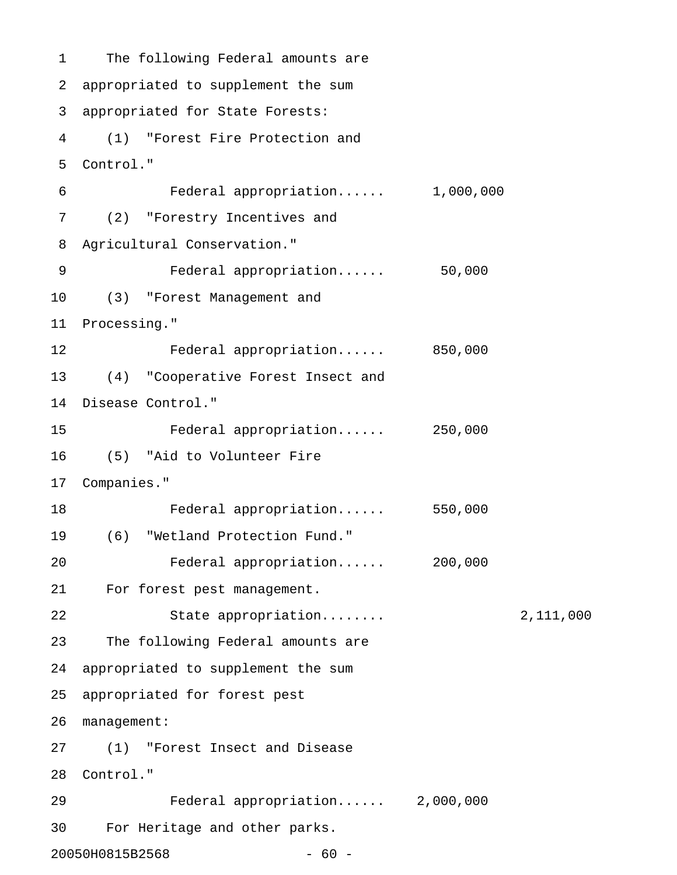1 The following Federal amounts are 2 appropriated to supplement the sum 3 appropriated for State Forests: 4 (1) "Forest Fire Protection and 5 Control." 6 Federal appropriation...... 1,000,000 7 (2) "Forestry Incentives and 8 Agricultural Conservation." 9 Federal appropriation...... 50,000 10 (3) "Forest Management and 11 Processing." 12 Federal appropriation...... 850,000 13 (4) "Cooperative Forest Insect and 14 Disease Control." 15 Federal appropriation...... 250,000 16 (5) "Aid to Volunteer Fire 17 Companies." 18 Federal appropriation...... 550,000 19 (6) "Wetland Protection Fund." 20 Federal appropriation...... 200,000 21 For forest pest management. 22 State appropriation........ 2,111,000 23 The following Federal amounts are 24 appropriated to supplement the sum 25 appropriated for forest pest 26 management: 27 (1) "Forest Insect and Disease 28 Control." 29 Federal appropriation...... 2,000,000 30 For Heritage and other parks. 20050H0815B2568 - 60 -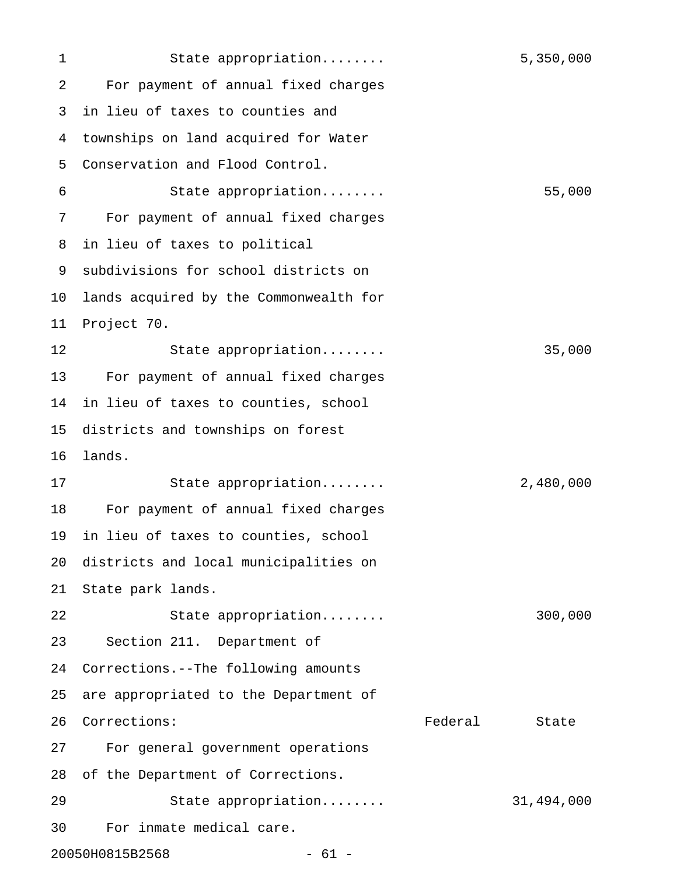1 State appropriation........ 5,350,000 2 For payment of annual fixed charges 3 in lieu of taxes to counties and 4 townships on land acquired for Water 5 Conservation and Flood Control. 6 State appropriation........ 55,000 7 For payment of annual fixed charges 8 in lieu of taxes to political 9 subdivisions for school districts on 10 lands acquired by the Commonwealth for 11 Project 70. 12 State appropriation........ 35,000 13 For payment of annual fixed charges 14 in lieu of taxes to counties, school 15 districts and townships on forest 16 lands. 17 State appropriation........ 2,480,000 18 For payment of annual fixed charges 19 in lieu of taxes to counties, school 20 districts and local municipalities on 21 State park lands. 22 State appropriation........ 300,000 23 Section 211. Department of 24 Corrections.--The following amounts 25 are appropriated to the Department of 26 Corrections: Federal State 27 For general government operations 28 of the Department of Corrections. 29 State appropriation........ 31,494,000 30 For inmate medical care. 20050H0815B2568 - 61 -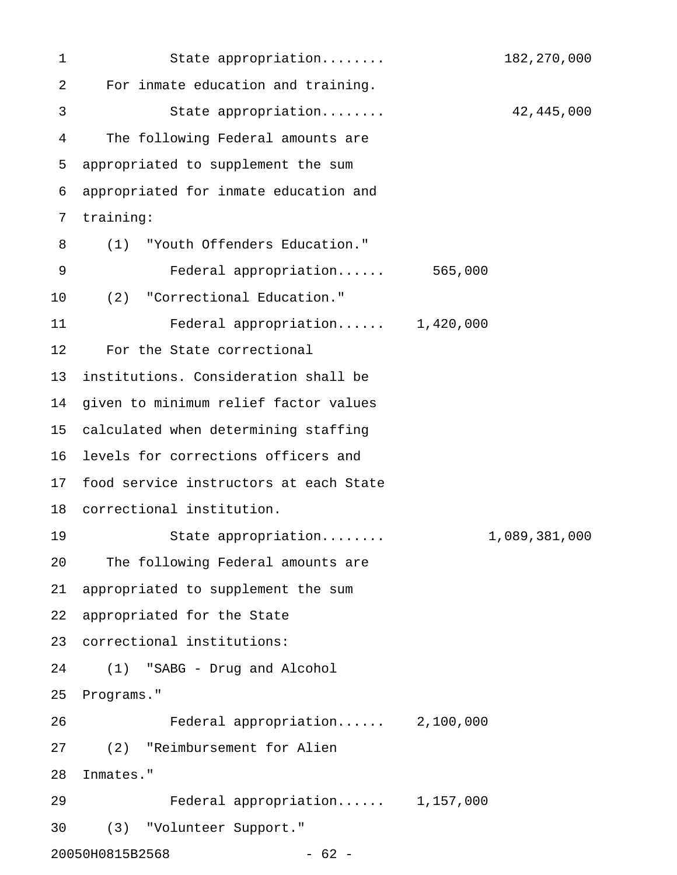1 State appropriation........ 182,270,000 2 For inmate education and training. 3 State appropriation........ 42,445,000 4 The following Federal amounts are 5 appropriated to supplement the sum 6 appropriated for inmate education and 7 training: 8 (1) "Youth Offenders Education." 9 Federal appropriation...... 565,000 10 (2) "Correctional Education." 11 Federal appropriation...... 1,420,000 12 For the State correctional 13 institutions. Consideration shall be 14 given to minimum relief factor values 15 calculated when determining staffing 16 levels for corrections officers and 17 food service instructors at each State 18 correctional institution. 19 State appropriation........ 1,089,381,000 20 The following Federal amounts are 21 appropriated to supplement the sum 22 appropriated for the State 23 correctional institutions: 24 (1) "SABG - Drug and Alcohol 25 Programs." 26 Federal appropriation...... 2,100,000 27 (2) "Reimbursement for Alien 28 Inmates." 29 Federal appropriation...... 1,157,000 30 (3) "Volunteer Support." 20050H0815B2568 - 62 -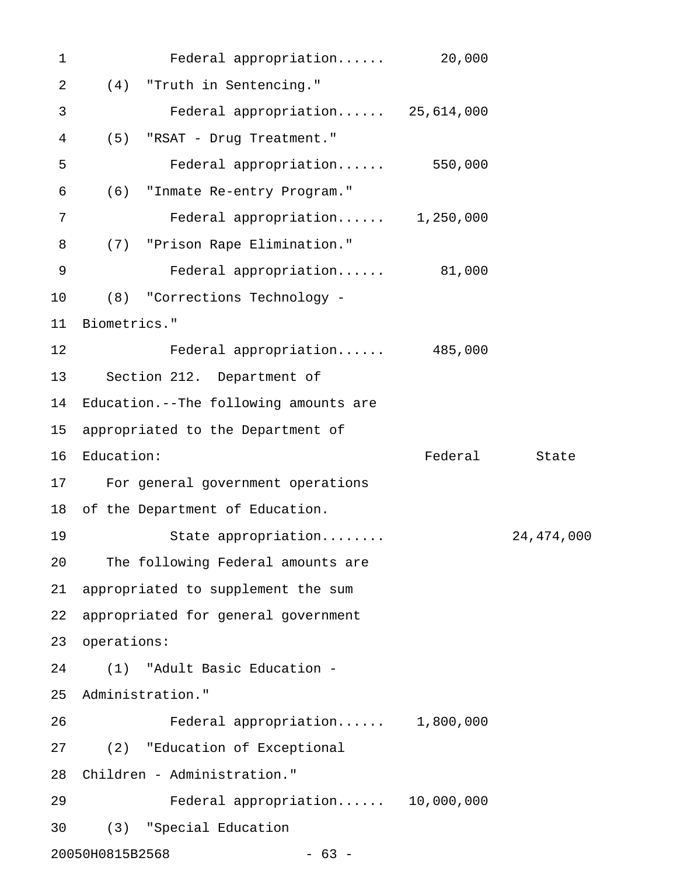| 1  | Federal appropriation                 | 20,000  |              |
|----|---------------------------------------|---------|--------------|
| 2  | (4)<br>"Truth in Sentencing."         |         |              |
| 3  | Federal appropriation $25,614,000$    |         |              |
| 4  | (5)<br>"RSAT - Drug Treatment."       |         |              |
| 5  | Federal appropriation 550,000         |         |              |
| 6  | "Inmate Re-entry Program."<br>(6)     |         |              |
| 7  | Federal appropriation $1,250,000$     |         |              |
| 8  | "Prison Rape Elimination."<br>(7)     |         |              |
| 9  | Federal appropriation                 | 81,000  |              |
| 10 | "Corrections Technology -<br>(8)      |         |              |
| 11 | Biometrics."                          |         |              |
| 12 | $Federal$ appropriation               | 485,000 |              |
| 13 | Section 212. Department of            |         |              |
| 14 | Education.--The following amounts are |         |              |
| 15 | appropriated to the Department of     |         |              |
| 16 | Education:                            | Federal | State        |
| 17 | For general government operations     |         |              |
| 18 | of the Department of Education.       |         |              |
| 19 | State appropriation                   |         | 24, 474, 000 |
| 20 | The following Federal amounts are     |         |              |
| 21 | appropriated to supplement the sum    |         |              |
| 22 | appropriated for general government   |         |              |
| 23 | operations:                           |         |              |
| 24 | (1) "Adult Basic Education -          |         |              |
| 25 | Administration."                      |         |              |
| 26 | Federal appropriation $1,800,000$     |         |              |
| 27 | (2) "Education of Exceptional         |         |              |
| 28 | Children - Administration."           |         |              |
| 29 | Federal appropriation 10,000,000      |         |              |
| 30 | (3) "Special Education                |         |              |
|    | 20050H0815B2568<br>$-63 -$            |         |              |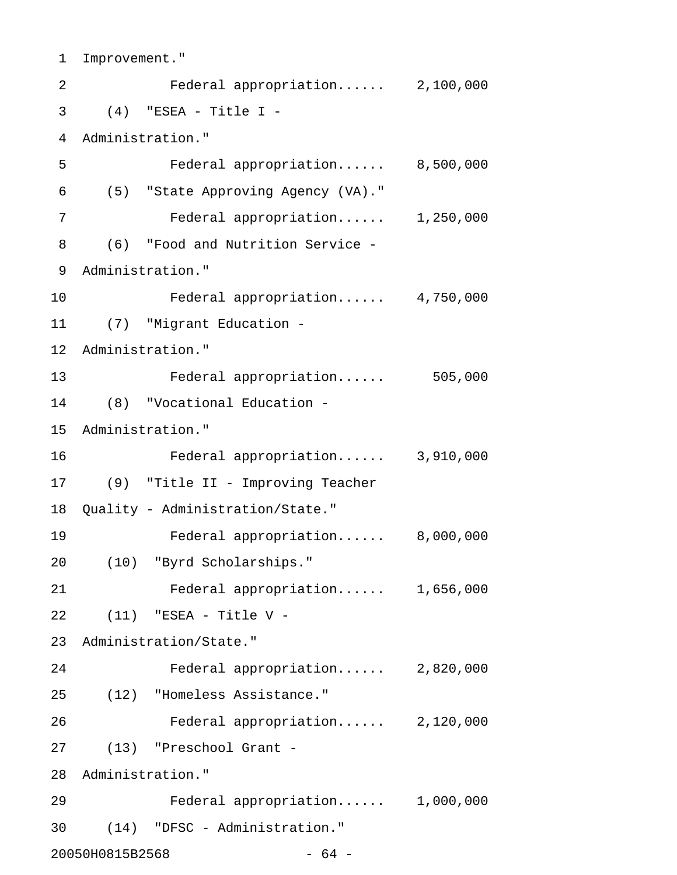1 Improvement." 2 Federal appropriation...... 2,100,000 3 (4) "ESEA - Title I - 4 Administration." 5 Federal appropriation...... 8,500,000 6 (5) "State Approving Agency (VA)." 7 Federal appropriation...... 1,250,000 8 (6) "Food and Nutrition Service - 9 Administration." 10 Federal appropriation...... 4,750,000 11 (7) "Migrant Education - 12 Administration." 13 Federal appropriation...... 505,000 14 (8) "Vocational Education - 15 Administration." 16 Federal appropriation...... 3,910,000 17 (9) "Title II - Improving Teacher 18 Quality - Administration/State." 19 Federal appropriation...... 8,000,000 20 (10) "Byrd Scholarships." 21 Federal appropriation...... 1,656,000 22 (11) "ESEA - Title V - 23 Administration/State." 24 Federal appropriation...... 2,820,000 25 (12) "Homeless Assistance." 26 Federal appropriation...... 2,120,000 27 (13) "Preschool Grant - 28 Administration." 29 Federal appropriation...... 1,000,000 30 (14) "DFSC - Administration." 20050H0815B2568 - 64 -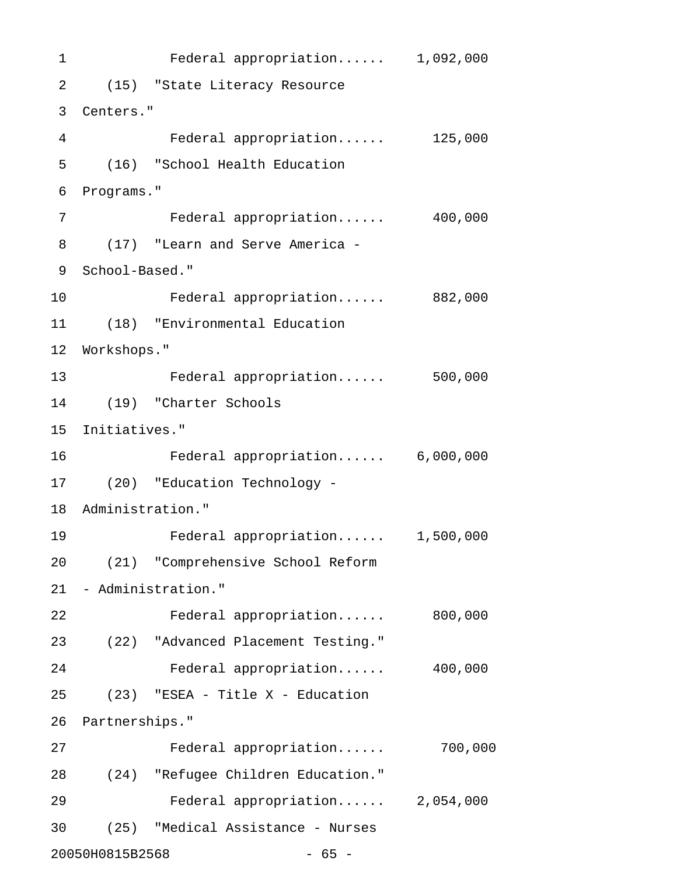1 Federal appropriation...... 1,092,000 2 (15) "State Literacy Resource 3 Centers." 4 Federal appropriation...... 125,000 5 (16) "School Health Education 6 Programs." 7 Federal appropriation...... 400,000 8 (17) "Learn and Serve America - 9 School-Based." 10 Federal appropriation...... 882,000 11 (18) "Environmental Education 12 Workshops." 13 Federal appropriation...... 500,000 14 (19) "Charter Schools 15 Initiatives." 16 Federal appropriation...... 6,000,000 17 (20) "Education Technology - 18 Administration." 19 Federal appropriation...... 1,500,000 20 (21) "Comprehensive School Reform 21 - Administration." 22 Federal appropriation...... 800,000 23 (22) "Advanced Placement Testing." 24 Federal appropriation...... 400,000 25 (23) "ESEA - Title X - Education 26 Partnerships." 27 Federal appropriation...... 700,000 28 (24) "Refugee Children Education." 29 Federal appropriation...... 2,054,000 30 (25) "Medical Assistance - Nurses 20050H0815B2568 - 65 -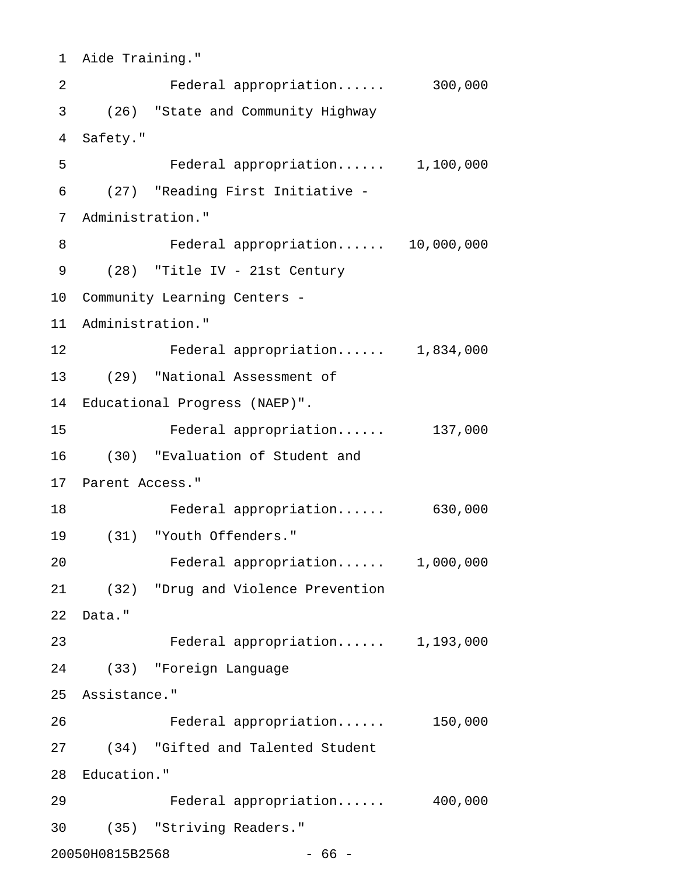1 Aide Training."

2 Federal appropriation...... 300,000 3 (26) "State and Community Highway 4 Safety." 5 Federal appropriation...... 1,100,000 6 (27) "Reading First Initiative - 7 Administration." 8 Federal appropriation...... 10,000,000 9 (28) "Title IV - 21st Century 10 Community Learning Centers - 11 Administration." 12 Federal appropriation...... 1,834,000 13 (29) "National Assessment of 14 Educational Progress (NAEP)". 15 Federal appropriation...... 137,000 16 (30) "Evaluation of Student and 17 Parent Access." 18 Federal appropriation...... 630,000 19 (31) "Youth Offenders." 20 Federal appropriation...... 1,000,000 21 (32) "Drug and Violence Prevention 22 Data." 23 Federal appropriation...... 1,193,000 24 (33) "Foreign Language 25 Assistance." 26 Federal appropriation...... 150,000 27 (34) "Gifted and Talented Student 28 Education." 29 Federal appropriation...... 400,000 30 (35) "Striving Readers." 20050H0815B2568 - 66 -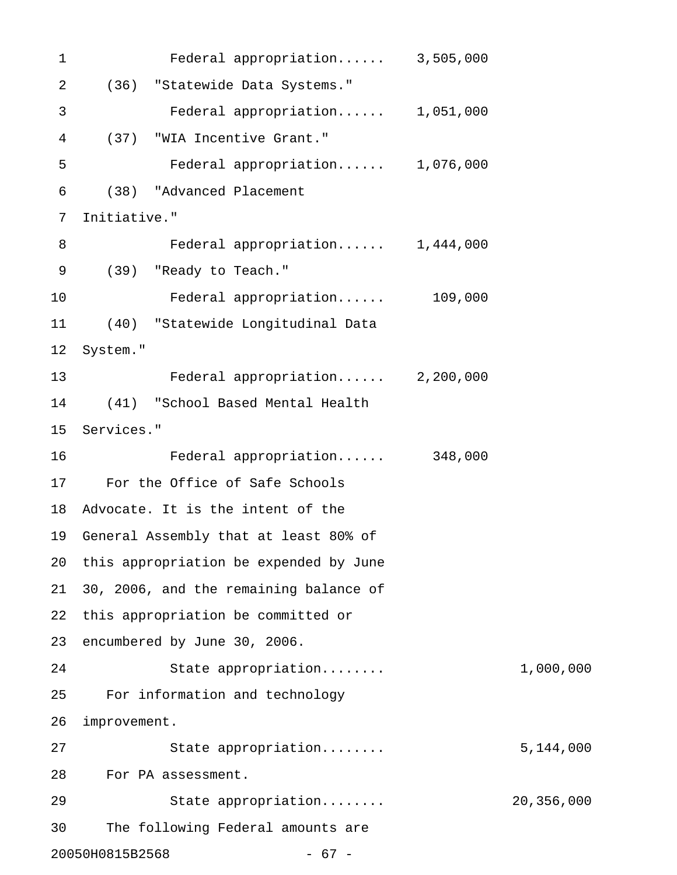1 Federal appropriation...... 3,505,000 2 (36) "Statewide Data Systems." 3 Federal appropriation...... 1,051,000 4 (37) "WIA Incentive Grant." 5 Federal appropriation...... 1,076,000 6 (38) "Advanced Placement 7 Initiative." 8 Federal appropriation...... 1,444,000 9 (39) "Ready to Teach." 10 Federal appropriation...... 109,000 11 (40) "Statewide Longitudinal Data 12 System." 13 Federal appropriation...... 2,200,000 14 (41) "School Based Mental Health 15 Services." 16 Federal appropriation...... 348,000 17 For the Office of Safe Schools 18 Advocate. It is the intent of the 19 General Assembly that at least 80% of 20 this appropriation be expended by June 21 30, 2006, and the remaining balance of 22 this appropriation be committed or 23 encumbered by June 30, 2006. 24 State appropriation........ 1,000,000 25 For information and technology 26 improvement. 27 State appropriation........ 5,144,000 28 For PA assessment. 29 State appropriation........ 20,356,000 30 The following Federal amounts are 20050H0815B2568 - 67 -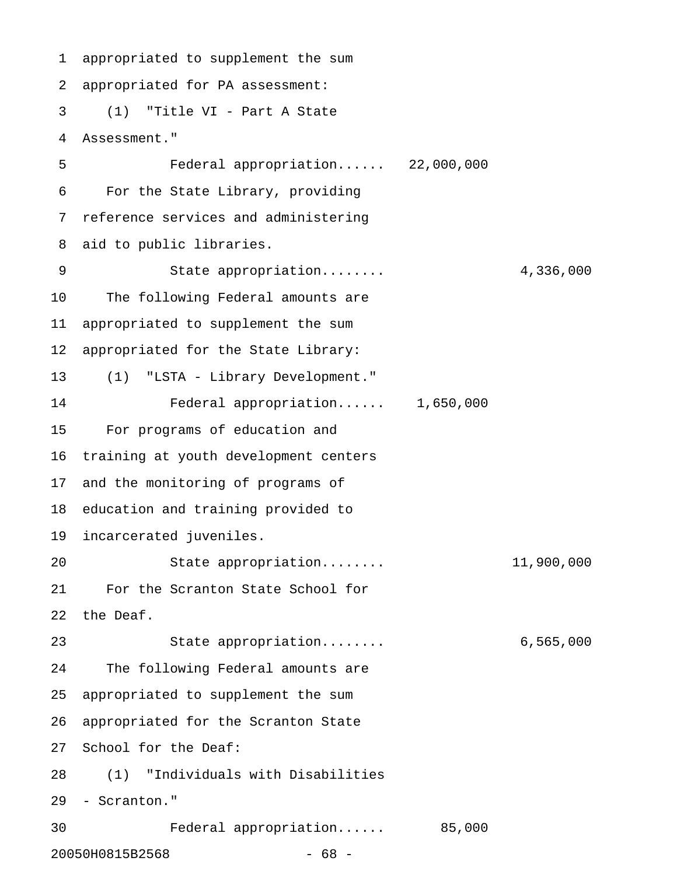1 appropriated to supplement the sum 2 appropriated for PA assessment: 3 (1) "Title VI - Part A State 4 Assessment." 5 Federal appropriation...... 22,000,000 6 For the State Library, providing 7 reference services and administering 8 aid to public libraries. 9 State appropriation........ 4,336,000 10 The following Federal amounts are 11 appropriated to supplement the sum 12 appropriated for the State Library: 13 (1) "LSTA - Library Development." 14 Federal appropriation...... 1,650,000 15 For programs of education and 16 training at youth development centers 17 and the monitoring of programs of 18 education and training provided to 19 incarcerated juveniles. 20 State appropriation........ 11,900,000 21 For the Scranton State School for 22 the Deaf. 23 State appropriation........ 6,565,000 24 The following Federal amounts are 25 appropriated to supplement the sum 26 appropriated for the Scranton State 27 School for the Deaf: 28 (1) "Individuals with Disabilities 29 - Scranton." 30 Federal appropriation...... 85,000 20050H0815B2568 - 68 -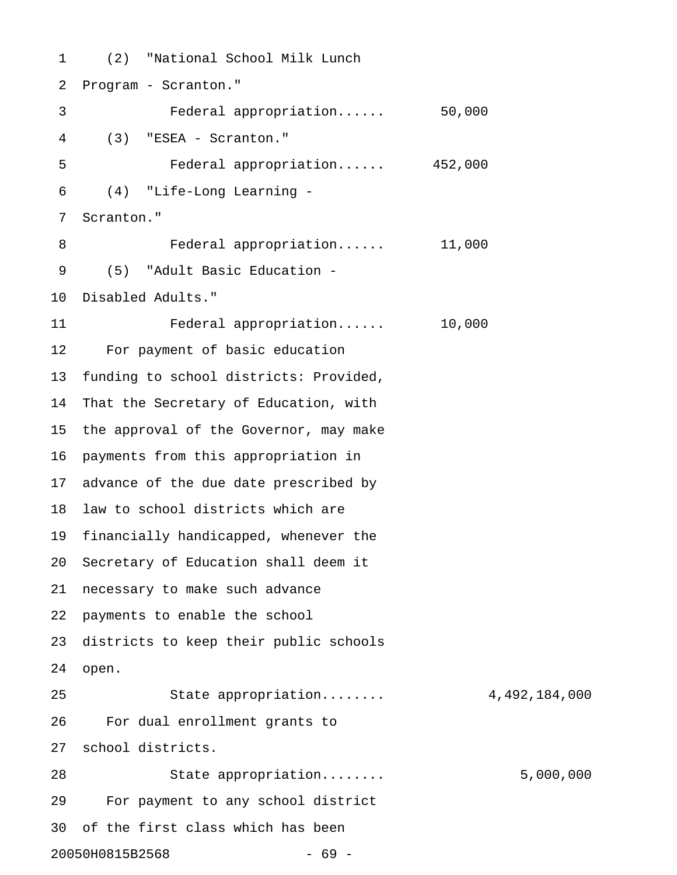1 (2) "National School Milk Lunch 2 Program - Scranton." 3 Federal appropriation...... 50,000 4 (3) "ESEA - Scranton." 5 Federal appropriation...... 452,000 6 (4) "Life-Long Learning - 7 Scranton." 8 Federal appropriation...... 11,000 9 (5) "Adult Basic Education - 10 Disabled Adults." 11 Federal appropriation...... 10,000 12 For payment of basic education 13 funding to school districts: Provided, 14 That the Secretary of Education, with 15 the approval of the Governor, may make 16 payments from this appropriation in 17 advance of the due date prescribed by 18 law to school districts which are 19 financially handicapped, whenever the 20 Secretary of Education shall deem it 21 necessary to make such advance 22 payments to enable the school 23 districts to keep their public schools 24 open. 25 State appropriation........ 4,492,184,000 26 For dual enrollment grants to 27 school districts. 28 State appropriation........ 5,000,000 29 For payment to any school district 30 of the first class which has been 20050H0815B2568 - 69 -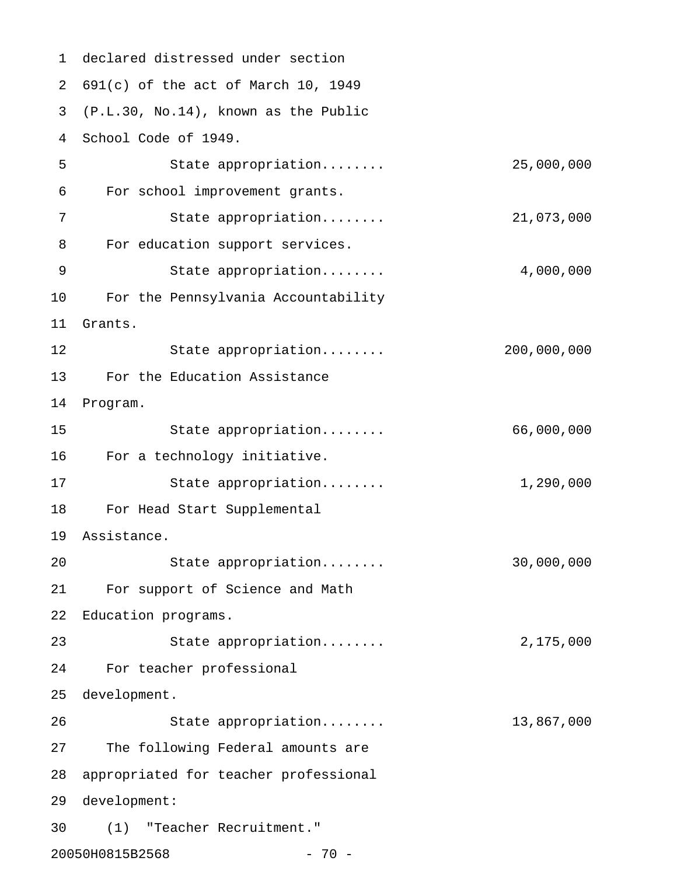1 declared distressed under section 2 691(c) of the act of March 10, 1949 3 (P.L.30, No.14), known as the Public 4 School Code of 1949. 5 State appropriation........ 25,000,000 6 For school improvement grants. 7 State appropriation....... 21,073,000 8 For education support services. 9 State appropriation........ 4,000,000 10 For the Pennsylvania Accountability 11 Grants. 12 State appropriation........ 200,000,000 13 For the Education Assistance 14 Program. 15 State appropriation........ 66,000,000 16 For a technology initiative. 17 State appropriation........ 1,290,000 18 For Head Start Supplemental 19 Assistance. 20 State appropriation........ 30,000,000 21 For support of Science and Math 22 Education programs. 23 State appropriation........ 2,175,000 24 For teacher professional 25 development. 26 State appropriation........ 13,867,000 27 The following Federal amounts are 28 appropriated for teacher professional 29 development: 30 (1) "Teacher Recruitment." 20050H0815B2568 - 70 -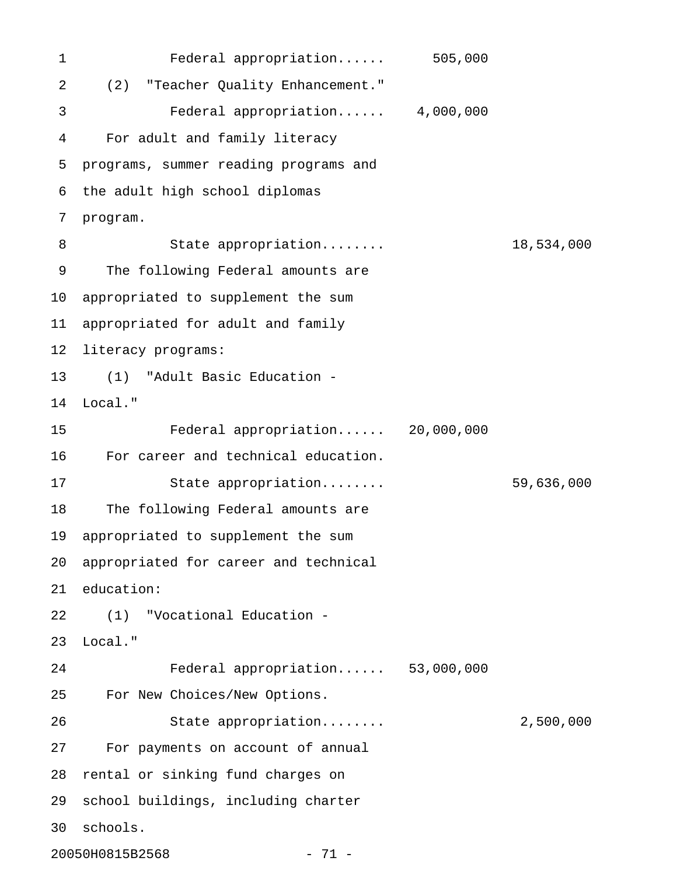1 Federal appropriation...... 505,000 2 (2) "Teacher Quality Enhancement." 3 Federal appropriation...... 4,000,000 4 For adult and family literacy 5 programs, summer reading programs and 6 the adult high school diplomas 7 program. 8 State appropriation........ 18,534,000 9 The following Federal amounts are 10 appropriated to supplement the sum 11 appropriated for adult and family 12 literacy programs: 13 (1) "Adult Basic Education - 14 Local." 15 Federal appropriation...... 20,000,000 16 For career and technical education. 17 State appropriation........ 59,636,000 18 The following Federal amounts are 19 appropriated to supplement the sum 20 appropriated for career and technical 21 education: 22 (1) "Vocational Education - 23 Local." 24 Federal appropriation...... 53,000,000 25 For New Choices/New Options. 26 State appropriation........ 2,500,000 27 For payments on account of annual 28 rental or sinking fund charges on 29 school buildings, including charter 30 schools. 20050H0815B2568 - 71 -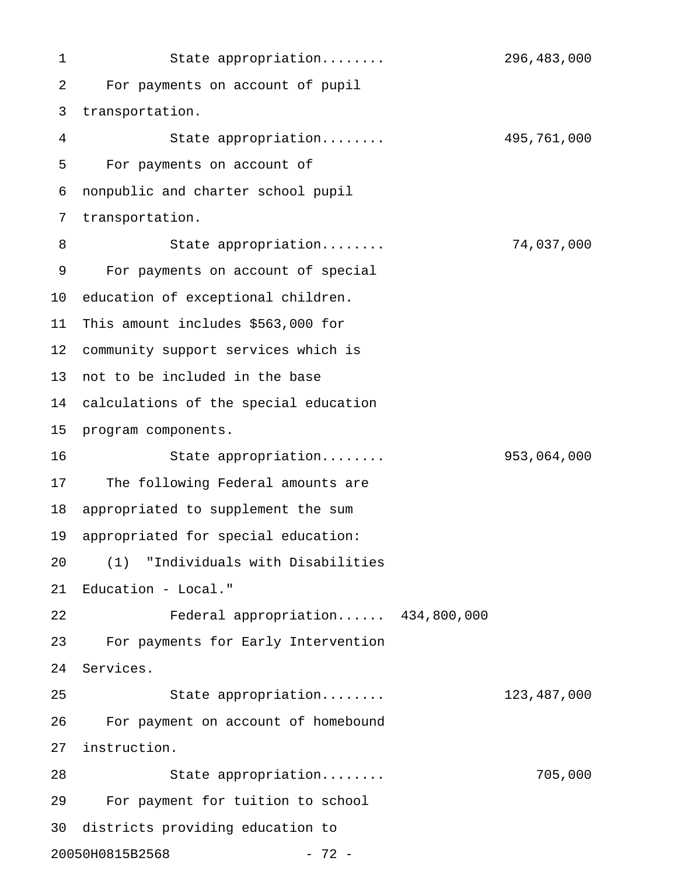1 State appropriation........ 296,483,000 2 For payments on account of pupil 3 transportation. 4 State appropriation........ 495,761,000 5 For payments on account of 6 nonpublic and charter school pupil 7 transportation. 8 State appropriation........ 74,037,000 9 For payments on account of special 10 education of exceptional children. 11 This amount includes \$563,000 for 12 community support services which is 13 not to be included in the base 14 calculations of the special education 15 program components. 16 State appropriation........ 953,064,000 17 The following Federal amounts are 18 appropriated to supplement the sum 19 appropriated for special education: 20 (1) "Individuals with Disabilities 21 Education - Local." 22 Federal appropriation...... 434,800,000 23 For payments for Early Intervention 24 Services. 25 State appropriation........ 123,487,000 26 For payment on account of homebound 27 instruction. 28 State appropriation........ 705,000 29 For payment for tuition to school 30 districts providing education to 20050H0815B2568 - 72 -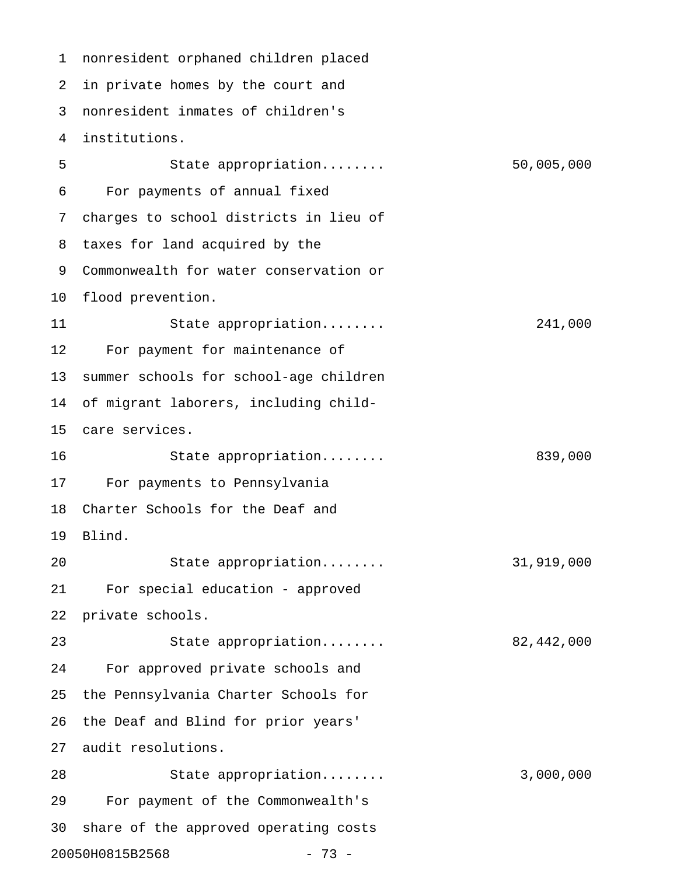1 nonresident orphaned children placed 2 in private homes by the court and 3 nonresident inmates of children's 4 institutions. 5 State appropriation........ 50,005,000 6 For payments of annual fixed 7 charges to school districts in lieu of 8 taxes for land acquired by the 9 Commonwealth for water conservation or 10 flood prevention. 11 State appropriation........ 241,000 12 For payment for maintenance of 13 summer schools for school-age children 14 of migrant laborers, including child-15 care services. 16 State appropriation........ 839,000 17 For payments to Pennsylvania 18 Charter Schools for the Deaf and 19 Blind. 20 State appropriation........ 31,919,000 21 For special education - approved 22 private schools. 23 State appropriation........ 82,442,000 24 For approved private schools and 25 the Pennsylvania Charter Schools for 26 the Deaf and Blind for prior years' 27 audit resolutions. 28 State appropriation........ 3,000,000 29 For payment of the Commonwealth's 30 share of the approved operating costs 20050H0815B2568 - 73 -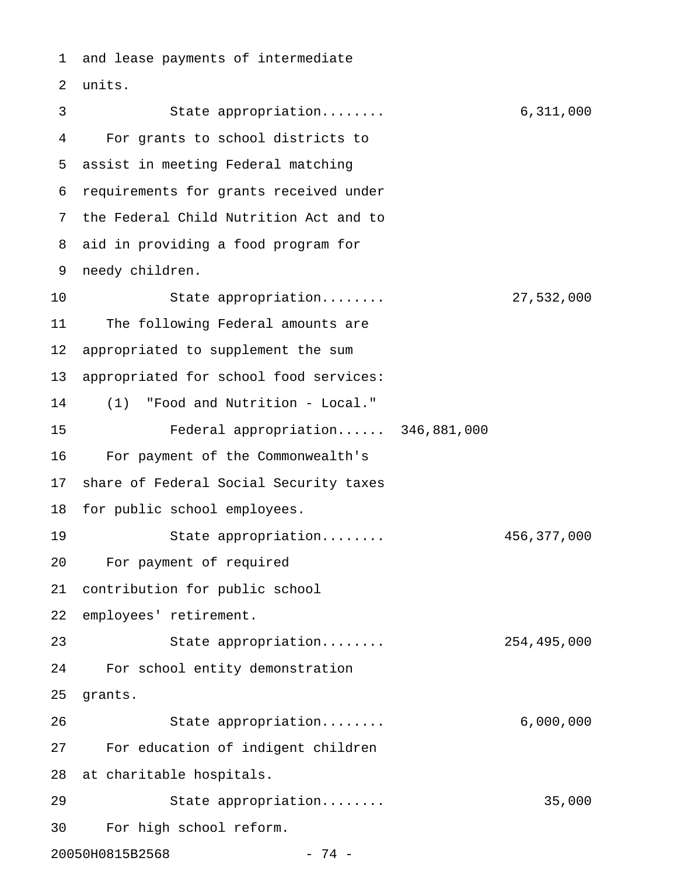1 and lease payments of intermediate

2 units.

3 State appropriation........ 6,311,000 4 For grants to school districts to 5 assist in meeting Federal matching 6 requirements for grants received under 7 the Federal Child Nutrition Act and to 8 aid in providing a food program for 9 needy children. 10 State appropriation........ 27,532,000 11 The following Federal amounts are 12 appropriated to supplement the sum 13 appropriated for school food services: 14 (1) "Food and Nutrition - Local." 15 Federal appropriation...... 346,881,000 16 For payment of the Commonwealth's 17 share of Federal Social Security taxes 18 for public school employees. 19 State appropriation........ 456,377,000 20 For payment of required 21 contribution for public school 22 employees' retirement. 23 State appropriation........ 254,495,000 24 For school entity demonstration 25 grants. 26 State appropriation........ 6,000,000 27 For education of indigent children 28 at charitable hospitals. 29 State appropriation........ 35,000 30 For high school reform. 20050H0815B2568 - 74 -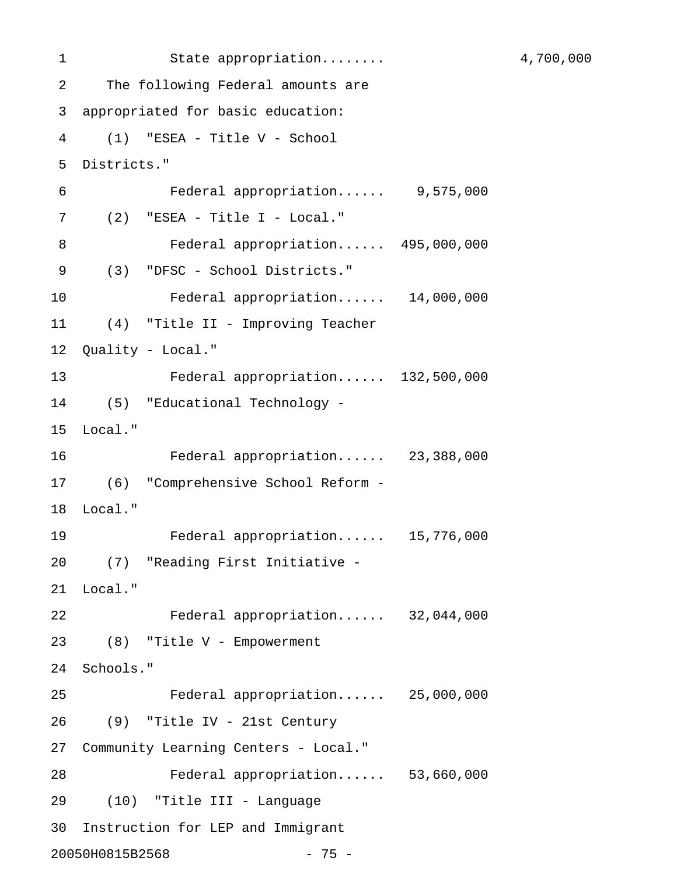1 State appropriation........ 4,700,000 2 The following Federal amounts are 3 appropriated for basic education: 4 (1) "ESEA - Title V - School 5 Districts." 6 Federal appropriation...... 9,575,000 7 (2) "ESEA - Title I - Local." 8 Federal appropriation...... 495,000,000 9 (3) "DFSC - School Districts." 10 Federal appropriation...... 14,000,000 11 (4) "Title II - Improving Teacher 12 Quality - Local." 13 Federal appropriation...... 132,500,000 14 (5) "Educational Technology - 15 Local." 16 Federal appropriation...... 23,388,000 17 (6) "Comprehensive School Reform - 18 Local." 19 Federal appropriation...... 15,776,000 20 (7) "Reading First Initiative - 21 Local." 22 Federal appropriation...... 32,044,000 23 (8) "Title V - Empowerment 24 Schools." 25 Federal appropriation...... 25,000,000 26 (9) "Title IV - 21st Century 27 Community Learning Centers - Local." 28 Federal appropriation...... 53,660,000 29 (10) "Title III - Language 30 Instruction for LEP and Immigrant 20050H0815B2568 - 75 -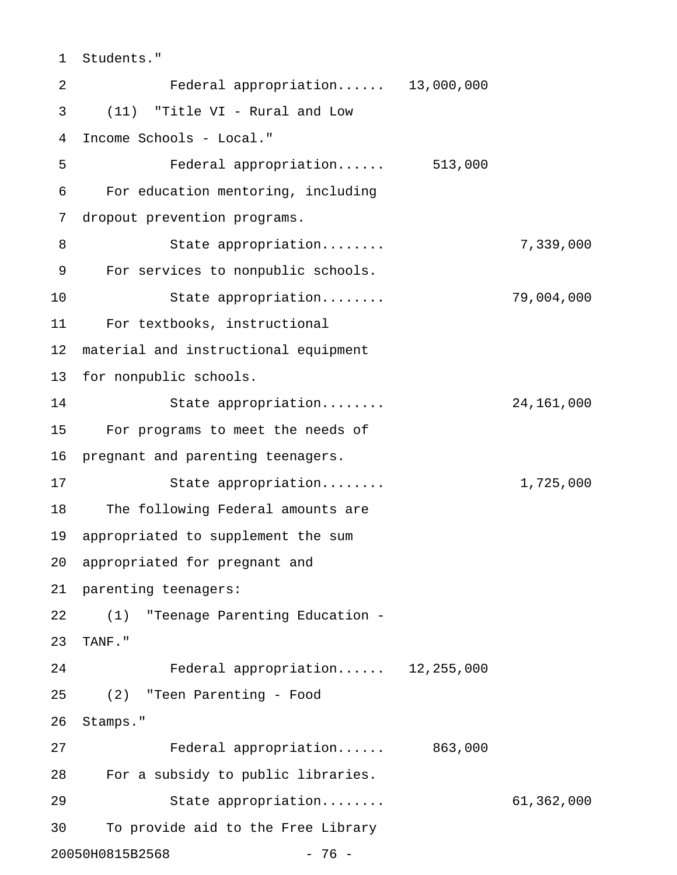1 Students." 2 Federal appropriation...... 13,000,000 3 (11) "Title VI - Rural and Low 4 Income Schools - Local." 5 Federal appropriation...... 513,000 6 For education mentoring, including 7 dropout prevention programs. 8 State appropriation........ 7,339,000 9 For services to nonpublic schools. 10 State appropriation........ 79,004,000 11 For textbooks, instructional 12 material and instructional equipment 13 for nonpublic schools. 14 State appropriation........ 24,161,000 15 For programs to meet the needs of 16 pregnant and parenting teenagers. 17 State appropriation........ 1,725,000 18 The following Federal amounts are 19 appropriated to supplement the sum 20 appropriated for pregnant and 21 parenting teenagers: 22 (1) "Teenage Parenting Education - 23 TANF." 24 Federal appropriation...... 12,255,000 25 (2) "Teen Parenting - Food 26 Stamps." 27 Federal appropriation...... 863,000 28 For a subsidy to public libraries. 29 State appropriation........ 61,362,000 30 To provide aid to the Free Library

20050H0815B2568 - 76 -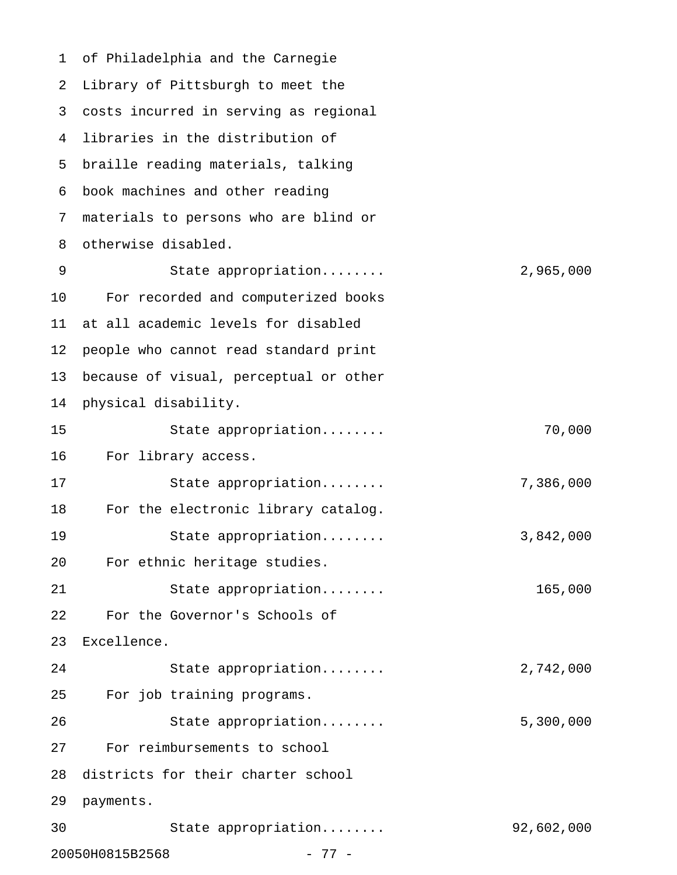1 of Philadelphia and the Carnegie 2 Library of Pittsburgh to meet the 3 costs incurred in serving as regional 4 libraries in the distribution of 5 braille reading materials, talking 6 book machines and other reading 7 materials to persons who are blind or 8 otherwise disabled. 9 State appropriation....... 2,965,000 10 For recorded and computerized books 11 at all academic levels for disabled 12 people who cannot read standard print 13 because of visual, perceptual or other 14 physical disability. 15 State appropriation........ 70,000 16 For library access. 17 State appropriation........ 7,386,000 18 For the electronic library catalog. 19 State appropriation........ 3,842,000 20 For ethnic heritage studies. 21 State appropriation........ 165,000 22 For the Governor's Schools of 23 Excellence. 24 State appropriation........ 2,742,000 25 For job training programs. 26 State appropriation........ 5,300,000 27 For reimbursements to school 28 districts for their charter school 29 payments. 30 State appropriation........ 92,602,000

20050H0815B2568 - 77 -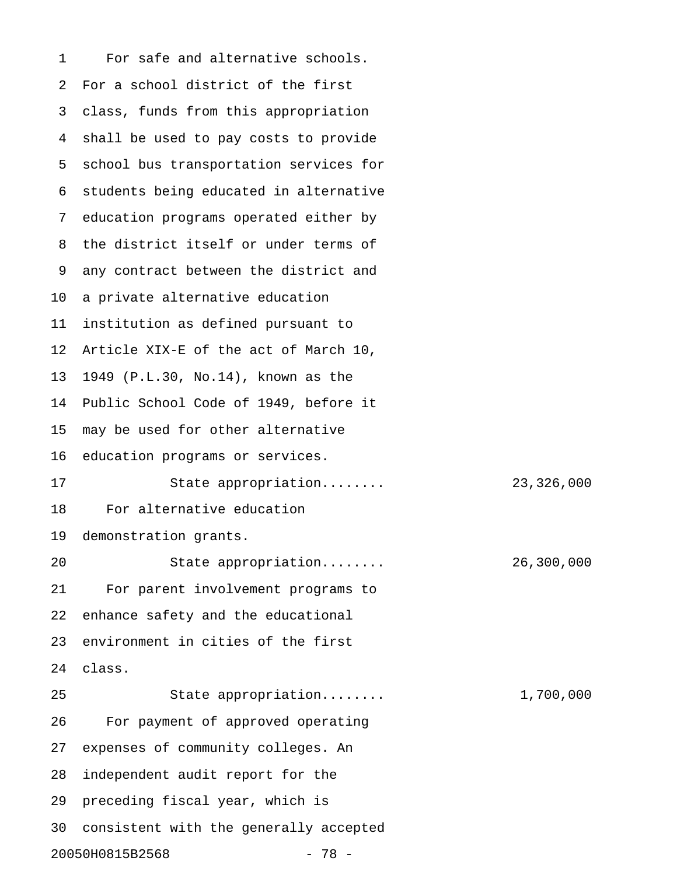1 For safe and alternative schools. 2 For a school district of the first 3 class, funds from this appropriation 4 shall be used to pay costs to provide 5 school bus transportation services for 6 students being educated in alternative 7 education programs operated either by 8 the district itself or under terms of 9 any contract between the district and 10 a private alternative education 11 institution as defined pursuant to 12 Article XIX-E of the act of March 10, 13 1949 (P.L.30, No.14), known as the 14 Public School Code of 1949, before it 15 may be used for other alternative 16 education programs or services. 17 State appropriation........ 23,326,000 18 For alternative education 19 demonstration grants. 20 State appropriation........ 26,300,000 21 For parent involvement programs to 22 enhance safety and the educational 23 environment in cities of the first 24 class. 25 State appropriation........ 1,700,000 26 For payment of approved operating 27 expenses of community colleges. An 28 independent audit report for the 29 preceding fiscal year, which is 30 consistent with the generally accepted 20050H0815B2568 - 78 -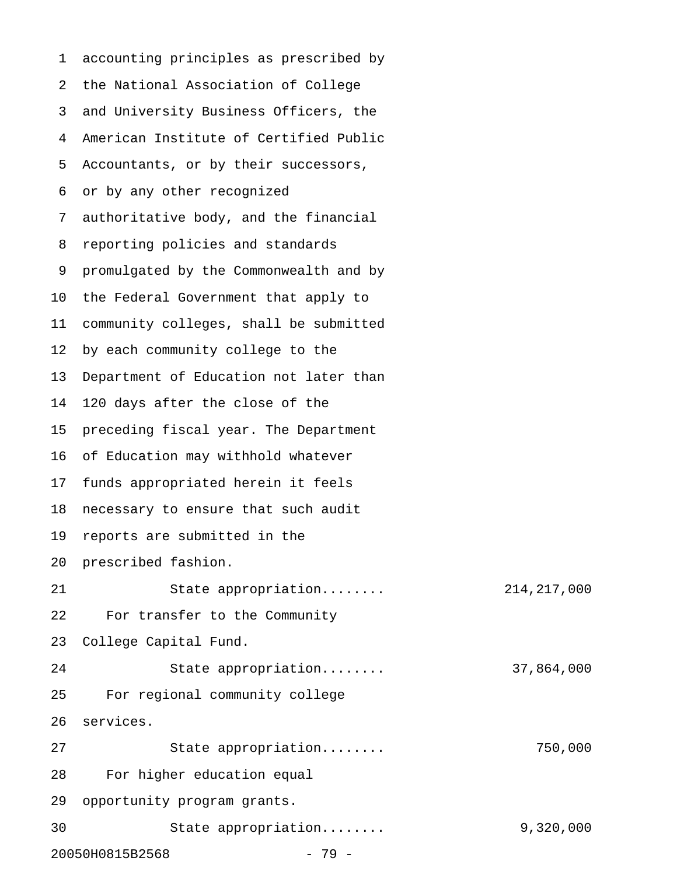1 accounting principles as prescribed by 2 the National Association of College 3 and University Business Officers, the 4 American Institute of Certified Public 5 Accountants, or by their successors, 6 or by any other recognized 7 authoritative body, and the financial 8 reporting policies and standards 9 promulgated by the Commonwealth and by 10 the Federal Government that apply to 11 community colleges, shall be submitted 12 by each community college to the 13 Department of Education not later than 14 120 days after the close of the 15 preceding fiscal year. The Department 16 of Education may withhold whatever 17 funds appropriated herein it feels 18 necessary to ensure that such audit 19 reports are submitted in the 20 prescribed fashion. 21 State appropriation........ 214,217,000 22 For transfer to the Community 23 College Capital Fund. 24 State appropriation........ 37,864,000 25 For regional community college 26 services. 27 State appropriation........ 750,000 28 For higher education equal 29 opportunity program grants. 30 State appropriation........ 9,320,000 20050H0815B2568 - 79 -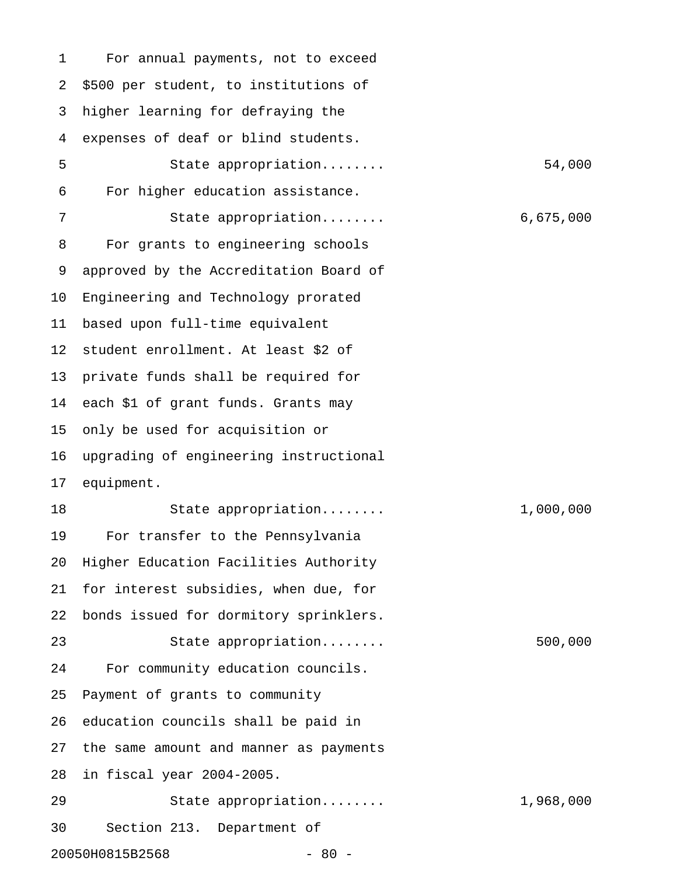1 For annual payments, not to exceed 2 \$500 per student, to institutions of 3 higher learning for defraying the 4 expenses of deaf or blind students. 5 State appropriation........ 54,000 6 For higher education assistance. 7 State appropriation........ 6,675,000 8 For grants to engineering schools 9 approved by the Accreditation Board of 10 Engineering and Technology prorated 11 based upon full-time equivalent 12 student enrollment. At least \$2 of 13 private funds shall be required for 14 each \$1 of grant funds. Grants may 15 only be used for acquisition or 16 upgrading of engineering instructional 17 equipment. 18 State appropriation........ 1,000,000 19 For transfer to the Pennsylvania 20 Higher Education Facilities Authority 21 for interest subsidies, when due, for 22 bonds issued for dormitory sprinklers. 23 State appropriation........ 500,000 24 For community education councils. 25 Payment of grants to community 26 education councils shall be paid in 27 the same amount and manner as payments 28 in fiscal year 2004-2005. 29 State appropriation........ 1,968,000 30 Section 213. Department of 20050H0815B2568 - 80 -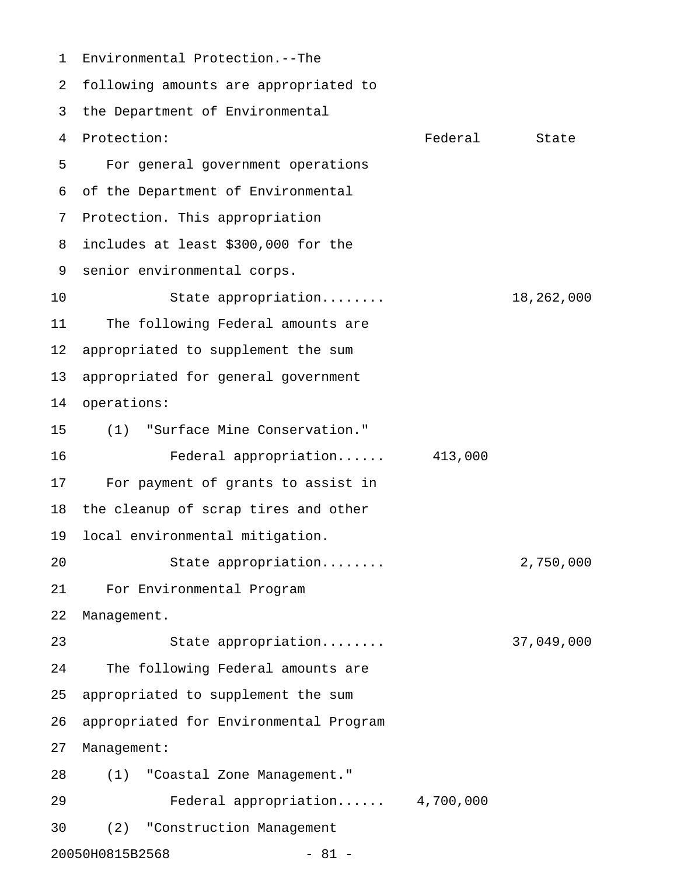1 Environmental Protection.--The 2 following amounts are appropriated to 3 the Department of Environmental 4 Protection: The State State State State State State State State State State State 5 For general government operations 6 of the Department of Environmental 7 Protection. This appropriation 8 includes at least \$300,000 for the 9 senior environmental corps. 10 State appropriation........ 18,262,000 11 The following Federal amounts are 12 appropriated to supplement the sum 13 appropriated for general government 14 operations: 15 (1) "Surface Mine Conservation." 16 Federal appropriation...... 413,000 17 For payment of grants to assist in 18 the cleanup of scrap tires and other 19 local environmental mitigation. 20 State appropriation........ 2,750,000 21 For Environmental Program 22 Management. 23 State appropriation........ 37,049,000 24 The following Federal amounts are 25 appropriated to supplement the sum 26 appropriated for Environmental Program 27 Management: 28 (1) "Coastal Zone Management." 29 Federal appropriation...... 4,700,000 30 (2) "Construction Management

20050H0815B2568 - 81 -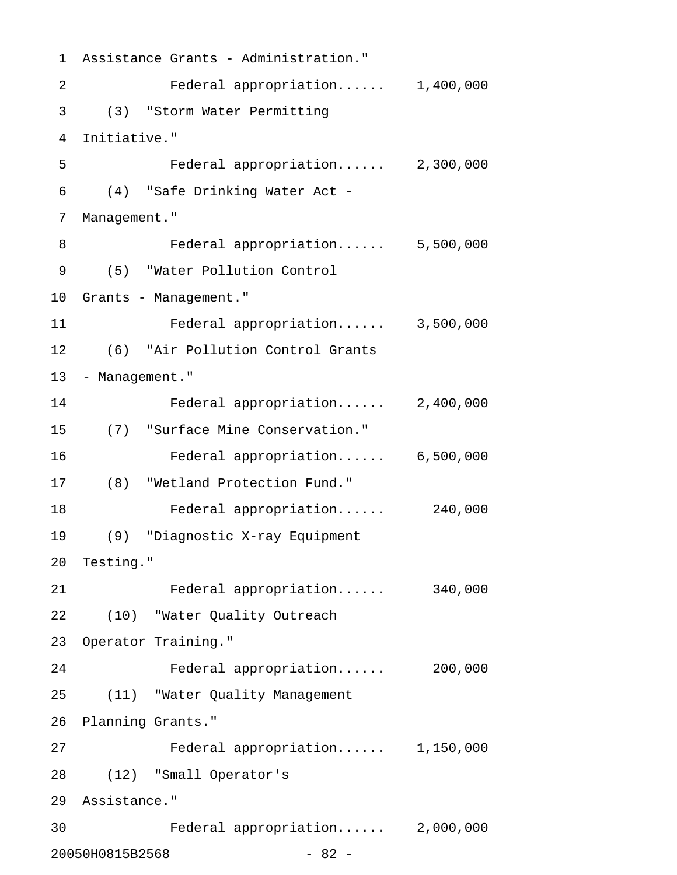1 Assistance Grants - Administration." 2 Federal appropriation...... 1,400,000 3 (3) "Storm Water Permitting 4 Initiative." 5 Federal appropriation...... 2,300,000 6 (4) "Safe Drinking Water Act - 7 Management." 8 Federal appropriation...... 5,500,000 9 (5) "Water Pollution Control 10 Grants - Management." 11 Federal appropriation...... 3,500,000 12 (6) "Air Pollution Control Grants 13 - Management." 14 Federal appropriation...... 2,400,000 15 (7) "Surface Mine Conservation." 16 Federal appropriation...... 6,500,000 17 (8) "Wetland Protection Fund." 18 Federal appropriation...... 240,000 19 (9) "Diagnostic X-ray Equipment 20 Testing." 21 Federal appropriation...... 340,000 22 (10) "Water Quality Outreach 23 Operator Training." 24 Federal appropriation...... 200,000 25 (11) "Water Quality Management 26 Planning Grants." 27 Federal appropriation...... 1,150,000 28 (12) "Small Operator's 29 Assistance." 30 Federal appropriation...... 2,000,000

```
20050H0815B2568 - 82 -
```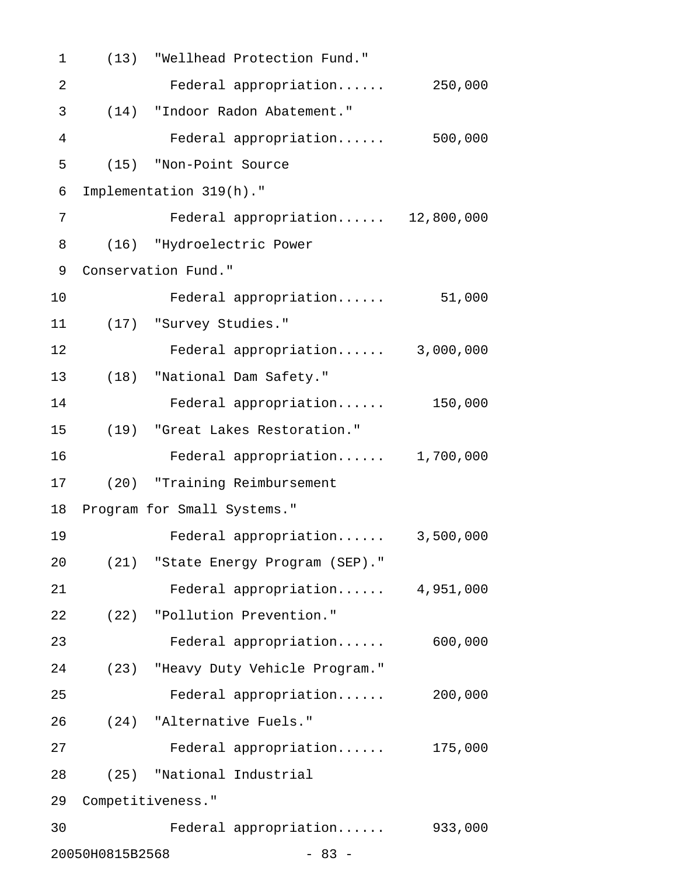| 1                          |  | (13) "Wellhead Protection Fund."   |         |
|----------------------------|--|------------------------------------|---------|
| 2                          |  | Federal appropriation 250,000      |         |
| 3                          |  | (14) "Indoor Radon Abatement."     |         |
| 4                          |  | Federal appropriation 500,000      |         |
| 5                          |  | (15) "Non-Point Source             |         |
| 6                          |  | Implementation 319(h)."            |         |
| 7                          |  | Federal appropriation $12,800,000$ |         |
| 8                          |  | (16) "Hydroelectric Power          |         |
| 9                          |  | Conservation Fund."                |         |
| 10                         |  | Federal appropriation 51,000       |         |
| 11                         |  | (17) "Survey Studies."             |         |
| 12                         |  | Federal appropriation $3,000,000$  |         |
| 13                         |  | (18) "National Dam Safety."        |         |
| 14                         |  | Federal appropriation 150,000      |         |
| 15                         |  | (19) "Great Lakes Restoration."    |         |
| 16                         |  | Federal appropriation $1,700,000$  |         |
| 17                         |  | (20) "Training Reimbursement       |         |
| 18                         |  | Program for Small Systems."        |         |
| 19                         |  | Federal appropriation 3,500,000    |         |
| 20                         |  | (21) "State Energy Program (SEP)." |         |
| 21                         |  | Federal appropriation $4,951,000$  |         |
| 22                         |  | (22) "Pollution Prevention."       |         |
| 23                         |  | Federal appropriation              | 600,000 |
| 24                         |  | (23) "Heavy Duty Vehicle Program." |         |
| 25                         |  | Federal appropriation              | 200,000 |
| 26                         |  | (24) "Alternative Fuels."          |         |
| 27                         |  | Federal appropriation              | 175,000 |
| 28                         |  | (25) "National Industrial          |         |
| 29                         |  | Competitiveness."                  |         |
| 30                         |  | Federal appropriation              | 933,000 |
| 20050H0815B2568<br>$-83 -$ |  |                                    |         |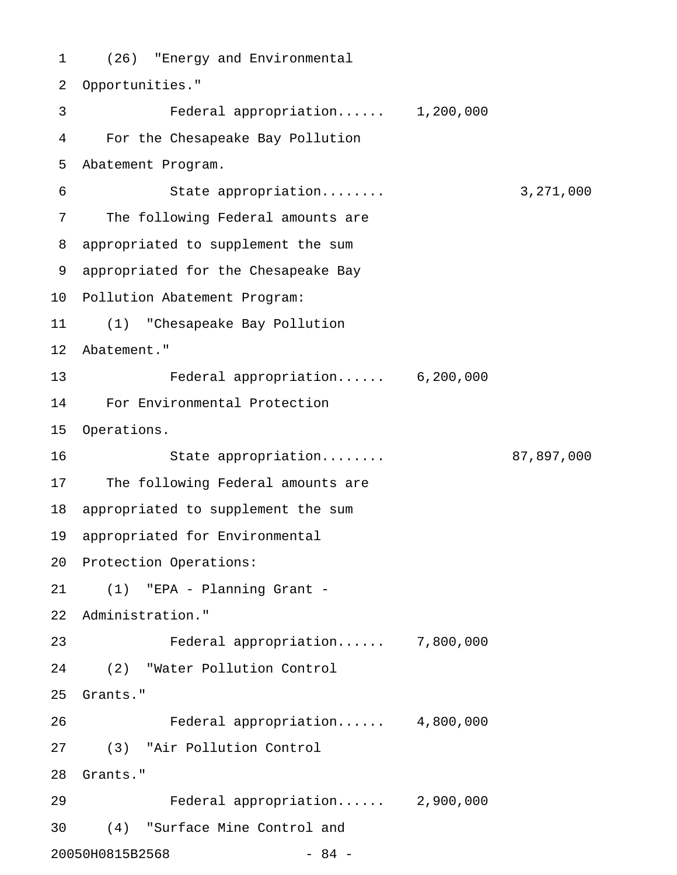1 (26) "Energy and Environmental 2 Opportunities." 3 Federal appropriation...... 1,200,000 4 For the Chesapeake Bay Pollution 5 Abatement Program. 6 State appropriation........ 3,271,000 7 The following Federal amounts are 8 appropriated to supplement the sum 9 appropriated for the Chesapeake Bay 10 Pollution Abatement Program: 11 (1) "Chesapeake Bay Pollution 12 Abatement." 13 Federal appropriation...... 6,200,000 14 For Environmental Protection 15 Operations. 16 State appropriation........ 87,897,000 17 The following Federal amounts are 18 appropriated to supplement the sum 19 appropriated for Environmental 20 Protection Operations: 21 (1) "EPA - Planning Grant - 22 Administration." 23 Federal appropriation...... 7,800,000 24 (2) "Water Pollution Control 25 Grants." 26 Federal appropriation...... 4,800,000 27 (3) "Air Pollution Control 28 Grants." 29 Federal appropriation...... 2,900,000 30 (4) "Surface Mine Control and

20050H0815B2568 - 84 -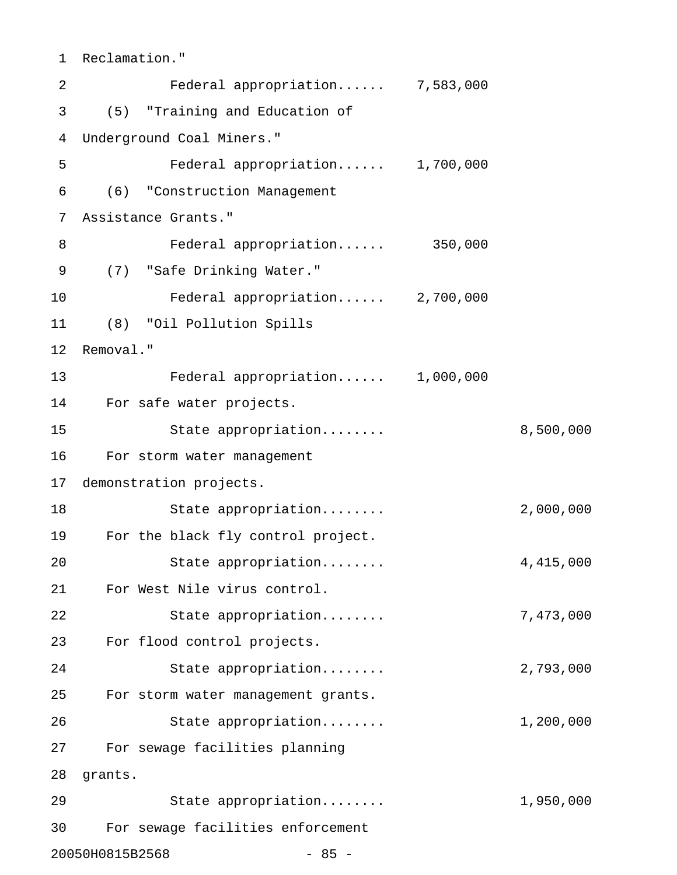1 Reclamation."

| 2  | Federal appropriation 7,583,000    |           |
|----|------------------------------------|-----------|
| 3  | (5) "Training and Education of     |           |
| 4  | Underground Coal Miners."          |           |
| 5  | Federal appropriation 1,700,000    |           |
| 6  | (6) "Construction Management       |           |
| 7  | Assistance Grants."                |           |
| 8  | Federal appropriation 350,000      |           |
| 9  | (7) "Safe Drinking Water."         |           |
| 10 | Federal appropriation 2,700,000    |           |
| 11 | (8) "Oil Pollution Spills          |           |
| 12 | Removal."                          |           |
| 13 | Federal appropriation $1,000,000$  |           |
| 14 | For safe water projects.           |           |
| 15 | State appropriation                | 8,500,000 |
| 16 | For storm water management         |           |
| 17 | demonstration projects.            |           |
| 18 | State appropriation                | 2,000,000 |
| 19 | For the black fly control project. |           |
| 20 | State appropriation                | 4,415,000 |
| 21 | For West Nile virus control.       |           |
| 22 | State appropriation                | 7,473,000 |
| 23 | For flood control projects.        |           |
| 24 | State appropriation                | 2,793,000 |
| 25 | For storm water management grants. |           |
| 26 | State appropriation                | 1,200,000 |
| 27 | For sewage facilities planning     |           |
| 28 | grants.                            |           |
| 29 | State appropriation                | 1,950,000 |
| 30 | For sewage facilities enforcement  |           |
|    | 20050H0815B2568<br>$-85 -$         |           |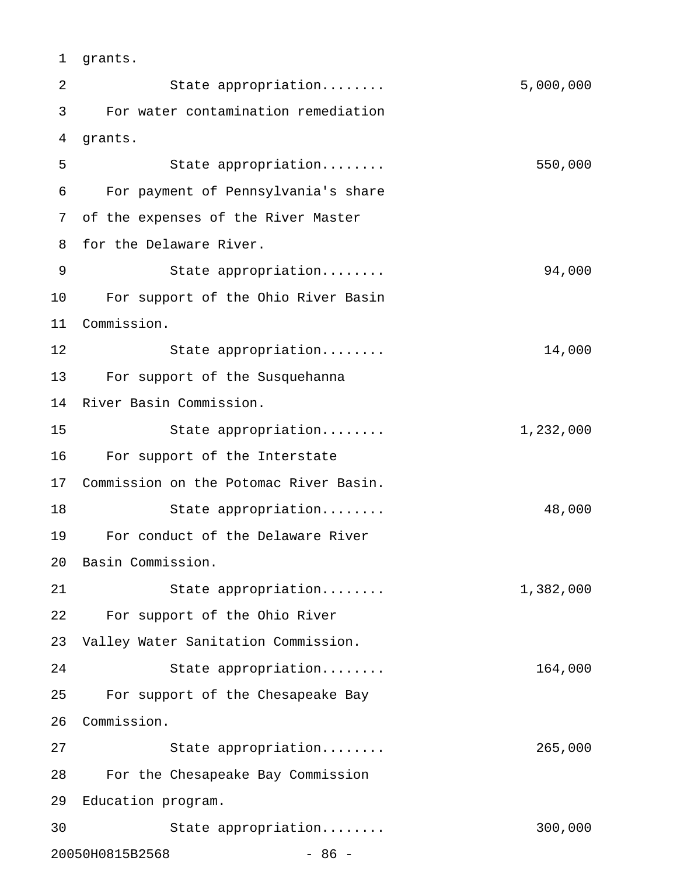1 grants.

| 2  | State appropriation                    | 5,000,000 |
|----|----------------------------------------|-----------|
| 3  | For water contamination remediation    |           |
| 4  | grants.                                |           |
| 5  | State appropriation                    | 550,000   |
| 6  | For payment of Pennsylvania's share    |           |
| 7  | of the expenses of the River Master    |           |
| 8  | for the Delaware River.                |           |
| 9  | State appropriation                    | 94,000    |
| 10 | For support of the Ohio River Basin    |           |
| 11 | Commission.                            |           |
| 12 | State appropriation                    | 14,000    |
| 13 | For support of the Susquehanna         |           |
| 14 | River Basin Commission.                |           |
| 15 | State appropriation                    | 1,232,000 |
| 16 | For support of the Interstate          |           |
| 17 | Commission on the Potomac River Basin. |           |
| 18 | State appropriation                    | 48,000    |
| 19 | For conduct of the Delaware River      |           |
| 20 | Basin Commission.                      |           |
| 21 | State appropriation                    | 1,382,000 |
| 22 | For support of the Ohio River          |           |
| 23 | Valley Water Sanitation Commission.    |           |
| 24 | State appropriation                    | 164,000   |
| 25 | For support of the Chesapeake Bay      |           |
| 26 | Commission.                            |           |
| 27 | State appropriation                    | 265,000   |
| 28 | For the Chesapeake Bay Commission      |           |
| 29 | Education program.                     |           |
| 30 | State appropriation                    | 300,000   |
|    | 20050H0815B2568<br>$-86 -$             |           |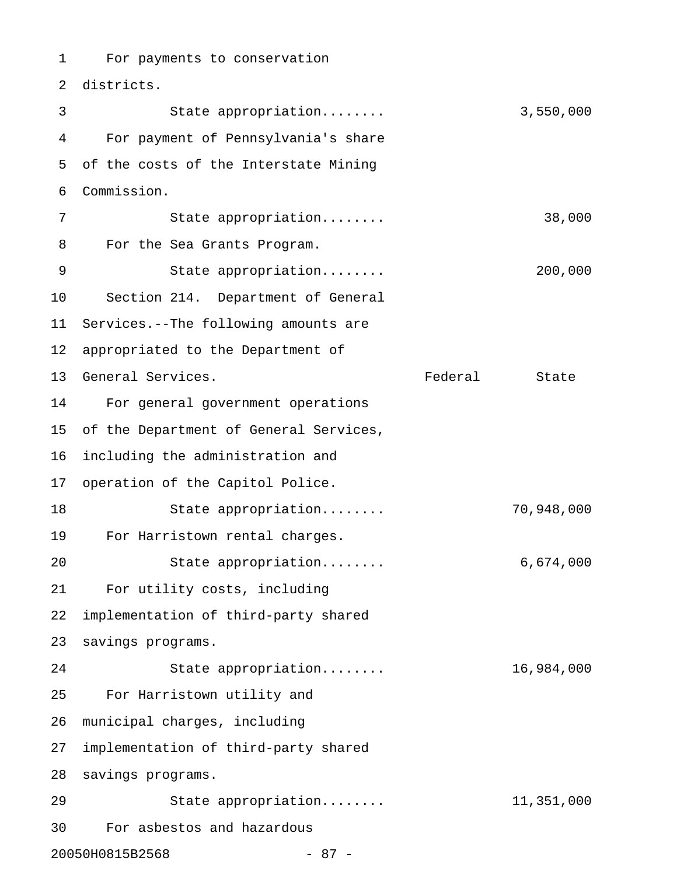1 For payments to conservation

2 districts.

3 State appropriation........ 3,550,000 4 For payment of Pennsylvania's share 5 of the costs of the Interstate Mining 6 Commission. 7 State appropriation....... 38,000 8 For the Sea Grants Program. 9 State appropriation........ 200,000 10 Section 214. Department of General 11 Services.--The following amounts are 12 appropriated to the Department of 13 General Services. The State of the State State State State 14 For general government operations 15 of the Department of General Services, 16 including the administration and 17 operation of the Capitol Police. 18 State appropriation........ 70,948,000 19 For Harristown rental charges. 20 State appropriation........ 6,674,000 21 For utility costs, including 22 implementation of third-party shared 23 savings programs. 24 State appropriation........ 16,984,000 25 For Harristown utility and 26 municipal charges, including 27 implementation of third-party shared 28 savings programs. 29 State appropriation........ 11,351,000 30 For asbestos and hazardous 20050H0815B2568 - 87 -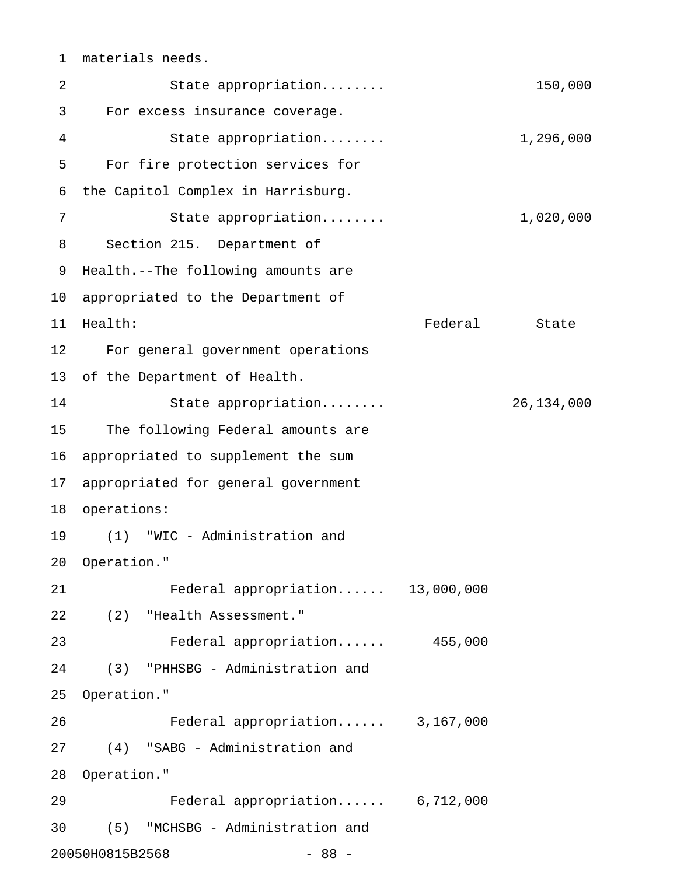1 materials needs.

2 State appropriation........ 150,000 3 For excess insurance coverage. 4 State appropriation........ 1,296,000 5 For fire protection services for 6 the Capitol Complex in Harrisburg. 7 State appropriation....... 1,020,000 8 Section 215. Department of 9 Health.--The following amounts are 10 appropriated to the Department of 11 Health: Federal State 12 For general government operations 13 of the Department of Health. 14 State appropriation........ 26,134,000 15 The following Federal amounts are 16 appropriated to supplement the sum 17 appropriated for general government 18 operations: 19 (1) "WIC - Administration and 20 Operation." 21 Federal appropriation...... 13,000,000 22 (2) "Health Assessment." 23 Federal appropriation...... 455,000 24 (3) "PHHSBG - Administration and 25 Operation." 26 Federal appropriation...... 3,167,000 27 (4) "SABG - Administration and 28 Operation." 29 Federal appropriation...... 6,712,000 30 (5) "MCHSBG - Administration and 20050H0815B2568 - 88 -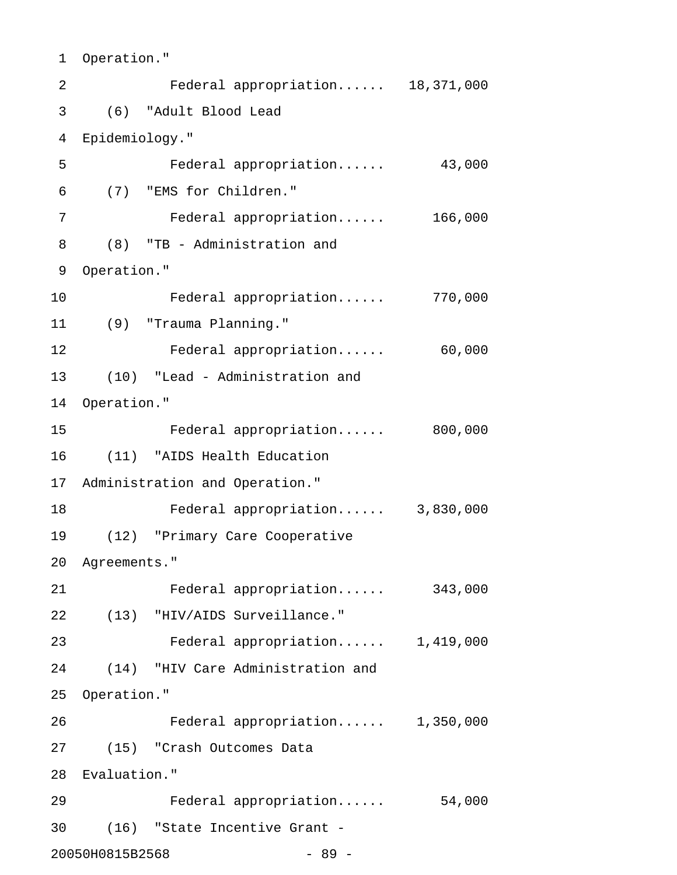```
1 Operation."
2 Federal appropriation...... 18,371,000
3 (6) "Adult Blood Lead
4 Epidemiology."
5 Federal appropriation...... 43,000
6 (7) "EMS for Children."
7 Federal appropriation...... 166,000
8 (8) "TB - Administration and
9 Operation."
10 Federal appropriation...... 770,000
11 (9) "Trauma Planning."
12 Federal appropriation...... 60,000
13 (10) "Lead - Administration and
14 Operation."
15 Federal appropriation...... 800,000
16 (11) "AIDS Health Education
17 Administration and Operation."
18 Federal appropriation...... 3,830,000
19 (12) "Primary Care Cooperative
20 Agreements."
21 Federal appropriation...... 343,000
22 (13) "HIV/AIDS Surveillance."
23 Federal appropriation...... 1,419,000
24 (14) "HIV Care Administration and
25 Operation."
26 Federal appropriation...... 1,350,000
27 (15) "Crash Outcomes Data
28 Evaluation."
29 Federal appropriation...... 54,000
30 (16) "State Incentive Grant -
20050H0815B2568 - 89 -
```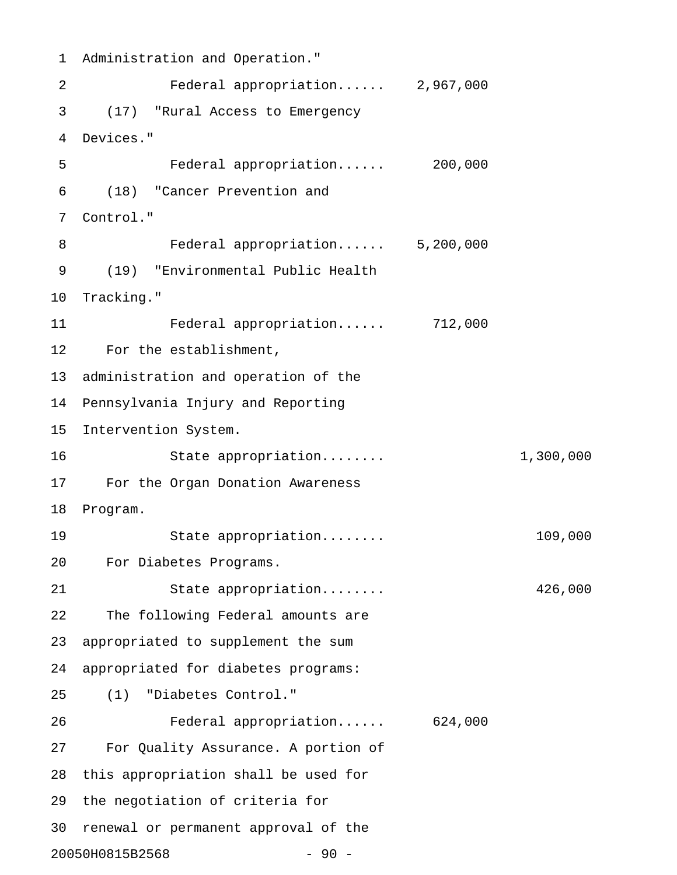1 Administration and Operation." 2 Federal appropriation...... 2,967,000 3 (17) "Rural Access to Emergency 4 Devices." 5 Federal appropriation...... 200,000 6 (18) "Cancer Prevention and 7 Control." 8 Federal appropriation...... 5,200,000 9 (19) "Environmental Public Health 10 Tracking." 11 Federal appropriation...... 712,000 12 For the establishment, 13 administration and operation of the 14 Pennsylvania Injury and Reporting 15 Intervention System. 16 State appropriation........ 1,300,000 17 For the Organ Donation Awareness 18 Program. 19 State appropriation........ 109,000 20 For Diabetes Programs. 21 State appropriation........ 426,000 22 The following Federal amounts are 23 appropriated to supplement the sum 24 appropriated for diabetes programs: 25 (1) "Diabetes Control." 26 Federal appropriation...... 624,000 27 For Quality Assurance. A portion of 28 this appropriation shall be used for 29 the negotiation of criteria for 30 renewal or permanent approval of the 20050H0815B2568 - 90 -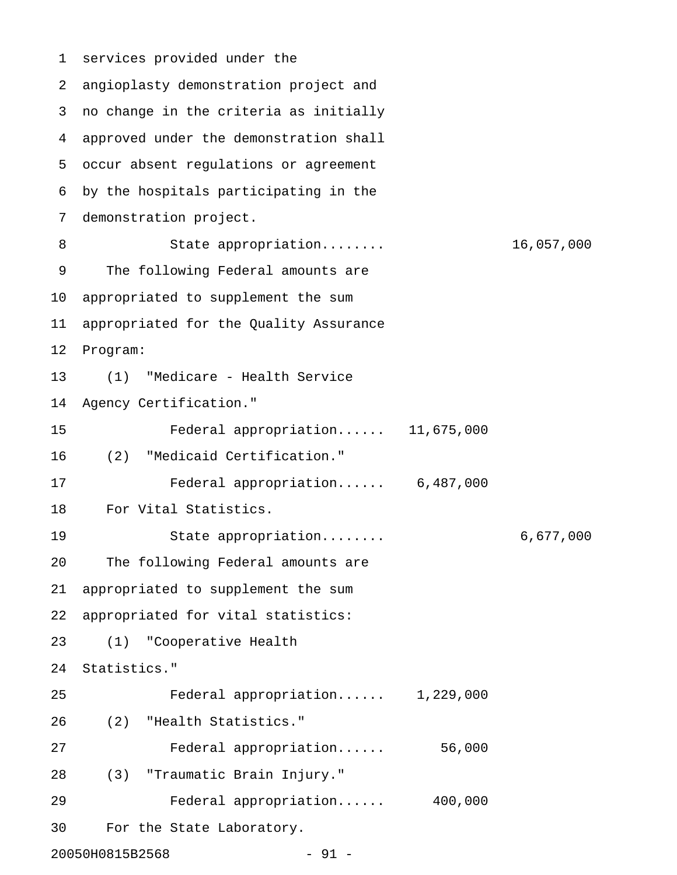1 services provided under the 2 angioplasty demonstration project and 3 no change in the criteria as initially 4 approved under the demonstration shall 5 occur absent regulations or agreement 6 by the hospitals participating in the 7 demonstration project. 8 State appropriation........ 16,057,000 9 The following Federal amounts are 10 appropriated to supplement the sum 11 appropriated for the Quality Assurance 12 Program: 13 (1) "Medicare - Health Service 14 Agency Certification." 15 Federal appropriation...... 11,675,000 16 (2) "Medicaid Certification." 17 Federal appropriation...... 6,487,000 18 For Vital Statistics. 19 State appropriation........ 6,677,000 20 The following Federal amounts are 21 appropriated to supplement the sum 22 appropriated for vital statistics: 23 (1) "Cooperative Health 24 Statistics." 25 Federal appropriation...... 1,229,000 26 (2) "Health Statistics." 27 Federal appropriation...... 56,000 28 (3) "Traumatic Brain Injury." 29 Federal appropriation...... 400,000 30 For the State Laboratory.

20050H0815B2568 - 91 -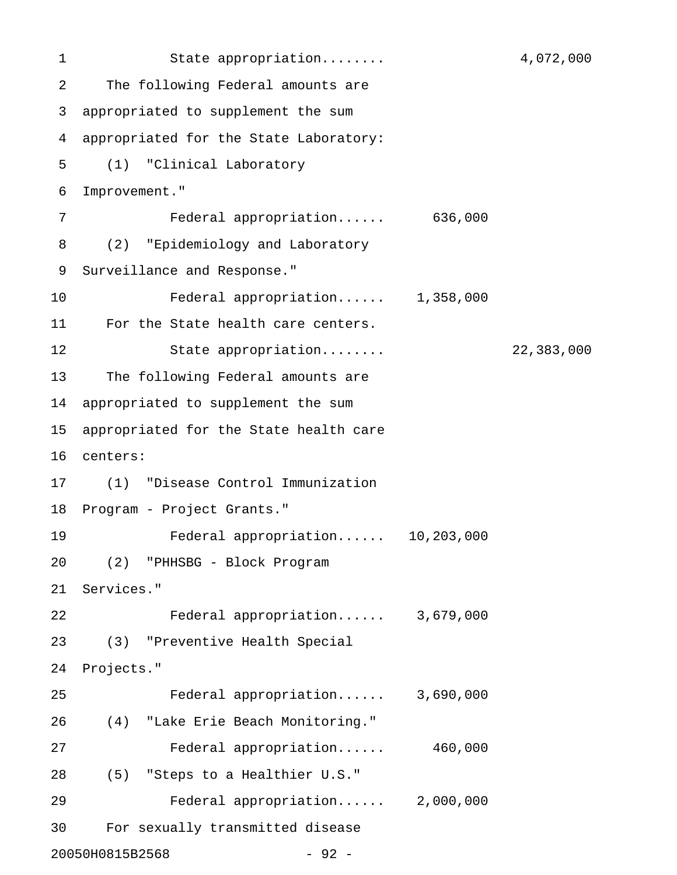1 State appropriation........ 4,072,000 2 The following Federal amounts are 3 appropriated to supplement the sum 4 appropriated for the State Laboratory: 5 (1) "Clinical Laboratory 6 Improvement." 7 Federal appropriation...... 636,000 8 (2) "Epidemiology and Laboratory 9 Surveillance and Response." 10 Federal appropriation...... 1,358,000 11 For the State health care centers. 12 State appropriation........ 22,383,000 13 The following Federal amounts are 14 appropriated to supplement the sum 15 appropriated for the State health care 16 centers: 17 (1) "Disease Control Immunization 18 Program - Project Grants." 19 Federal appropriation...... 10,203,000 20 (2) "PHHSBG - Block Program 21 Services." 22 Federal appropriation...... 3,679,000 23 (3) "Preventive Health Special 24 Projects." 25 Federal appropriation...... 3,690,000 26 (4) "Lake Erie Beach Monitoring." 27 Federal appropriation...... 460,000 28 (5) "Steps to a Healthier U.S." 29 Federal appropriation...... 2,000,000 30 For sexually transmitted disease 20050H0815B2568 - 92 -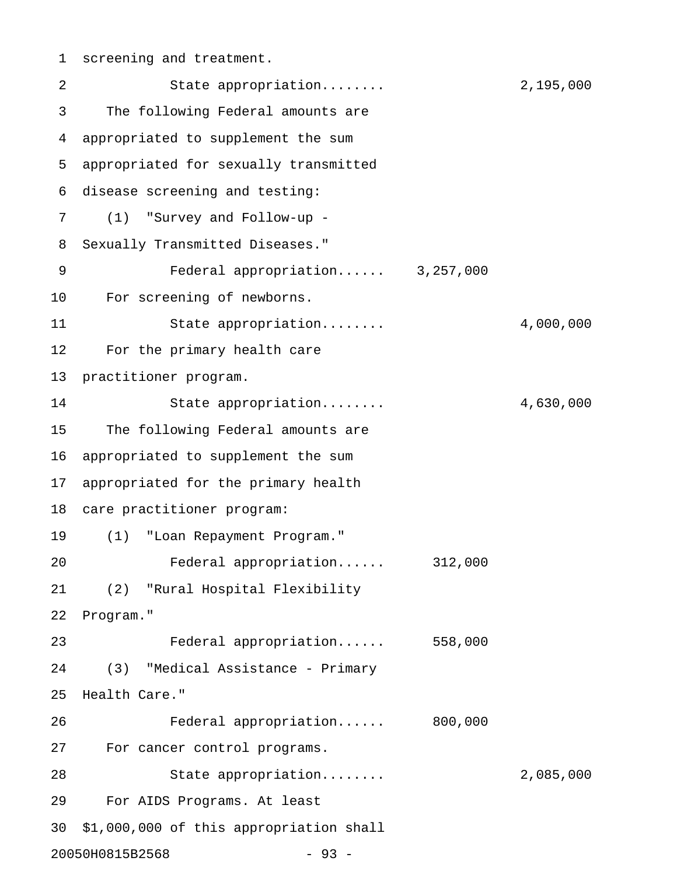1 screening and treatment.

2 State appropriation........ 2,195,000 3 The following Federal amounts are 4 appropriated to supplement the sum 5 appropriated for sexually transmitted 6 disease screening and testing: 7 (1) "Survey and Follow-up - 8 Sexually Transmitted Diseases." 9 Federal appropriation...... 3,257,000 10 For screening of newborns. 11 State appropriation....... 4,000,000 12 For the primary health care 13 practitioner program. 14 State appropriation........ 4,630,000 15 The following Federal amounts are 16 appropriated to supplement the sum 17 appropriated for the primary health 18 care practitioner program: 19 (1) "Loan Repayment Program." 20 Federal appropriation...... 312,000 21 (2) "Rural Hospital Flexibility 22 Program." 23 Federal appropriation...... 558,000 24 (3) "Medical Assistance - Primary 25 Health Care." 26 Federal appropriation...... 800,000 27 For cancer control programs. 28 State appropriation........ 2,085,000 29 For AIDS Programs. At least 30 \$1,000,000 of this appropriation shall 20050H0815B2568 - 93 -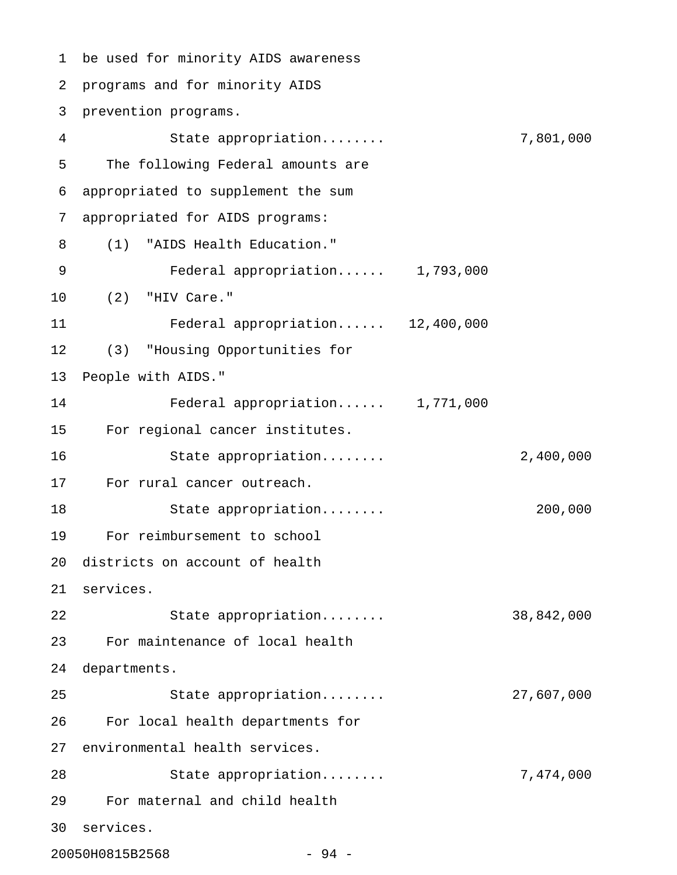1 be used for minority AIDS awareness 2 programs and for minority AIDS 3 prevention programs. 4 State appropriation........ 7,801,000 5 The following Federal amounts are 6 appropriated to supplement the sum 7 appropriated for AIDS programs: 8 (1) "AIDS Health Education." 9 Federal appropriation...... 1,793,000 10 (2) "HIV Care." 11 Federal appropriation...... 12,400,000 12 (3) "Housing Opportunities for 13 People with AIDS." 14 Federal appropriation...... 1,771,000 15 For regional cancer institutes. 16 State appropriation........ 2,400,000 17 For rural cancer outreach. 18 State appropriation........ 200,000 19 For reimbursement to school 20 districts on account of health 21 services. 22 State appropriation........ 38,842,000 23 For maintenance of local health 24 departments. 25 State appropriation........ 27,607,000 26 For local health departments for 27 environmental health services. 28 State appropriation........ 7,474,000 29 For maternal and child health 30 services.

20050H0815B2568 - 94 -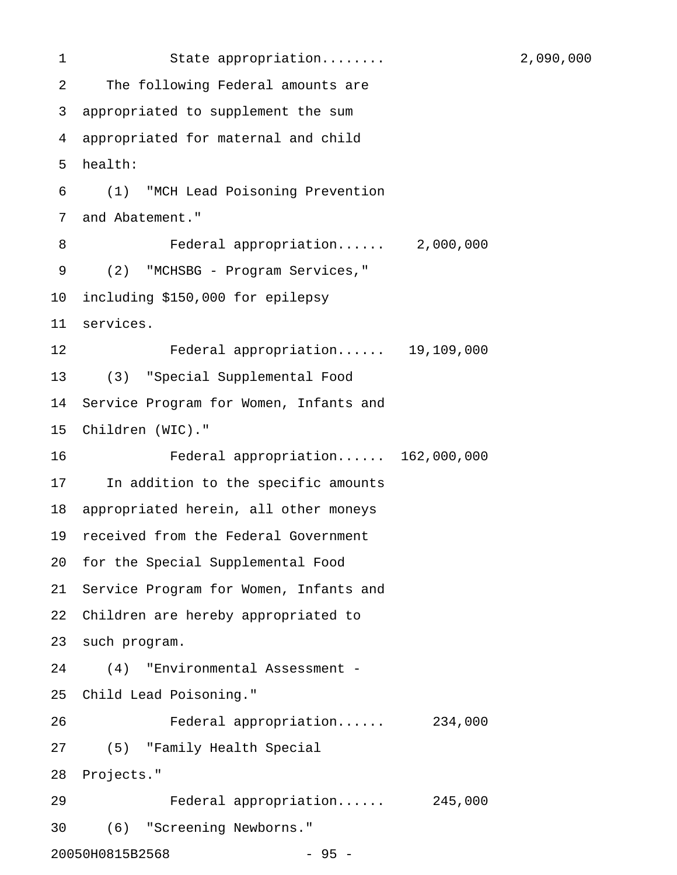1 State appropriation........ 2,090,000 2 The following Federal amounts are 3 appropriated to supplement the sum 4 appropriated for maternal and child 5 health: 6 (1) "MCH Lead Poisoning Prevention 7 and Abatement." 8 Federal appropriation...... 2,000,000 9 (2) "MCHSBG - Program Services," 10 including \$150,000 for epilepsy 11 services. 12 Federal appropriation...... 19,109,000 13 (3) "Special Supplemental Food 14 Service Program for Women, Infants and 15 Children (WIC)." 16 Federal appropriation...... 162,000,000 17 In addition to the specific amounts 18 appropriated herein, all other moneys 19 received from the Federal Government 20 for the Special Supplemental Food 21 Service Program for Women, Infants and 22 Children are hereby appropriated to 23 such program. 24 (4) "Environmental Assessment - 25 Child Lead Poisoning." 26 Federal appropriation...... 234,000 27 (5) "Family Health Special 28 Projects." 29 Federal appropriation...... 245,000 30 (6) "Screening Newborns." 20050H0815B2568 - 95 -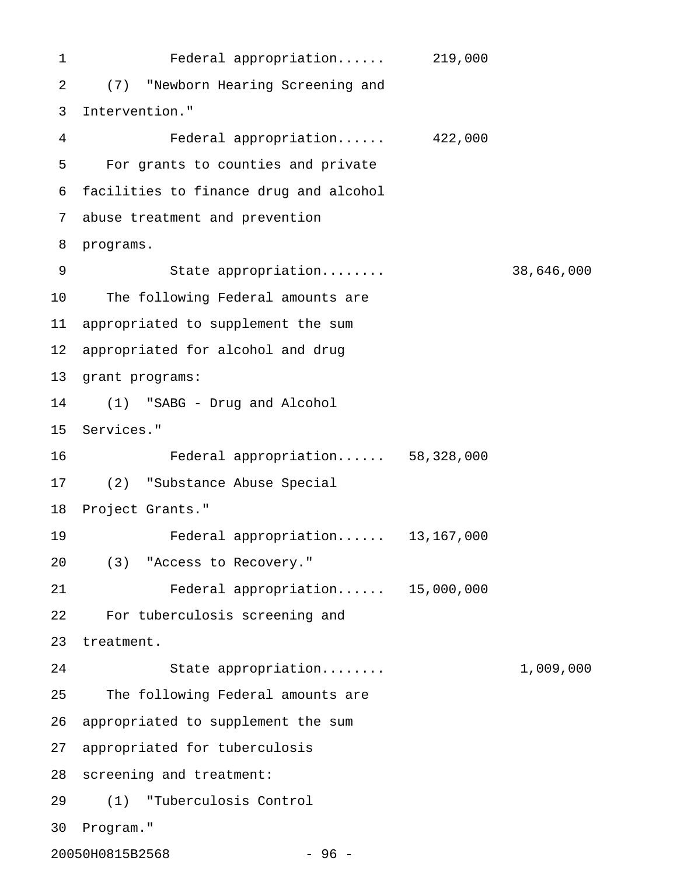1 Federal appropriation...... 219,000 2 (7) "Newborn Hearing Screening and 3 Intervention." 4 Federal appropriation...... 422,000 5 For grants to counties and private 6 facilities to finance drug and alcohol 7 abuse treatment and prevention 8 programs. 9 State appropriation....... 38,646,000 10 The following Federal amounts are 11 appropriated to supplement the sum 12 appropriated for alcohol and drug 13 grant programs: 14 (1) "SABG - Drug and Alcohol 15 Services." 16 Federal appropriation...... 58,328,000 17 (2) "Substance Abuse Special 18 Project Grants." 19 Federal appropriation...... 13,167,000 20 (3) "Access to Recovery." 21 Federal appropriation...... 15,000,000 22 For tuberculosis screening and 23 treatment. 24 State appropriation........ 1,009,000 25 The following Federal amounts are 26 appropriated to supplement the sum 27 appropriated for tuberculosis 28 screening and treatment: 29 (1) "Tuberculosis Control 30 Program."

20050H0815B2568 - 96 -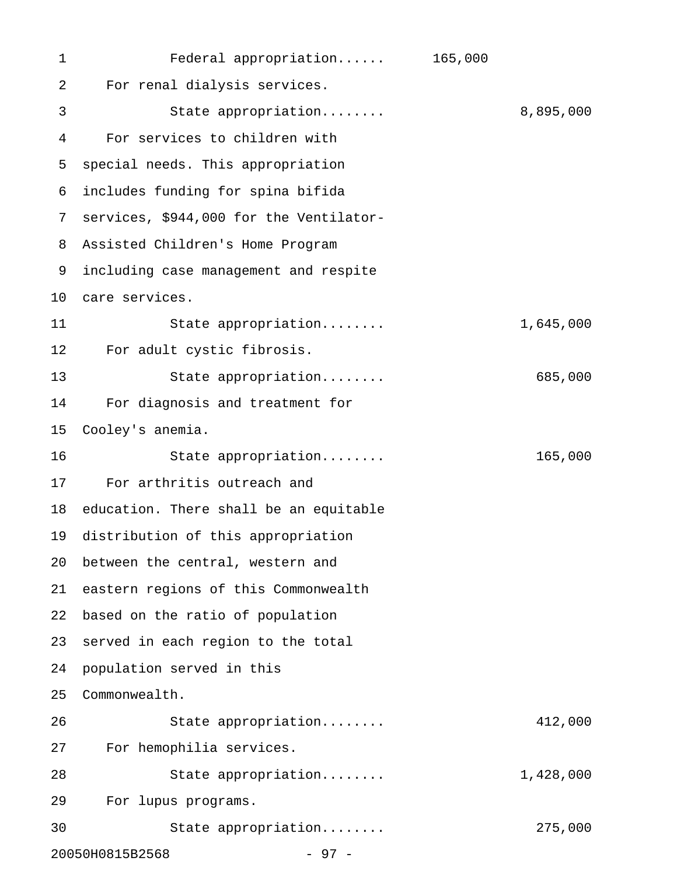| 1  | Federal appropriation                   | 165,000 |           |
|----|-----------------------------------------|---------|-----------|
| 2  | For renal dialysis services.            |         |           |
| 3  | State appropriation                     |         | 8,895,000 |
| 4  | For services to children with           |         |           |
| 5  | special needs. This appropriation       |         |           |
| 6  | includes funding for spina bifida       |         |           |
| 7  | services, \$944,000 for the Ventilator- |         |           |
| 8  | Assisted Children's Home Program        |         |           |
| 9  | including case management and respite   |         |           |
| 10 | care services.                          |         |           |
| 11 | State appropriation                     |         | 1,645,000 |
| 12 | For adult cystic fibrosis.              |         |           |
| 13 | State appropriation                     |         | 685,000   |
| 14 | For diagnosis and treatment for         |         |           |
| 15 | Cooley's anemia.                        |         |           |
| 16 | State appropriation                     |         | 165,000   |
| 17 | For arthritis outreach and              |         |           |
| 18 | education. There shall be an equitable  |         |           |
| 19 | distribution of this appropriation      |         |           |
| 20 | between the central, western and        |         |           |
| 21 | eastern regions of this Commonwealth    |         |           |
| 22 | based on the ratio of population        |         |           |
| 23 | served in each region to the total      |         |           |
| 24 | population served in this               |         |           |
| 25 | Commonwealth.                           |         |           |
| 26 | State appropriation                     |         | 412,000   |
| 27 | For hemophilia services.                |         |           |
| 28 | State appropriation                     |         | 1,428,000 |
| 29 | For lupus programs.                     |         |           |
| 30 | State appropriation                     |         | 275,000   |
|    | 20050H0815B2568<br>- 97 -               |         |           |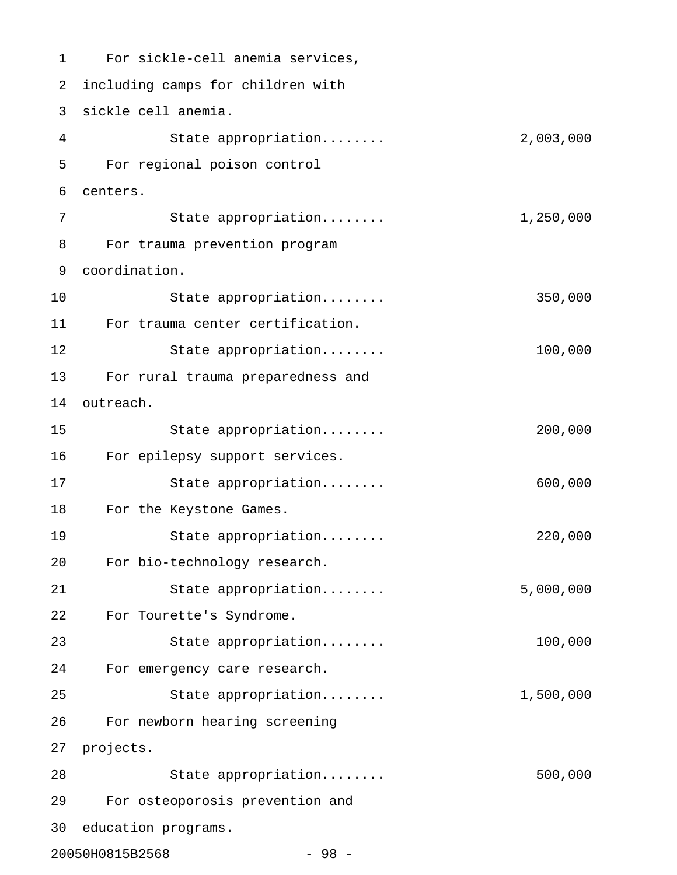| 1  | For sickle-cell anemia services,  |           |
|----|-----------------------------------|-----------|
| 2  | including camps for children with |           |
| 3  | sickle cell anemia.               |           |
| 4  | State appropriation               | 2,003,000 |
| 5  | For regional poison control       |           |
| 6  | centers.                          |           |
| 7  | State appropriation               | 1,250,000 |
| 8  | For trauma prevention program     |           |
| 9  | coordination.                     |           |
| 10 | State appropriation               | 350,000   |
| 11 | For trauma center certification.  |           |
| 12 | State appropriation               | 100,000   |
| 13 | For rural trauma preparedness and |           |
| 14 | outreach.                         |           |
| 15 | State appropriation               | 200,000   |
| 16 | For epilepsy support services.    |           |
| 17 | State appropriation               | 600,000   |
| 18 | For the Keystone Games.           |           |
| 19 | State appropriation               | 220,000   |
| 20 | For bio-technology research.      |           |
| 21 | State appropriation               | 5,000,000 |
| 22 | For Tourette's Syndrome.          |           |
| 23 | State appropriation               | 100,000   |
| 24 | For emergency care research.      |           |
| 25 | State appropriation               | 1,500,000 |
| 26 | For newborn hearing screening     |           |
| 27 | projects.                         |           |
| 28 | State appropriation               | 500,000   |
| 29 | For osteoporosis prevention and   |           |
| 30 | education programs.               |           |
|    | 20050H0815B2568<br>$-98 -$        |           |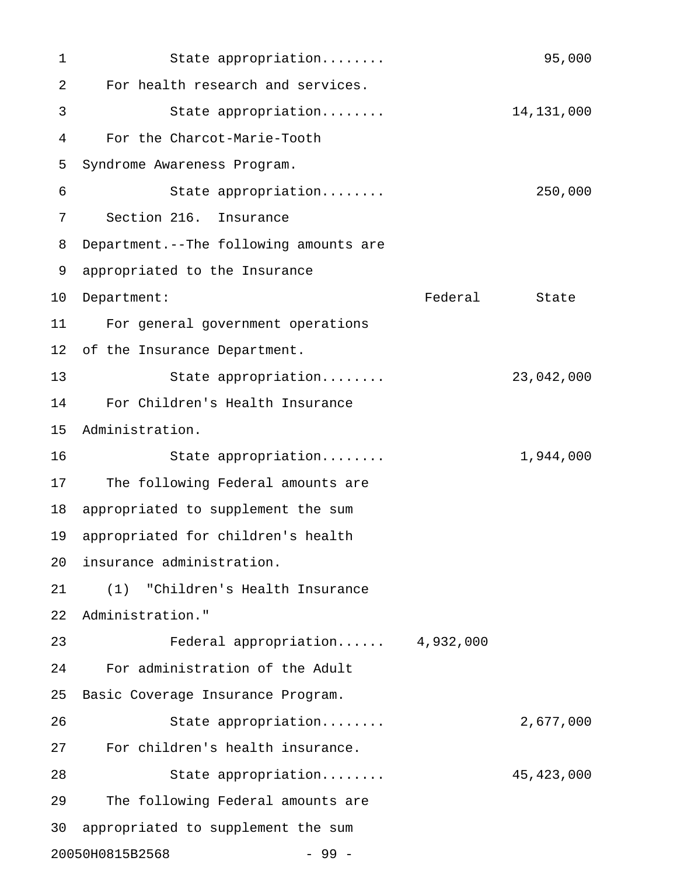1 State appropriation........ 95,000 2 For health research and services. 3 State appropriation........ 14,131,000 4 For the Charcot-Marie-Tooth 5 Syndrome Awareness Program. 6 State appropriation........ 250,000 7 Section 216. Insurance 8 Department.--The following amounts are 9 appropriated to the Insurance 10 Department: Federal State 11 For general government operations 12 of the Insurance Department. 13 State appropriation........ 23,042,000 14 For Children's Health Insurance 15 Administration. 16 State appropriation........ 1,944,000 17 The following Federal amounts are 18 appropriated to supplement the sum 19 appropriated for children's health 20 insurance administration. 21 (1) "Children's Health Insurance 22 Administration." 23 Federal appropriation...... 4,932,000 24 For administration of the Adult 25 Basic Coverage Insurance Program. 26 State appropriation........ 2,677,000 27 For children's health insurance. 28 State appropriation........ 45,423,000 29 The following Federal amounts are 30 appropriated to supplement the sum 20050H0815B2568 - 99 -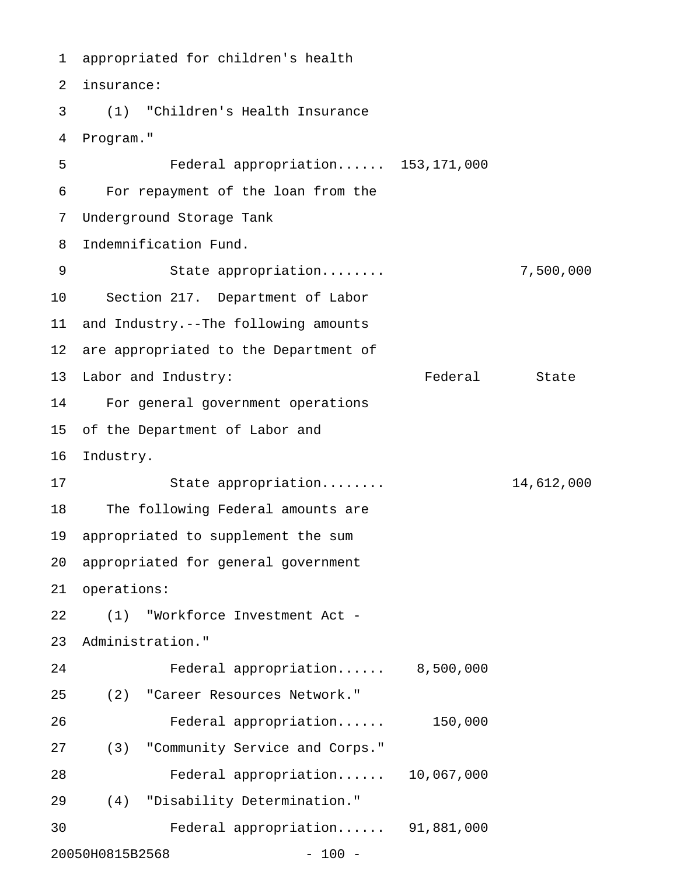1 appropriated for children's health 2 insurance: 3 (1) "Children's Health Insurance 4 Program." 5 Federal appropriation...... 153,171,000 6 For repayment of the loan from the 7 Underground Storage Tank 8 Indemnification Fund. 9 State appropriation........ 7,500,000 10 Section 217. Department of Labor 11 and Industry.--The following amounts 12 are appropriated to the Department of 13 Labor and Industry: The State State State State 14 For general government operations 15 of the Department of Labor and 16 Industry. 17 State appropriation........ 14,612,000 18 The following Federal amounts are 19 appropriated to supplement the sum 20 appropriated for general government 21 operations: 22 (1) "Workforce Investment Act - 23 Administration." 24 Federal appropriation...... 8,500,000 25 (2) "Career Resources Network." 26 Federal appropriation...... 150,000 27 (3) "Community Service and Corps." 28 Federal appropriation...... 10,067,000 29 (4) "Disability Determination." 30 Federal appropriation...... 91,881,000 20050H0815B2568 - 100 -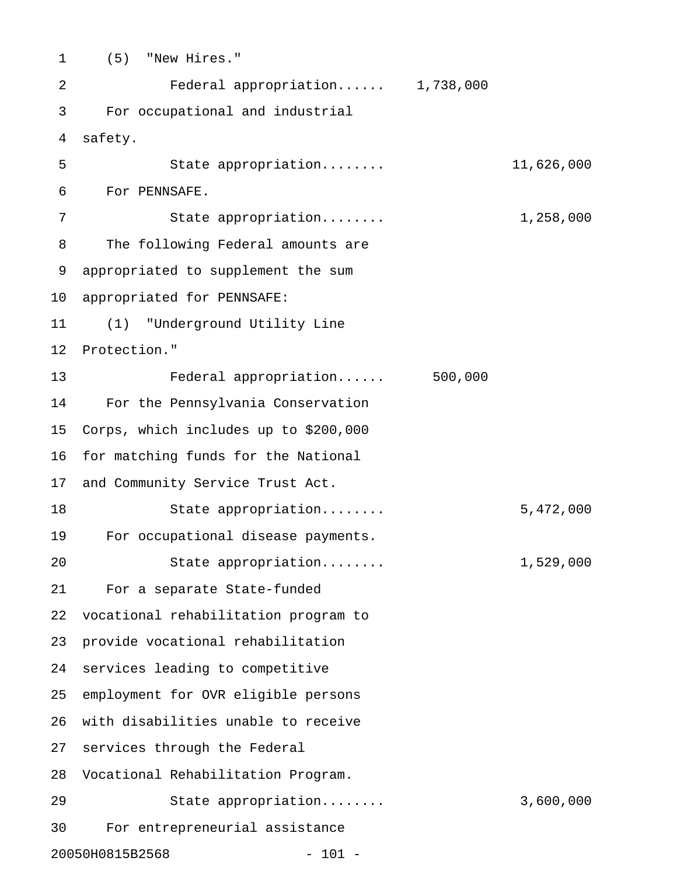1 (5) "New Hires." 2 Federal appropriation...... 1,738,000 3 For occupational and industrial 4 safety. 5 State appropriation........ 11,626,000 6 For PENNSAFE. 7 State appropriation....... 1,258,000 8 The following Federal amounts are 9 appropriated to supplement the sum 10 appropriated for PENNSAFE: 11 (1) "Underground Utility Line 12 Protection." 13 Federal appropriation...... 500,000 14 For the Pennsylvania Conservation 15 Corps, which includes up to \$200,000 16 for matching funds for the National 17 and Community Service Trust Act. 18 State appropriation........ 5,472,000 19 For occupational disease payments. 20 State appropriation........ 1,529,000 21 For a separate State-funded 22 vocational rehabilitation program to 23 provide vocational rehabilitation 24 services leading to competitive 25 employment for OVR eligible persons 26 with disabilities unable to receive 27 services through the Federal 28 Vocational Rehabilitation Program. 29 State appropriation........ 3,600,000 30 For entrepreneurial assistance 20050H0815B2568 - 101 -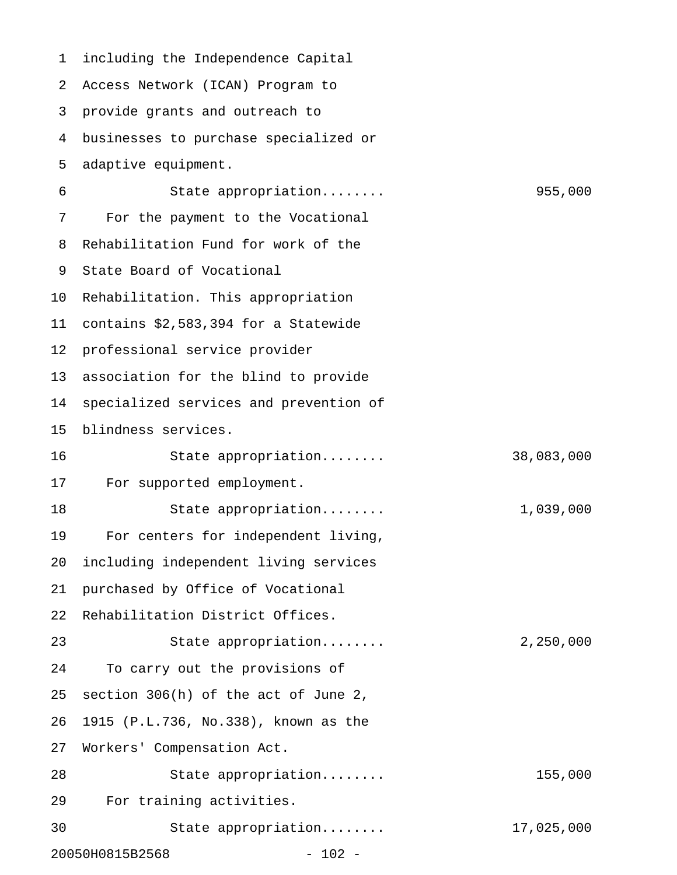1 including the Independence Capital 2 Access Network (ICAN) Program to 3 provide grants and outreach to 4 businesses to purchase specialized or 5 adaptive equipment. 6 State appropriation........ 955,000 7 For the payment to the Vocational 8 Rehabilitation Fund for work of the 9 State Board of Vocational 10 Rehabilitation. This appropriation 11 contains \$2,583,394 for a Statewide 12 professional service provider 13 association for the blind to provide 14 specialized services and prevention of 15 blindness services. 16 State appropriation........ 38,083,000 17 For supported employment. 18 State appropriation........ 1,039,000 19 For centers for independent living, 20 including independent living services 21 purchased by Office of Vocational 22 Rehabilitation District Offices. 23 State appropriation........ 2,250,000 24 To carry out the provisions of 25 section 306(h) of the act of June 2, 26 1915 (P.L.736, No.338), known as the 27 Workers' Compensation Act. 28 State appropriation........ 155,000 29 For training activities. 30 State appropriation........ 17,025,000 20050H0815B2568 - 102 -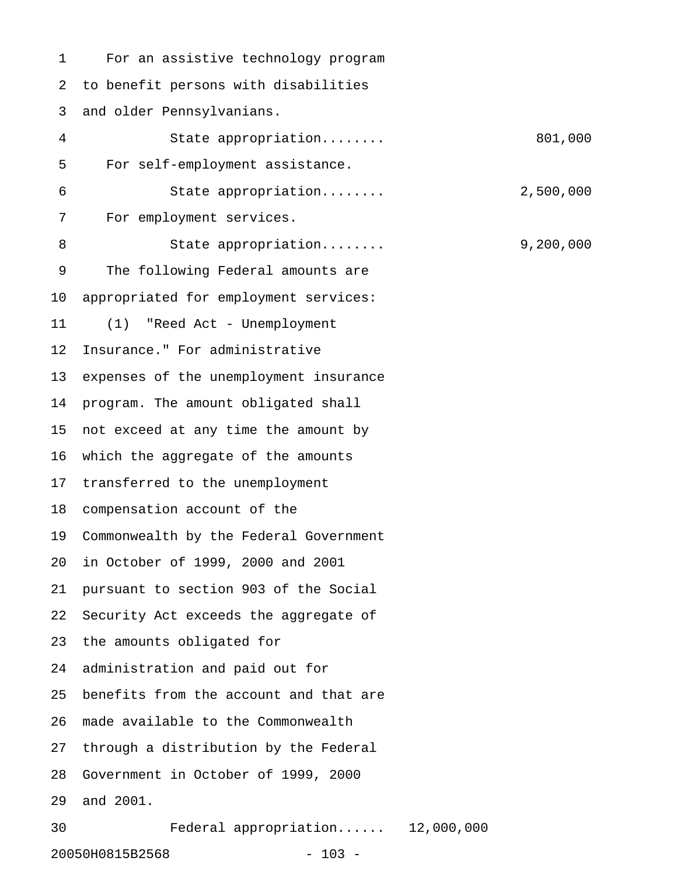1 For an assistive technology program 2 to benefit persons with disabilities 3 and older Pennsylvanians. 4 State appropriation........ 801,000 5 For self-employment assistance. 6 State appropriation........ 2,500,000 7 For employment services. 8 State appropriation........ 9,200,000 9 The following Federal amounts are 10 appropriated for employment services: 11 (1) "Reed Act - Unemployment 12 Insurance." For administrative 13 expenses of the unemployment insurance 14 program. The amount obligated shall 15 not exceed at any time the amount by 16 which the aggregate of the amounts 17 transferred to the unemployment 18 compensation account of the 19 Commonwealth by the Federal Government 20 in October of 1999, 2000 and 2001 21 pursuant to section 903 of the Social 22 Security Act exceeds the aggregate of 23 the amounts obligated for 24 administration and paid out for 25 benefits from the account and that are 26 made available to the Commonwealth 27 through a distribution by the Federal 28 Government in October of 1999, 2000 29 and 2001. 30 Federal appropriation...... 12,000,000

20050H0815B2568 - 103 -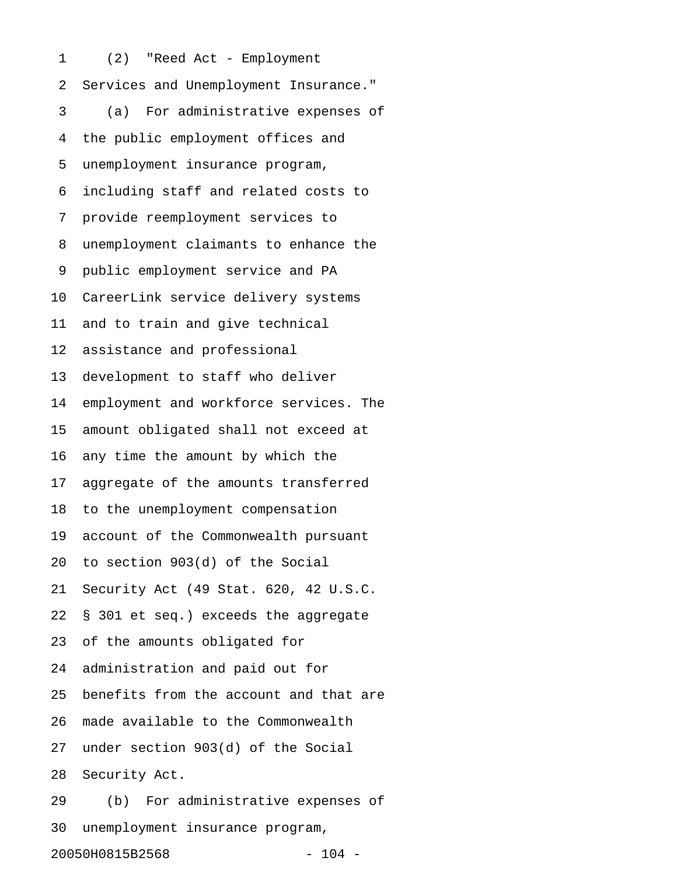1 (2) "Reed Act - Employment 2 Services and Unemployment Insurance." 3 (a) For administrative expenses of 4 the public employment offices and 5 unemployment insurance program, 6 including staff and related costs to 7 provide reemployment services to 8 unemployment claimants to enhance the 9 public employment service and PA 10 CareerLink service delivery systems 11 and to train and give technical 12 assistance and professional 13 development to staff who deliver 14 employment and workforce services. The 15 amount obligated shall not exceed at 16 any time the amount by which the 17 aggregate of the amounts transferred 18 to the unemployment compensation 19 account of the Commonwealth pursuant 20 to section 903(d) of the Social 21 Security Act (49 Stat. 620, 42 U.S.C. 22 § 301 et seq.) exceeds the aggregate 23 of the amounts obligated for 24 administration and paid out for 25 benefits from the account and that are 26 made available to the Commonwealth 27 under section 903(d) of the Social 28 Security Act. 29 (b) For administrative expenses of 30 unemployment insurance program,

20050H0815B2568 - 104 -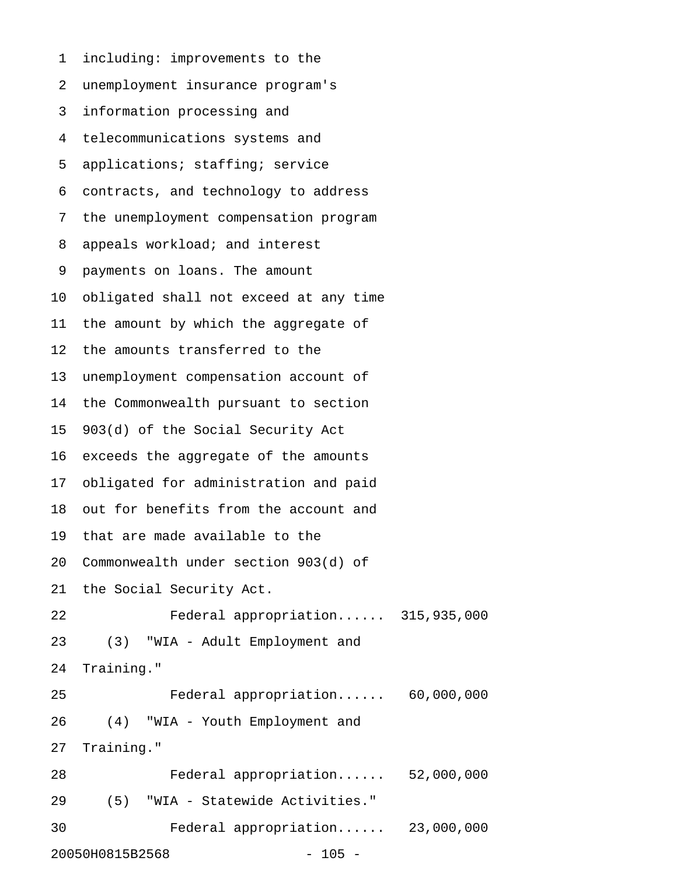1 including: improvements to the 2 unemployment insurance program's 3 information processing and 4 telecommunications systems and 5 applications; staffing; service 6 contracts, and technology to address 7 the unemployment compensation program 8 appeals workload; and interest 9 payments on loans. The amount 10 obligated shall not exceed at any time 11 the amount by which the aggregate of 12 the amounts transferred to the 13 unemployment compensation account of 14 the Commonwealth pursuant to section 15 903(d) of the Social Security Act 16 exceeds the aggregate of the amounts 17 obligated for administration and paid 18 out for benefits from the account and 19 that are made available to the 20 Commonwealth under section 903(d) of 21 the Social Security Act. 22 Federal appropriation...... 315,935,000 23 (3) "WIA - Adult Employment and 24 Training." 25 Federal appropriation...... 60,000,000 26 (4) "WIA - Youth Employment and 27 Training." 28 Federal appropriation...... 52,000,000 29 (5) "WIA - Statewide Activities." 30 Federal appropriation...... 23,000,000 20050H0815B2568 - 105 -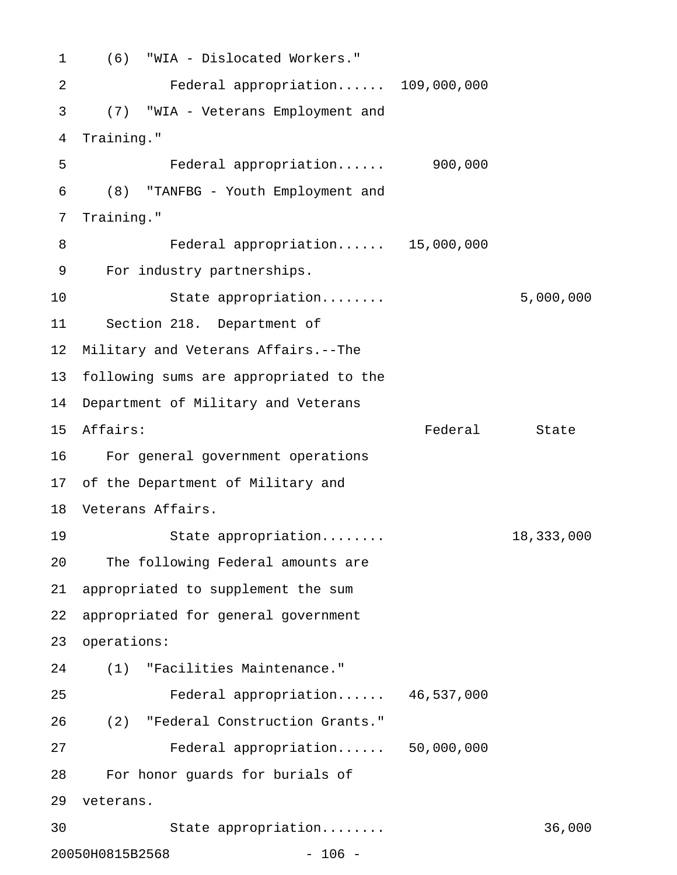1 (6) "WIA - Dislocated Workers." 2 Federal appropriation...... 109,000,000 3 (7) "WIA - Veterans Employment and 4 Training." 5 Federal appropriation...... 900,000 6 (8) "TANFBG - Youth Employment and 7 Training." 8 Federal appropriation...... 15,000,000 9 For industry partnerships. 10 State appropriation........ 5,000,000 11 Section 218. Department of 12 Military and Veterans Affairs.--The 13 following sums are appropriated to the 14 Department of Military and Veterans 15 Affairs: Entry State State State State State State State State State State 16 For general government operations 17 of the Department of Military and 18 Veterans Affairs. 19 State appropriation........ 18,333,000 20 The following Federal amounts are 21 appropriated to supplement the sum 22 appropriated for general government 23 operations: 24 (1) "Facilities Maintenance." 25 Federal appropriation...... 46,537,000 26 (2) "Federal Construction Grants." 27 Federal appropriation...... 50,000,000 28 For honor guards for burials of 29 veterans. 30 State appropriation........ 36,000 20050H0815B2568 - 106 -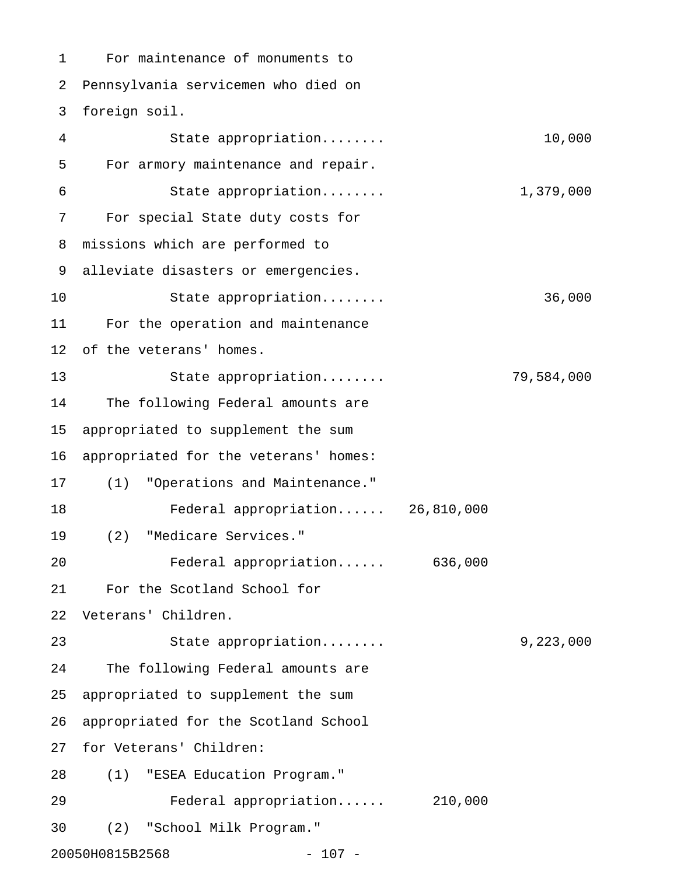1 For maintenance of monuments to 2 Pennsylvania servicemen who died on 3 foreign soil. 4 State appropriation........ 10,000 5 For armory maintenance and repair. 6 State appropriation........ 1,379,000 7 For special State duty costs for 8 missions which are performed to 9 alleviate disasters or emergencies. 10 State appropriation........ 36,000 11 For the operation and maintenance 12 of the veterans' homes. 13 State appropriation........ 79,584,000 14 The following Federal amounts are 15 appropriated to supplement the sum 16 appropriated for the veterans' homes: 17 (1) "Operations and Maintenance." 18 Federal appropriation...... 26,810,000 19 (2) "Medicare Services." 20 Federal appropriation...... 636,000 21 For the Scotland School for 22 Veterans' Children. 23 State appropriation........ 9,223,000 24 The following Federal amounts are 25 appropriated to supplement the sum 26 appropriated for the Scotland School 27 for Veterans' Children: 28 (1) "ESEA Education Program." 29 Federal appropriation...... 210,000 30 (2) "School Milk Program."

20050H0815B2568 - 107 -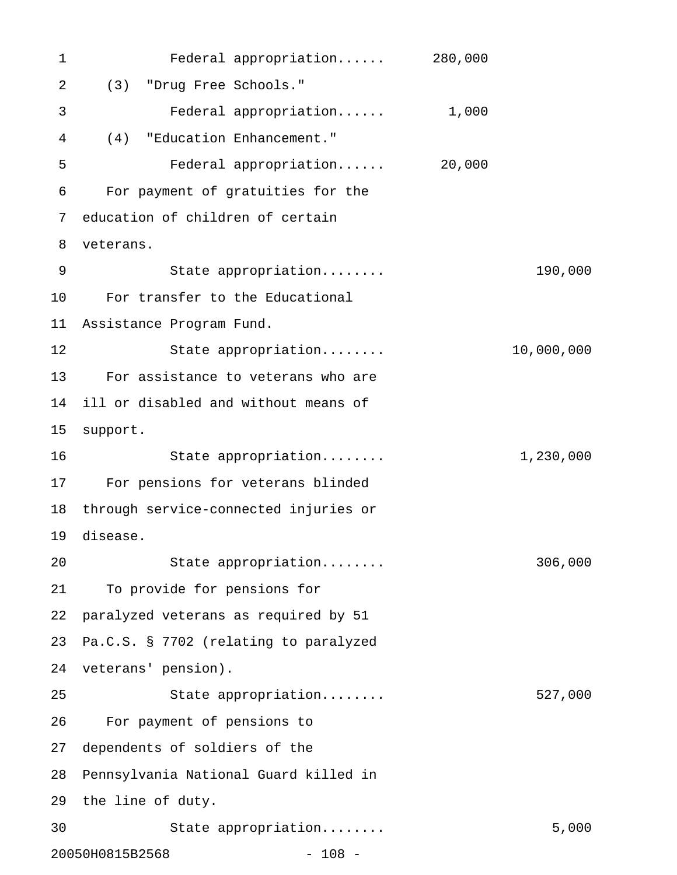1 Federal appropriation...... 280,000 2 (3) "Drug Free Schools." 3 Federal appropriation...... 1,000 4 (4) "Education Enhancement." 5 Federal appropriation...... 20,000 6 For payment of gratuities for the 7 education of children of certain 8 veterans. 9 State appropriation........ 190,000 10 For transfer to the Educational 11 Assistance Program Fund. 12 State appropriation........ 10,000,000 13 For assistance to veterans who are 14 ill or disabled and without means of 15 support. 16 State appropriation........ 1,230,000 17 For pensions for veterans blinded 18 through service-connected injuries or 19 disease. 20 State appropriation........ 306,000 21 To provide for pensions for 22 paralyzed veterans as required by 51 23 Pa.C.S. § 7702 (relating to paralyzed 24 veterans' pension). 25 State appropriation........ 527,000 26 For payment of pensions to 27 dependents of soldiers of the 28 Pennsylvania National Guard killed in 29 the line of duty. 30 State appropriation........ 5,000 20050H0815B2568 - 108 -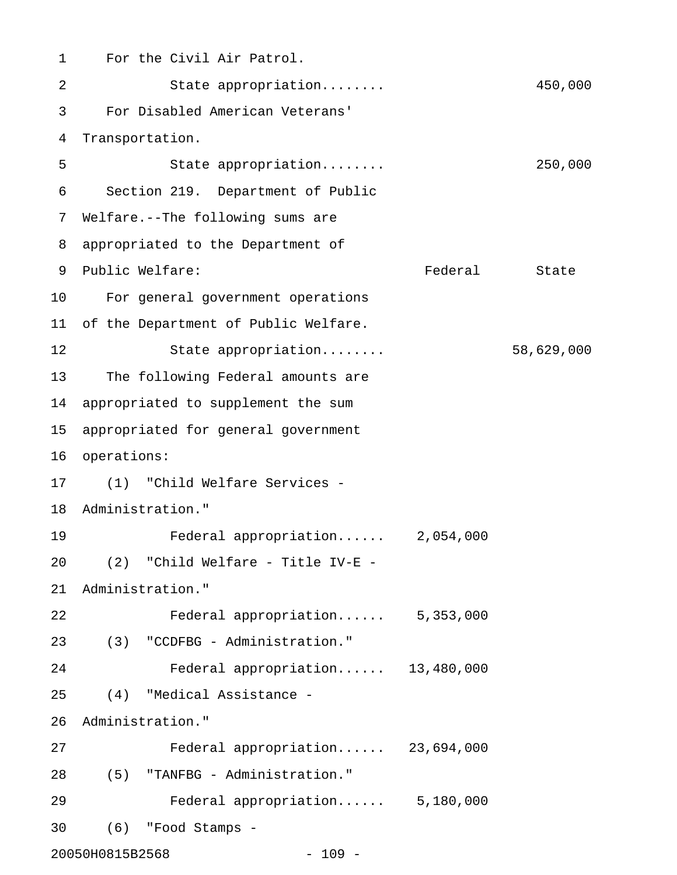1 For the Civil Air Patrol. 2 State appropriation........ 450,000 3 For Disabled American Veterans' 4 Transportation. 5 State appropriation........ 250,000 6 Section 219. Department of Public 7 Welfare.--The following sums are 8 appropriated to the Department of 9 Public Welfare: Federal State 10 For general government operations 11 of the Department of Public Welfare. 12 State appropriation........ 58,629,000 13 The following Federal amounts are 14 appropriated to supplement the sum 15 appropriated for general government 16 operations: 17 (1) "Child Welfare Services - 18 Administration." 19 Federal appropriation...... 2,054,000 20 (2) "Child Welfare - Title IV-E - 21 Administration." 22 Federal appropriation...... 5,353,000 23 (3) "CCDFBG - Administration." 24 Federal appropriation...... 13,480,000 25 (4) "Medical Assistance - 26 Administration." 27 Federal appropriation...... 23,694,000 28 (5) "TANFBG - Administration." 29 Federal appropriation...... 5,180,000 30 (6) "Food Stamps -

20050H0815B2568 - 109 -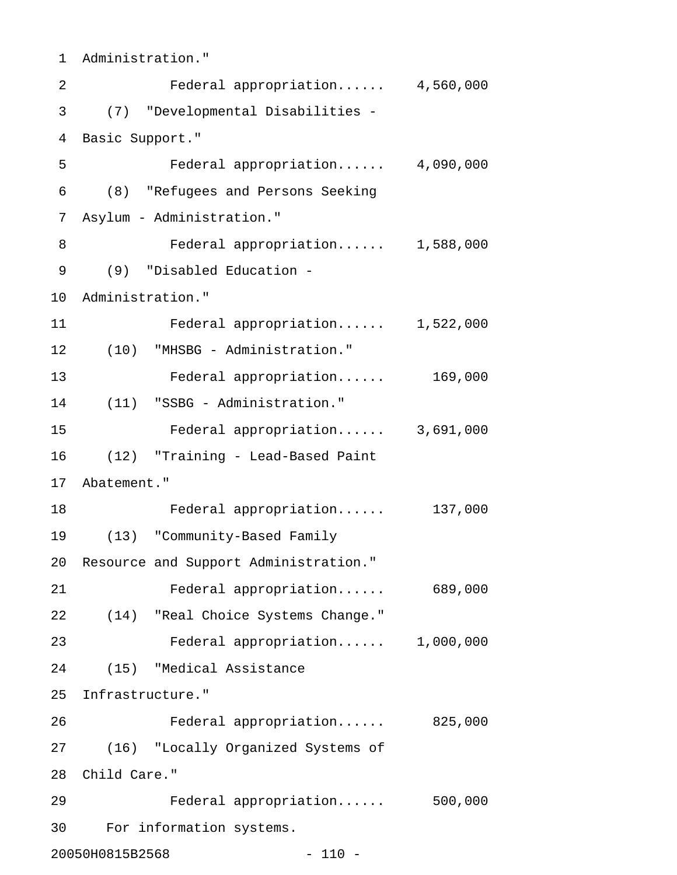1 Administration." 2 Federal appropriation...... 4,560,000 3 (7) "Developmental Disabilities - 4 Basic Support." 5 Federal appropriation...... 4,090,000 6 (8) "Refugees and Persons Seeking 7 Asylum - Administration." 8 Federal appropriation...... 1,588,000 9 (9) "Disabled Education - 10 Administration." 11 Federal appropriation...... 1,522,000 12 (10) "MHSBG - Administration." 13 Federal appropriation...... 169,000 14 (11) "SSBG - Administration." 15 Federal appropriation...... 3,691,000 16 (12) "Training - Lead-Based Paint 17 Abatement." 18 Federal appropriation...... 137,000 19 (13) "Community-Based Family 20 Resource and Support Administration." 21 Federal appropriation...... 689,000 22 (14) "Real Choice Systems Change." 23 Federal appropriation...... 1,000,000 24 (15) "Medical Assistance 25 Infrastructure." 26 Federal appropriation...... 825,000 27 (16) "Locally Organized Systems of 28 Child Care." 29 Federal appropriation...... 500,000 30 For information systems.

20050H0815B2568 - 110 -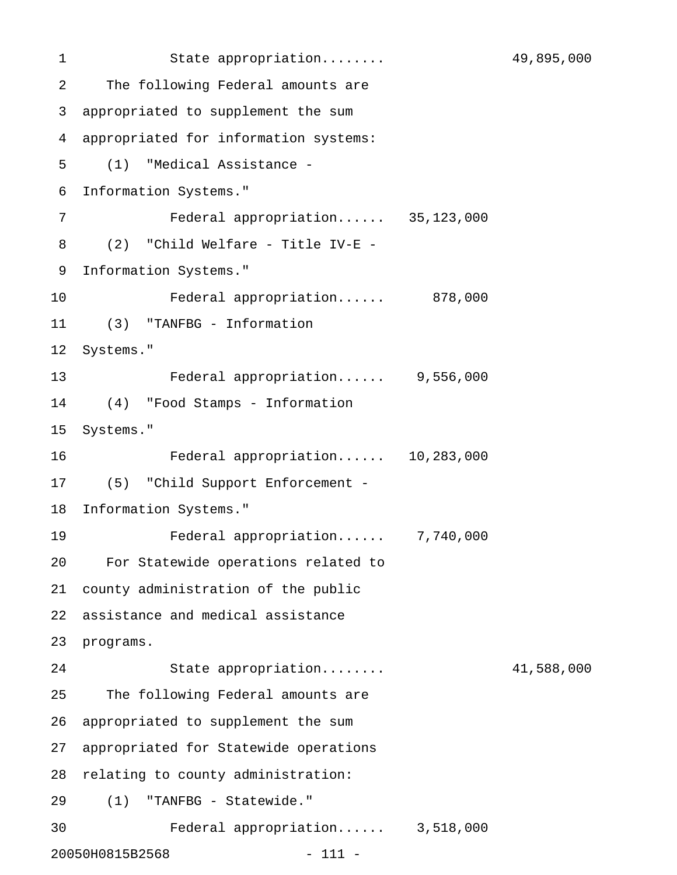1 State appropriation........ 49,895,000 2 The following Federal amounts are 3 appropriated to supplement the sum 4 appropriated for information systems: 5 (1) "Medical Assistance - 6 Information Systems." 7 Federal appropriation...... 35,123,000 8 (2) "Child Welfare - Title IV-E - 9 Information Systems." 10 Federal appropriation...... 878,000 11 (3) "TANFBG - Information 12 Systems." 13 Federal appropriation...... 9,556,000 14 (4) "Food Stamps - Information 15 Systems." 16 Federal appropriation...... 10,283,000 17 (5) "Child Support Enforcement - 18 Information Systems." 19 Federal appropriation...... 7,740,000 20 For Statewide operations related to 21 county administration of the public 22 assistance and medical assistance 23 programs. 24 State appropriation........ 41,588,000 25 The following Federal amounts are 26 appropriated to supplement the sum 27 appropriated for Statewide operations 28 relating to county administration: 29 (1) "TANFBG - Statewide." 30 Federal appropriation...... 3,518,000 20050H0815B2568 - 111 -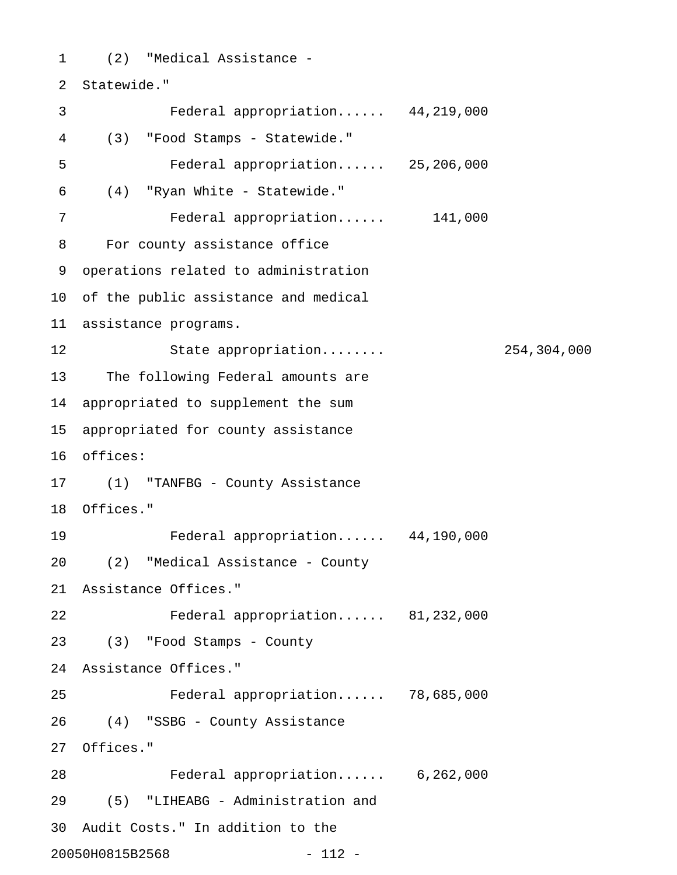1 (2) "Medical Assistance -

2 Statewide." 3 Federal appropriation...... 44,219,000 4 (3) "Food Stamps - Statewide." 5 Federal appropriation...... 25,206,000 6 (4) "Ryan White - Statewide." 7 Federal appropriation...... 141,000 8 For county assistance office 9 operations related to administration 10 of the public assistance and medical 11 assistance programs. 12 State appropriation........ 254,304,000 13 The following Federal amounts are 14 appropriated to supplement the sum 15 appropriated for county assistance 16 offices: 17 (1) "TANFBG - County Assistance 18 Offices." 19 Federal appropriation...... 44,190,000 20 (2) "Medical Assistance - County 21 Assistance Offices." 22 Federal appropriation...... 81,232,000 23 (3) "Food Stamps - County 24 Assistance Offices." 25 Federal appropriation...... 78,685,000 26 (4) "SSBG - County Assistance 27 Offices." 28 Federal appropriation...... 6,262,000 29 (5) "LIHEABG - Administration and 30 Audit Costs." In addition to the 20050H0815B2568 - 112 -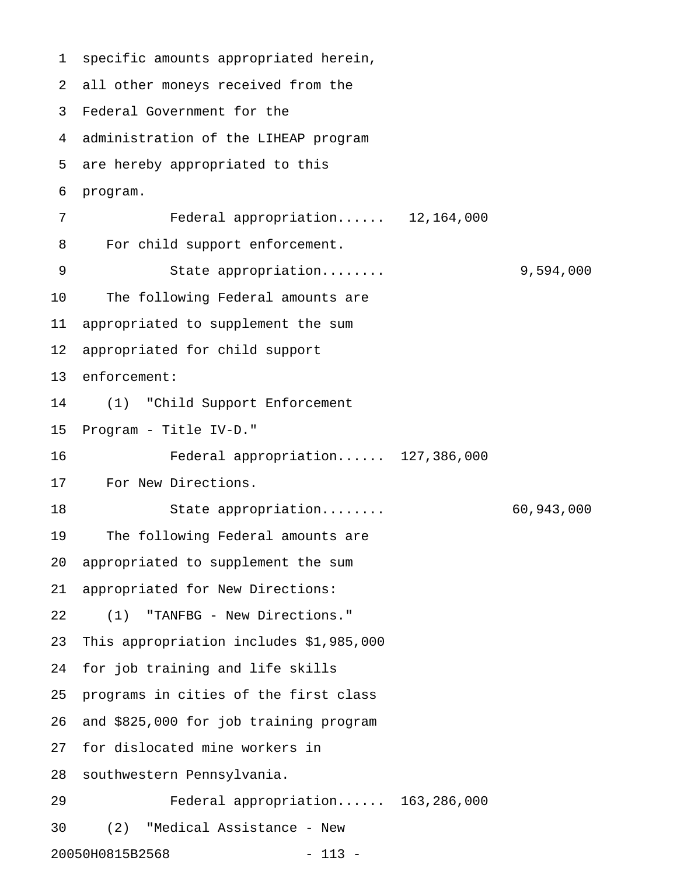1 specific amounts appropriated herein, 2 all other moneys received from the 3 Federal Government for the 4 administration of the LIHEAP program 5 are hereby appropriated to this 6 program. 7 Federal appropriation...... 12,164,000 8 For child support enforcement. 9 State appropriation........ 9,594,000 10 The following Federal amounts are 11 appropriated to supplement the sum 12 appropriated for child support 13 enforcement: 14 (1) "Child Support Enforcement 15 Program - Title IV-D." 16 Federal appropriation...... 127,386,000 17 For New Directions. 18 State appropriation........ 60,943,000 19 The following Federal amounts are 20 appropriated to supplement the sum 21 appropriated for New Directions: 22 (1) "TANFBG - New Directions." 23 This appropriation includes \$1,985,000 24 for job training and life skills 25 programs in cities of the first class 26 and \$825,000 for job training program 27 for dislocated mine workers in 28 southwestern Pennsylvania. 29 Federal appropriation...... 163,286,000 30 (2) "Medical Assistance - New 20050H0815B2568 - 113 -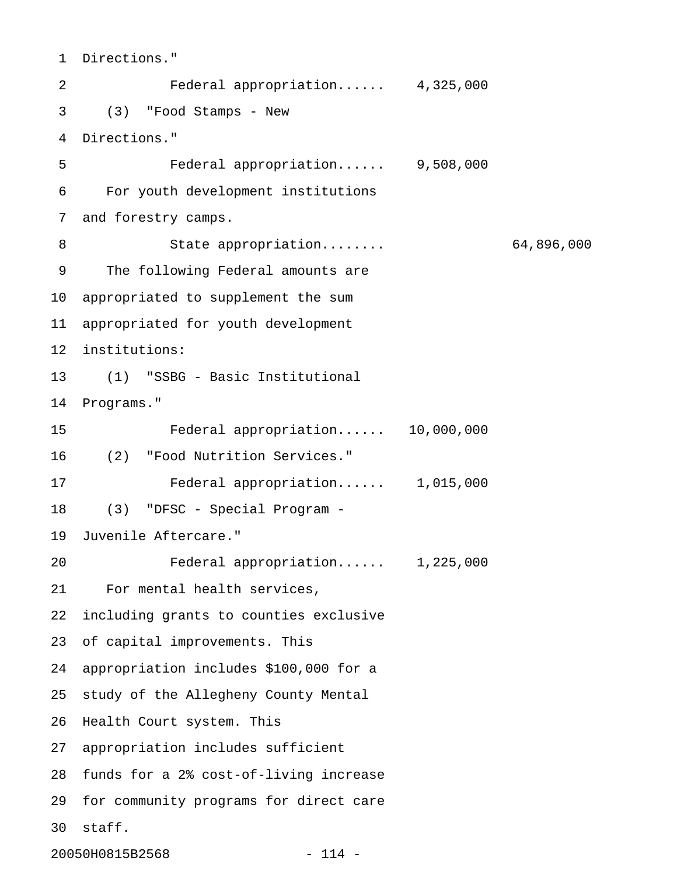1 Directions." 2 Federal appropriation...... 4,325,000 3 (3) "Food Stamps - New 4 Directions." 5 Federal appropriation...... 9,508,000 6 For youth development institutions 7 and forestry camps. 8 State appropriation........ 64,896,000 9 The following Federal amounts are 10 appropriated to supplement the sum 11 appropriated for youth development 12 institutions: 13 (1) "SSBG - Basic Institutional 14 Programs." 15 Federal appropriation...... 10,000,000 16 (2) "Food Nutrition Services." 17 Federal appropriation...... 1,015,000 18 (3) "DFSC - Special Program - 19 Juvenile Aftercare." 20 Federal appropriation...... 1,225,000 21 For mental health services, 22 including grants to counties exclusive 23 of capital improvements. This 24 appropriation includes \$100,000 for a 25 study of the Allegheny County Mental 26 Health Court system. This 27 appropriation includes sufficient 28 funds for a 2% cost-of-living increase 29 for community programs for direct care 30 staff.

20050H0815B2568 - 114 -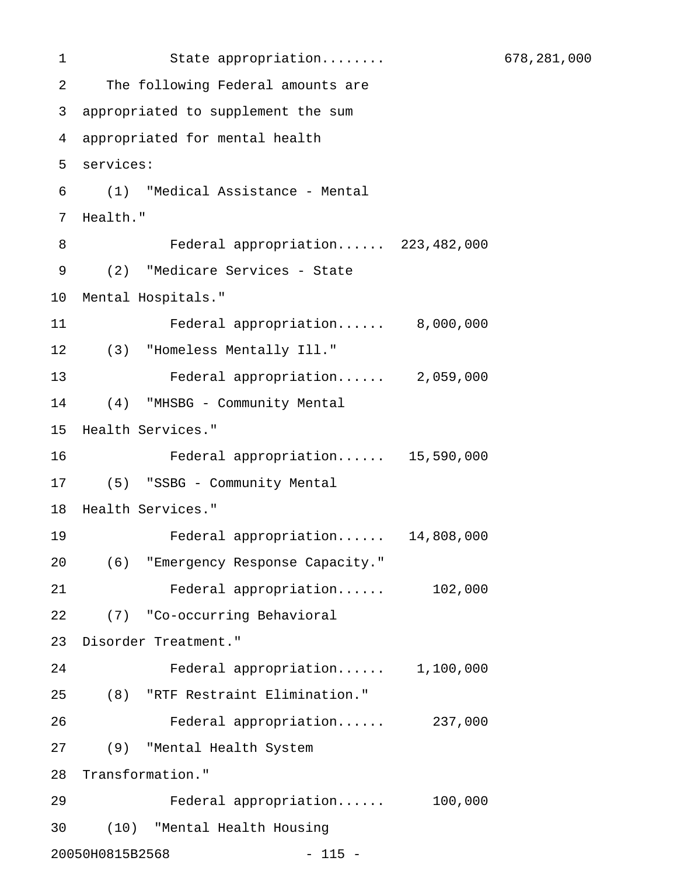1 State appropriation........ 678,281,000 2 The following Federal amounts are 3 appropriated to supplement the sum 4 appropriated for mental health 5 services: 6 (1) "Medical Assistance - Mental 7 Health." 8 Federal appropriation...... 223,482,000 9 (2) "Medicare Services - State 10 Mental Hospitals." 11 Federal appropriation...... 8,000,000 12 (3) "Homeless Mentally Ill." 13 Federal appropriation...... 2,059,000 14 (4) "MHSBG - Community Mental 15 Health Services." 16 Federal appropriation...... 15,590,000 17 (5) "SSBG - Community Mental 18 Health Services." 19 Federal appropriation...... 14,808,000 20 (6) "Emergency Response Capacity." 21 Federal appropriation...... 102,000 22 (7) "Co-occurring Behavioral 23 Disorder Treatment." 24 Federal appropriation...... 1,100,000 25 (8) "RTF Restraint Elimination." 26 Federal appropriation...... 237,000 27 (9) "Mental Health System 28 Transformation." 29 Federal appropriation...... 100,000 30 (10) "Mental Health Housing 20050H0815B2568 - 115 -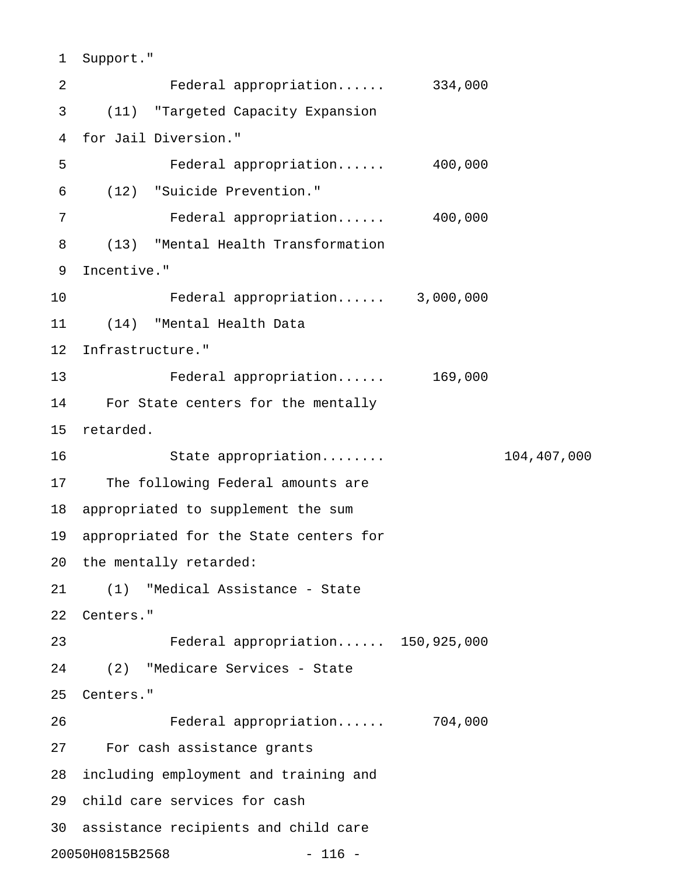1 Support." 2 Federal appropriation...... 334,000 3 (11) "Targeted Capacity Expansion 4 for Jail Diversion." 5 Federal appropriation...... 400,000 6 (12) "Suicide Prevention." 7 Federal appropriation...... 400,000 8 (13) "Mental Health Transformation 9 Incentive." 10 Federal appropriation...... 3,000,000 11 (14) "Mental Health Data 12 Infrastructure." 13 Federal appropriation...... 169,000 14 For State centers for the mentally 15 retarded. 16 State appropriation........ 104,407,000 17 The following Federal amounts are 18 appropriated to supplement the sum 19 appropriated for the State centers for 20 the mentally retarded: 21 (1) "Medical Assistance - State 22 Centers." 23 Federal appropriation...... 150,925,000 24 (2) "Medicare Services - State 25 Centers." 26 Federal appropriation...... 704,000 27 For cash assistance grants 28 including employment and training and 29 child care services for cash 30 assistance recipients and child care

20050H0815B2568 - 116 -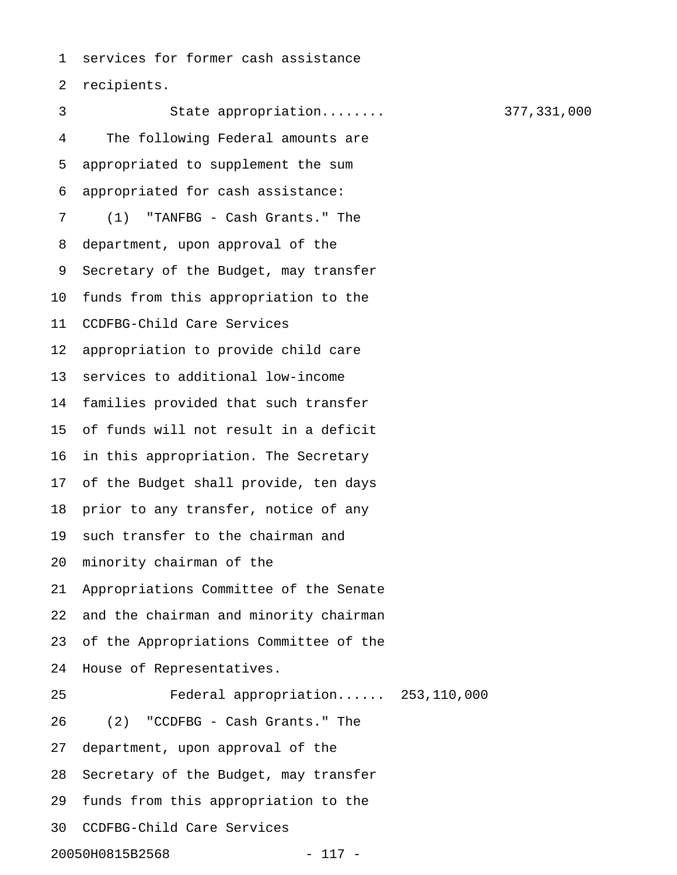1 services for former cash assistance

2 recipients.

3 State appropriation........ 377,331,000 4 The following Federal amounts are 5 appropriated to supplement the sum 6 appropriated for cash assistance: 7 (1) "TANFBG - Cash Grants." The 8 department, upon approval of the 9 Secretary of the Budget, may transfer 10 funds from this appropriation to the 11 CCDFBG-Child Care Services 12 appropriation to provide child care 13 services to additional low-income 14 families provided that such transfer 15 of funds will not result in a deficit 16 in this appropriation. The Secretary 17 of the Budget shall provide, ten days 18 prior to any transfer, notice of any 19 such transfer to the chairman and 20 minority chairman of the 21 Appropriations Committee of the Senate 22 and the chairman and minority chairman 23 of the Appropriations Committee of the 24 House of Representatives. 25 Federal appropriation...... 253,110,000 26 (2) "CCDFBG - Cash Grants." The 27 department, upon approval of the 28 Secretary of the Budget, may transfer 29 funds from this appropriation to the 30 CCDFBG-Child Care Services 20050H0815B2568 - 117 -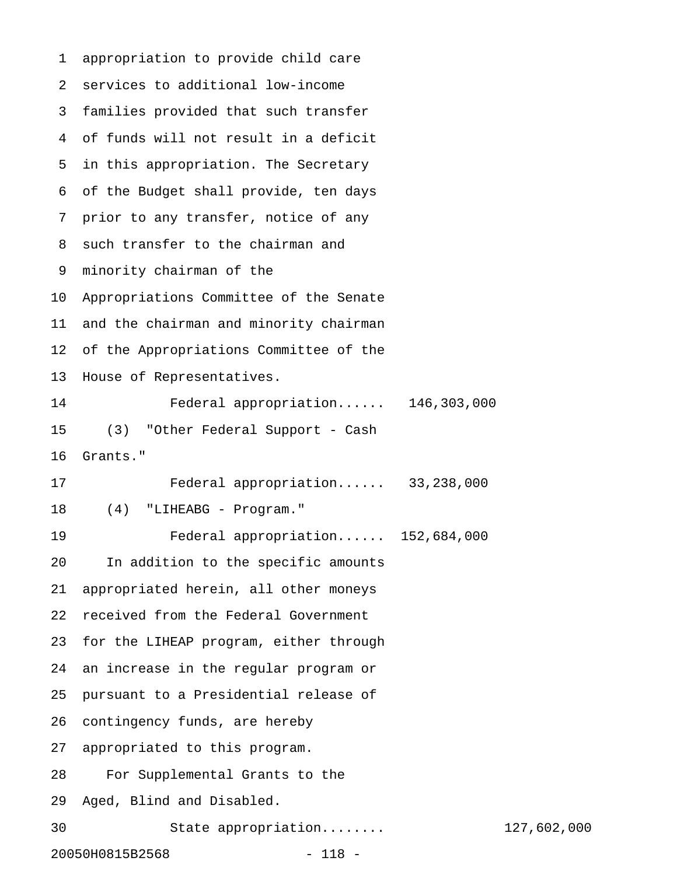1 appropriation to provide child care 2 services to additional low-income 3 families provided that such transfer 4 of funds will not result in a deficit 5 in this appropriation. The Secretary 6 of the Budget shall provide, ten days 7 prior to any transfer, notice of any 8 such transfer to the chairman and 9 minority chairman of the 10 Appropriations Committee of the Senate 11 and the chairman and minority chairman 12 of the Appropriations Committee of the 13 House of Representatives. 14 Federal appropriation...... 146,303,000 15 (3) "Other Federal Support - Cash 16 Grants." 17 Federal appropriation...... 33,238,000 18 (4) "LIHEABG - Program." 19 Federal appropriation...... 152,684,000 20 In addition to the specific amounts 21 appropriated herein, all other moneys 22 received from the Federal Government 23 for the LIHEAP program, either through 24 an increase in the regular program or 25 pursuant to a Presidential release of 26 contingency funds, are hereby 27 appropriated to this program. 28 For Supplemental Grants to the 29 Aged, Blind and Disabled. 30 State appropriation........ 127,602,000 20050H0815B2568 - 118 -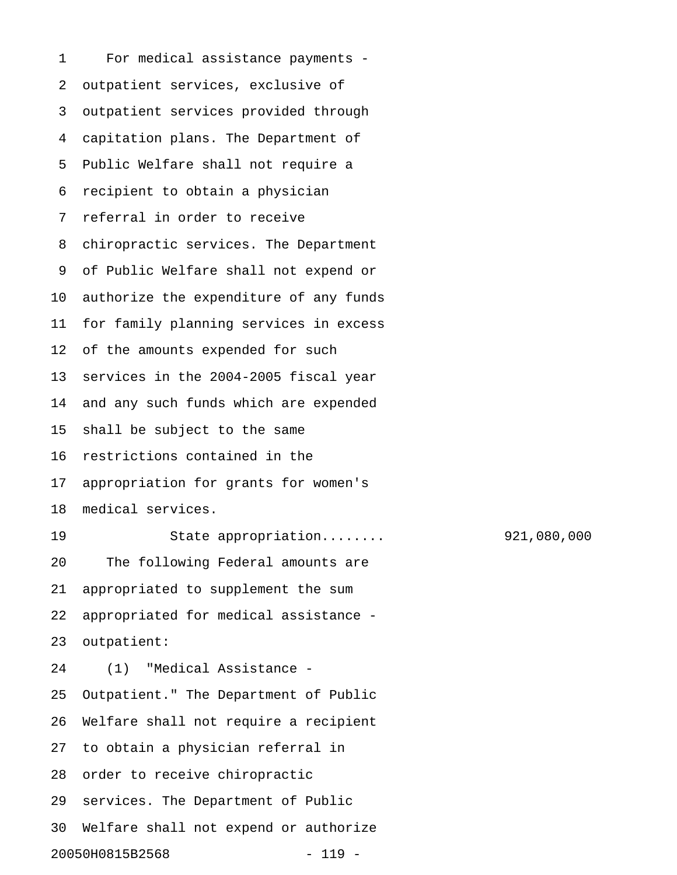1 For medical assistance payments - 2 outpatient services, exclusive of 3 outpatient services provided through 4 capitation plans. The Department of 5 Public Welfare shall not require a 6 recipient to obtain a physician 7 referral in order to receive 8 chiropractic services. The Department 9 of Public Welfare shall not expend or 10 authorize the expenditure of any funds 11 for family planning services in excess 12 of the amounts expended for such 13 services in the 2004-2005 fiscal year 14 and any such funds which are expended 15 shall be subject to the same 16 restrictions contained in the 17 appropriation for grants for women's 18 medical services. 19 State appropriation........ 921,080,000 20 The following Federal amounts are 21 appropriated to supplement the sum 22 appropriated for medical assistance - 23 outpatient: 24 (1) "Medical Assistance - 25 Outpatient." The Department of Public 26 Welfare shall not require a recipient 27 to obtain a physician referral in 28 order to receive chiropractic 29 services. The Department of Public 30 Welfare shall not expend or authorize 20050H0815B2568 - 119 -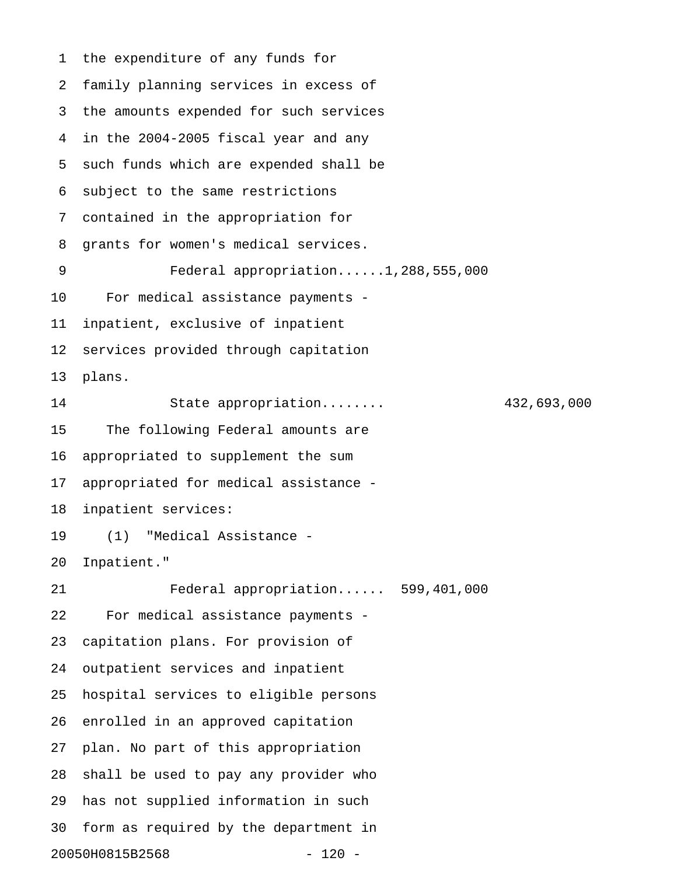1 the expenditure of any funds for 2 family planning services in excess of 3 the amounts expended for such services 4 in the 2004-2005 fiscal year and any 5 such funds which are expended shall be 6 subject to the same restrictions 7 contained in the appropriation for 8 grants for women's medical services. 9 Federal appropriation......1,288,555,000 10 For medical assistance payments - 11 inpatient, exclusive of inpatient 12 services provided through capitation 13 plans. 14 State appropriation........ 432,693,000 15 The following Federal amounts are 16 appropriated to supplement the sum 17 appropriated for medical assistance - 18 inpatient services: 19 (1) "Medical Assistance - 20 Inpatient." 21 Federal appropriation...... 599,401,000 22 For medical assistance payments - 23 capitation plans. For provision of 24 outpatient services and inpatient 25 hospital services to eligible persons 26 enrolled in an approved capitation 27 plan. No part of this appropriation 28 shall be used to pay any provider who 29 has not supplied information in such 30 form as required by the department in 20050H0815B2568 - 120 -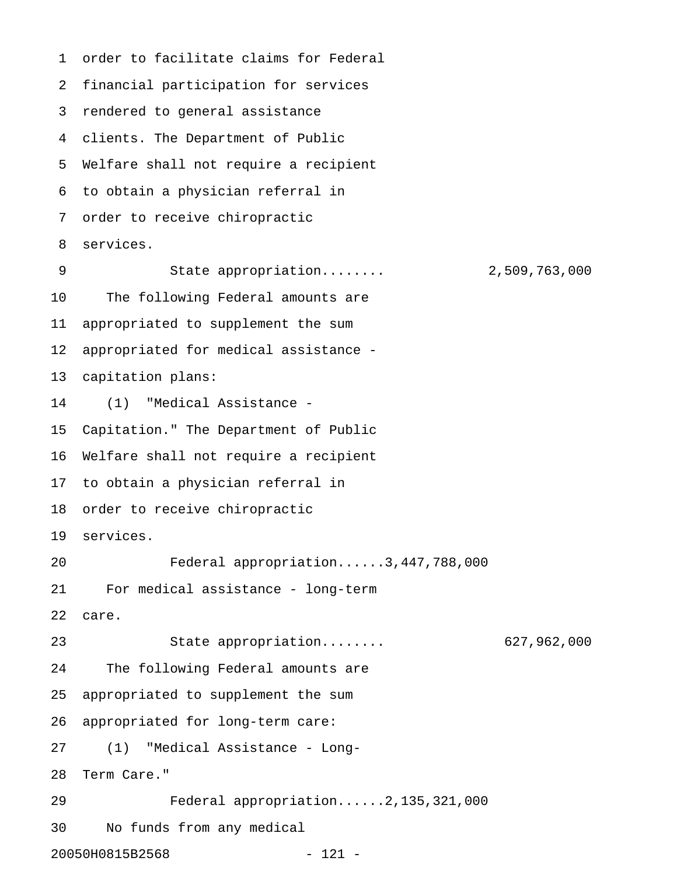1 order to facilitate claims for Federal 2 financial participation for services 3 rendered to general assistance 4 clients. The Department of Public 5 Welfare shall not require a recipient 6 to obtain a physician referral in 7 order to receive chiropractic 8 services. 9 State appropriation........ 2,509,763,000 10 The following Federal amounts are 11 appropriated to supplement the sum 12 appropriated for medical assistance - 13 capitation plans: 14 (1) "Medical Assistance - 15 Capitation." The Department of Public 16 Welfare shall not require a recipient 17 to obtain a physician referral in 18 order to receive chiropractic 19 services. 20 Federal appropriation......3,447,788,000 21 For medical assistance - long-term 22 care. 23 State appropriation........ 627,962,000 24 The following Federal amounts are 25 appropriated to supplement the sum 26 appropriated for long-term care: 27 (1) "Medical Assistance - Long-28 Term Care." 29 Federal appropriation......2,135,321,000 30 No funds from any medical

20050H0815B2568 - 121 -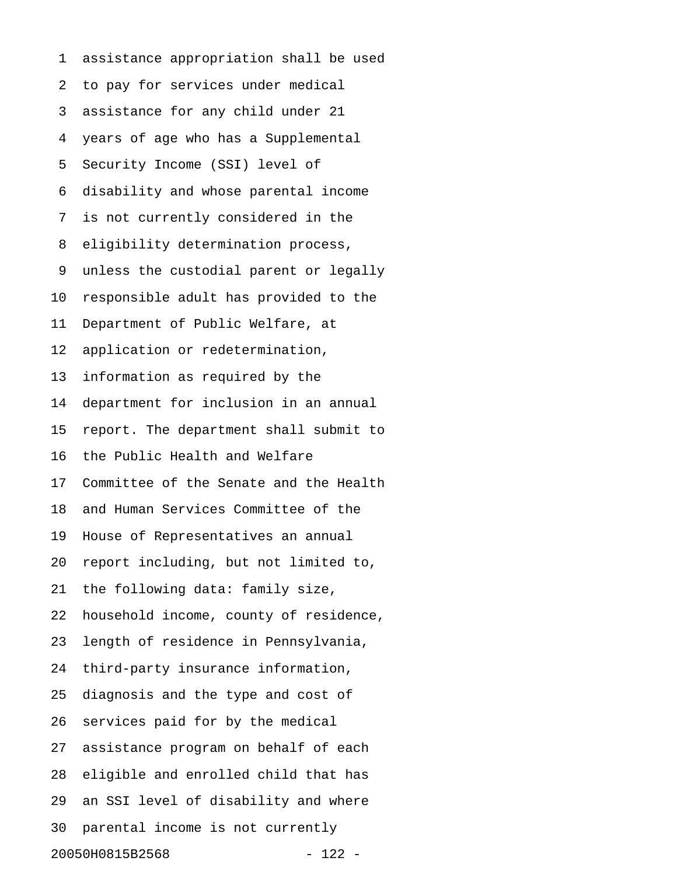1 assistance appropriation shall be used 2 to pay for services under medical 3 assistance for any child under 21 4 years of age who has a Supplemental 5 Security Income (SSI) level of 6 disability and whose parental income 7 is not currently considered in the 8 eligibility determination process, 9 unless the custodial parent or legally 10 responsible adult has provided to the 11 Department of Public Welfare, at 12 application or redetermination, 13 information as required by the 14 department for inclusion in an annual 15 report. The department shall submit to 16 the Public Health and Welfare 17 Committee of the Senate and the Health 18 and Human Services Committee of the 19 House of Representatives an annual 20 report including, but not limited to, 21 the following data: family size, 22 household income, county of residence, 23 length of residence in Pennsylvania, 24 third-party insurance information, 25 diagnosis and the type and cost of 26 services paid for by the medical 27 assistance program on behalf of each 28 eligible and enrolled child that has 29 an SSI level of disability and where 30 parental income is not currently 20050H0815B2568 - 122 -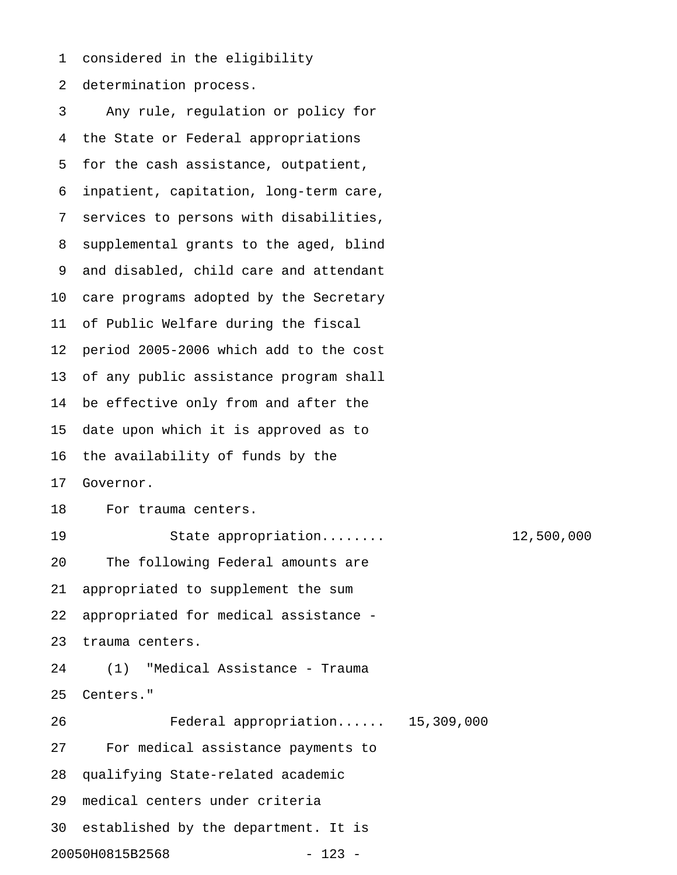1 considered in the eligibility

2 determination process.

3 Any rule, regulation or policy for 4 the State or Federal appropriations 5 for the cash assistance, outpatient, 6 inpatient, capitation, long-term care, 7 services to persons with disabilities, 8 supplemental grants to the aged, blind 9 and disabled, child care and attendant 10 care programs adopted by the Secretary 11 of Public Welfare during the fiscal 12 period 2005-2006 which add to the cost 13 of any public assistance program shall 14 be effective only from and after the 15 date upon which it is approved as to 16 the availability of funds by the 17 Governor. 18 For trauma centers. 19 State appropriation........ 12,500,000 20 The following Federal amounts are 21 appropriated to supplement the sum 22 appropriated for medical assistance - 23 trauma centers. 24 (1) "Medical Assistance - Trauma 25 Centers." 26 Federal appropriation...... 15,309,000 27 For medical assistance payments to 28 qualifying State-related academic 29 medical centers under criteria 30 established by the department. It is 20050H0815B2568 - 123 -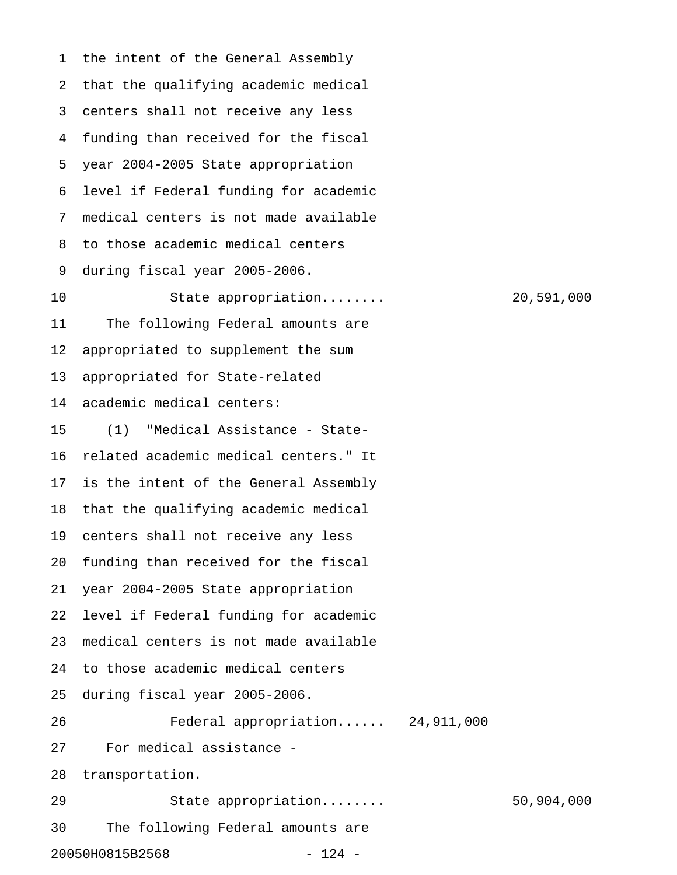1 the intent of the General Assembly 2 that the qualifying academic medical 3 centers shall not receive any less 4 funding than received for the fiscal 5 year 2004-2005 State appropriation 6 level if Federal funding for academic 7 medical centers is not made available 8 to those academic medical centers 9 during fiscal year 2005-2006. 10 State appropriation........ 20,591,000 11 The following Federal amounts are 12 appropriated to supplement the sum 13 appropriated for State-related 14 academic medical centers: 15 (1) "Medical Assistance - State-16 related academic medical centers." It 17 is the intent of the General Assembly 18 that the qualifying academic medical 19 centers shall not receive any less 20 funding than received for the fiscal 21 year 2004-2005 State appropriation 22 level if Federal funding for academic 23 medical centers is not made available 24 to those academic medical centers 25 during fiscal year 2005-2006. 26 Federal appropriation...... 24,911,000 27 For medical assistance - 28 transportation. 29 State appropriation........ 50,904,000 30 The following Federal amounts are 20050H0815B2568 - 124 -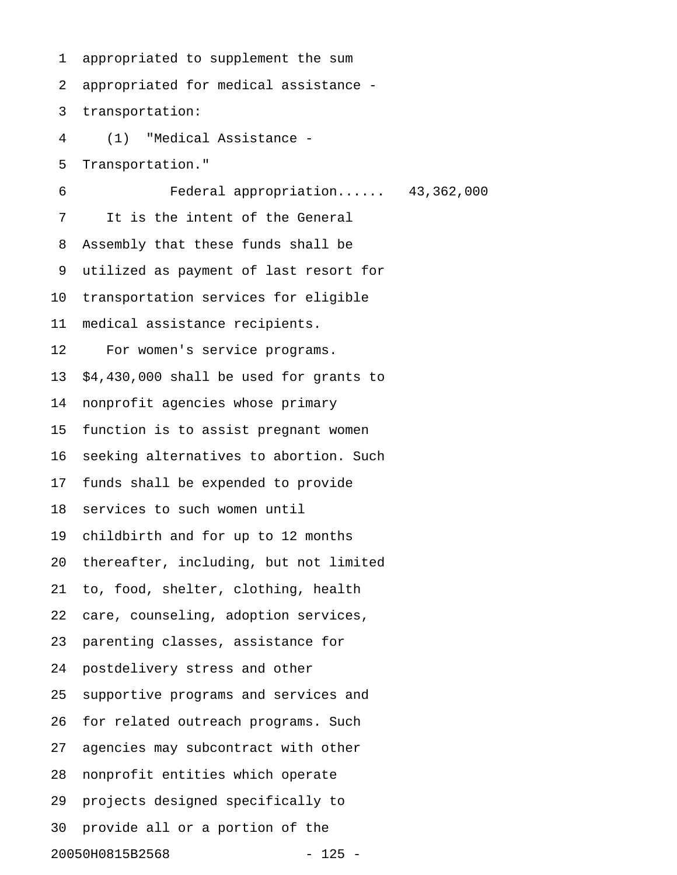1 appropriated to supplement the sum 2 appropriated for medical assistance - 3 transportation: 4 (1) "Medical Assistance - 5 Transportation." 6 Federal appropriation...... 43,362,000 7 It is the intent of the General 8 Assembly that these funds shall be 9 utilized as payment of last resort for 10 transportation services for eligible 11 medical assistance recipients. 12 For women's service programs. 13 \$4,430,000 shall be used for grants to 14 nonprofit agencies whose primary 15 function is to assist pregnant women 16 seeking alternatives to abortion. Such 17 funds shall be expended to provide 18 services to such women until 19 childbirth and for up to 12 months 20 thereafter, including, but not limited 21 to, food, shelter, clothing, health 22 care, counseling, adoption services, 23 parenting classes, assistance for 24 postdelivery stress and other 25 supportive programs and services and 26 for related outreach programs. Such 27 agencies may subcontract with other 28 nonprofit entities which operate 29 projects designed specifically to 30 provide all or a portion of the 20050H0815B2568 - 125 -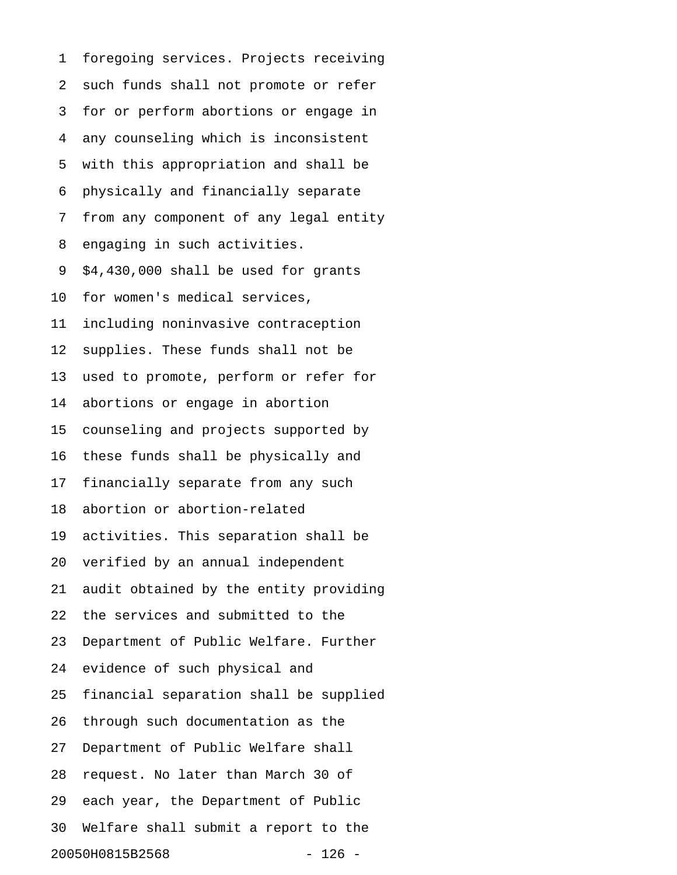1 foregoing services. Projects receiving 2 such funds shall not promote or refer 3 for or perform abortions or engage in 4 any counseling which is inconsistent 5 with this appropriation and shall be 6 physically and financially separate 7 from any component of any legal entity 8 engaging in such activities. 9 \$4,430,000 shall be used for grants 10 for women's medical services, 11 including noninvasive contraception 12 supplies. These funds shall not be 13 used to promote, perform or refer for 14 abortions or engage in abortion 15 counseling and projects supported by 16 these funds shall be physically and 17 financially separate from any such 18 abortion or abortion-related 19 activities. This separation shall be 20 verified by an annual independent 21 audit obtained by the entity providing 22 the services and submitted to the 23 Department of Public Welfare. Further 24 evidence of such physical and 25 financial separation shall be supplied 26 through such documentation as the 27 Department of Public Welfare shall 28 request. No later than March 30 of 29 each year, the Department of Public 30 Welfare shall submit a report to the 20050H0815B2568 - 126 -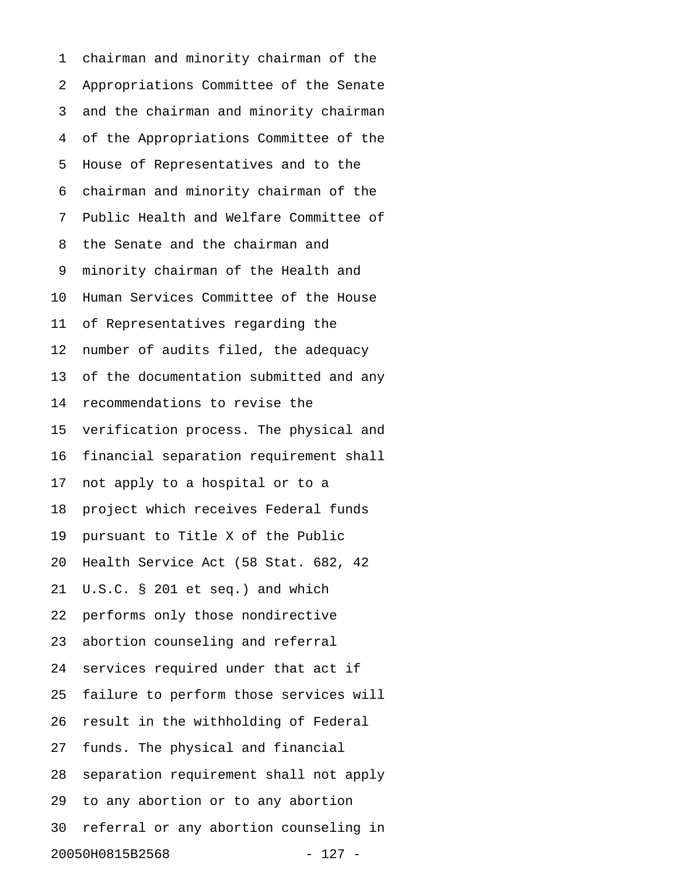1 chairman and minority chairman of the 2 Appropriations Committee of the Senate 3 and the chairman and minority chairman 4 of the Appropriations Committee of the 5 House of Representatives and to the 6 chairman and minority chairman of the 7 Public Health and Welfare Committee of 8 the Senate and the chairman and 9 minority chairman of the Health and 10 Human Services Committee of the House 11 of Representatives regarding the 12 number of audits filed, the adequacy 13 of the documentation submitted and any 14 recommendations to revise the 15 verification process. The physical and 16 financial separation requirement shall 17 not apply to a hospital or to a 18 project which receives Federal funds 19 pursuant to Title X of the Public 20 Health Service Act (58 Stat. 682, 42 21 U.S.C. § 201 et seq.) and which 22 performs only those nondirective 23 abortion counseling and referral 24 services required under that act if 25 failure to perform those services will 26 result in the withholding of Federal 27 funds. The physical and financial 28 separation requirement shall not apply 29 to any abortion or to any abortion 30 referral or any abortion counseling in 20050H0815B2568 - 127 -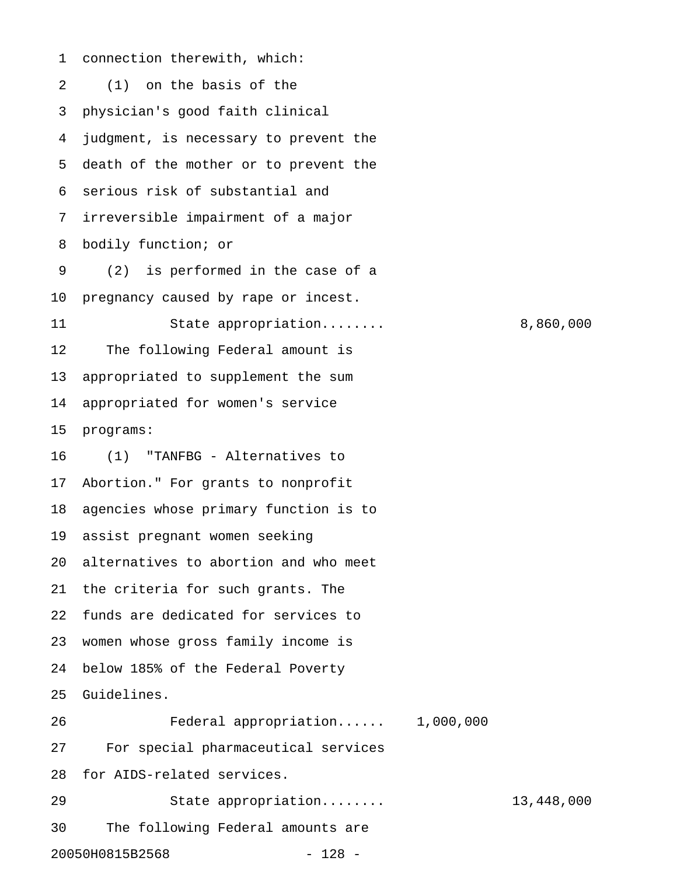1 connection therewith, which: 2 (1) on the basis of the 3 physician's good faith clinical 4 judgment, is necessary to prevent the 5 death of the mother or to prevent the 6 serious risk of substantial and 7 irreversible impairment of a major 8 bodily function; or 9 (2) is performed in the case of a 10 pregnancy caused by rape or incest. 11 State appropriation........ 8,860,000 12 The following Federal amount is 13 appropriated to supplement the sum 14 appropriated for women's service 15 programs: 16 (1) "TANFBG - Alternatives to 17 Abortion." For grants to nonprofit 18 agencies whose primary function is to 19 assist pregnant women seeking 20 alternatives to abortion and who meet 21 the criteria for such grants. The 22 funds are dedicated for services to 23 women whose gross family income is 24 below 185% of the Federal Poverty 25 Guidelines. 26 Federal appropriation...... 1,000,000 27 For special pharmaceutical services 28 for AIDS-related services. 29 State appropriation........ 13,448,000 30 The following Federal amounts are

20050H0815B2568 - 128 -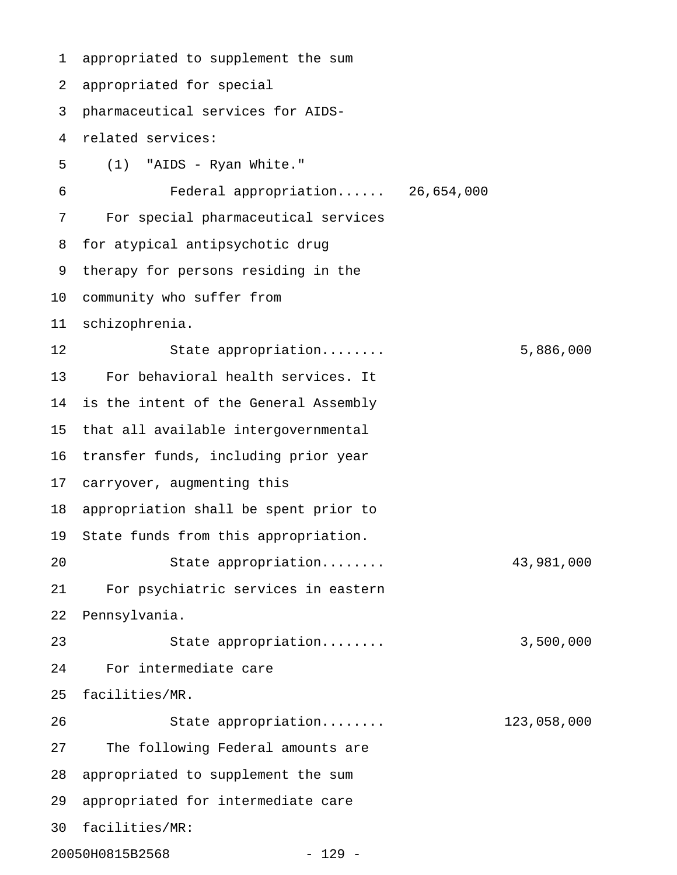1 appropriated to supplement the sum 2 appropriated for special 3 pharmaceutical services for AIDS-4 related services: 5 (1) "AIDS - Ryan White." 6 Federal appropriation...... 26,654,000 7 For special pharmaceutical services 8 for atypical antipsychotic drug 9 therapy for persons residing in the 10 community who suffer from 11 schizophrenia. 12 State appropriation........ 5,886,000 13 For behavioral health services. It 14 is the intent of the General Assembly 15 that all available intergovernmental 16 transfer funds, including prior year 17 carryover, augmenting this 18 appropriation shall be spent prior to 19 State funds from this appropriation. 20 State appropriation........ 43,981,000 21 For psychiatric services in eastern 22 Pennsylvania. 23 State appropriation........ 3,500,000 24 For intermediate care 25 facilities/MR. 26 State appropriation........ 123,058,000 27 The following Federal amounts are 28 appropriated to supplement the sum 29 appropriated for intermediate care 30 facilities/MR: 20050H0815B2568 - 129 -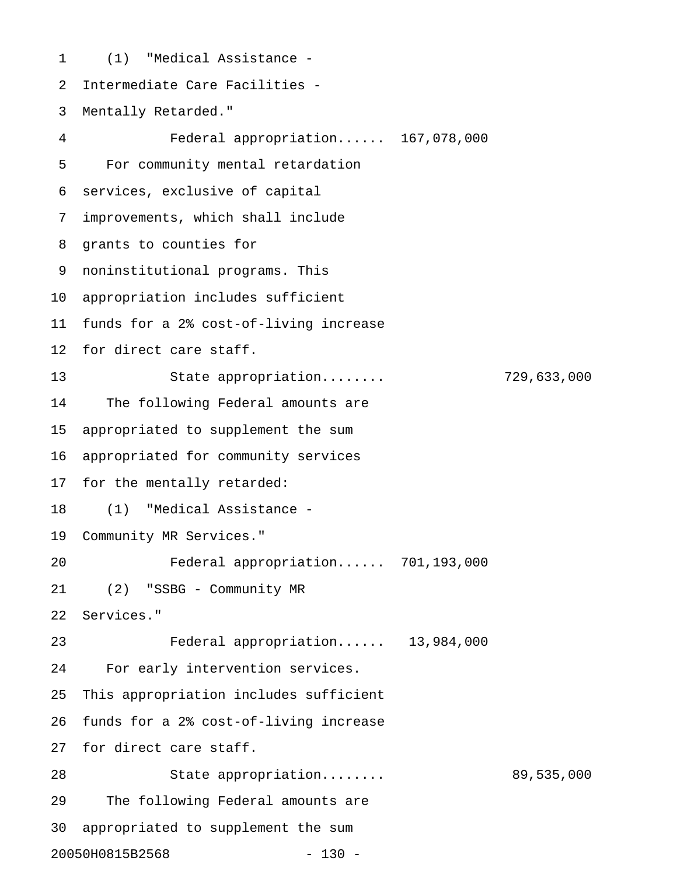1 (1) "Medical Assistance - 2 Intermediate Care Facilities - 3 Mentally Retarded." 4 Federal appropriation...... 167,078,000 5 For community mental retardation 6 services, exclusive of capital 7 improvements, which shall include 8 grants to counties for 9 noninstitutional programs. This 10 appropriation includes sufficient 11 funds for a 2% cost-of-living increase 12 for direct care staff. 13 State appropriation........ 729,633,000 14 The following Federal amounts are 15 appropriated to supplement the sum 16 appropriated for community services 17 for the mentally retarded: 18 (1) "Medical Assistance - 19 Community MR Services." 20 Federal appropriation...... 701,193,000 21 (2) "SSBG - Community MR 22 Services." 23 Federal appropriation...... 13,984,000 24 For early intervention services. 25 This appropriation includes sufficient 26 funds for a 2% cost-of-living increase 27 for direct care staff. 28 State appropriation........ 89,535,000 29 The following Federal amounts are 30 appropriated to supplement the sum 20050H0815B2568 - 130 -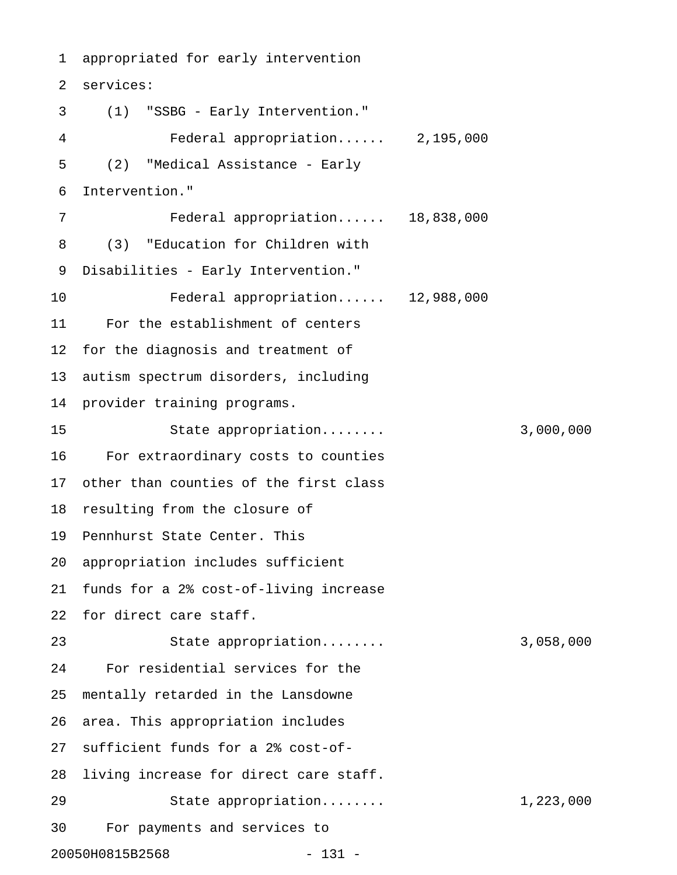1 appropriated for early intervention 2 services: 3 (1) "SSBG - Early Intervention." 4 Federal appropriation...... 2,195,000 5 (2) "Medical Assistance - Early 6 Intervention." 7 Federal appropriation...... 18,838,000 8 (3) "Education for Children with 9 Disabilities - Early Intervention." 10 Federal appropriation...... 12,988,000 11 For the establishment of centers 12 for the diagnosis and treatment of 13 autism spectrum disorders, including 14 provider training programs. 15 State appropriation........ 3,000,000 16 For extraordinary costs to counties 17 other than counties of the first class 18 resulting from the closure of 19 Pennhurst State Center. This 20 appropriation includes sufficient 21 funds for a 2% cost-of-living increase 22 for direct care staff. 23 State appropriation........ 3,058,000 24 For residential services for the 25 mentally retarded in the Lansdowne 26 area. This appropriation includes 27 sufficient funds for a 2% cost-of-28 living increase for direct care staff. 29 State appropriation........ 1,223,000 30 For payments and services to 20050H0815B2568 - 131 -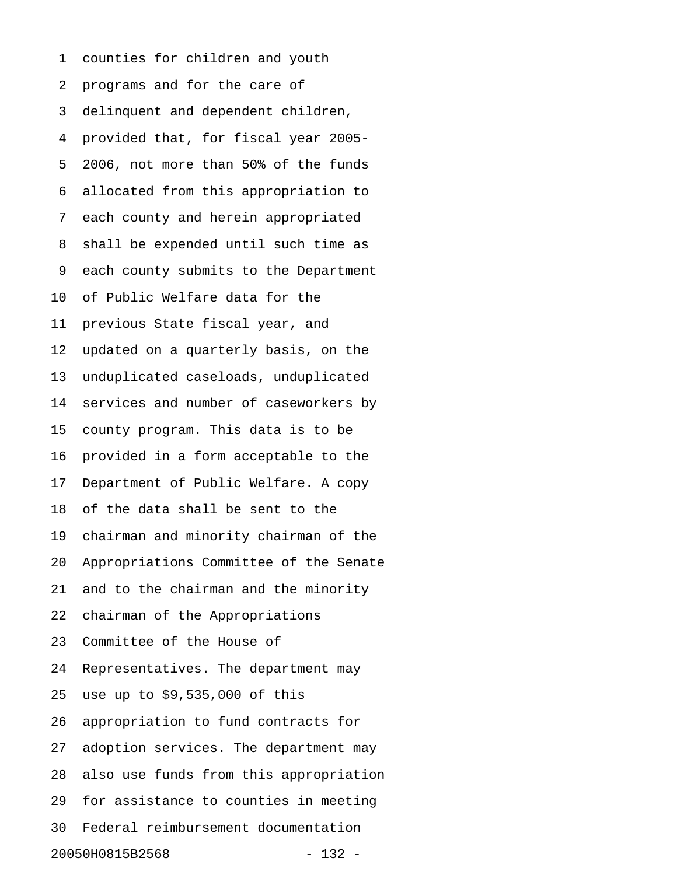1 counties for children and youth 2 programs and for the care of 3 delinquent and dependent children, 4 provided that, for fiscal year 2005- 5 2006, not more than 50% of the funds 6 allocated from this appropriation to 7 each county and herein appropriated 8 shall be expended until such time as 9 each county submits to the Department 10 of Public Welfare data for the 11 previous State fiscal year, and 12 updated on a quarterly basis, on the 13 unduplicated caseloads, unduplicated 14 services and number of caseworkers by 15 county program. This data is to be 16 provided in a form acceptable to the 17 Department of Public Welfare. A copy 18 of the data shall be sent to the 19 chairman and minority chairman of the 20 Appropriations Committee of the Senate 21 and to the chairman and the minority 22 chairman of the Appropriations 23 Committee of the House of 24 Representatives. The department may 25 use up to \$9,535,000 of this 26 appropriation to fund contracts for 27 adoption services. The department may 28 also use funds from this appropriation 29 for assistance to counties in meeting 30 Federal reimbursement documentation 20050H0815B2568 - 132 -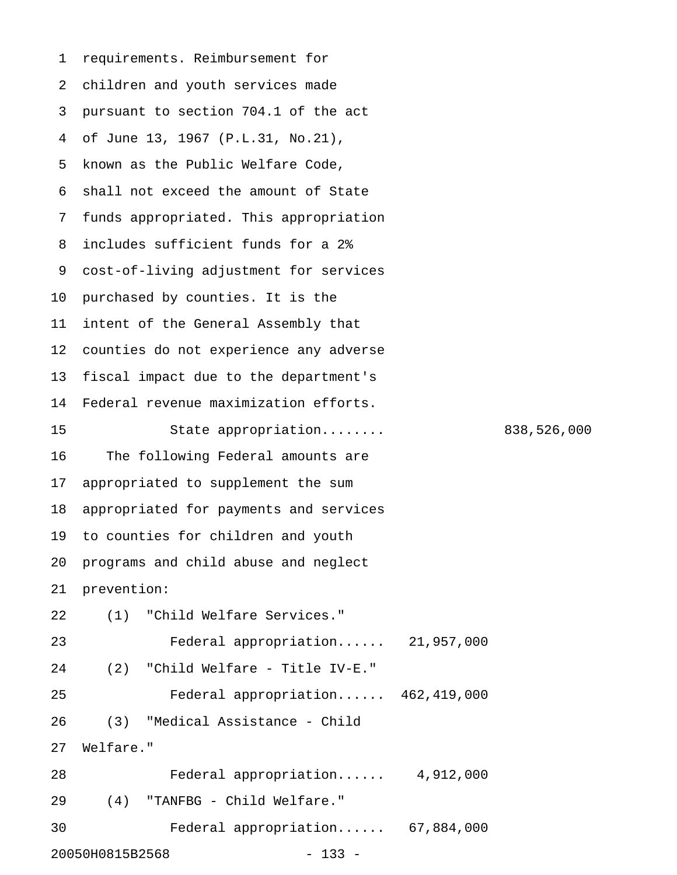1 requirements. Reimbursement for 2 children and youth services made 3 pursuant to section 704.1 of the act 4 of June 13, 1967 (P.L.31, No.21), 5 known as the Public Welfare Code, 6 shall not exceed the amount of State 7 funds appropriated. This appropriation 8 includes sufficient funds for a 2% 9 cost-of-living adjustment for services 10 purchased by counties. It is the 11 intent of the General Assembly that 12 counties do not experience any adverse 13 fiscal impact due to the department's 14 Federal revenue maximization efforts. 15 State appropriation........ 838,526,000 16 The following Federal amounts are 17 appropriated to supplement the sum 18 appropriated for payments and services 19 to counties for children and youth 20 programs and child abuse and neglect 21 prevention: 22 (1) "Child Welfare Services." 23 Federal appropriation...... 21,957,000 24 (2) "Child Welfare - Title IV-E." 25 Federal appropriation...... 462,419,000 26 (3) "Medical Assistance - Child 27 Welfare." 28 Federal appropriation...... 4,912,000 29 (4) "TANFBG - Child Welfare." 30 Federal appropriation...... 67,884,000 20050H0815B2568 - 133 -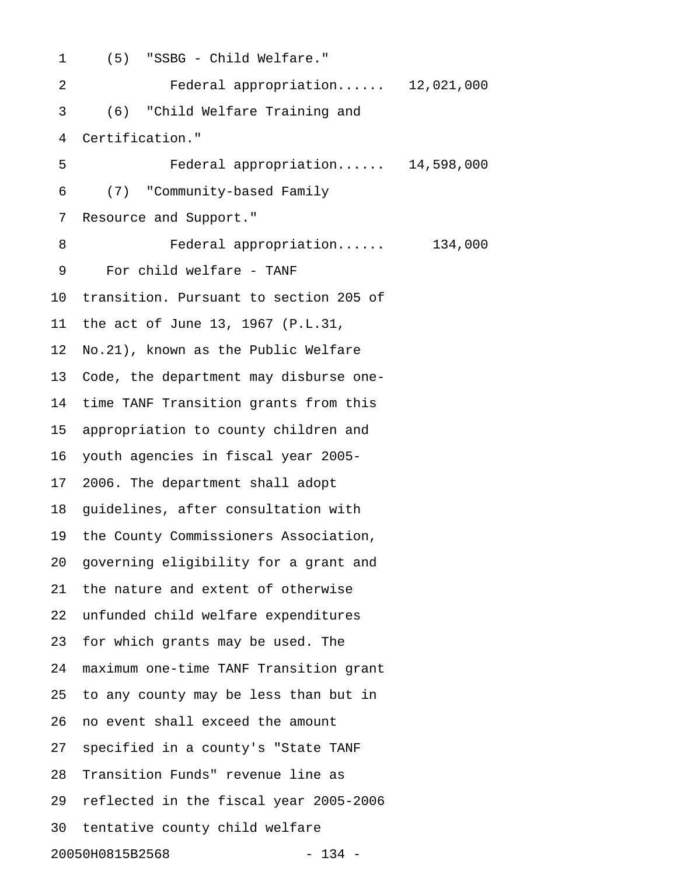1 (5) "SSBG - Child Welfare." 2 Federal appropriation...... 12,021,000 3 (6) "Child Welfare Training and 4 Certification." 5 Federal appropriation...... 14,598,000 6 (7) "Community-based Family 7 Resource and Support." 8 Federal appropriation...... 134,000 9 For child welfare - TANF 10 transition. Pursuant to section 205 of 11 the act of June 13, 1967 (P.L.31, 12 No.21), known as the Public Welfare 13 Code, the department may disburse one-14 time TANF Transition grants from this 15 appropriation to county children and 16 youth agencies in fiscal year 2005- 17 2006. The department shall adopt 18 guidelines, after consultation with 19 the County Commissioners Association, 20 governing eligibility for a grant and 21 the nature and extent of otherwise 22 unfunded child welfare expenditures 23 for which grants may be used. The 24 maximum one-time TANF Transition grant 25 to any county may be less than but in 26 no event shall exceed the amount 27 specified in a county's "State TANF 28 Transition Funds" revenue line as 29 reflected in the fiscal year 2005-2006 30 tentative county child welfare 20050H0815B2568 - 134 -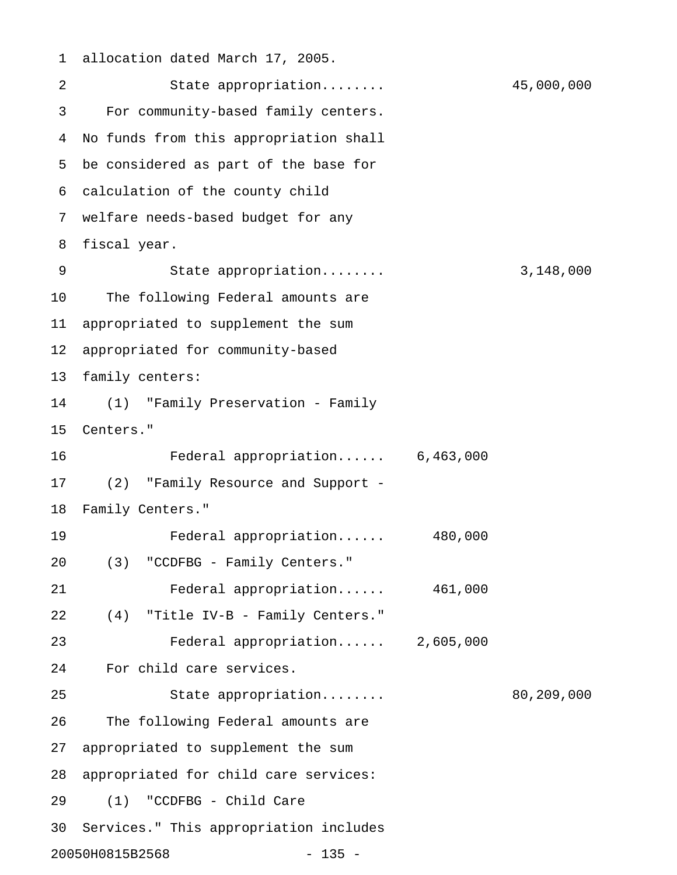1 allocation dated March 17, 2005.

2 State appropriation........ 45,000,000 3 For community-based family centers. 4 No funds from this appropriation shall 5 be considered as part of the base for 6 calculation of the county child 7 welfare needs-based budget for any 8 fiscal year. 9 State appropriation........ 3,148,000 10 The following Federal amounts are 11 appropriated to supplement the sum 12 appropriated for community-based 13 family centers: 14 (1) "Family Preservation - Family 15 Centers." 16 Federal appropriation...... 6,463,000 17 (2) "Family Resource and Support - 18 Family Centers." 19 Federal appropriation...... 480,000 20 (3) "CCDFBG - Family Centers." 21 Federal appropriation...... 461,000 22 (4) "Title IV-B - Family Centers." 23 Federal appropriation...... 2,605,000 24 For child care services. 25 State appropriation........ 80,209,000 26 The following Federal amounts are 27 appropriated to supplement the sum 28 appropriated for child care services: 29 (1) "CCDFBG - Child Care 30 Services." This appropriation includes 20050H0815B2568 - 135 -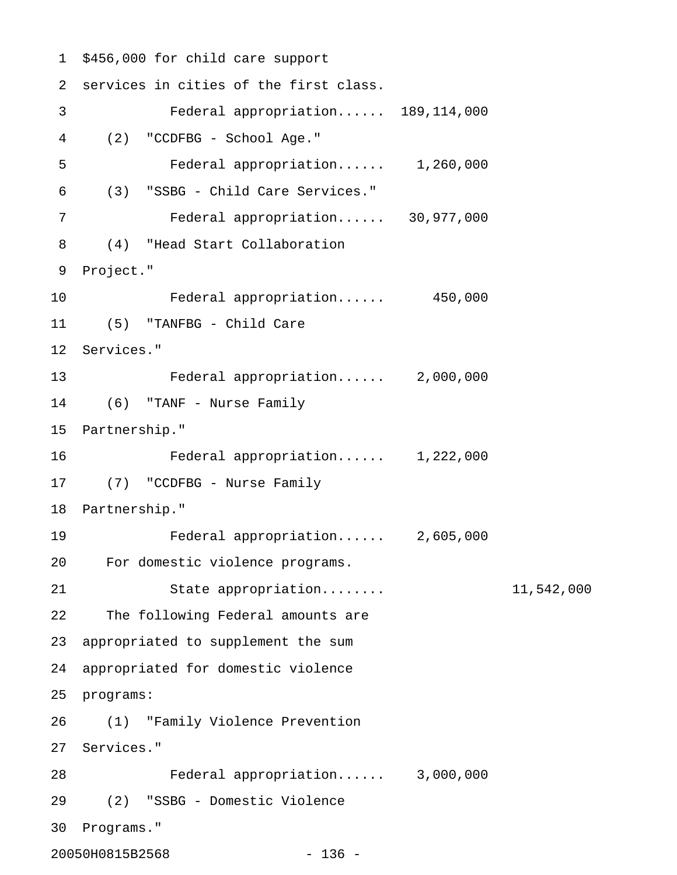```
1 $456,000 for child care support
2 services in cities of the first class.
3 Federal appropriation...... 189,114,000
4 (2) "CCDFBG - School Age."
5 Federal appropriation...... 1,260,000
6 (3) "SSBG - Child Care Services."
7 Federal appropriation...... 30,977,000
8 (4) "Head Start Collaboration
9 Project."
10 Federal appropriation...... 450,000
11 (5) "TANFBG - Child Care
12 Services."
13 Federal appropriation...... 2,000,000
14 (6) "TANF - Nurse Family
15 Partnership."
16 Federal appropriation...... 1,222,000
17 (7) "CCDFBG - Nurse Family
18 Partnership."
19 Federal appropriation...... 2,605,000
20 For domestic violence programs.
21 State appropriation........ 11,542,000
22 The following Federal amounts are
23 appropriated to supplement the sum
24 appropriated for domestic violence
25 programs:
26 (1) "Family Violence Prevention
27 Services."
28 Federal appropriation...... 3,000,000
29 (2) "SSBG - Domestic Violence
30 Programs."
```
20050H0815B2568 - 136 -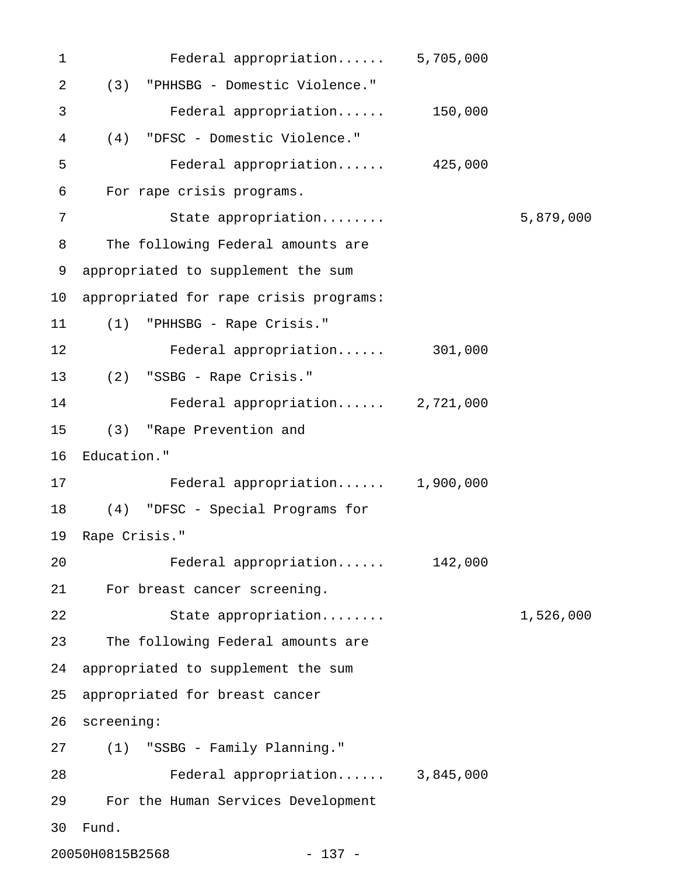1 Federal appropriation...... 5,705,000 2 (3) "PHHSBG - Domestic Violence." 3 Federal appropriation...... 150,000 4 (4) "DFSC - Domestic Violence." 5 Federal appropriation...... 425,000 6 For rape crisis programs. 7 State appropriation........ 5,879,000 8 The following Federal amounts are 9 appropriated to supplement the sum 10 appropriated for rape crisis programs: 11 (1) "PHHSBG - Rape Crisis." 12 Federal appropriation...... 301,000 13 (2) "SSBG - Rape Crisis." 14 Federal appropriation...... 2,721,000 15 (3) "Rape Prevention and 16 Education." 17 Federal appropriation...... 1,900,000 18 (4) "DFSC - Special Programs for 19 Rape Crisis." 20 Federal appropriation...... 142,000 21 For breast cancer screening. 22 State appropriation........ 1,526,000 23 The following Federal amounts are 24 appropriated to supplement the sum 25 appropriated for breast cancer 26 screening: 27 (1) "SSBG - Family Planning." 28 Federal appropriation...... 3,845,000 29 For the Human Services Development 30 Fund. 20050H0815B2568 - 137 -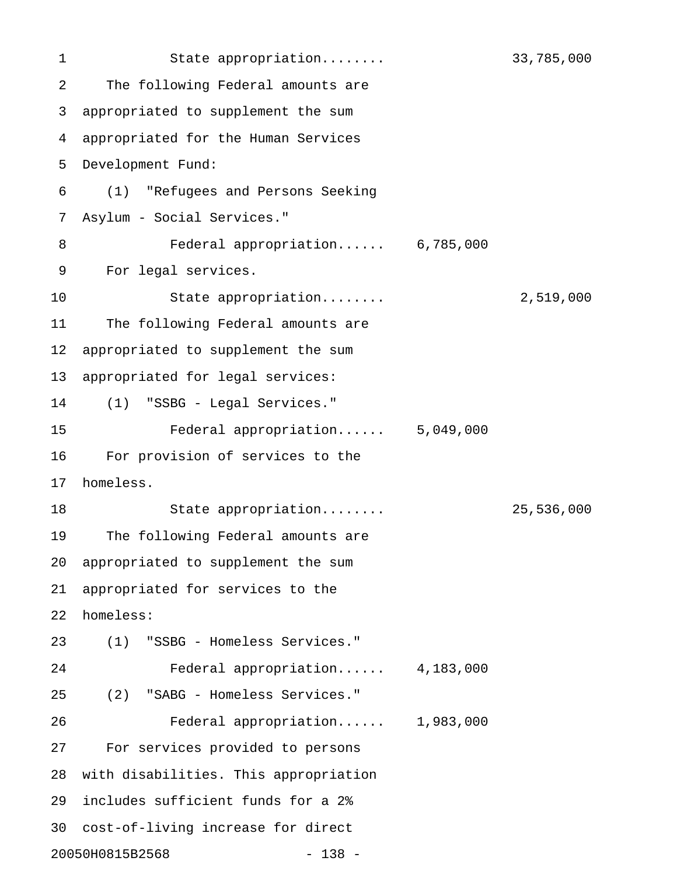1 State appropriation........ 33,785,000 2 The following Federal amounts are 3 appropriated to supplement the sum 4 appropriated for the Human Services 5 Development Fund: 6 (1) "Refugees and Persons Seeking 7 Asylum - Social Services." 8 Federal appropriation...... 6,785,000 9 For legal services. 10 State appropriation....... 2,519,000 11 The following Federal amounts are 12 appropriated to supplement the sum 13 appropriated for legal services: 14 (1) "SSBG - Legal Services." 15 Federal appropriation...... 5,049,000 16 For provision of services to the 17 homeless. 18 State appropriation........ 25,536,000 19 The following Federal amounts are 20 appropriated to supplement the sum 21 appropriated for services to the 22 homeless: 23 (1) "SSBG - Homeless Services." 24 Federal appropriation...... 4,183,000 25 (2) "SABG - Homeless Services." 26 Federal appropriation...... 1,983,000 27 For services provided to persons 28 with disabilities. This appropriation 29 includes sufficient funds for a 2% 30 cost-of-living increase for direct 20050H0815B2568 - 138 -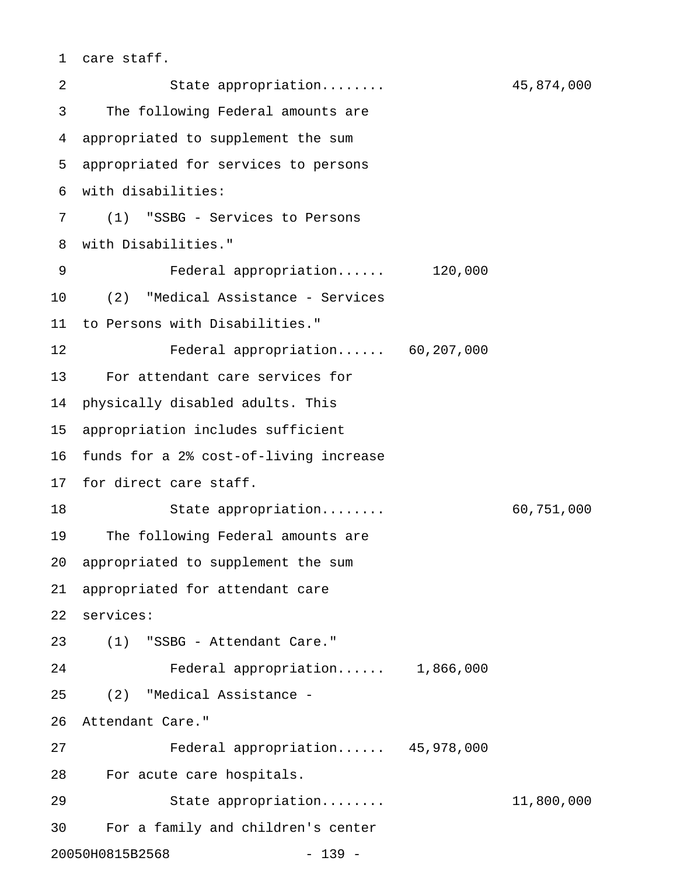1 care staff.

2 State appropriation........ 45,874,000 3 The following Federal amounts are 4 appropriated to supplement the sum 5 appropriated for services to persons 6 with disabilities: 7 (1) "SSBG - Services to Persons 8 with Disabilities." 9 Federal appropriation...... 120,000 10 (2) "Medical Assistance - Services 11 to Persons with Disabilities." 12 Federal appropriation...... 60,207,000 13 For attendant care services for 14 physically disabled adults. This 15 appropriation includes sufficient 16 funds for a 2% cost-of-living increase 17 for direct care staff. 18 State appropriation........ 60,751,000 19 The following Federal amounts are 20 appropriated to supplement the sum 21 appropriated for attendant care 22 services: 23 (1) "SSBG - Attendant Care." 24 Federal appropriation...... 1,866,000 25 (2) "Medical Assistance - 26 Attendant Care." 27 Federal appropriation...... 45,978,000 28 For acute care hospitals. 29 State appropriation........ 11,800,000 30 For a family and children's center 20050H0815B2568 - 139 -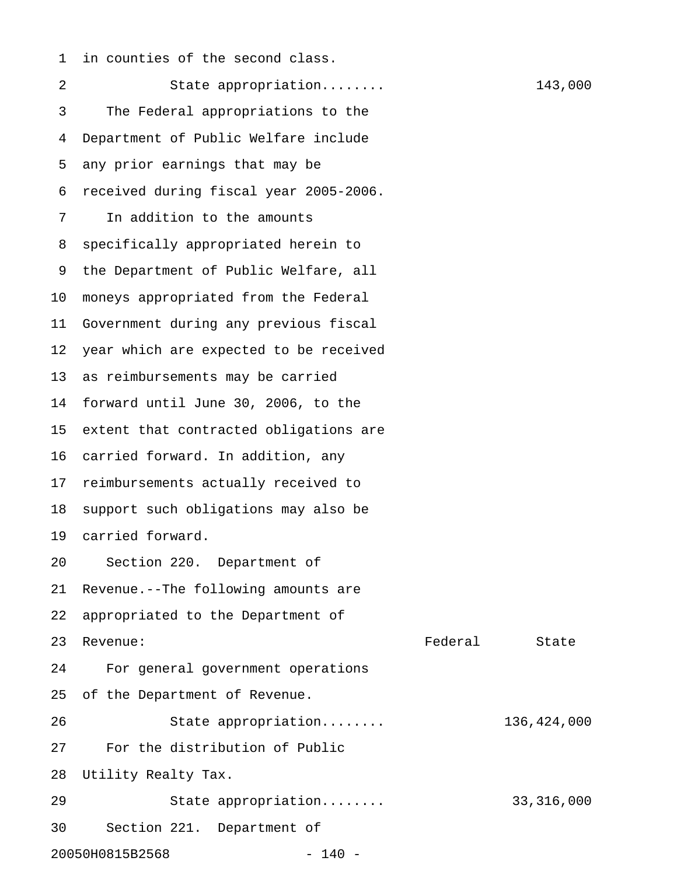1 in counties of the second class.

2 State appropriation........ 143,000 3 The Federal appropriations to the 4 Department of Public Welfare include 5 any prior earnings that may be 6 received during fiscal year 2005-2006. 7 In addition to the amounts 8 specifically appropriated herein to 9 the Department of Public Welfare, all 10 moneys appropriated from the Federal 11 Government during any previous fiscal 12 year which are expected to be received 13 as reimbursements may be carried 14 forward until June 30, 2006, to the 15 extent that contracted obligations are 16 carried forward. In addition, any 17 reimbursements actually received to 18 support such obligations may also be 19 carried forward. 20 Section 220. Department of 21 Revenue.--The following amounts are 22 appropriated to the Department of 23 Revenue: Federal State 24 For general government operations 25 of the Department of Revenue. 26 State appropriation........ 136,424,000 27 For the distribution of Public 28 Utility Realty Tax. 29 State appropriation........ 33,316,000 30 Section 221. Department of 20050H0815B2568 - 140 -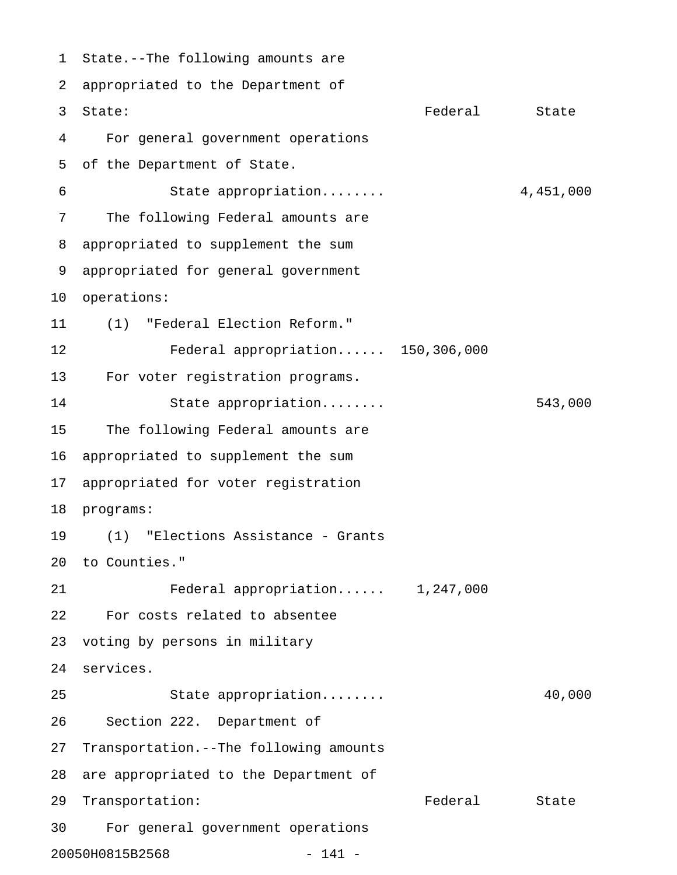1 State.--The following amounts are 2 appropriated to the Department of 3 State: Federal State 4 For general government operations 5 of the Department of State. 6 State appropriation........ 4,451,000 7 The following Federal amounts are 8 appropriated to supplement the sum 9 appropriated for general government 10 operations: 11 (1) "Federal Election Reform." 12 Federal appropriation...... 150,306,000 13 For voter registration programs. 14 State appropriation........ 543,000 15 The following Federal amounts are 16 appropriated to supplement the sum 17 appropriated for voter registration 18 programs: 19 (1) "Elections Assistance - Grants 20 to Counties." 21 Federal appropriation...... 1,247,000 22 For costs related to absentee 23 voting by persons in military 24 services. 25 State appropriation........ 40,000 26 Section 222. Department of 27 Transportation.--The following amounts 28 are appropriated to the Department of 29 Transportation: The Federal State State 30 For general government operations 20050H0815B2568 - 141 -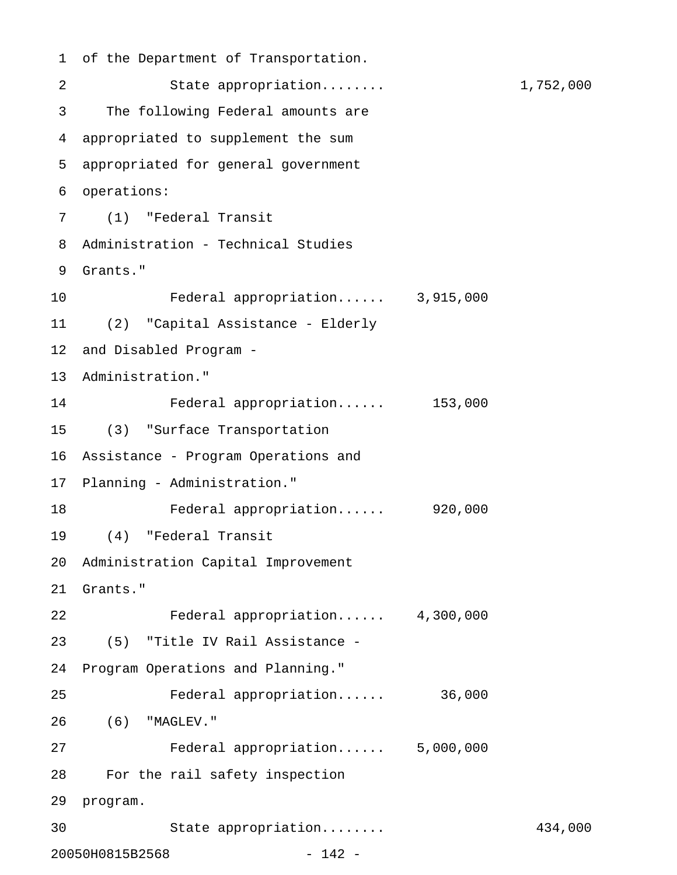1 of the Department of Transportation. 2 State appropriation........ 1,752,000 3 The following Federal amounts are 4 appropriated to supplement the sum 5 appropriated for general government 6 operations: 7 (1) "Federal Transit 8 Administration - Technical Studies 9 Grants." 10 Federal appropriation...... 3,915,000 11 (2) "Capital Assistance - Elderly 12 and Disabled Program - 13 Administration." 14 Federal appropriation...... 153,000 15 (3) "Surface Transportation 16 Assistance - Program Operations and 17 Planning - Administration." 18 Federal appropriation...... 920,000 19 (4) "Federal Transit 20 Administration Capital Improvement 21 Grants." 22 Federal appropriation...... 4,300,000 23 (5) "Title IV Rail Assistance - 24 Program Operations and Planning." 25 Federal appropriation...... 36,000 26 (6) "MAGLEV." 27 Federal appropriation...... 5,000,000 28 For the rail safety inspection 29 program. 30 State appropriation........ 434,000 20050H0815B2568 - 142 -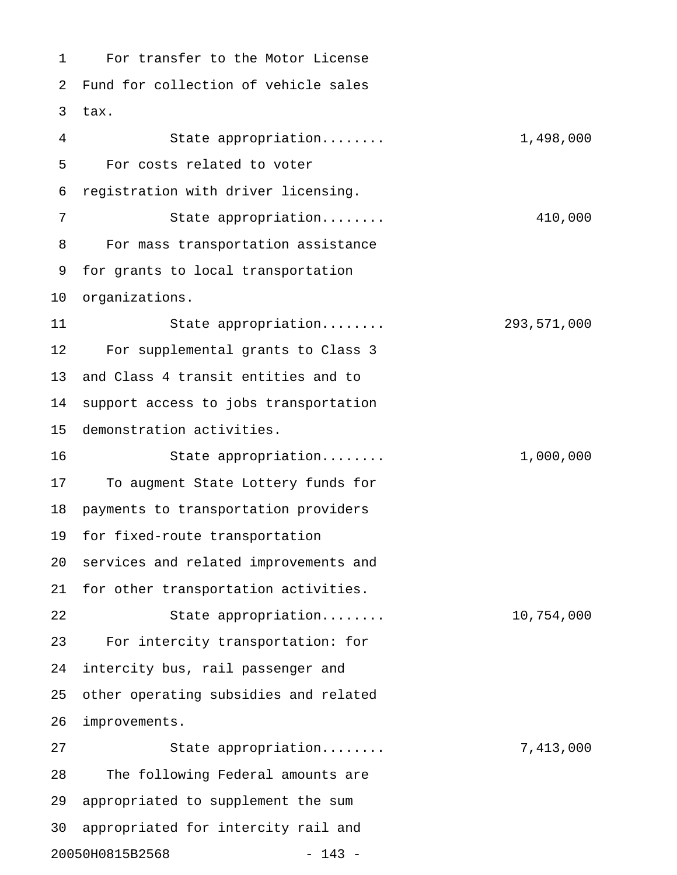1 For transfer to the Motor License 2 Fund for collection of vehicle sales 3 tax. 4 State appropriation........ 1,498,000 5 For costs related to voter 6 registration with driver licensing. 7 State appropriation....... 410,000 8 For mass transportation assistance 9 for grants to local transportation 10 organizations. 11 State appropriation........ 293,571,000 12 For supplemental grants to Class 3 13 and Class 4 transit entities and to 14 support access to jobs transportation 15 demonstration activities.

16 State appropriation........ 1,000,000 17 To augment State Lottery funds for 18 payments to transportation providers 19 for fixed-route transportation 20 services and related improvements and 21 for other transportation activities. 22 State appropriation........ 10,754,000 23 For intercity transportation: for 24 intercity bus, rail passenger and 25 other operating subsidies and related 26 improvements. 27 State appropriation........ 7,413,000 28 The following Federal amounts are 29 appropriated to supplement the sum 30 appropriated for intercity rail and 20050H0815B2568 - 143 -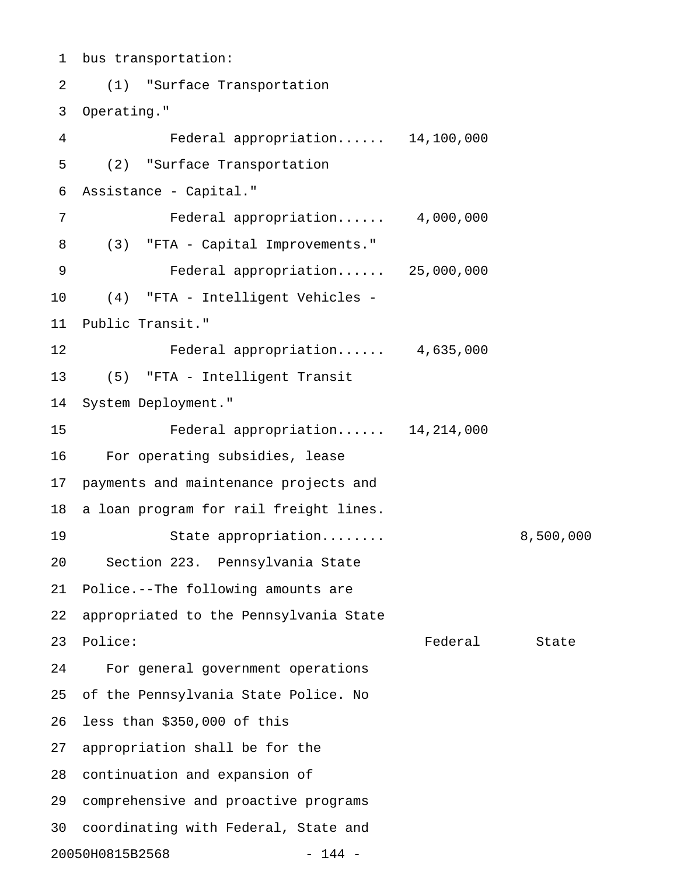```
1 bus transportation:
 2 (1) "Surface Transportation
 3 Operating."
 4 Federal appropriation...... 14,100,000
 5 (2) "Surface Transportation
 6 Assistance - Capital."
7 Federal appropriation...... 4,000,000
8 (3) "FTA - Capital Improvements."
9 Federal appropriation...... 25,000,000
10 (4) "FTA - Intelligent Vehicles -
11 Public Transit."
12 Federal appropriation...... 4,635,000
13 (5) "FTA - Intelligent Transit
14 System Deployment."
15 Federal appropriation...... 14,214,000
16 For operating subsidies, lease
17 payments and maintenance projects and
18 a loan program for rail freight lines.
19 State appropriation........ 8,500,000
20 Section 223. Pennsylvania State
21 Police.--The following amounts are
22 appropriated to the Pennsylvania State
23 Police: State State State State State State State State State State State
24 For general government operations
25 of the Pennsylvania State Police. No
26 less than $350,000 of this
27 appropriation shall be for the
28 continuation and expansion of
29 comprehensive and proactive programs
30 coordinating with Federal, State and
```

```
20050H0815B2568 - 144 -
```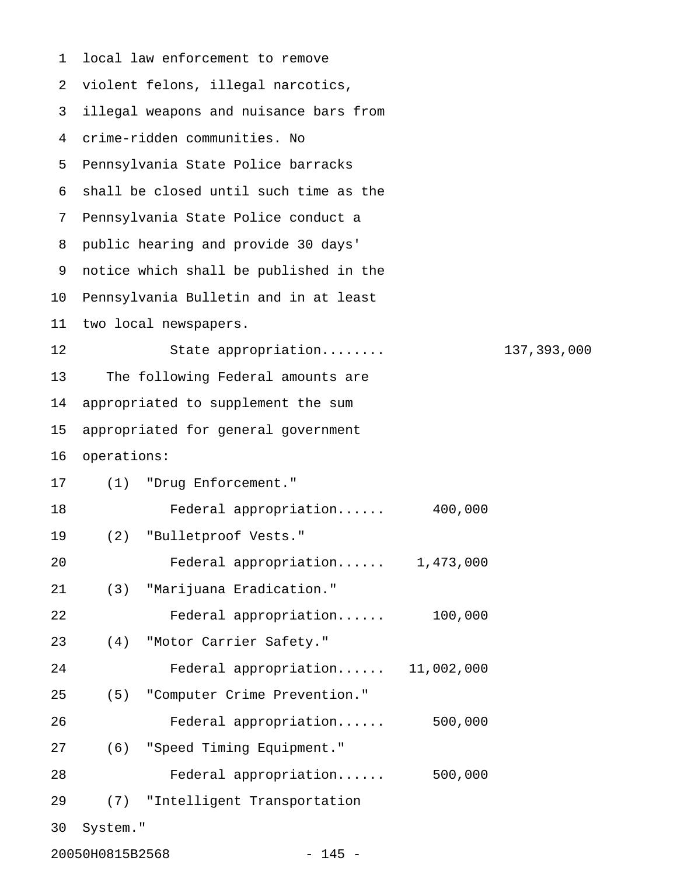| 1  |                                        | local law enforcement to remove       |         |             |  |
|----|----------------------------------------|---------------------------------------|---------|-------------|--|
| 2  |                                        | violent felons, illegal narcotics,    |         |             |  |
| 3  | illegal weapons and nuisance bars from |                                       |         |             |  |
| 4  | crime-ridden communities. No           |                                       |         |             |  |
| 5  |                                        | Pennsylvania State Police barracks    |         |             |  |
| 6  | shall be closed until such time as the |                                       |         |             |  |
| 7  | Pennsylvania State Police conduct a    |                                       |         |             |  |
| 8  | public hearing and provide 30 days'    |                                       |         |             |  |
| 9  | notice which shall be published in the |                                       |         |             |  |
| 10 |                                        | Pennsylvania Bulletin and in at least |         |             |  |
| 11 |                                        | two local newspapers.                 |         |             |  |
| 12 |                                        | State appropriation                   |         | 137,393,000 |  |
| 13 |                                        | The following Federal amounts are     |         |             |  |
| 14 | appropriated to supplement the sum     |                                       |         |             |  |
| 15 |                                        | appropriated for general government   |         |             |  |
| 16 | operations:                            |                                       |         |             |  |
| 17 | (1)                                    | "Drug Enforcement."                   |         |             |  |
| 18 |                                        | Federal appropriation                 | 400,000 |             |  |
| 19 | (2)                                    | "Bulletproof Vests."                  |         |             |  |
| 20 |                                        | Federal appropriation 1,473,000       |         |             |  |
| 21 |                                        | (3) "Marijuana Eradication."          |         |             |  |
| 22 |                                        | Federal appropriation                 | 100,000 |             |  |
| 23 | (4)                                    | "Motor Carrier Safety."               |         |             |  |
| 24 |                                        | Federal appropriation 11,002,000      |         |             |  |
| 25 | (5)                                    | "Computer Crime Prevention."          |         |             |  |
| 26 |                                        | Federal appropriation                 | 500,000 |             |  |
| 27 | (6)                                    | "Speed Timing Equipment."             |         |             |  |
| 28 |                                        | Federal appropriation                 | 500,000 |             |  |
| 29 |                                        | (7) "Intelligent Transportation       |         |             |  |
| 30 | System."                               |                                       |         |             |  |
|    |                                        |                                       |         |             |  |

20050H0815B2568 - 145 -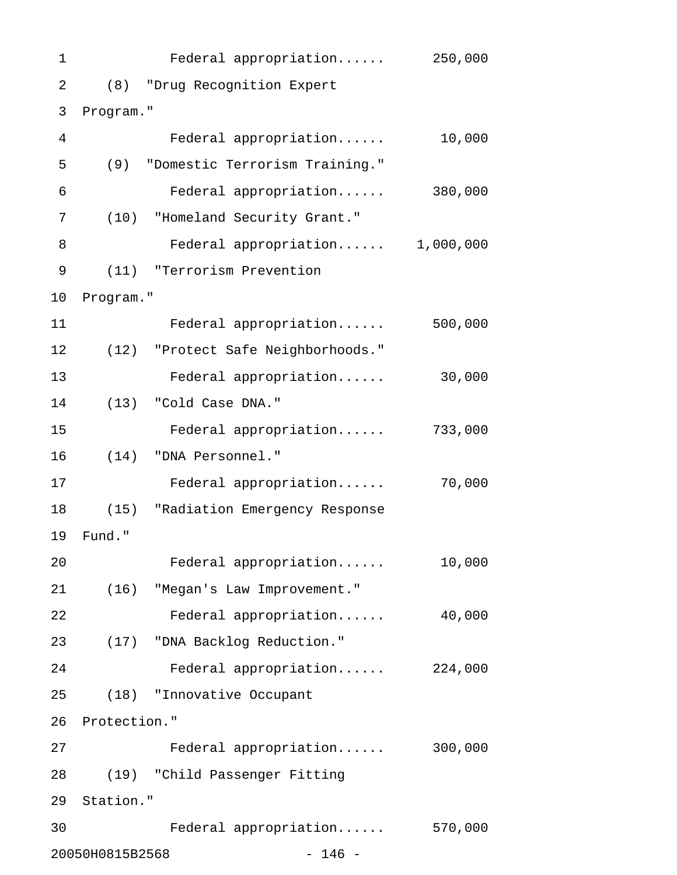| 1  |                 | Federal appropriation              | 250,000   |
|----|-----------------|------------------------------------|-----------|
| 2  |                 | (8) "Drug Recognition Expert       |           |
| 3  | Program."       |                                    |           |
| 4  |                 | Federal appropriation              | 10,000    |
| 5  |                 | (9) "Domestic Terrorism Training." |           |
| 6  |                 | Federal appropriation              | 380,000   |
| 7  |                 | (10) "Homeland Security Grant."    |           |
| 8  |                 | Federal appropriation              | 1,000,000 |
| 9  |                 | (11) "Terrorism Prevention         |           |
| 10 | Program."       |                                    |           |
| 11 |                 | Federal appropriation              | 500,000   |
| 12 |                 | (12) "Protect Safe Neighborhoods." |           |
| 13 |                 | Federal appropriation              | 30,000    |
| 14 |                 | (13) "Cold Case DNA."              |           |
| 15 |                 | Federal appropriation              | 733,000   |
| 16 |                 | (14) "DNA Personnel."              |           |
| 17 |                 | Federal appropriation              | 70,000    |
| 18 |                 | (15) "Radiation Emergency Response |           |
| 19 | Fund."          |                                    |           |
| 20 |                 | Federal appropriation              | 10,000    |
| 21 |                 | (16) "Megan's Law Improvement."    |           |
| 22 |                 | Federal appropriation              | 40,000    |
| 23 |                 | (17) "DNA Backlog Reduction."      |           |
| 24 |                 | Federal appropriation              | 224,000   |
| 25 |                 | (18) "Innovative Occupant          |           |
| 26 | Protection."    |                                    |           |
| 27 |                 | Federal appropriation              | 300,000   |
| 28 |                 | (19) "Child Passenger Fitting      |           |
| 29 | Station."       |                                    |           |
| 30 |                 | Federal appropriation              | 570,000   |
|    | 20050H0815B2568 | $-146 -$                           |           |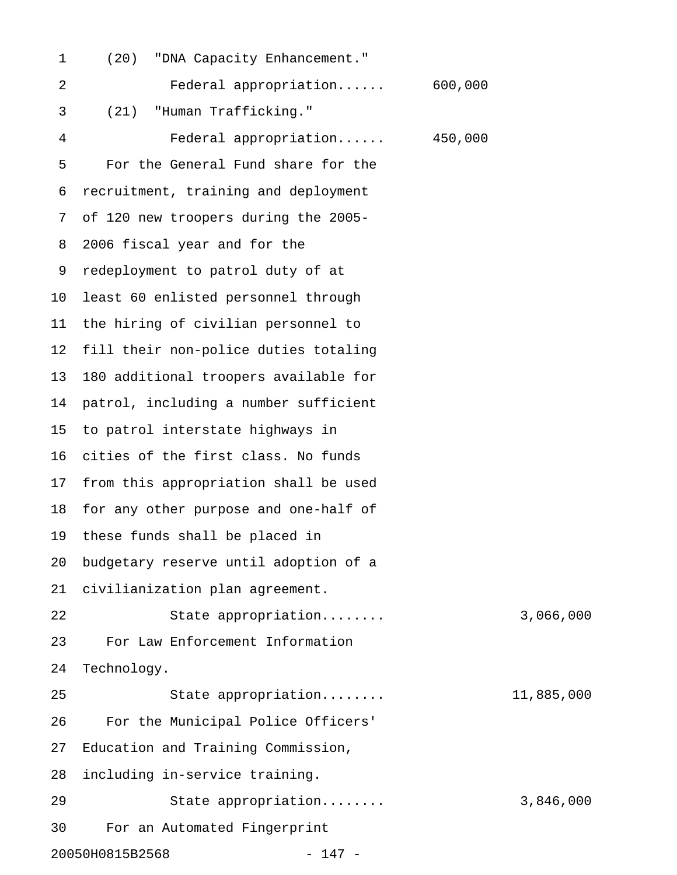1 (20) "DNA Capacity Enhancement." 2 Federal appropriation...... 600,000 3 (21) "Human Trafficking." 4 Federal appropriation...... 450,000 5 For the General Fund share for the 6 recruitment, training and deployment 7 of 120 new troopers during the 2005- 8 2006 fiscal year and for the 9 redeployment to patrol duty of at 10 least 60 enlisted personnel through 11 the hiring of civilian personnel to 12 fill their non-police duties totaling 13 180 additional troopers available for 14 patrol, including a number sufficient 15 to patrol interstate highways in 16 cities of the first class. No funds 17 from this appropriation shall be used 18 for any other purpose and one-half of 19 these funds shall be placed in 20 budgetary reserve until adoption of a 21 civilianization plan agreement. 22 State appropriation........ 3,066,000 23 For Law Enforcement Information 24 Technology. 25 State appropriation........ 11,885,000 26 For the Municipal Police Officers' 27 Education and Training Commission, 28 including in-service training. 29 State appropriation........ 3,846,000 30 For an Automated Fingerprint 20050H0815B2568 - 147 -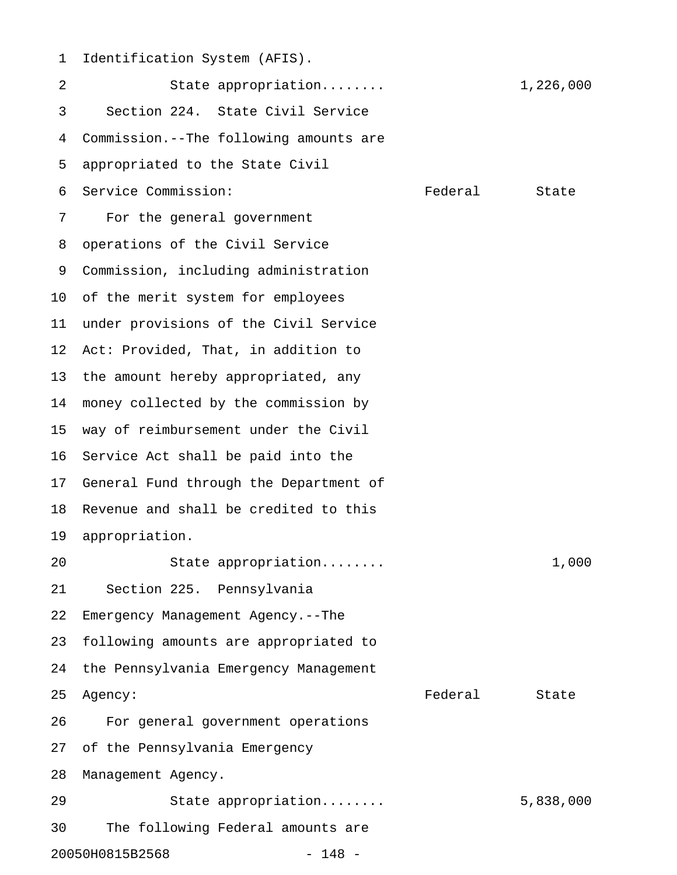1 Identification System (AFIS).

2 State appropriation........ 1,226,000 3 Section 224. State Civil Service 4 Commission.--The following amounts are 5 appropriated to the State Civil 6 Service Commission: Federal State 7 For the general government 8 operations of the Civil Service 9 Commission, including administration 10 of the merit system for employees 11 under provisions of the Civil Service 12 Act: Provided, That, in addition to 13 the amount hereby appropriated, any 14 money collected by the commission by 15 way of reimbursement under the Civil 16 Service Act shall be paid into the 17 General Fund through the Department of 18 Revenue and shall be credited to this 19 appropriation. 20 State appropriation........ 1,000 21 Section 225. Pennsylvania 22 Emergency Management Agency.--The 23 following amounts are appropriated to 24 the Pennsylvania Emergency Management 25 Agency: The State State State State State State State State State State State 26 For general government operations 27 of the Pennsylvania Emergency 28 Management Agency. 29 State appropriation........ 5,838,000 30 The following Federal amounts are 20050H0815B2568 - 148 -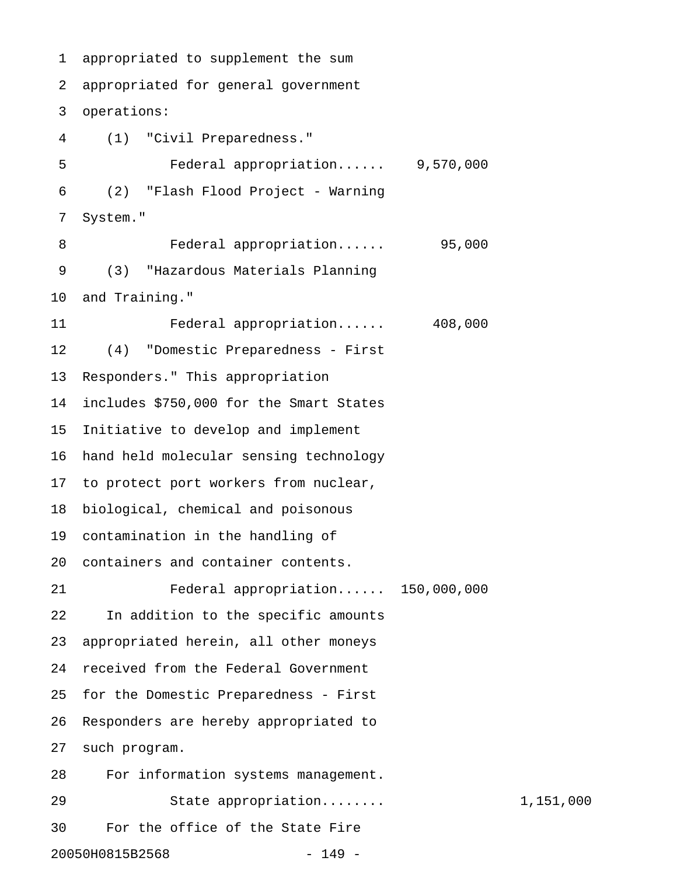1 appropriated to supplement the sum 2 appropriated for general government 3 operations: 4 (1) "Civil Preparedness." 5 Federal appropriation...... 9,570,000 6 (2) "Flash Flood Project - Warning 7 System." 8 Federal appropriation...... 95,000 9 (3) "Hazardous Materials Planning 10 and Training." 11 Federal appropriation...... 408,000 12 (4) "Domestic Preparedness - First 13 Responders." This appropriation 14 includes \$750,000 for the Smart States 15 Initiative to develop and implement 16 hand held molecular sensing technology 17 to protect port workers from nuclear, 18 biological, chemical and poisonous 19 contamination in the handling of 20 containers and container contents. 21 Federal appropriation...... 150,000,000 22 In addition to the specific amounts 23 appropriated herein, all other moneys 24 received from the Federal Government 25 for the Domestic Preparedness - First 26 Responders are hereby appropriated to 27 such program. 28 For information systems management. 29 State appropriation........ 1,151,000 30 For the office of the State Fire 20050H0815B2568 - 149 -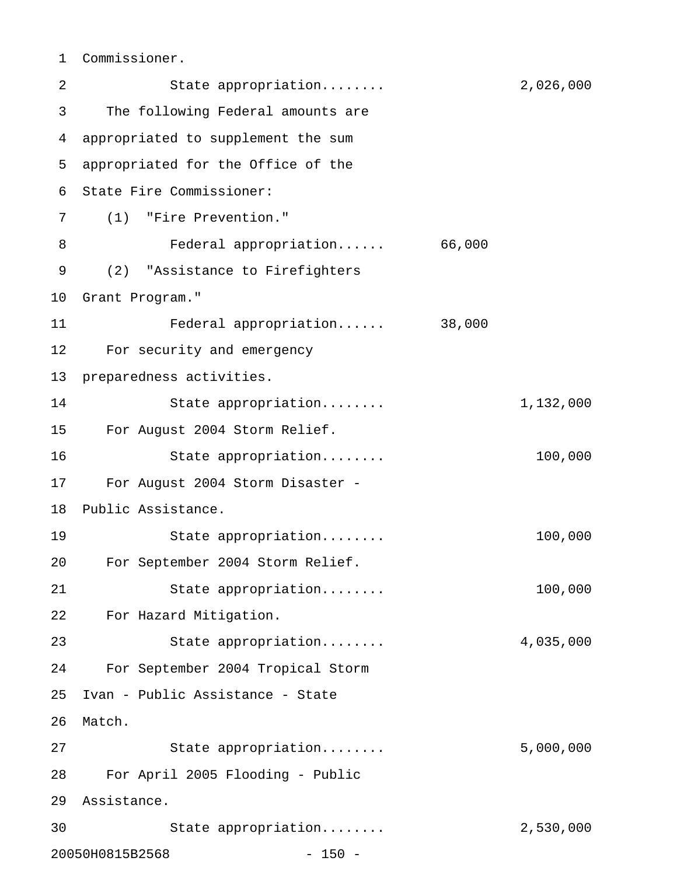1 Commissioner.

| 2  | State appropriation                |        | 2,026,000 |  |  |
|----|------------------------------------|--------|-----------|--|--|
| 3  | The following Federal amounts are  |        |           |  |  |
| 4  | appropriated to supplement the sum |        |           |  |  |
| 5  | appropriated for the Office of the |        |           |  |  |
| 6  | State Fire Commissioner:           |        |           |  |  |
| 7  | "Fire Prevention."<br>(1)          |        |           |  |  |
| 8  | Federal appropriation              | 66,000 |           |  |  |
| 9  | "Assistance to Firefighters<br>(2) |        |           |  |  |
| 10 | Grant Program."                    |        |           |  |  |
| 11 | Federal appropriation              | 38,000 |           |  |  |
| 12 | For security and emergency         |        |           |  |  |
| 13 | preparedness activities.           |        |           |  |  |
| 14 | State appropriation                |        | 1,132,000 |  |  |
| 15 | For August 2004 Storm Relief.      |        |           |  |  |
| 16 | State appropriation                |        | 100,000   |  |  |
| 17 | For August 2004 Storm Disaster -   |        |           |  |  |
| 18 | Public Assistance.                 |        |           |  |  |
| 19 | State appropriation                |        | 100,000   |  |  |
| 20 | For September 2004 Storm Relief.   |        |           |  |  |
| 21 | State appropriation                |        | 100,000   |  |  |
| 22 | For Hazard Mitigation.             |        |           |  |  |
| 23 | State appropriation                |        | 4,035,000 |  |  |
| 24 | For September 2004 Tropical Storm  |        |           |  |  |
| 25 | Ivan - Public Assistance - State   |        |           |  |  |
| 26 | Match.                             |        |           |  |  |
| 27 | State appropriation                |        | 5,000,000 |  |  |
| 28 | For April 2005 Flooding - Public   |        |           |  |  |
| 29 | Assistance.                        |        |           |  |  |
| 30 | State appropriation                |        | 2,530,000 |  |  |
|    | 20050H0815B2568<br>$-150 -$        |        |           |  |  |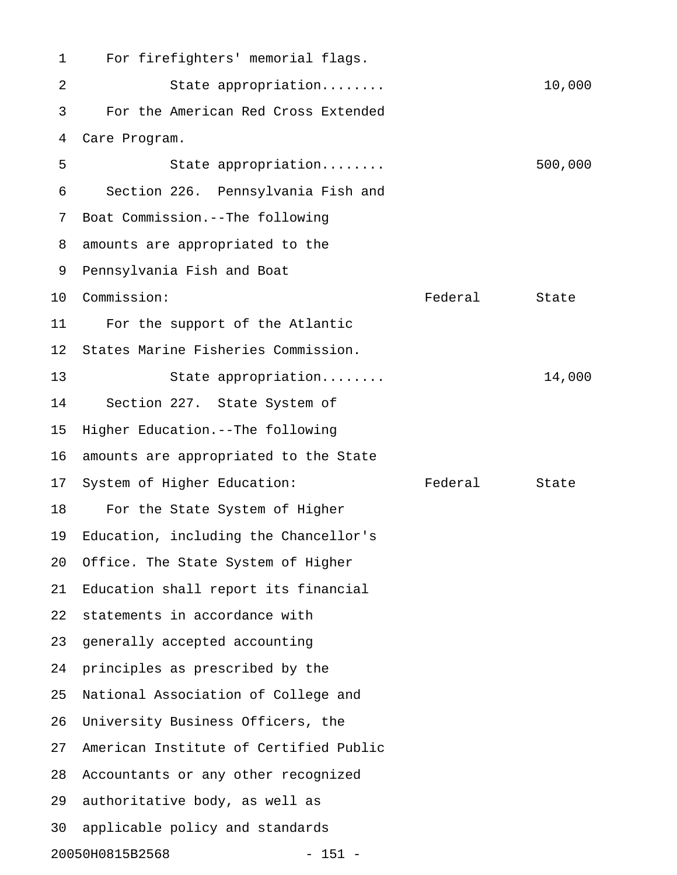| 1  | For firefighters' memorial flags.      |         |         |  |
|----|----------------------------------------|---------|---------|--|
| 2  | State appropriation                    |         | 10,000  |  |
| 3  | For the American Red Cross Extended    |         |         |  |
| 4  | Care Program.                          |         |         |  |
| 5  | State appropriation                    |         | 500,000 |  |
| 6  | Section 226. Pennsylvania Fish and     |         |         |  |
| 7  | Boat Commission.--The following        |         |         |  |
| 8  | amounts are appropriated to the        |         |         |  |
| 9  | Pennsylvania Fish and Boat             |         |         |  |
| 10 | Commission:                            | Federal | State   |  |
| 11 | For the support of the Atlantic        |         |         |  |
| 12 | States Marine Fisheries Commission.    |         |         |  |
| 13 | State appropriation                    |         | 14,000  |  |
| 14 | Section 227. State System of           |         |         |  |
| 15 | Higher Education.--The following       |         |         |  |
| 16 | amounts are appropriated to the State  |         |         |  |
| 17 | System of Higher Education:            | Federal | State   |  |
| 18 | For the State System of Higher         |         |         |  |
| 19 | Education, including the Chancellor's  |         |         |  |
| 20 | Office. The State System of Higher     |         |         |  |
| 21 | Education shall report its financial   |         |         |  |
| 22 | statements in accordance with          |         |         |  |
| 23 | generally accepted accounting          |         |         |  |
| 24 | principles as prescribed by the        |         |         |  |
| 25 | National Association of College and    |         |         |  |
| 26 | University Business Officers, the      |         |         |  |
| 27 | American Institute of Certified Public |         |         |  |
| 28 | Accountants or any other recognized    |         |         |  |
| 29 | authoritative body, as well as         |         |         |  |
| 30 | applicable policy and standards        |         |         |  |
|    | 20050H0815B2568<br>$-151 -$            |         |         |  |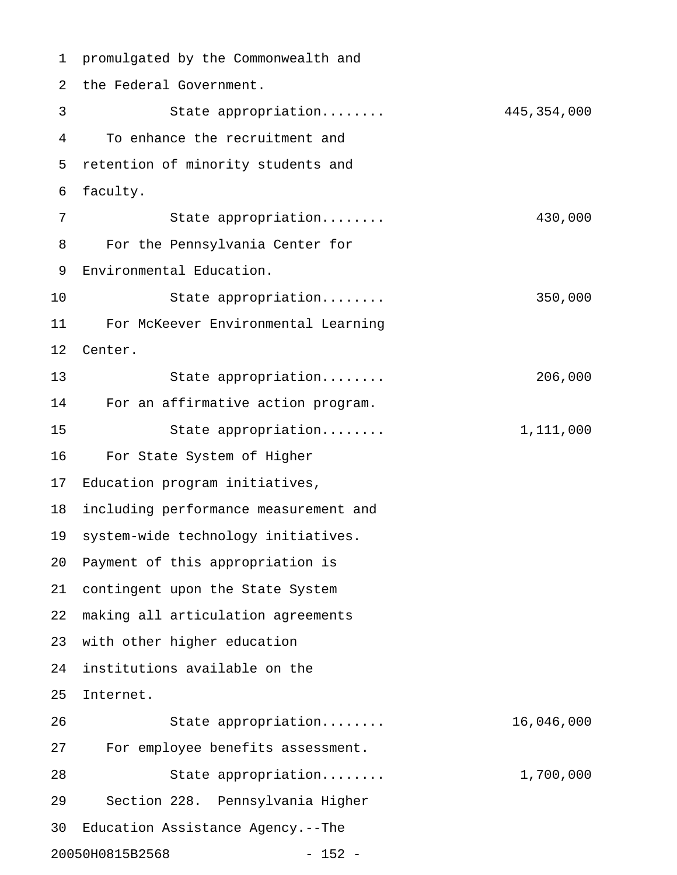1 promulgated by the Commonwealth and 2 the Federal Government. 3 State appropriation........ 445,354,000 4 To enhance the recruitment and 5 retention of minority students and 6 faculty. 7 State appropriation....... 430,000 8 For the Pennsylvania Center for 9 Environmental Education. 10 State appropriation........ 350,000 11 For McKeever Environmental Learning 12 Center. 13 State appropriation........ 206,000 14 For an affirmative action program. 15 State appropriation........ 1,111,000 16 For State System of Higher 17 Education program initiatives, 18 including performance measurement and 19 system-wide technology initiatives. 20 Payment of this appropriation is 21 contingent upon the State System 22 making all articulation agreements 23 with other higher education 24 institutions available on the 25 Internet. 26 State appropriation........ 16,046,000 27 For employee benefits assessment. 28 State appropriation........ 1,700,000 29 Section 228. Pennsylvania Higher 30 Education Assistance Agency.--The 20050H0815B2568 - 152 -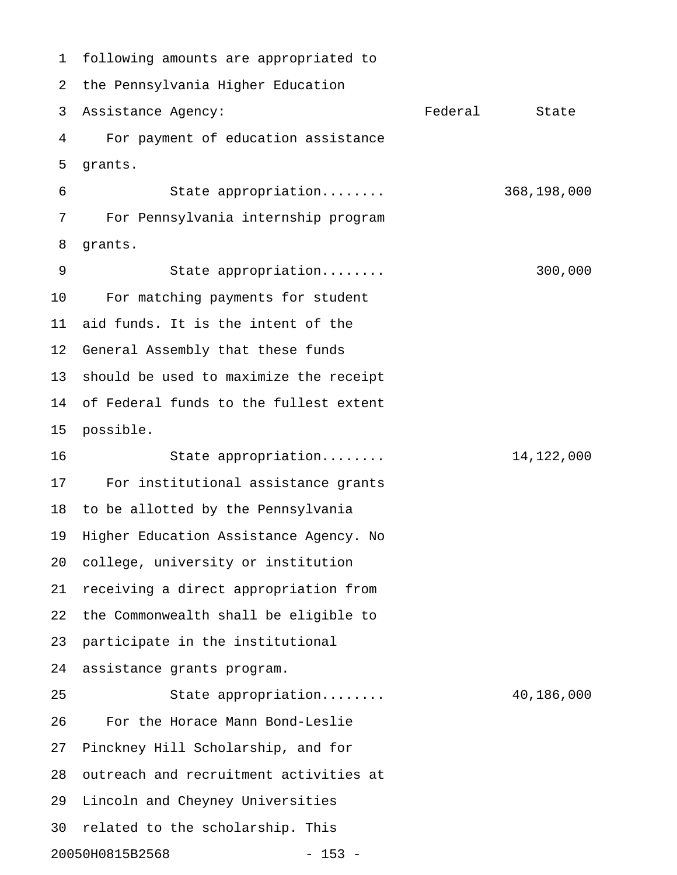1 following amounts are appropriated to 2 the Pennsylvania Higher Education 3 Assistance Agency: The State State State State State State 4 For payment of education assistance 5 grants. 6 State appropriation........ 368,198,000 7 For Pennsylvania internship program 8 grants. 9 State appropriation........ 300,000 10 For matching payments for student 11 aid funds. It is the intent of the 12 General Assembly that these funds 13 should be used to maximize the receipt 14 of Federal funds to the fullest extent 15 possible. 16 State appropriation........ 14,122,000 17 For institutional assistance grants 18 to be allotted by the Pennsylvania 19 Higher Education Assistance Agency. No 20 college, university or institution 21 receiving a direct appropriation from 22 the Commonwealth shall be eligible to 23 participate in the institutional 24 assistance grants program. 25 State appropriation........ 40,186,000 26 For the Horace Mann Bond-Leslie 27 Pinckney Hill Scholarship, and for 28 outreach and recruitment activities at 29 Lincoln and Cheyney Universities 30 related to the scholarship. This 20050H0815B2568 - 153 -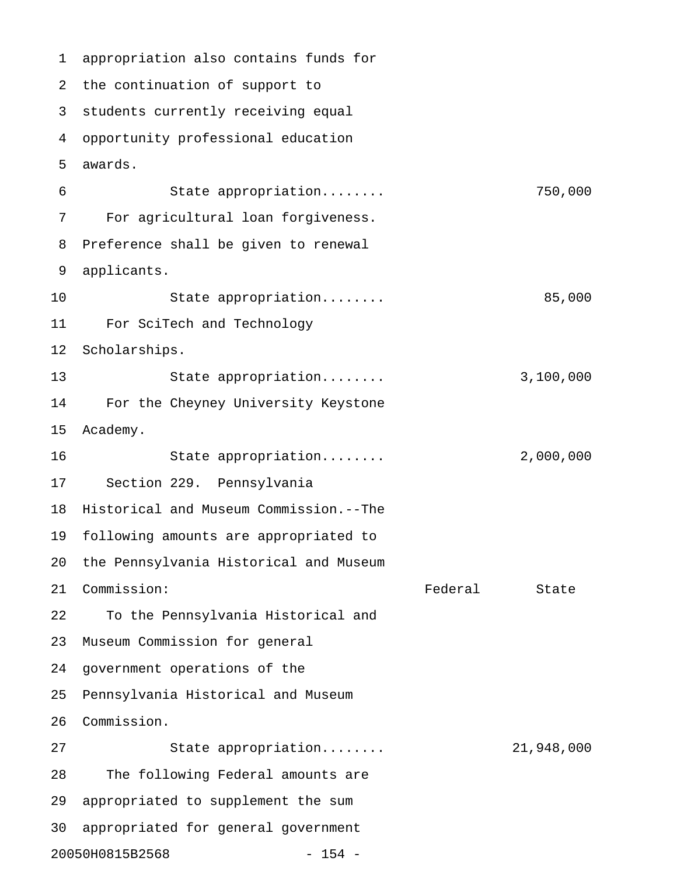1 appropriation also contains funds for 2 the continuation of support to 3 students currently receiving equal 4 opportunity professional education 5 awards. 6 State appropriation........ 750,000 7 For agricultural loan forgiveness. 8 Preference shall be given to renewal 9 applicants. 10 State appropriation........ 85,000 11 For SciTech and Technology 12 Scholarships. 13 State appropriation........ 3,100,000 14 For the Cheyney University Keystone 15 Academy. 16 State appropriation........ 2,000,000 17 Section 229. Pennsylvania 18 Historical and Museum Commission.--The 19 following amounts are appropriated to 20 the Pennsylvania Historical and Museum 21 Commission: Federal State 22 To the Pennsylvania Historical and 23 Museum Commission for general 24 government operations of the 25 Pennsylvania Historical and Museum 26 Commission. 27 State appropriation........ 21,948,000 28 The following Federal amounts are 29 appropriated to supplement the sum 30 appropriated for general government 20050H0815B2568 - 154 -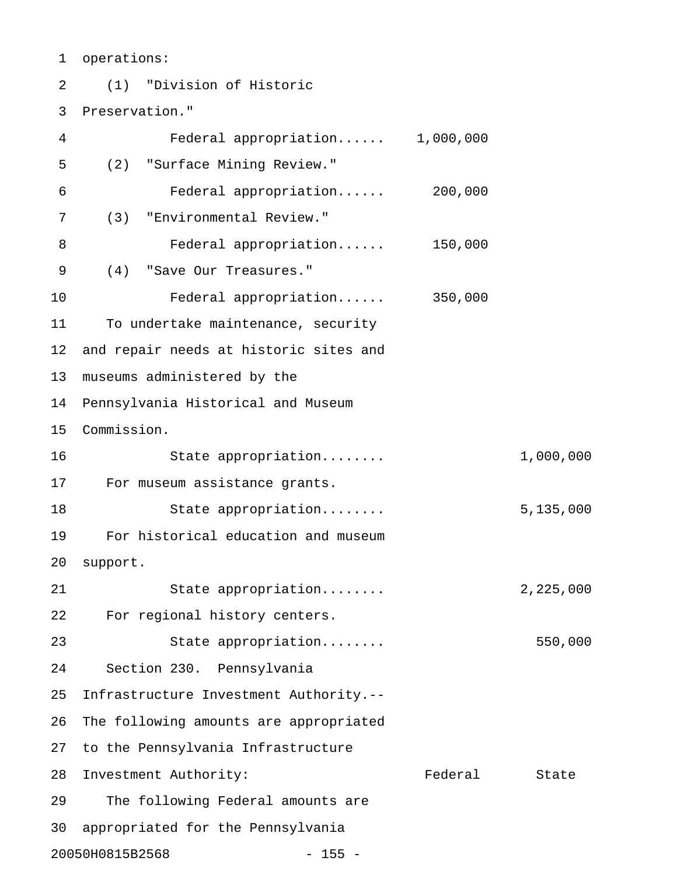1 operations:

2 (1) "Division of Historic 3 Preservation." 4 Federal appropriation...... 1,000,000 5 (2) "Surface Mining Review." 6 Federal appropriation...... 200,000 7 (3) "Environmental Review." 8 Federal appropriation...... 150,000 9 (4) "Save Our Treasures." 10 Federal appropriation...... 350,000 11 To undertake maintenance, security 12 and repair needs at historic sites and 13 museums administered by the 14 Pennsylvania Historical and Museum 15 Commission. 16 State appropriation........ 1,000,000 17 For museum assistance grants. 18 State appropriation........ 5,135,000 19 For historical education and museum 20 support. 21 State appropriation........ 2,225,000 22 For regional history centers. 23 State appropriation........ 550,000 24 Section 230. Pennsylvania 25 Infrastructure Investment Authority.-- 26 The following amounts are appropriated 27 to the Pennsylvania Infrastructure 28 Investment Authority: The Federal State 29 The following Federal amounts are 30 appropriated for the Pennsylvania 20050H0815B2568 - 155 -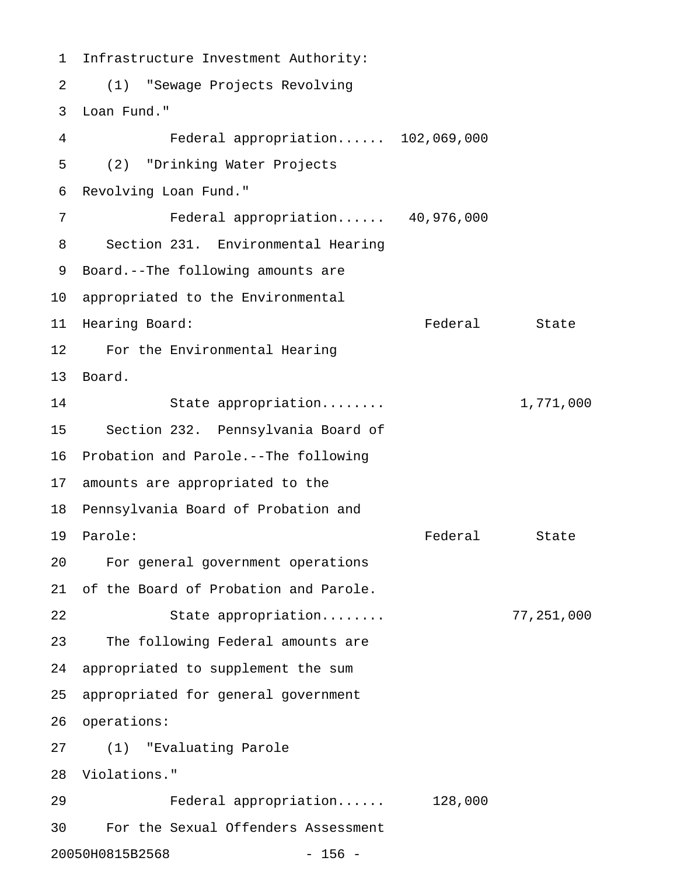1 Infrastructure Investment Authority: 2 (1) "Sewage Projects Revolving 3 Loan Fund." 4 Federal appropriation...... 102,069,000 5 (2) "Drinking Water Projects 6 Revolving Loan Fund." 7 Federal appropriation...... 40,976,000 8 Section 231. Environmental Hearing 9 Board.--The following amounts are 10 appropriated to the Environmental 11 Hearing Board: Federal State 12 For the Environmental Hearing 13 Board. 14 State appropriation........ 1,771,000 15 Section 232. Pennsylvania Board of 16 Probation and Parole.--The following 17 amounts are appropriated to the 18 Pennsylvania Board of Probation and 19 Parole: Entertainment of the State State State State State State State State State State State State State 20 For general government operations 21 of the Board of Probation and Parole. 22 State appropriation........ 77,251,000 23 The following Federal amounts are 24 appropriated to supplement the sum 25 appropriated for general government 26 operations: 27 (1) "Evaluating Parole 28 Violations." 29 Federal appropriation...... 128,000 30 For the Sexual Offenders Assessment 20050H0815B2568 - 156 -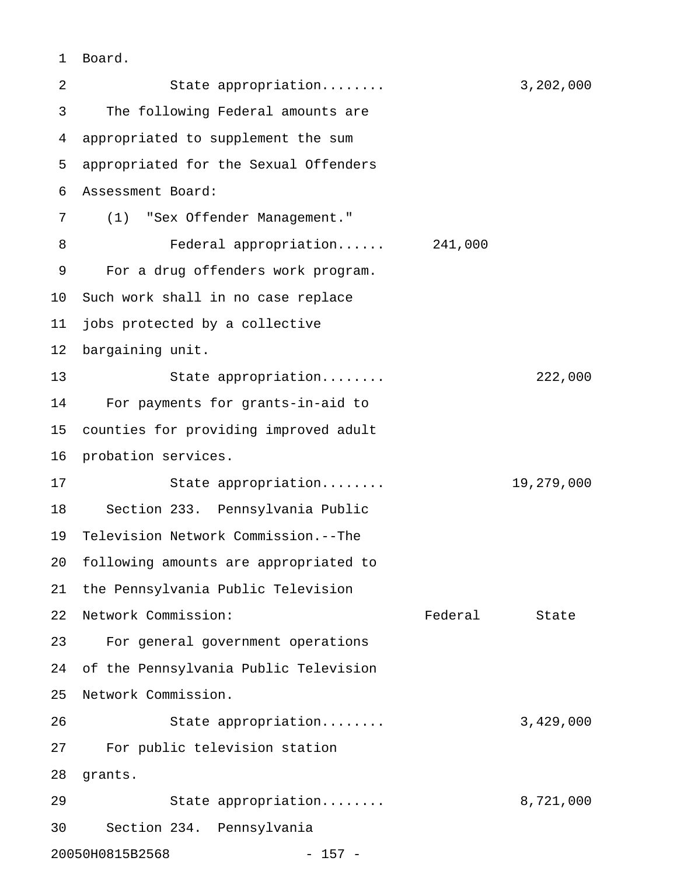1 Board.

2 State appropriation........ 3,202,000 3 The following Federal amounts are 4 appropriated to supplement the sum 5 appropriated for the Sexual Offenders 6 Assessment Board: 7 (1) "Sex Offender Management." 8 Federal appropriation...... 241,000 9 For a drug offenders work program. 10 Such work shall in no case replace 11 jobs protected by a collective 12 bargaining unit. 13 State appropriation........ 222,000 14 For payments for grants-in-aid to 15 counties for providing improved adult 16 probation services. 17 State appropriation........ 19,279,000 18 Section 233. Pennsylvania Public 19 Television Network Commission.--The 20 following amounts are appropriated to 21 the Pennsylvania Public Television 22 Network Commission: Federal State 23 For general government operations 24 of the Pennsylvania Public Television 25 Network Commission. 26 State appropriation........ 3,429,000 27 For public television station 28 grants. 29 State appropriation........ 8,721,000 30 Section 234. Pennsylvania 20050H0815B2568 - 157 -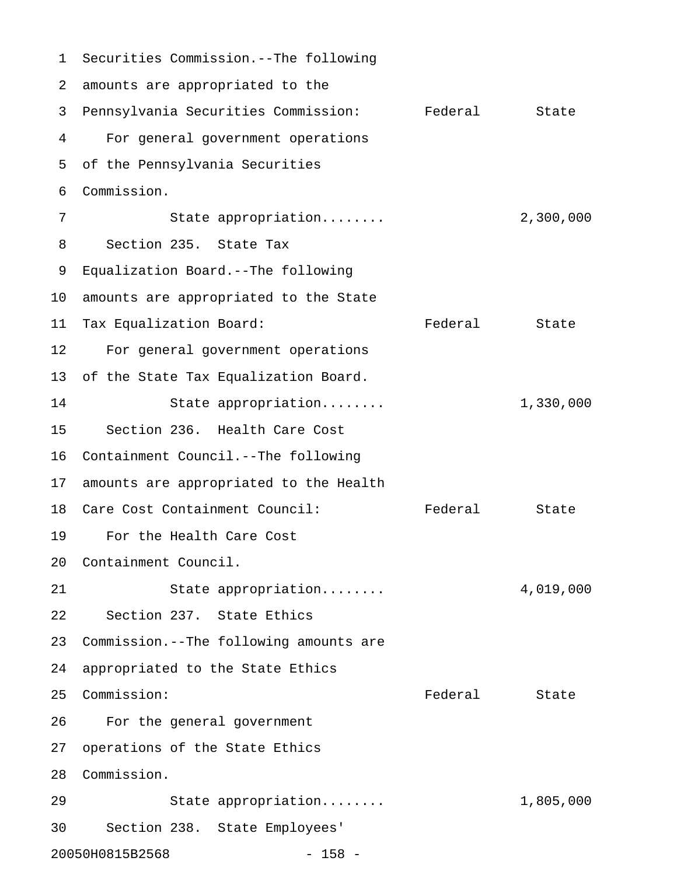1 Securities Commission.--The following 2 amounts are appropriated to the 3 Pennsylvania Securities Commission: Federal State 4 For general government operations 5 of the Pennsylvania Securities 6 Commission. 7 State appropriation....... 2,300,000 8 Section 235. State Tax 9 Equalization Board.--The following 10 amounts are appropriated to the State 11 Tax Equalization Board: The Rederal State 12 For general government operations 13 of the State Tax Equalization Board. 14 State appropriation........ 1,330,000 15 Section 236. Health Care Cost 16 Containment Council.--The following 17 amounts are appropriated to the Health 18 Care Cost Containment Council: Federal State 19 For the Health Care Cost 20 Containment Council. 21 State appropriation........ 4,019,000 22 Section 237. State Ethics 23 Commission.--The following amounts are 24 appropriated to the State Ethics 25 Commission: Federal State 26 For the general government 27 operations of the State Ethics 28 Commission. 29 State appropriation........ 1,805,000 30 Section 238. State Employees' 20050H0815B2568 - 158 -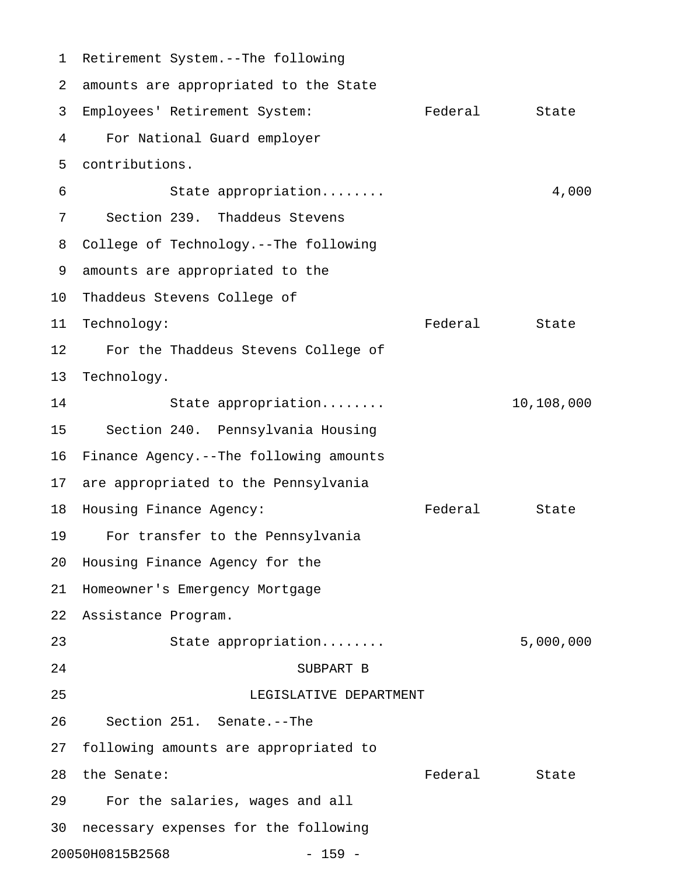1 Retirement System.--The following 2 amounts are appropriated to the State 3 Employees' Retirement System: Federal State 4 For National Guard employer 5 contributions. 6 State appropriation........ 4,000 7 Section 239. Thaddeus Stevens 8 College of Technology.--The following 9 amounts are appropriated to the 10 Thaddeus Stevens College of 11 Technology: The State State State State State State State State State State State 12 For the Thaddeus Stevens College of 13 Technology. 14 State appropriation........ 10,108,000 15 Section 240. Pennsylvania Housing 16 Finance Agency.--The following amounts 17 are appropriated to the Pennsylvania 18 Housing Finance Agency: The State State State State 19 For transfer to the Pennsylvania 20 Housing Finance Agency for the 21 Homeowner's Emergency Mortgage 22 Assistance Program. 23 State appropriation........ 5,000,000 24 SUBPART B 25 LEGISLATIVE DEPARTMENT 26 Section 251. Senate.--The 27 following amounts are appropriated to 28 the Senate: The School of the State State State State State State State 29 For the salaries, wages and all 30 necessary expenses for the following 20050H0815B2568 - 159 -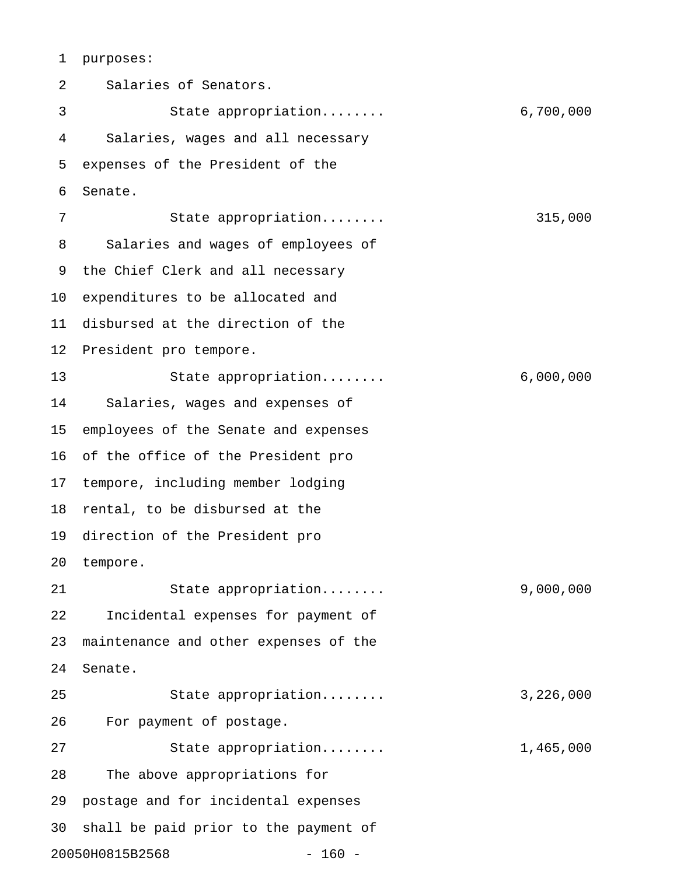```
1 purposes:
```
2 Salaries of Senators. 3 State appropriation........ 6,700,000 4 Salaries, wages and all necessary 5 expenses of the President of the 6 Senate. 7 State appropriation........ 315,000 8 Salaries and wages of employees of 9 the Chief Clerk and all necessary 10 expenditures to be allocated and 11 disbursed at the direction of the 12 President pro tempore. 13 State appropriation........ 6,000,000 14 Salaries, wages and expenses of 15 employees of the Senate and expenses 16 of the office of the President pro 17 tempore, including member lodging 18 rental, to be disbursed at the 19 direction of the President pro 20 tempore. 21 State appropriation........ 9,000,000 22 Incidental expenses for payment of 23 maintenance and other expenses of the 24 Senate. 25 State appropriation........ 3,226,000 26 For payment of postage. 27 State appropriation........ 1,465,000 28 The above appropriations for 29 postage and for incidental expenses 30 shall be paid prior to the payment of 20050H0815B2568 - 160 -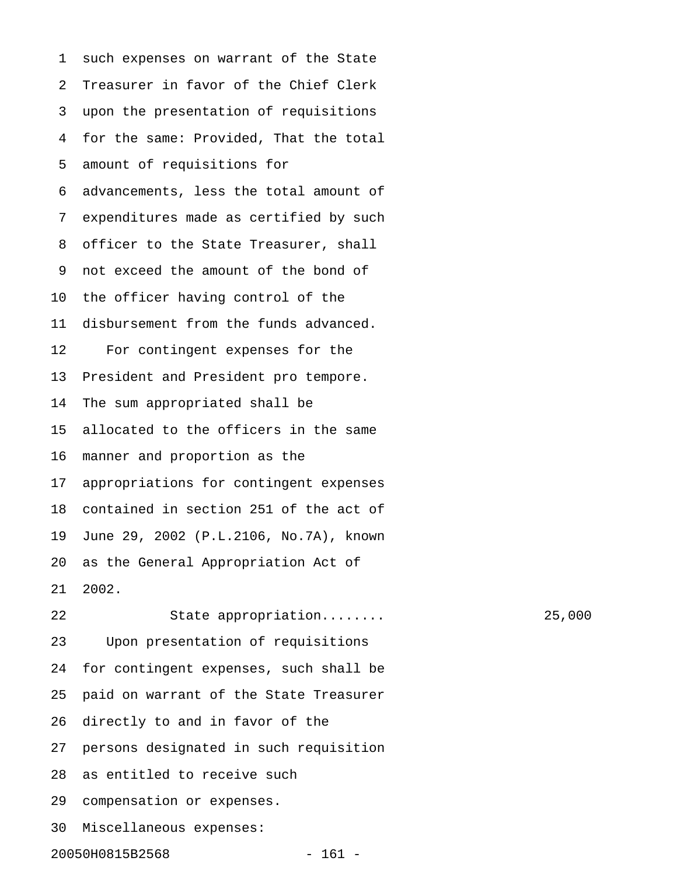1 such expenses on warrant of the State 2 Treasurer in favor of the Chief Clerk 3 upon the presentation of requisitions 4 for the same: Provided, That the total 5 amount of requisitions for 6 advancements, less the total amount of 7 expenditures made as certified by such 8 officer to the State Treasurer, shall 9 not exceed the amount of the bond of 10 the officer having control of the 11 disbursement from the funds advanced. 12 For contingent expenses for the 13 President and President pro tempore. 14 The sum appropriated shall be 15 allocated to the officers in the same 16 manner and proportion as the 17 appropriations for contingent expenses 18 contained in section 251 of the act of 19 June 29, 2002 (P.L.2106, No.7A), known 20 as the General Appropriation Act of 21 2002.

22 State appropriation........ 25,000 23 Upon presentation of requisitions 24 for contingent expenses, such shall be 25 paid on warrant of the State Treasurer 26 directly to and in favor of the 27 persons designated in such requisition 28 as entitled to receive such 29 compensation or expenses. 30 Miscellaneous expenses: 20050H0815B2568 - 161 -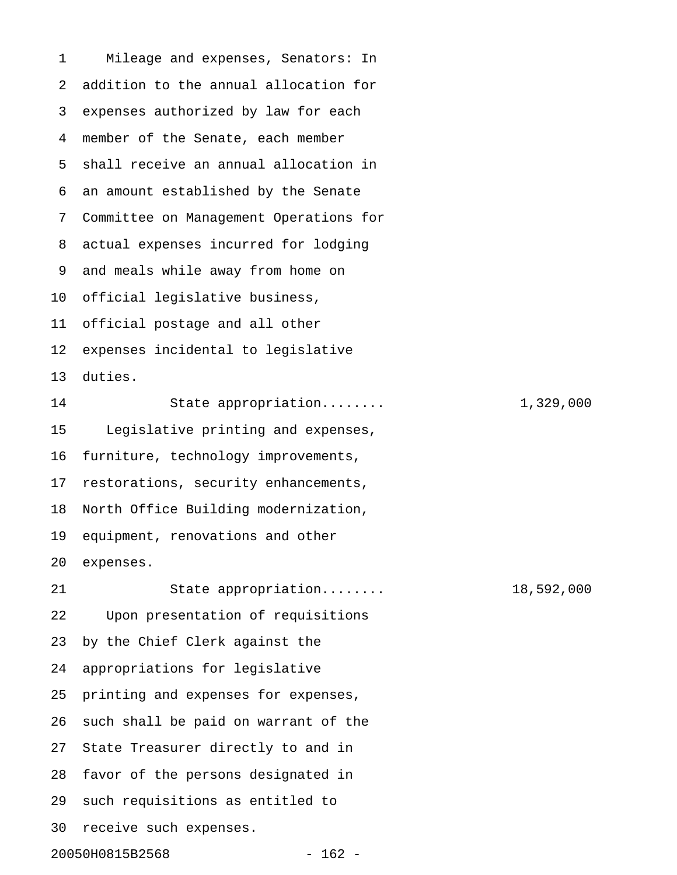1 Mileage and expenses, Senators: In 2 addition to the annual allocation for 3 expenses authorized by law for each 4 member of the Senate, each member 5 shall receive an annual allocation in 6 an amount established by the Senate 7 Committee on Management Operations for 8 actual expenses incurred for lodging 9 and meals while away from home on 10 official legislative business, 11 official postage and all other 12 expenses incidental to legislative 13 duties. 14 State appropriation........ 1,329,000 15 Legislative printing and expenses, 16 furniture, technology improvements, 17 restorations, security enhancements, 18 North Office Building modernization, 19 equipment, renovations and other 20 expenses. 21 State appropriation........ 18,592,000 22 Upon presentation of requisitions 23 by the Chief Clerk against the 24 appropriations for legislative 25 printing and expenses for expenses, 26 such shall be paid on warrant of the 27 State Treasurer directly to and in 28 favor of the persons designated in 29 such requisitions as entitled to 30 receive such expenses. 20050H0815B2568 - 162 -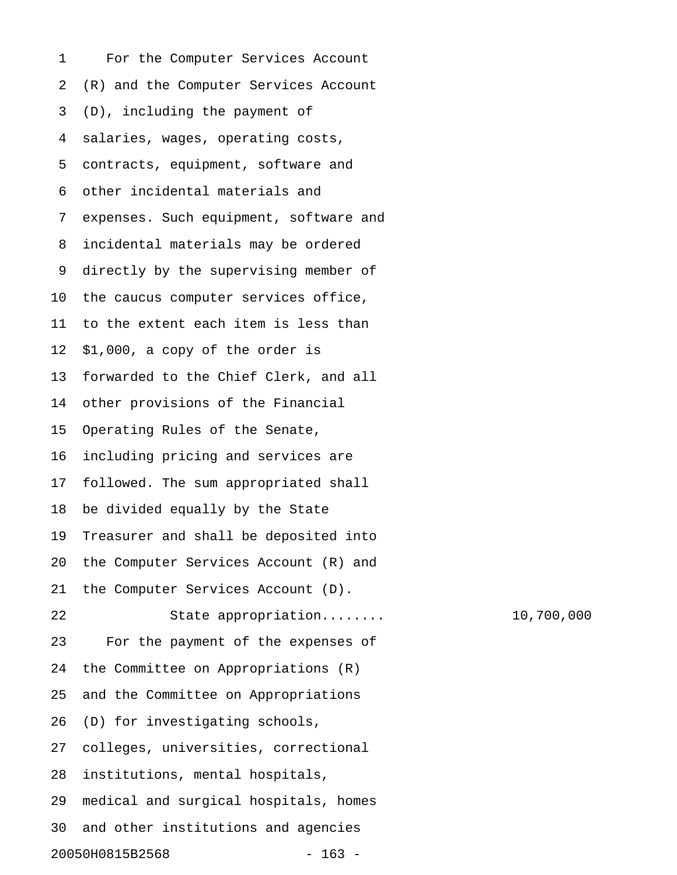1 For the Computer Services Account 2 (R) and the Computer Services Account 3 (D), including the payment of 4 salaries, wages, operating costs, 5 contracts, equipment, software and 6 other incidental materials and 7 expenses. Such equipment, software and 8 incidental materials may be ordered 9 directly by the supervising member of 10 the caucus computer services office, 11 to the extent each item is less than 12 \$1,000, a copy of the order is 13 forwarded to the Chief Clerk, and all 14 other provisions of the Financial 15 Operating Rules of the Senate, 16 including pricing and services are 17 followed. The sum appropriated shall 18 be divided equally by the State 19 Treasurer and shall be deposited into 20 the Computer Services Account (R) and 21 the Computer Services Account (D). 22 State appropriation........ 10,700,000 23 For the payment of the expenses of 24 the Committee on Appropriations (R) 25 and the Committee on Appropriations 26 (D) for investigating schools, 27 colleges, universities, correctional 28 institutions, mental hospitals, 29 medical and surgical hospitals, homes 30 and other institutions and agencies 20050H0815B2568 - 163 -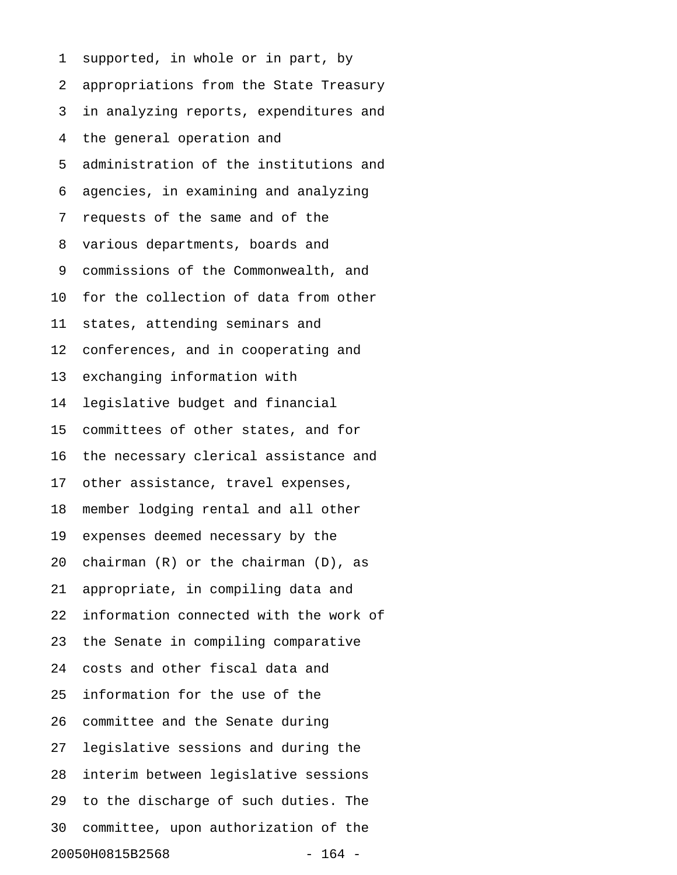1 supported, in whole or in part, by 2 appropriations from the State Treasury 3 in analyzing reports, expenditures and 4 the general operation and 5 administration of the institutions and 6 agencies, in examining and analyzing 7 requests of the same and of the 8 various departments, boards and 9 commissions of the Commonwealth, and 10 for the collection of data from other 11 states, attending seminars and 12 conferences, and in cooperating and 13 exchanging information with 14 legislative budget and financial 15 committees of other states, and for 16 the necessary clerical assistance and 17 other assistance, travel expenses, 18 member lodging rental and all other 19 expenses deemed necessary by the 20 chairman (R) or the chairman (D), as 21 appropriate, in compiling data and 22 information connected with the work of 23 the Senate in compiling comparative 24 costs and other fiscal data and 25 information for the use of the 26 committee and the Senate during 27 legislative sessions and during the 28 interim between legislative sessions 29 to the discharge of such duties. The 30 committee, upon authorization of the 20050H0815B2568 - 164 -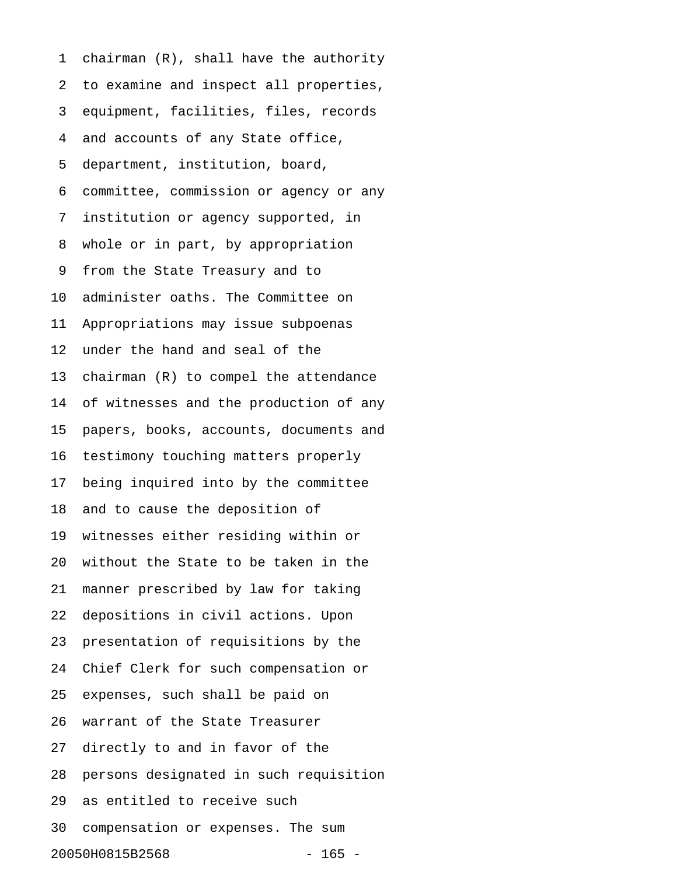1 chairman (R), shall have the authority 2 to examine and inspect all properties, 3 equipment, facilities, files, records 4 and accounts of any State office, 5 department, institution, board, 6 committee, commission or agency or any 7 institution or agency supported, in 8 whole or in part, by appropriation 9 from the State Treasury and to 10 administer oaths. The Committee on 11 Appropriations may issue subpoenas 12 under the hand and seal of the 13 chairman (R) to compel the attendance 14 of witnesses and the production of any 15 papers, books, accounts, documents and 16 testimony touching matters properly 17 being inquired into by the committee 18 and to cause the deposition of 19 witnesses either residing within or 20 without the State to be taken in the 21 manner prescribed by law for taking 22 depositions in civil actions. Upon 23 presentation of requisitions by the 24 Chief Clerk for such compensation or 25 expenses, such shall be paid on 26 warrant of the State Treasurer 27 directly to and in favor of the 28 persons designated in such requisition 29 as entitled to receive such 30 compensation or expenses. The sum 20050H0815B2568 - 165 -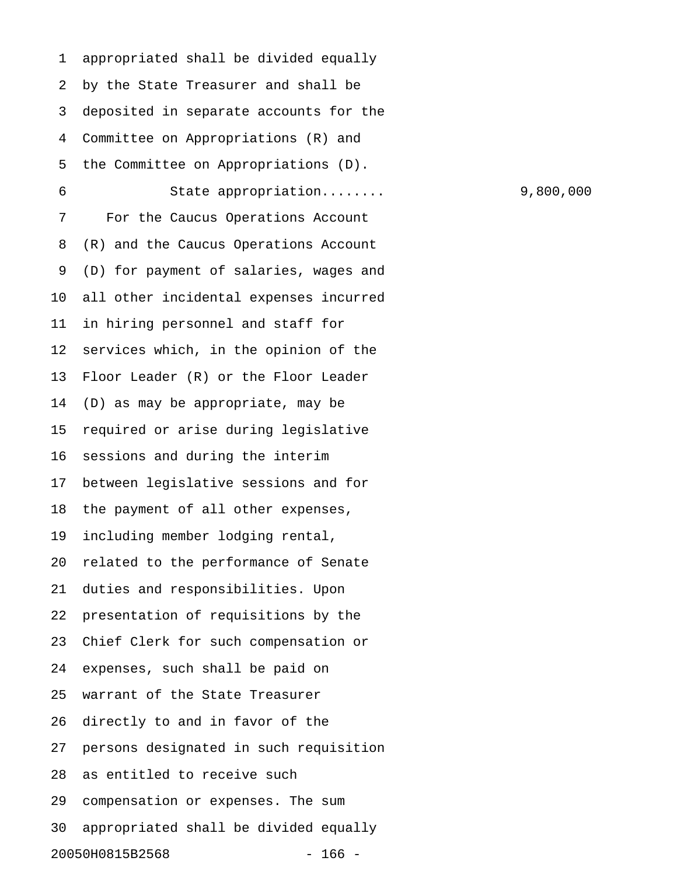1 appropriated shall be divided equally 2 by the State Treasurer and shall be 3 deposited in separate accounts for the 4 Committee on Appropriations (R) and 5 the Committee on Appropriations (D). 6 State appropriation........ 9,800,000 7 For the Caucus Operations Account 8 (R) and the Caucus Operations Account 9 (D) for payment of salaries, wages and 10 all other incidental expenses incurred 11 in hiring personnel and staff for 12 services which, in the opinion of the 13 Floor Leader (R) or the Floor Leader 14 (D) as may be appropriate, may be 15 required or arise during legislative 16 sessions and during the interim 17 between legislative sessions and for 18 the payment of all other expenses, 19 including member lodging rental, 20 related to the performance of Senate 21 duties and responsibilities. Upon 22 presentation of requisitions by the 23 Chief Clerk for such compensation or 24 expenses, such shall be paid on 25 warrant of the State Treasurer 26 directly to and in favor of the 27 persons designated in such requisition 28 as entitled to receive such 29 compensation or expenses. The sum 30 appropriated shall be divided equally 20050H0815B2568 - 166 -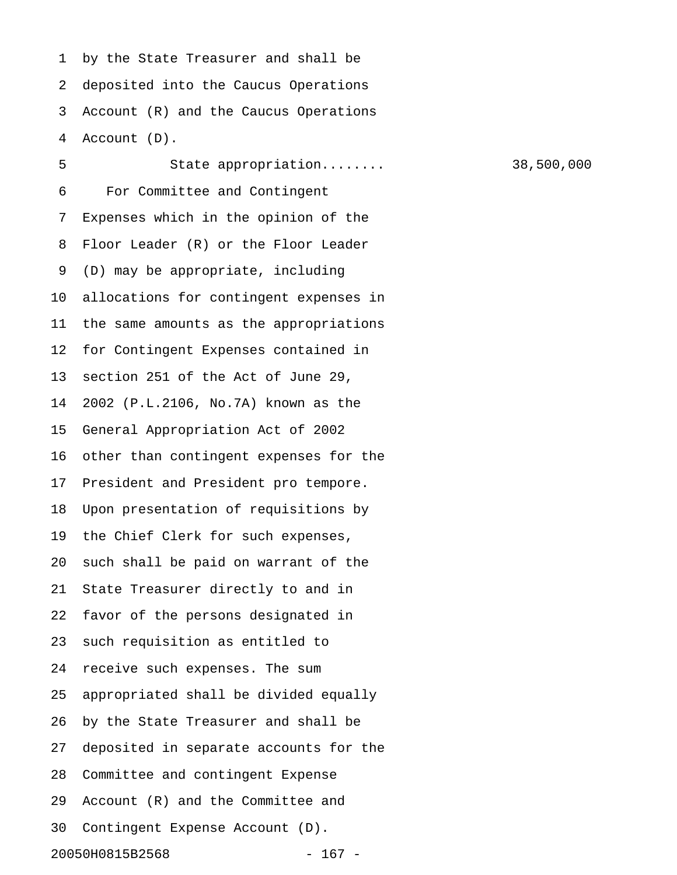1 by the State Treasurer and shall be 2 deposited into the Caucus Operations 3 Account (R) and the Caucus Operations 4 Account (D).

5 State appropriation........ 38,500,000 6 For Committee and Contingent 7 Expenses which in the opinion of the 8 Floor Leader (R) or the Floor Leader 9 (D) may be appropriate, including 10 allocations for contingent expenses in 11 the same amounts as the appropriations 12 for Contingent Expenses contained in 13 section 251 of the Act of June 29, 14 2002 (P.L.2106, No.7A) known as the 15 General Appropriation Act of 2002 16 other than contingent expenses for the 17 President and President pro tempore. 18 Upon presentation of requisitions by 19 the Chief Clerk for such expenses, 20 such shall be paid on warrant of the 21 State Treasurer directly to and in 22 favor of the persons designated in 23 such requisition as entitled to 24 receive such expenses. The sum 25 appropriated shall be divided equally 26 by the State Treasurer and shall be 27 deposited in separate accounts for the 28 Committee and contingent Expense 29 Account (R) and the Committee and 30 Contingent Expense Account (D). 20050H0815B2568 - 167 -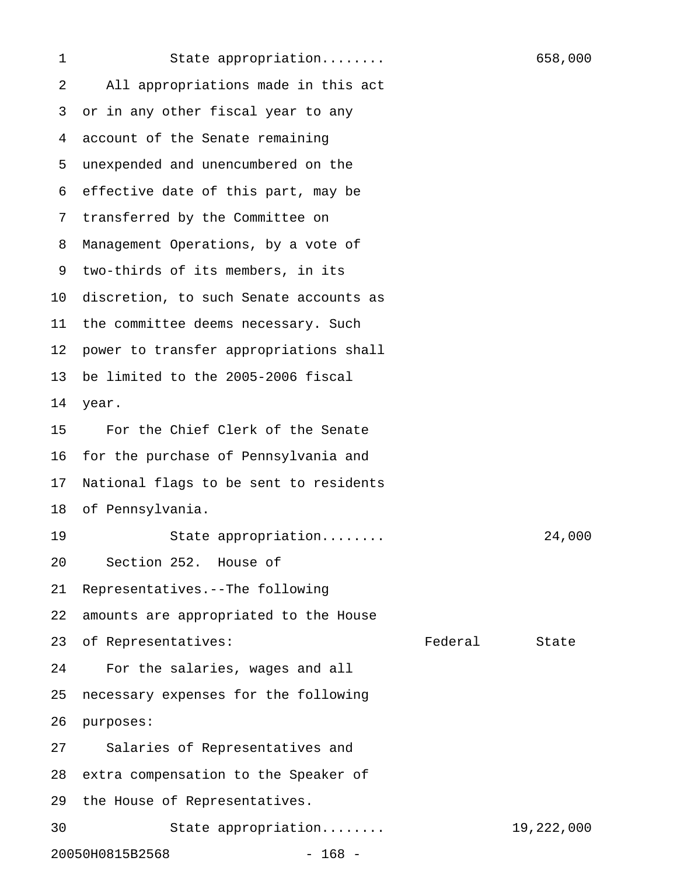1 State appropriation........ 658,000 2 All appropriations made in this act 3 or in any other fiscal year to any 4 account of the Senate remaining 5 unexpended and unencumbered on the 6 effective date of this part, may be 7 transferred by the Committee on 8 Management Operations, by a vote of 9 two-thirds of its members, in its 10 discretion, to such Senate accounts as 11 the committee deems necessary. Such 12 power to transfer appropriations shall 13 be limited to the 2005-2006 fiscal 14 year. 15 For the Chief Clerk of the Senate 16 for the purchase of Pennsylvania and 17 National flags to be sent to residents 18 of Pennsylvania. 19 State appropriation........ 24,000 20 Section 252. House of 21 Representatives.--The following 22 amounts are appropriated to the House 23 of Representatives: The State State State State State 24 For the salaries, wages and all 25 necessary expenses for the following 26 purposes: 27 Salaries of Representatives and 28 extra compensation to the Speaker of 29 the House of Representatives. 30 State appropriation........ 19,222,000 20050H0815B2568 - 168 -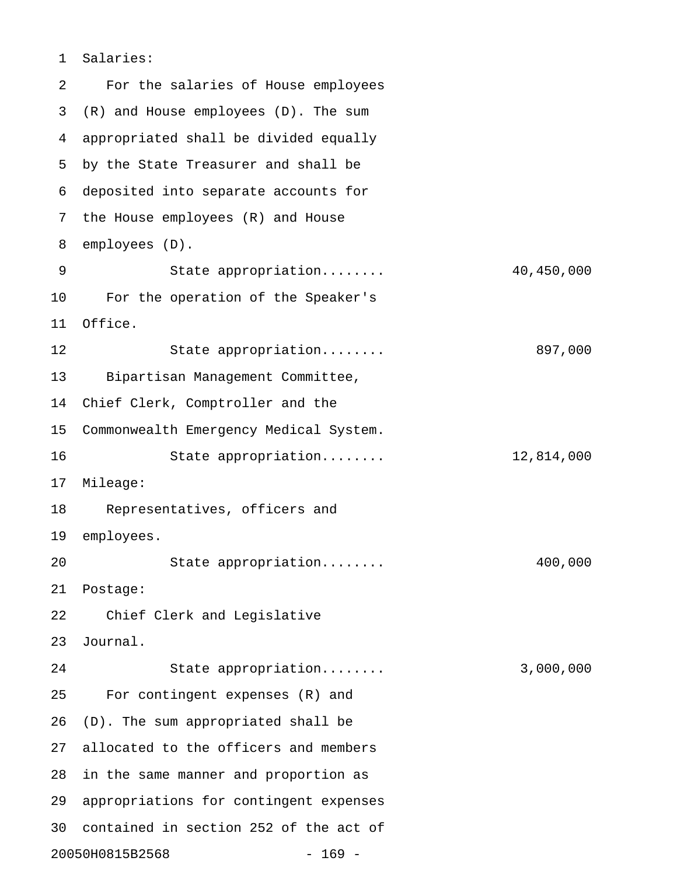1 Salaries:

2 For the salaries of House employees 3 (R) and House employees (D). The sum 4 appropriated shall be divided equally 5 by the State Treasurer and shall be 6 deposited into separate accounts for 7 the House employees (R) and House 8 employees (D). 9 State appropriation........ 40,450,000 10 For the operation of the Speaker's 11 Office. 12 State appropriation........ 897,000 13 Bipartisan Management Committee, 14 Chief Clerk, Comptroller and the 15 Commonwealth Emergency Medical System. 16 State appropriation........ 12,814,000 17 Mileage: 18 Representatives, officers and 19 employees. 20 State appropriation........ 400,000 21 Postage: 22 Chief Clerk and Legislative 23 Journal. 24 State appropriation........ 3,000,000 25 For contingent expenses (R) and 26 (D). The sum appropriated shall be 27 allocated to the officers and members 28 in the same manner and proportion as 29 appropriations for contingent expenses 30 contained in section 252 of the act of 20050H0815B2568 - 169 -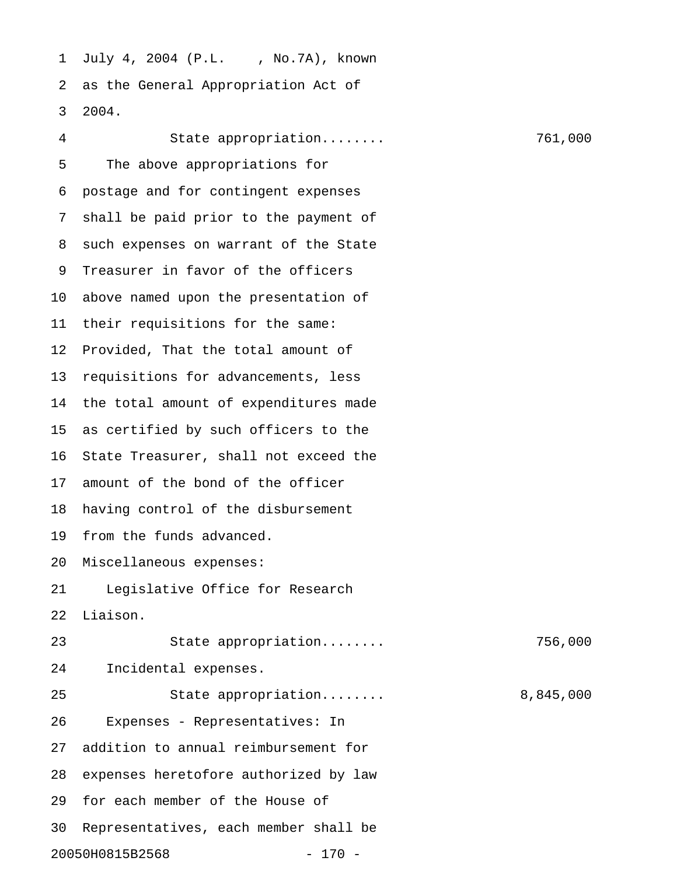1 July 4, 2004 (P.L. , No.7A), known 2 as the General Appropriation Act of 3 2004.

4 State appropriation........ 761,000 5 The above appropriations for 6 postage and for contingent expenses 7 shall be paid prior to the payment of 8 such expenses on warrant of the State 9 Treasurer in favor of the officers 10 above named upon the presentation of 11 their requisitions for the same: 12 Provided, That the total amount of 13 requisitions for advancements, less 14 the total amount of expenditures made 15 as certified by such officers to the 16 State Treasurer, shall not exceed the 17 amount of the bond of the officer 18 having control of the disbursement 19 from the funds advanced. 20 Miscellaneous expenses: 21 Legislative Office for Research 22 Liaison. 23 State appropriation........ 756,000 24 Incidental expenses. 25 State appropriation........ 8,845,000 26 Expenses - Representatives: In 27 addition to annual reimbursement for 28 expenses heretofore authorized by law 29 for each member of the House of 30 Representatives, each member shall be 20050H0815B2568 - 170 -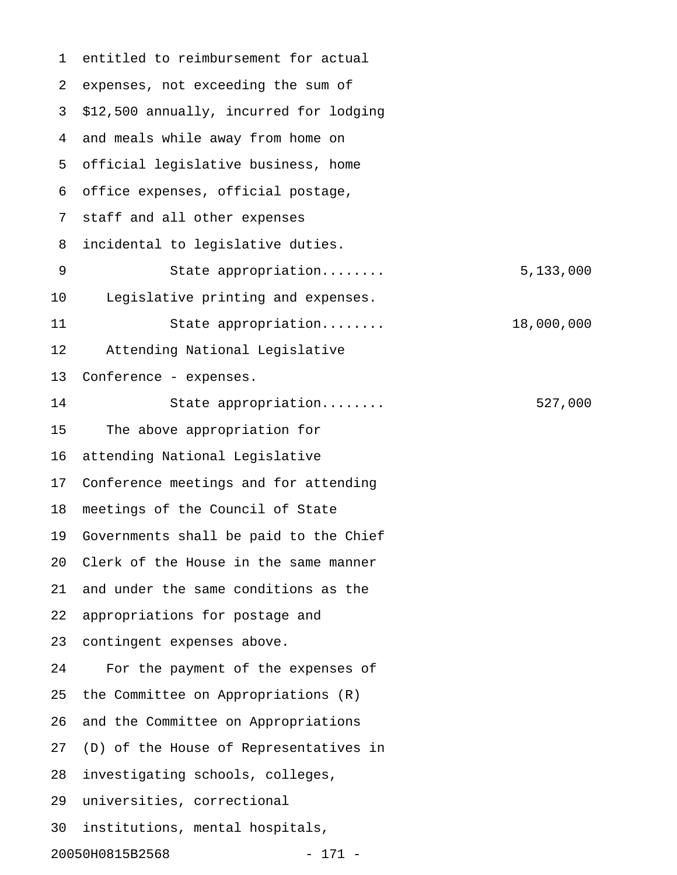1 entitled to reimbursement for actual 2 expenses, not exceeding the sum of 3 \$12,500 annually, incurred for lodging 4 and meals while away from home on 5 official legislative business, home 6 office expenses, official postage, 7 staff and all other expenses 8 incidental to legislative duties. 9 State appropriation........ 5,133,000 10 Legislative printing and expenses. 11 State appropriation........ 18,000,000 12 Attending National Legislative 13 Conference - expenses. 14 State appropriation........ 527,000 15 The above appropriation for 16 attending National Legislative 17 Conference meetings and for attending 18 meetings of the Council of State 19 Governments shall be paid to the Chief 20 Clerk of the House in the same manner 21 and under the same conditions as the 22 appropriations for postage and 23 contingent expenses above. 24 For the payment of the expenses of 25 the Committee on Appropriations (R) 26 and the Committee on Appropriations 27 (D) of the House of Representatives in 28 investigating schools, colleges, 29 universities, correctional 30 institutions, mental hospitals, 20050H0815B2568 - 171 -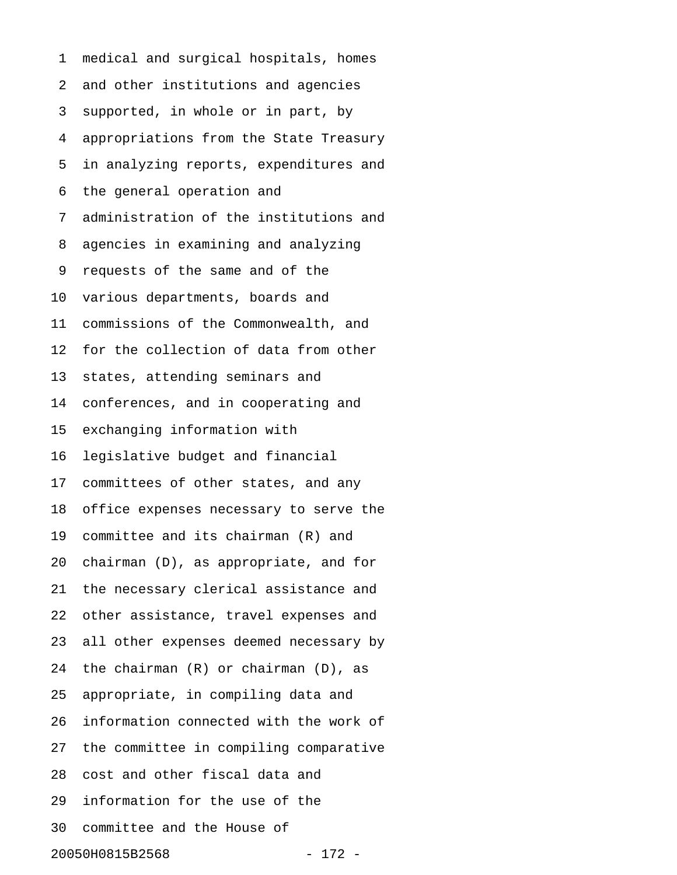1 medical and surgical hospitals, homes 2 and other institutions and agencies 3 supported, in whole or in part, by 4 appropriations from the State Treasury 5 in analyzing reports, expenditures and 6 the general operation and 7 administration of the institutions and 8 agencies in examining and analyzing 9 requests of the same and of the 10 various departments, boards and 11 commissions of the Commonwealth, and 12 for the collection of data from other 13 states, attending seminars and 14 conferences, and in cooperating and 15 exchanging information with 16 legislative budget and financial 17 committees of other states, and any 18 office expenses necessary to serve the 19 committee and its chairman (R) and 20 chairman (D), as appropriate, and for 21 the necessary clerical assistance and 22 other assistance, travel expenses and 23 all other expenses deemed necessary by 24 the chairman (R) or chairman (D), as 25 appropriate, in compiling data and 26 information connected with the work of 27 the committee in compiling comparative 28 cost and other fiscal data and 29 information for the use of the 30 committee and the House of 20050H0815B2568 - 172 -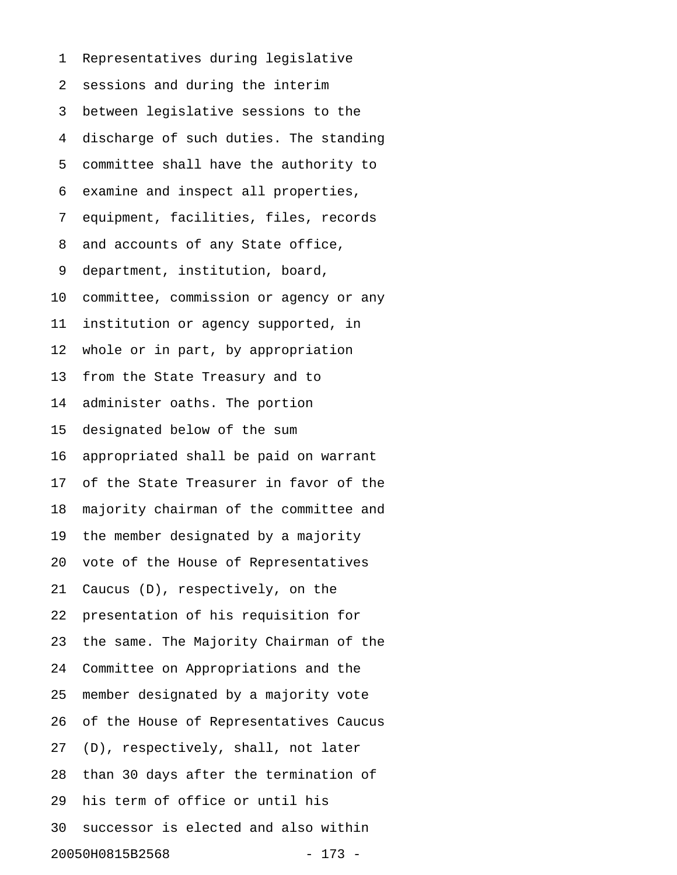1 Representatives during legislative 2 sessions and during the interim 3 between legislative sessions to the 4 discharge of such duties. The standing 5 committee shall have the authority to 6 examine and inspect all properties, 7 equipment, facilities, files, records 8 and accounts of any State office, 9 department, institution, board, 10 committee, commission or agency or any 11 institution or agency supported, in 12 whole or in part, by appropriation 13 from the State Treasury and to 14 administer oaths. The portion 15 designated below of the sum 16 appropriated shall be paid on warrant 17 of the State Treasurer in favor of the 18 majority chairman of the committee and 19 the member designated by a majority 20 vote of the House of Representatives 21 Caucus (D), respectively, on the 22 presentation of his requisition for 23 the same. The Majority Chairman of the 24 Committee on Appropriations and the 25 member designated by a majority vote 26 of the House of Representatives Caucus 27 (D), respectively, shall, not later 28 than 30 days after the termination of 29 his term of office or until his 30 successor is elected and also within 20050H0815B2568 - 173 -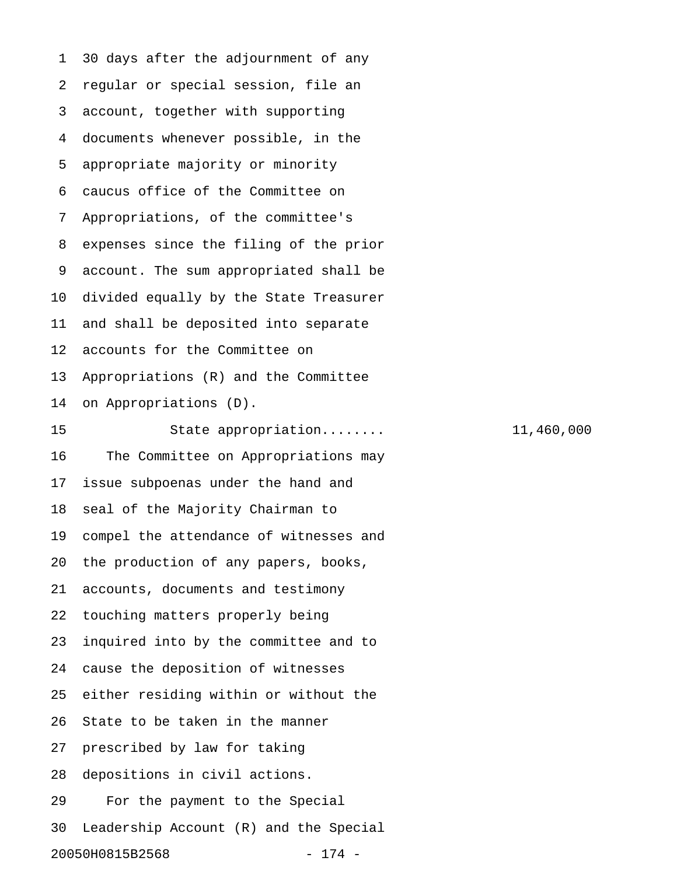1 30 days after the adjournment of any 2 regular or special session, file an 3 account, together with supporting 4 documents whenever possible, in the 5 appropriate majority or minority 6 caucus office of the Committee on 7 Appropriations, of the committee's 8 expenses since the filing of the prior 9 account. The sum appropriated shall be 10 divided equally by the State Treasurer 11 and shall be deposited into separate 12 accounts for the Committee on 13 Appropriations (R) and the Committee 14 on Appropriations (D). 15 State appropriation........ 11,460,000 16 The Committee on Appropriations may 17 issue subpoenas under the hand and 18 seal of the Majority Chairman to 19 compel the attendance of witnesses and 20 the production of any papers, books, 21 accounts, documents and testimony 22 touching matters properly being 23 inquired into by the committee and to 24 cause the deposition of witnesses 25 either residing within or without the 26 State to be taken in the manner 27 prescribed by law for taking 28 depositions in civil actions. 29 For the payment to the Special 30 Leadership Account (R) and the Special 20050H0815B2568 - 174 -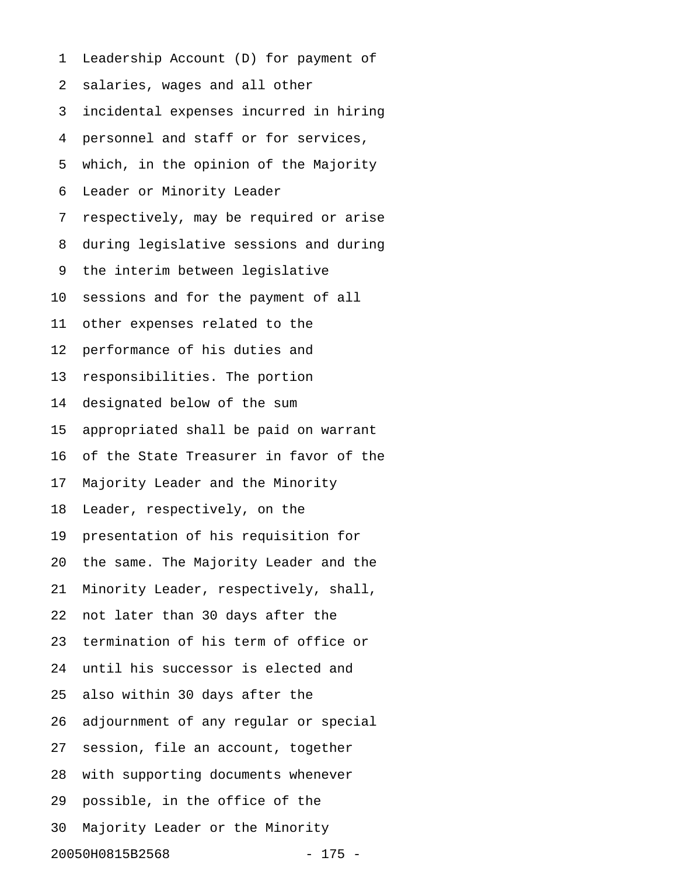1 Leadership Account (D) for payment of 2 salaries, wages and all other 3 incidental expenses incurred in hiring 4 personnel and staff or for services, 5 which, in the opinion of the Majority 6 Leader or Minority Leader 7 respectively, may be required or arise 8 during legislative sessions and during 9 the interim between legislative 10 sessions and for the payment of all 11 other expenses related to the 12 performance of his duties and 13 responsibilities. The portion 14 designated below of the sum 15 appropriated shall be paid on warrant 16 of the State Treasurer in favor of the 17 Majority Leader and the Minority 18 Leader, respectively, on the 19 presentation of his requisition for 20 the same. The Majority Leader and the 21 Minority Leader, respectively, shall, 22 not later than 30 days after the 23 termination of his term of office or 24 until his successor is elected and 25 also within 30 days after the 26 adjournment of any regular or special 27 session, file an account, together 28 with supporting documents whenever 29 possible, in the office of the 30 Majority Leader or the Minority 20050H0815B2568 - 175 -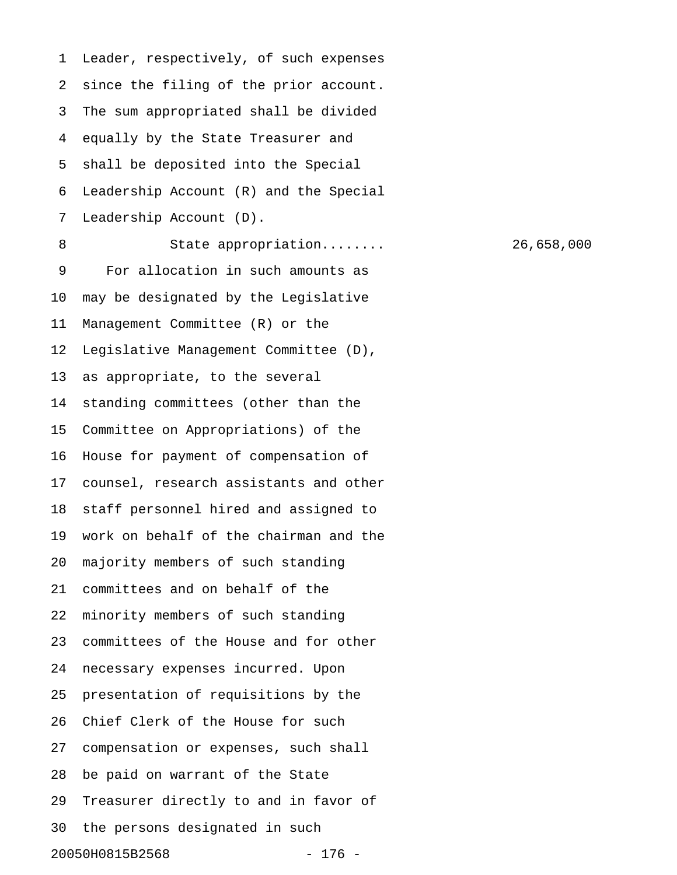1 Leader, respectively, of such expenses 2 since the filing of the prior account. 3 The sum appropriated shall be divided 4 equally by the State Treasurer and 5 shall be deposited into the Special 6 Leadership Account (R) and the Special 7 Leadership Account (D). 8 State appropriation........ 26,658,000 9 For allocation in such amounts as 10 may be designated by the Legislative 11 Management Committee (R) or the 12 Legislative Management Committee (D), 13 as appropriate, to the several 14 standing committees (other than the 15 Committee on Appropriations) of the 16 House for payment of compensation of 17 counsel, research assistants and other 18 staff personnel hired and assigned to 19 work on behalf of the chairman and the 20 majority members of such standing 21 committees and on behalf of the 22 minority members of such standing 23 committees of the House and for other 24 necessary expenses incurred. Upon 25 presentation of requisitions by the 26 Chief Clerk of the House for such 27 compensation or expenses, such shall 28 be paid on warrant of the State 29 Treasurer directly to and in favor of 30 the persons designated in such 20050H0815B2568 - 176 -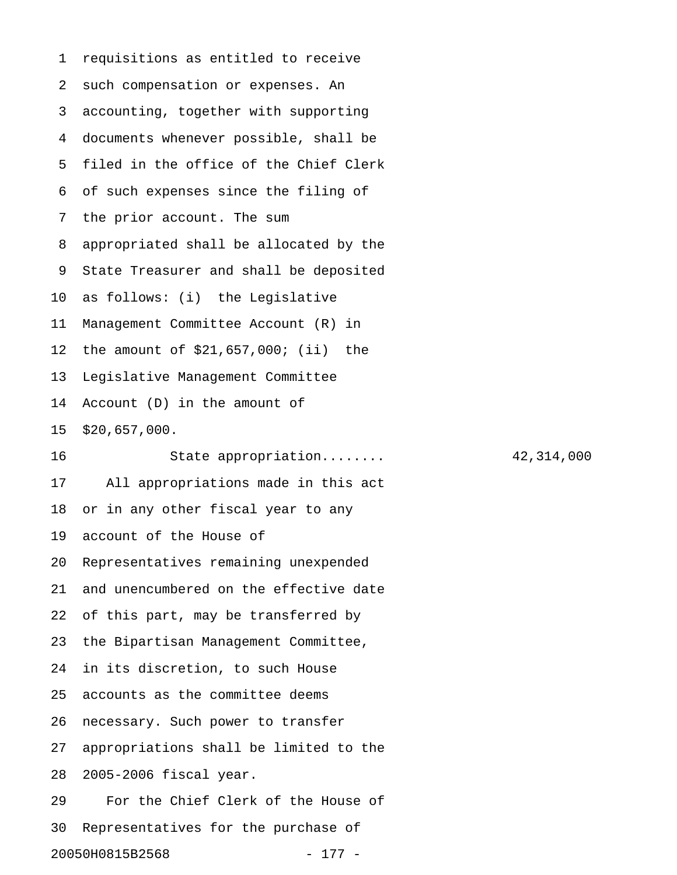1 requisitions as entitled to receive 2 such compensation or expenses. An 3 accounting, together with supporting 4 documents whenever possible, shall be 5 filed in the office of the Chief Clerk 6 of such expenses since the filing of 7 the prior account. The sum 8 appropriated shall be allocated by the 9 State Treasurer and shall be deposited 10 as follows: (i) the Legislative 11 Management Committee Account (R) in 12 the amount of \$21,657,000; (ii) the 13 Legislative Management Committee 14 Account (D) in the amount of 15 \$20,657,000. 16 State appropriation........ 42,314,000 17 All appropriations made in this act 18 or in any other fiscal year to any 19 account of the House of 20 Representatives remaining unexpended 21 and unencumbered on the effective date 22 of this part, may be transferred by 23 the Bipartisan Management Committee, 24 in its discretion, to such House 25 accounts as the committee deems 26 necessary. Such power to transfer 27 appropriations shall be limited to the 28 2005-2006 fiscal year. 29 For the Chief Clerk of the House of 30 Representatives for the purchase of 20050H0815B2568 - 177 -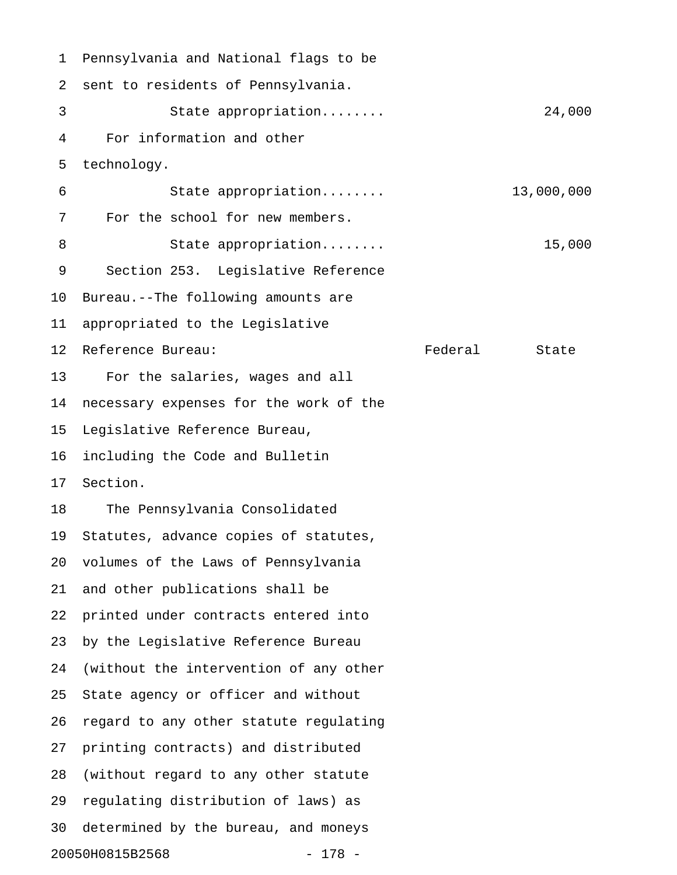1 Pennsylvania and National flags to be 2 sent to residents of Pennsylvania. 3 State appropriation........ 24,000 4 For information and other 5 technology. 6 State appropriation........ 13,000,000 7 For the school for new members. 8 State appropriation........ 15,000 9 Section 253. Legislative Reference 10 Bureau.--The following amounts are 11 appropriated to the Legislative 12 Reference Bureau: Federal State 13 For the salaries, wages and all 14 necessary expenses for the work of the 15 Legislative Reference Bureau, 16 including the Code and Bulletin 17 Section. 18 The Pennsylvania Consolidated 19 Statutes, advance copies of statutes, 20 volumes of the Laws of Pennsylvania 21 and other publications shall be 22 printed under contracts entered into 23 by the Legislative Reference Bureau 24 (without the intervention of any other 25 State agency or officer and without 26 regard to any other statute regulating 27 printing contracts) and distributed 28 (without regard to any other statute 29 regulating distribution of laws) as 30 determined by the bureau, and moneys 20050H0815B2568 - 178 -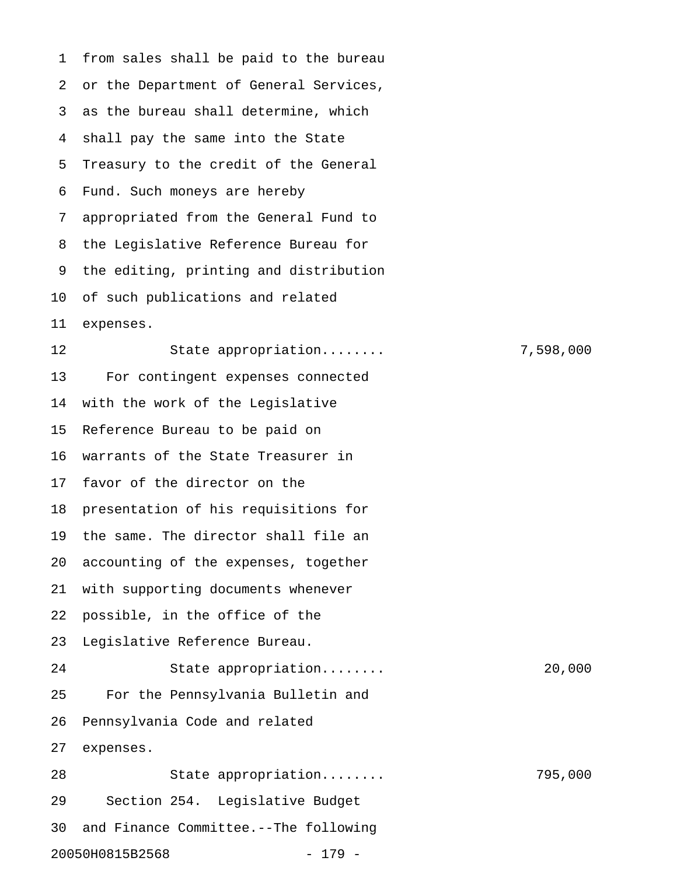1 from sales shall be paid to the bureau 2 or the Department of General Services, 3 as the bureau shall determine, which 4 shall pay the same into the State 5 Treasury to the credit of the General 6 Fund. Such moneys are hereby 7 appropriated from the General Fund to 8 the Legislative Reference Bureau for 9 the editing, printing and distribution 10 of such publications and related 11 expenses. 12 State appropriation........ 7,598,000 13 For contingent expenses connected 14 with the work of the Legislative 15 Reference Bureau to be paid on 16 warrants of the State Treasurer in 17 favor of the director on the 18 presentation of his requisitions for 19 the same. The director shall file an 20 accounting of the expenses, together 21 with supporting documents whenever 22 possible, in the office of the 23 Legislative Reference Bureau. 24 State appropriation........ 20,000 25 For the Pennsylvania Bulletin and 26 Pennsylvania Code and related 27 expenses. 28 State appropriation........ 795,000 29 Section 254. Legislative Budget 30 and Finance Committee.--The following 20050H0815B2568 - 179 -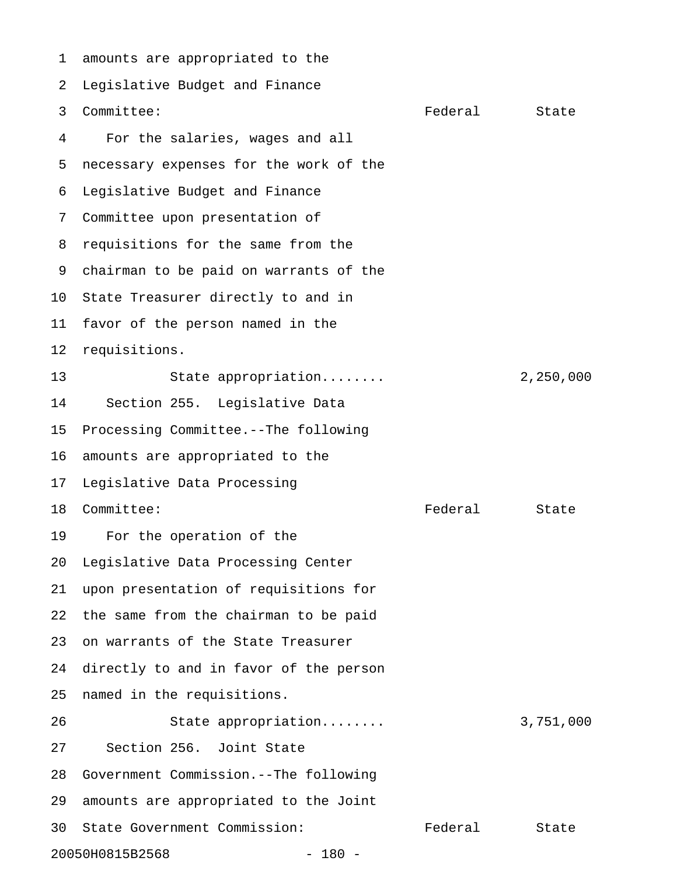1 amounts are appropriated to the 2 Legislative Budget and Finance 3 Committee: Federal State 4 For the salaries, wages and all 5 necessary expenses for the work of the 6 Legislative Budget and Finance 7 Committee upon presentation of 8 requisitions for the same from the 9 chairman to be paid on warrants of the 10 State Treasurer directly to and in 11 favor of the person named in the 12 requisitions. 13 State appropriation........ 2,250,000 14 Section 255. Legislative Data 15 Processing Committee.--The following 16 amounts are appropriated to the 17 Legislative Data Processing 18 Committee: Federal State 19 For the operation of the 20 Legislative Data Processing Center 21 upon presentation of requisitions for 22 the same from the chairman to be paid 23 on warrants of the State Treasurer 24 directly to and in favor of the person 25 named in the requisitions. 26 State appropriation........ 3,751,000 27 Section 256. Joint State 28 Government Commission.--The following 29 amounts are appropriated to the Joint 30 State Government Commission: Federal State

20050H0815B2568 - 180 -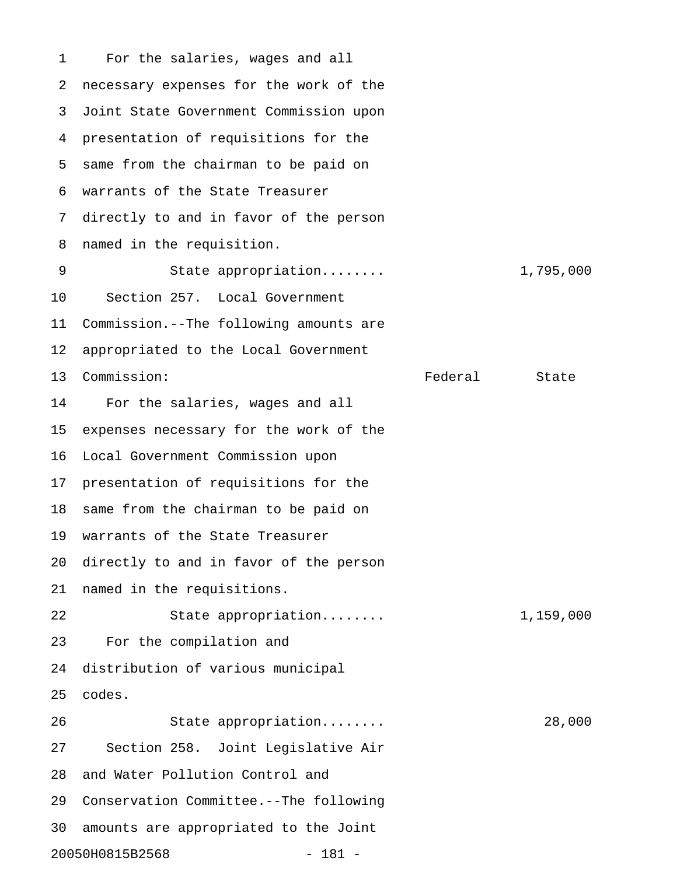1 For the salaries, wages and all 2 necessary expenses for the work of the 3 Joint State Government Commission upon 4 presentation of requisitions for the 5 same from the chairman to be paid on 6 warrants of the State Treasurer 7 directly to and in favor of the person 8 named in the requisition. 9 State appropriation........ 1,795,000 10 Section 257. Local Government 11 Commission.--The following amounts are 12 appropriated to the Local Government 13 Commission: Federal State 14 For the salaries, wages and all 15 expenses necessary for the work of the 16 Local Government Commission upon 17 presentation of requisitions for the 18 same from the chairman to be paid on 19 warrants of the State Treasurer 20 directly to and in favor of the person 21 named in the requisitions. 22 State appropriation........ 1,159,000 23 For the compilation and 24 distribution of various municipal 25 codes. 26 State appropriation........ 28,000 27 Section 258. Joint Legislative Air 28 and Water Pollution Control and 29 Conservation Committee.--The following 30 amounts are appropriated to the Joint 20050H0815B2568 - 181 -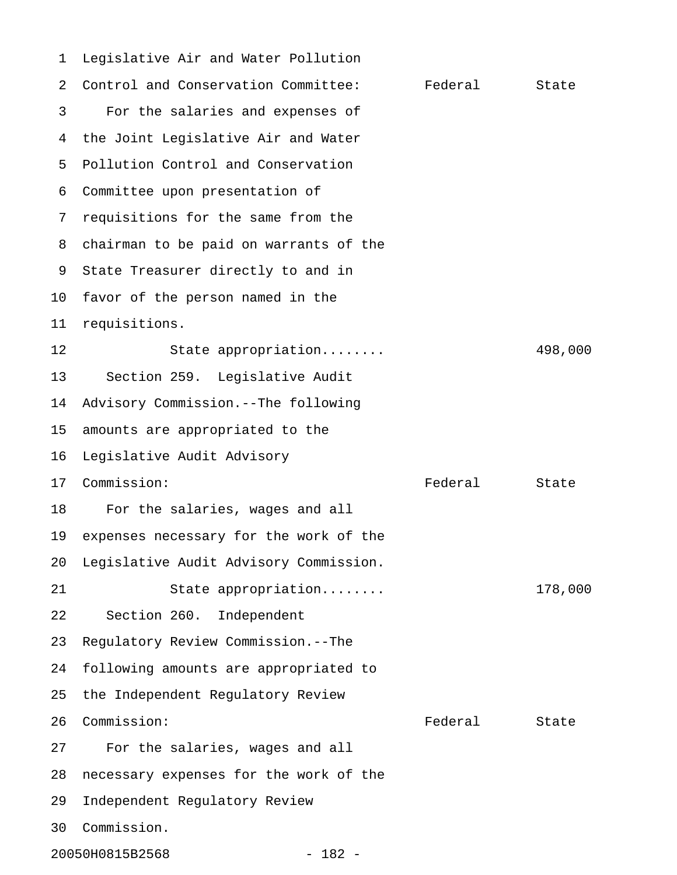1 Legislative Air and Water Pollution 2 Control and Conservation Committee: Federal State 3 For the salaries and expenses of 4 the Joint Legislative Air and Water 5 Pollution Control and Conservation 6 Committee upon presentation of 7 requisitions for the same from the 8 chairman to be paid on warrants of the 9 State Treasurer directly to and in 10 favor of the person named in the 11 requisitions. 12 State appropriation........ 498,000 13 Section 259. Legislative Audit 14 Advisory Commission.--The following 15 amounts are appropriated to the 16 Legislative Audit Advisory 17 Commission: Federal State 18 For the salaries, wages and all 19 expenses necessary for the work of the 20 Legislative Audit Advisory Commission. 21 State appropriation........ 178,000 22 Section 260. Independent 23 Regulatory Review Commission.--The 24 following amounts are appropriated to 25 the Independent Regulatory Review 26 Commission: Federal State 27 For the salaries, wages and all 28 necessary expenses for the work of the 29 Independent Regulatory Review 30 Commission.

20050H0815B2568 - 182 -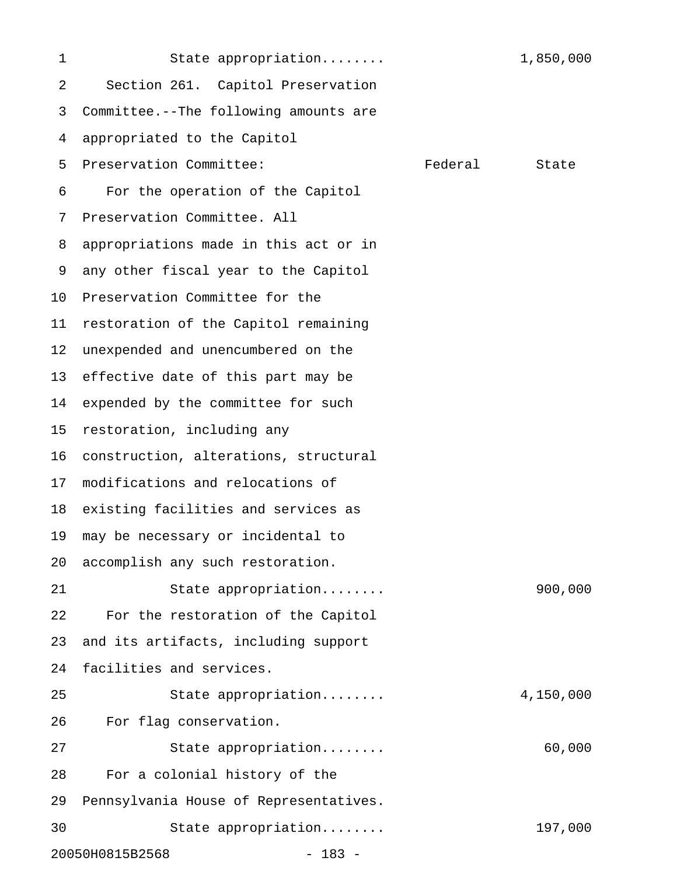| 1  | State appropriation                    |         | 1,850,000 |
|----|----------------------------------------|---------|-----------|
| 2  | Section 261. Capitol Preservation      |         |           |
| 3  | Committee.--The following amounts are  |         |           |
| 4  | appropriated to the Capitol            |         |           |
| 5  | Preservation Committee:                | Federal | State     |
| 6  | For the operation of the Capitol       |         |           |
| 7  | Preservation Committee. All            |         |           |
| 8  | appropriations made in this act or in  |         |           |
| 9  | any other fiscal year to the Capitol   |         |           |
| 10 | Preservation Committee for the         |         |           |
| 11 | restoration of the Capitol remaining   |         |           |
| 12 | unexpended and unencumbered on the     |         |           |
| 13 | effective date of this part may be     |         |           |
| 14 | expended by the committee for such     |         |           |
| 15 | restoration, including any             |         |           |
| 16 | construction, alterations, structural  |         |           |
| 17 | modifications and relocations of       |         |           |
| 18 | existing facilities and services as    |         |           |
| 19 | may be necessary or incidental to      |         |           |
| 20 | accomplish any such restoration.       |         |           |
| 21 | State appropriation                    |         | 900,000   |
| 22 | For the restoration of the Capitol     |         |           |
| 23 | and its artifacts, including support   |         |           |
| 24 | facilities and services.               |         |           |
| 25 | State appropriation                    |         | 4,150,000 |
| 26 | For flag conservation.                 |         |           |
| 27 | State appropriation                    |         | 60,000    |
| 28 | For a colonial history of the          |         |           |
| 29 | Pennsylvania House of Representatives. |         |           |
| 30 | State appropriation                    |         | 197,000   |
|    | 20050H0815B2568<br>$-183 -$            |         |           |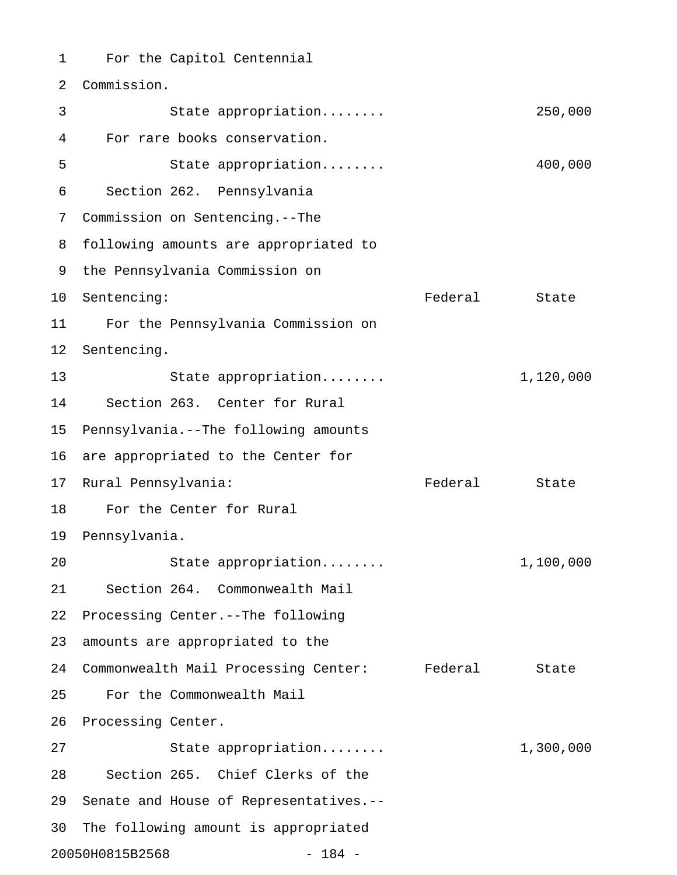1 For the Capitol Centennial

2 Commission. 3 State appropriation........ 250,000 4 For rare books conservation. 5 State appropriation........ 400,000 6 Section 262. Pennsylvania 7 Commission on Sentencing.--The 8 following amounts are appropriated to 9 the Pennsylvania Commission on 10 Sentencing: The State State State State State 11 For the Pennsylvania Commission on 12 Sentencing. 13 State appropriation........ 1,120,000 14 Section 263. Center for Rural 15 Pennsylvania.--The following amounts 16 are appropriated to the Center for 17 Rural Pennsylvania: Federal State 18 For the Center for Rural 19 Pennsylvania. 20 State appropriation........ 1,100,000 21 Section 264. Commonwealth Mail 22 Processing Center.--The following 23 amounts are appropriated to the 24 Commonwealth Mail Processing Center: Federal State 25 For the Commonwealth Mail 26 Processing Center. 27 State appropriation........ 1,300,000 28 Section 265. Chief Clerks of the 29 Senate and House of Representatives.-- 30 The following amount is appropriated 20050H0815B2568 - 184 -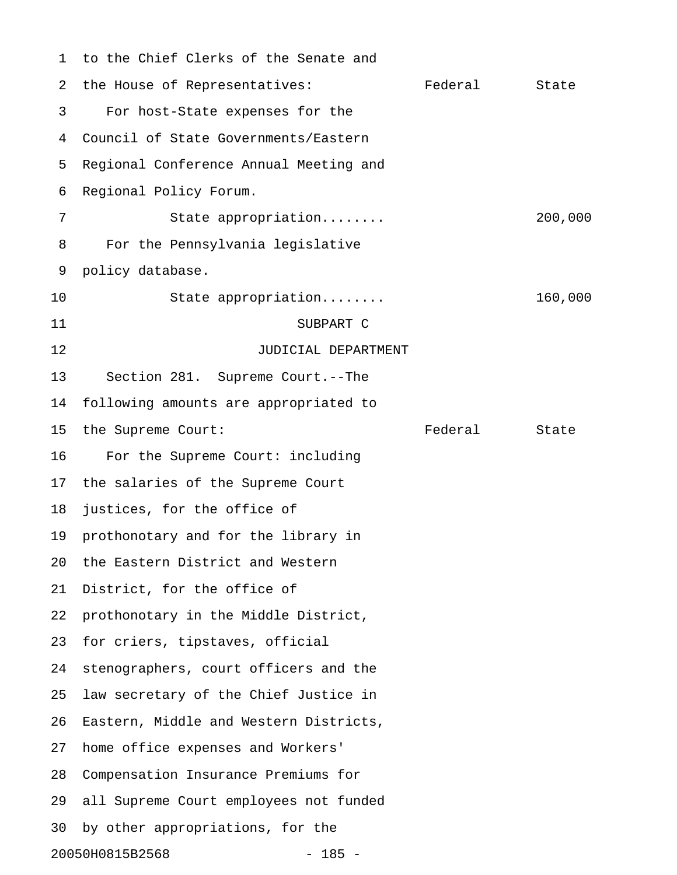| $\mathbf 1$ | to the Chief Clerks of the Senate and  |         |         |
|-------------|----------------------------------------|---------|---------|
| 2           | the House of Representatives:          | Federal | State   |
| 3           | For host-State expenses for the        |         |         |
| 4           | Council of State Governments/Eastern   |         |         |
| 5           | Regional Conference Annual Meeting and |         |         |
| 6           | Regional Policy Forum.                 |         |         |
| 7           | State appropriation                    |         | 200,000 |
| 8           | For the Pennsylvania legislative       |         |         |
| 9           | policy database.                       |         |         |
| 10          | State appropriation                    |         | 160,000 |
| 11          | SUBPART C                              |         |         |
| 12          | JUDICIAL DEPARTMENT                    |         |         |
| 13          | Section 281. Supreme Court.--The       |         |         |
| 14          | following amounts are appropriated to  |         |         |
| 15          | the Supreme Court:                     | Federal | State   |
| 16          | For the Supreme Court: including       |         |         |
| 17          | the salaries of the Supreme Court      |         |         |
| 18          | justices, for the office of            |         |         |
| 19          | prothonotary and for the library in    |         |         |
| 20          | the Eastern District and Western       |         |         |
| 21          | District, for the office of            |         |         |
| 22          | prothonotary in the Middle District,   |         |         |
| 23          | for criers, tipstaves, official        |         |         |
| 24          | stenographers, court officers and the  |         |         |
| 25          | law secretary of the Chief Justice in  |         |         |
| 26          | Eastern, Middle and Western Districts, |         |         |
| 27          | home office expenses and Workers'      |         |         |
| 28          | Compensation Insurance Premiums for    |         |         |
| 29          | all Supreme Court employees not funded |         |         |
| 30          | by other appropriations, for the       |         |         |
|             | 20050H0815B2568<br>$-185 -$            |         |         |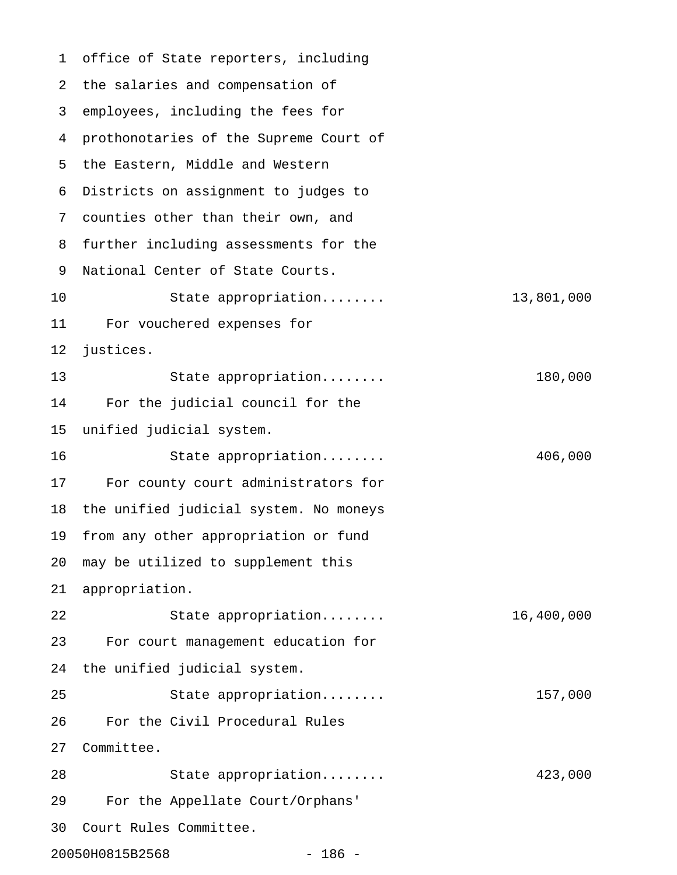1 office of State reporters, including 2 the salaries and compensation of 3 employees, including the fees for 4 prothonotaries of the Supreme Court of 5 the Eastern, Middle and Western 6 Districts on assignment to judges to 7 counties other than their own, and 8 further including assessments for the 9 National Center of State Courts. 10 State appropriation....... 13,801,000 11 For vouchered expenses for 12 justices. 13 State appropriation........ 180,000 14 For the judicial council for the 15 unified judicial system. 16 State appropriation........ 406,000 17 For county court administrators for 18 the unified judicial system. No moneys 19 from any other appropriation or fund 20 may be utilized to supplement this 21 appropriation. 22 State appropriation........ 16,400,000 23 For court management education for 24 the unified judicial system. 25 State appropriation........ 157,000 26 For the Civil Procedural Rules 27 Committee. 28 State appropriation........ 423,000 29 For the Appellate Court/Orphans' 30 Court Rules Committee.

20050H0815B2568 - 186 -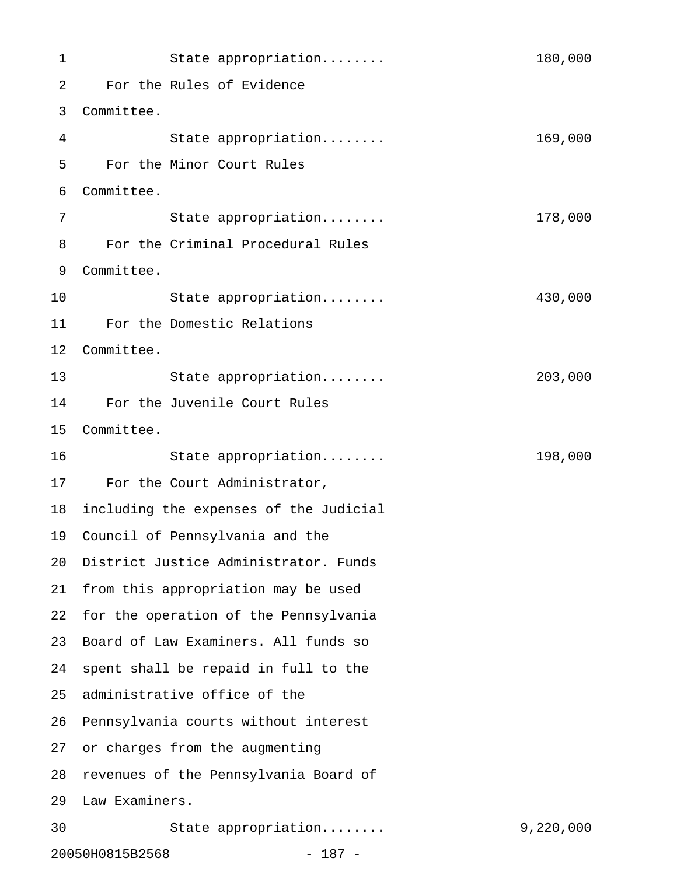1 State appropriation........ 180,000 2 For the Rules of Evidence 3 Committee. 4 State appropriation........ 169,000 5 For the Minor Court Rules 6 Committee. 7 State appropriation........ 178,000 8 For the Criminal Procedural Rules 9 Committee. 10 State appropriation........ 430,000 11 For the Domestic Relations 12 Committee. 13 State appropriation........ 203,000 14 For the Juvenile Court Rules 15 Committee. 16 State appropriation........ 198,000 17 For the Court Administrator, 18 including the expenses of the Judicial 19 Council of Pennsylvania and the 20 District Justice Administrator. Funds 21 from this appropriation may be used 22 for the operation of the Pennsylvania 23 Board of Law Examiners. All funds so 24 spent shall be repaid in full to the 25 administrative office of the 26 Pennsylvania courts without interest 27 or charges from the augmenting 28 revenues of the Pennsylvania Board of 29 Law Examiners. 30 State appropriation........ 9,220,000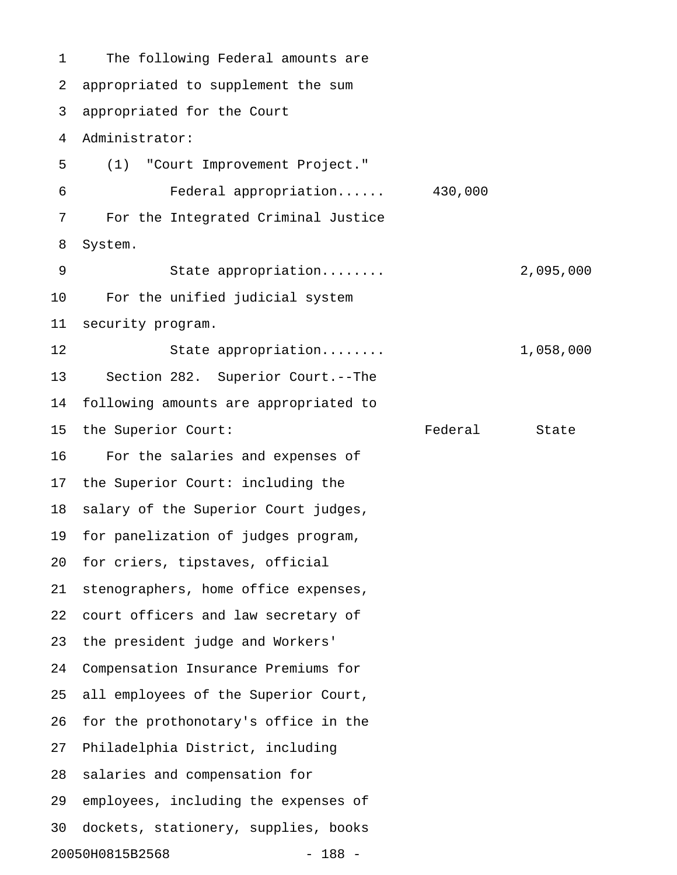1 The following Federal amounts are 2 appropriated to supplement the sum 3 appropriated for the Court 4 Administrator: 5 (1) "Court Improvement Project." 6 Federal appropriation...... 430,000 7 For the Integrated Criminal Justice 8 System. 9 State appropriation........ 2,095,000 10 For the unified judicial system 11 security program. 12 State appropriation........ 1,058,000 13 Section 282. Superior Court.--The 14 following amounts are appropriated to 15 the Superior Court: The Superior Court: The State State 16 For the salaries and expenses of 17 the Superior Court: including the 18 salary of the Superior Court judges, 19 for panelization of judges program, 20 for criers, tipstaves, official 21 stenographers, home office expenses, 22 court officers and law secretary of 23 the president judge and Workers' 24 Compensation Insurance Premiums for 25 all employees of the Superior Court, 26 for the prothonotary's office in the 27 Philadelphia District, including 28 salaries and compensation for 29 employees, including the expenses of 30 dockets, stationery, supplies, books 20050H0815B2568 - 188 -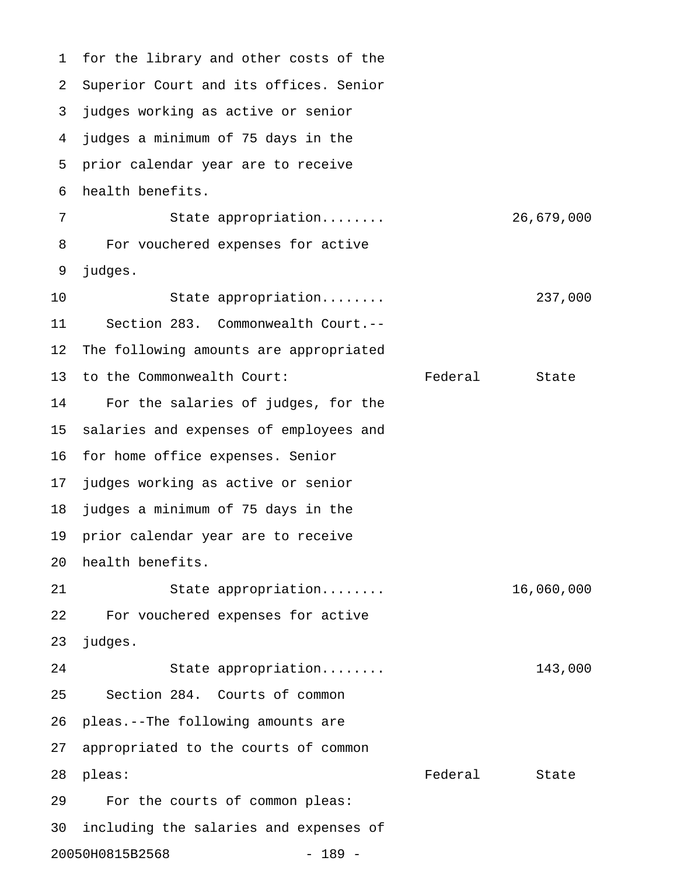1 for the library and other costs of the 2 Superior Court and its offices. Senior 3 judges working as active or senior 4 judges a minimum of 75 days in the 5 prior calendar year are to receive 6 health benefits. 7 State appropriation....... 26,679,000 8 For vouchered expenses for active 9 judges. 10 State appropriation........ 237,000 11 Section 283. Commonwealth Court.-- 12 The following amounts are appropriated 13 to the Commonwealth Court: The State State State 14 For the salaries of judges, for the 15 salaries and expenses of employees and 16 for home office expenses. Senior 17 judges working as active or senior 18 judges a minimum of 75 days in the 19 prior calendar year are to receive 20 health benefits. 21 State appropriation........ 16,060,000 22 For vouchered expenses for active 23 judges. 24 State appropriation........ 143,000 25 Section 284. Courts of common 26 pleas.--The following amounts are 27 appropriated to the courts of common 28 pleas: State State State State State State State State State State State State 29 For the courts of common pleas: 30 including the salaries and expenses of 20050H0815B2568 - 189 -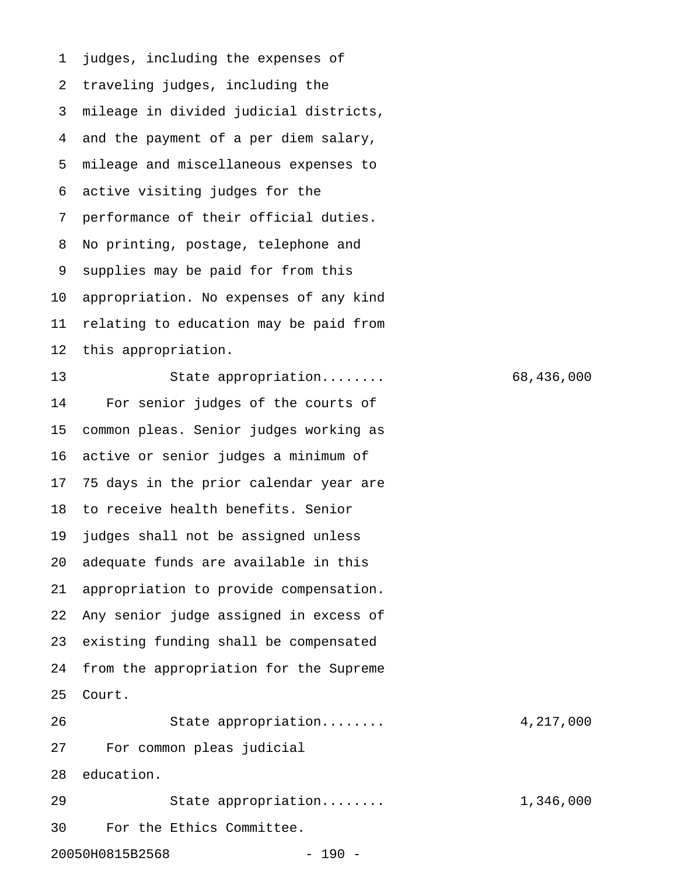1 judges, including the expenses of 2 traveling judges, including the 3 mileage in divided judicial districts, 4 and the payment of a per diem salary, 5 mileage and miscellaneous expenses to 6 active visiting judges for the 7 performance of their official duties. 8 No printing, postage, telephone and 9 supplies may be paid for from this 10 appropriation. No expenses of any kind 11 relating to education may be paid from 12 this appropriation.

13 State appropriation........ 68,436,000 14 For senior judges of the courts of 15 common pleas. Senior judges working as 16 active or senior judges a minimum of 17 75 days in the prior calendar year are 18 to receive health benefits. Senior 19 judges shall not be assigned unless 20 adequate funds are available in this 21 appropriation to provide compensation. 22 Any senior judge assigned in excess of 23 existing funding shall be compensated 24 from the appropriation for the Supreme 25 Court. 26 State appropriation........ 4,217,000 27 For common pleas judicial 28 education. 29 State appropriation........ 1,346,000 30 For the Ethics Committee. 20050H0815B2568 - 190 -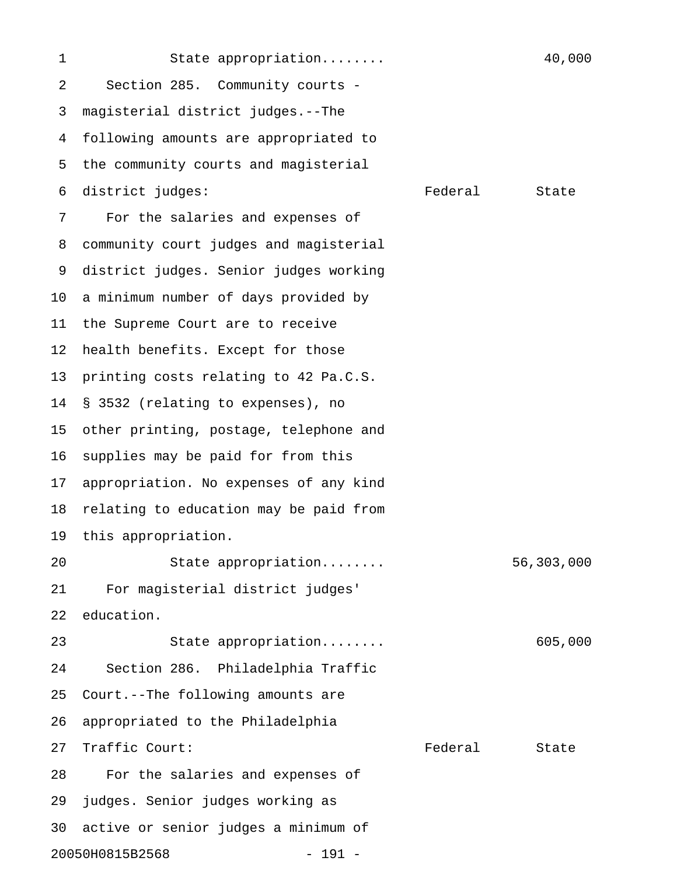1 State appropriation........ 40,000 2 Section 285. Community courts - 3 magisterial district judges.--The 4 following amounts are appropriated to 5 the community courts and magisterial 6 district judges: Federal State 7 For the salaries and expenses of 8 community court judges and magisterial 9 district judges. Senior judges working 10 a minimum number of days provided by 11 the Supreme Court are to receive 12 health benefits. Except for those 13 printing costs relating to 42 Pa.C.S. 14 § 3532 (relating to expenses), no 15 other printing, postage, telephone and 16 supplies may be paid for from this 17 appropriation. No expenses of any kind 18 relating to education may be paid from 19 this appropriation. 20 State appropriation........ 56,303,000 21 For magisterial district judges' 22 education. 23 State appropriation........ 605,000 24 Section 286. Philadelphia Traffic 25 Court.--The following amounts are 26 appropriated to the Philadelphia 27 Traffic Court: The State State State State State State State State State State 28 For the salaries and expenses of 29 judges. Senior judges working as 30 active or senior judges a minimum of 20050H0815B2568 - 191 -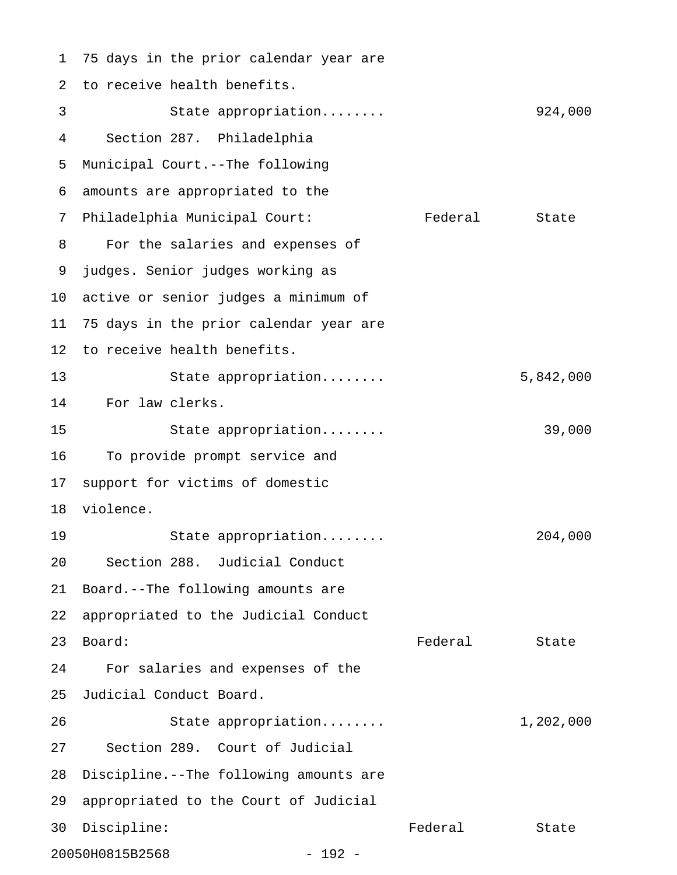1 75 days in the prior calendar year are 2 to receive health benefits. 3 State appropriation........ 924,000 4 Section 287. Philadelphia 5 Municipal Court.--The following 6 amounts are appropriated to the 7 Philadelphia Municipal Court: Federal State 8 For the salaries and expenses of 9 judges. Senior judges working as 10 active or senior judges a minimum of 11 75 days in the prior calendar year are 12 to receive health benefits. 13 State appropriation........ 5,842,000 14 For law clerks. 15 State appropriation........ 39,000 16 To provide prompt service and 17 support for victims of domestic 18 violence. 19 State appropriation........ 204,000 20 Section 288. Judicial Conduct 21 Board.--The following amounts are 22 appropriated to the Judicial Conduct 23 Board: Federal State 24 For salaries and expenses of the 25 Judicial Conduct Board. 26 State appropriation........ 1,202,000 27 Section 289. Court of Judicial 28 Discipline.--The following amounts are 29 appropriated to the Court of Judicial 30 Discipline: Federal State 20050H0815B2568 - 192 -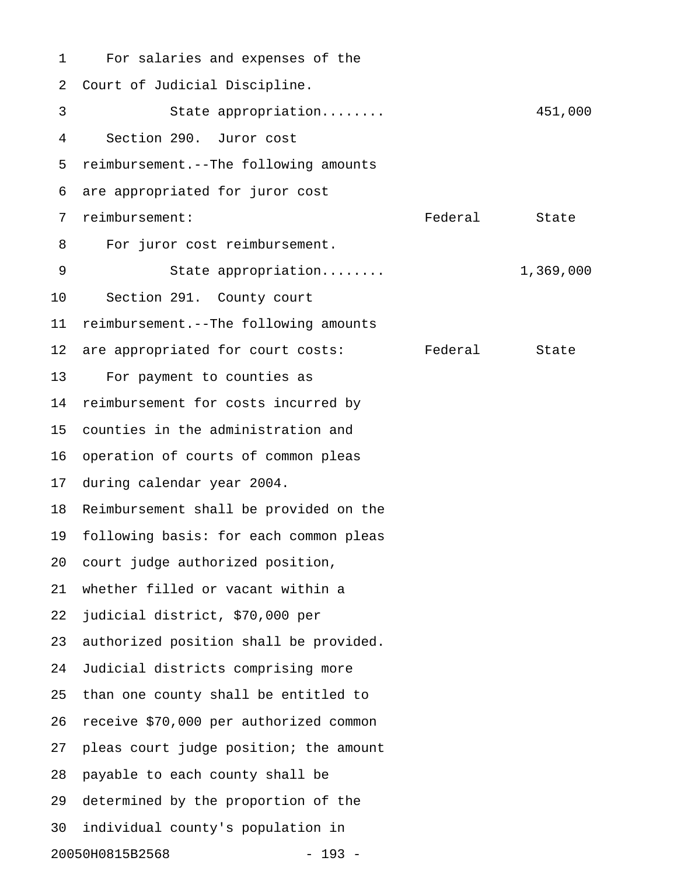1 For salaries and expenses of the 2 Court of Judicial Discipline. 3 State appropriation........ 451,000 4 Section 290. Juror cost 5 reimbursement.--The following amounts 6 are appropriated for juror cost 7 reimbursement: Federal State 8 For juror cost reimbursement. 9 State appropriation........ 1,369,000 10 Section 291. County court 11 reimbursement.--The following amounts 12 are appropriated for court costs: Federal State 13 For payment to counties as 14 reimbursement for costs incurred by 15 counties in the administration and 16 operation of courts of common pleas 17 during calendar year 2004. 18 Reimbursement shall be provided on the 19 following basis: for each common pleas 20 court judge authorized position, 21 whether filled or vacant within a 22 judicial district, \$70,000 per 23 authorized position shall be provided. 24 Judicial districts comprising more 25 than one county shall be entitled to 26 receive \$70,000 per authorized common 27 pleas court judge position; the amount 28 payable to each county shall be 29 determined by the proportion of the 30 individual county's population in 20050H0815B2568 - 193 -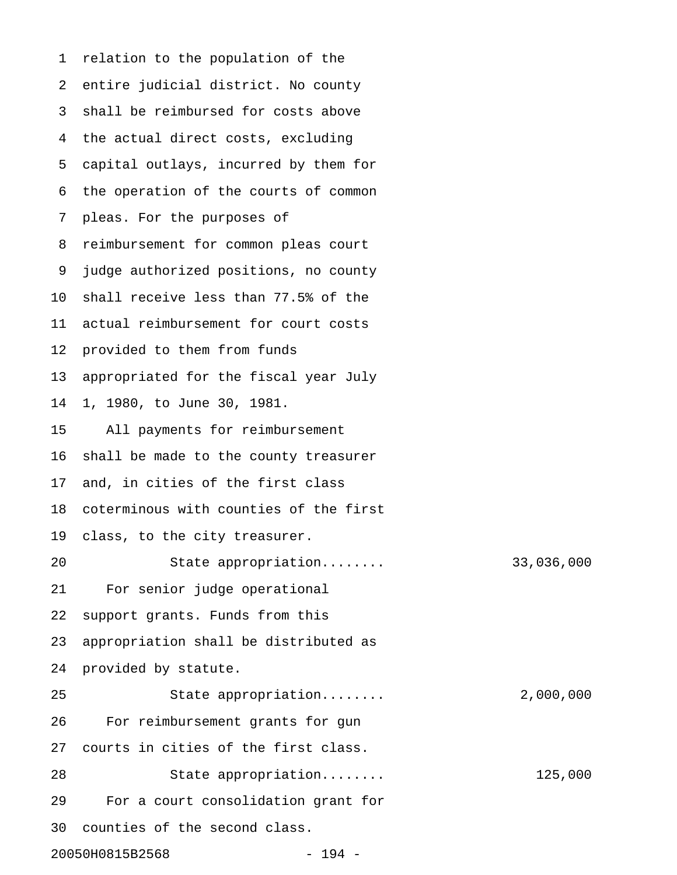1 relation to the population of the 2 entire judicial district. No county 3 shall be reimbursed for costs above 4 the actual direct costs, excluding 5 capital outlays, incurred by them for 6 the operation of the courts of common 7 pleas. For the purposes of 8 reimbursement for common pleas court 9 judge authorized positions, no county 10 shall receive less than 77.5% of the 11 actual reimbursement for court costs 12 provided to them from funds 13 appropriated for the fiscal year July 14 1, 1980, to June 30, 1981. 15 All payments for reimbursement 16 shall be made to the county treasurer 17 and, in cities of the first class 18 coterminous with counties of the first 19 class, to the city treasurer. 20 State appropriation........ 33,036,000 21 For senior judge operational 22 support grants. Funds from this 23 appropriation shall be distributed as 24 provided by statute. 25 State appropriation........ 2,000,000 26 For reimbursement grants for gun 27 courts in cities of the first class. 28 State appropriation........ 125,000 29 For a court consolidation grant for 30 counties of the second class. 20050H0815B2568 - 194 -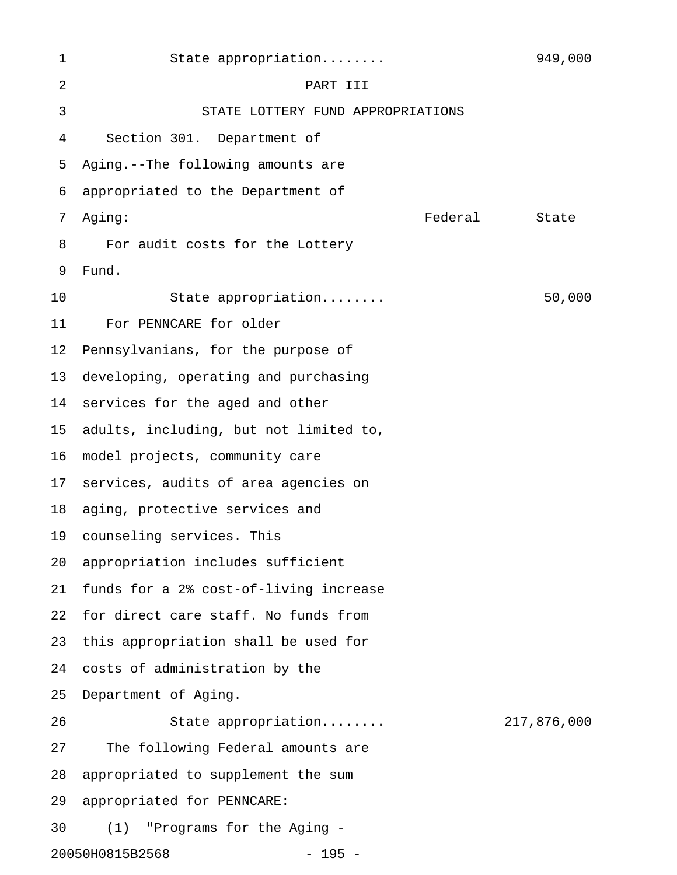1 State appropriation........ 949,000 2 PART III 3 STATE LOTTERY FUND APPROPRIATIONS 4 Section 301. Department of 5 Aging.--The following amounts are 6 appropriated to the Department of 7 Aging: The Contract of the State of the State State State State State State State 8 For audit costs for the Lottery 9 Fund. 10 State appropriation....... 50,000 11 For PENNCARE for older 12 Pennsylvanians, for the purpose of 13 developing, operating and purchasing 14 services for the aged and other 15 adults, including, but not limited to, 16 model projects, community care 17 services, audits of area agencies on 18 aging, protective services and 19 counseling services. This 20 appropriation includes sufficient 21 funds for a 2% cost-of-living increase 22 for direct care staff. No funds from 23 this appropriation shall be used for 24 costs of administration by the 25 Department of Aging. 26 State appropriation........ 217,876,000 27 The following Federal amounts are 28 appropriated to supplement the sum 29 appropriated for PENNCARE: 30 (1) "Programs for the Aging - 20050H0815B2568 - 195 -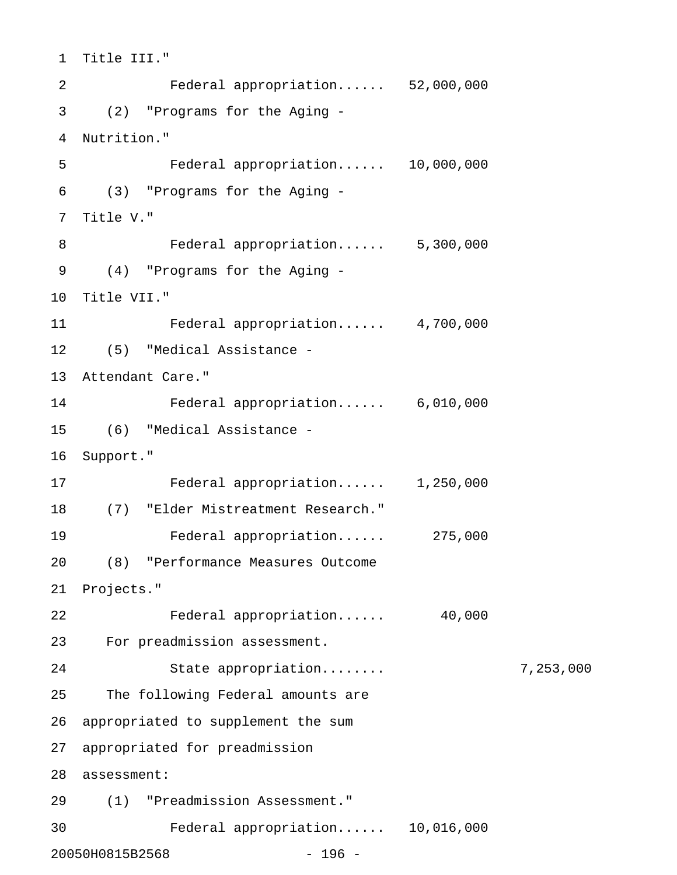1 Title III." 2 Federal appropriation...... 52,000,000 3 (2) "Programs for the Aging - 4 Nutrition." 5 Federal appropriation...... 10,000,000 6 (3) "Programs for the Aging - 7 Title V." 8 Federal appropriation...... 5,300,000 9 (4) "Programs for the Aging - 10 Title VII." 11 Federal appropriation...... 4,700,000 12 (5) "Medical Assistance - 13 Attendant Care." 14 Federal appropriation...... 6,010,000 15 (6) "Medical Assistance - 16 Support." 17 Federal appropriation...... 1,250,000 18 (7) "Elder Mistreatment Research." 19 Federal appropriation...... 275,000 20 (8) "Performance Measures Outcome 21 Projects." 22 Federal appropriation...... 40,000 23 For preadmission assessment. 24 State appropriation........ 7,253,000 25 The following Federal amounts are 26 appropriated to supplement the sum 27 appropriated for preadmission 28 assessment: 29 (1) "Preadmission Assessment." 30 Federal appropriation...... 10,016,000

20050H0815B2568 - 196 -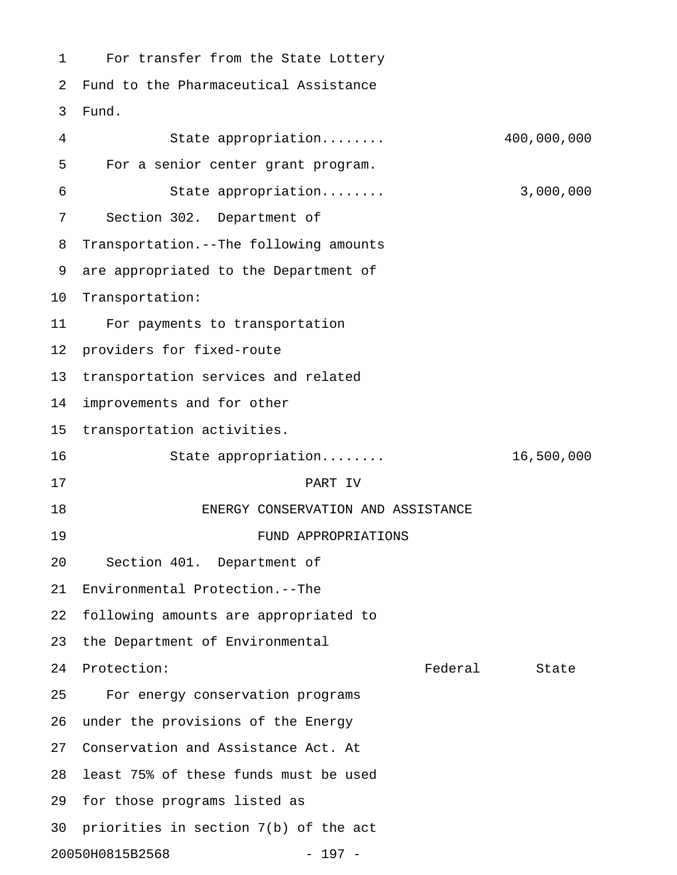1 For transfer from the State Lottery 2 Fund to the Pharmaceutical Assistance 3 Fund. 4 State appropriation........ 400,000,000 5 For a senior center grant program. 6 State appropriation........ 3,000,000 7 Section 302. Department of 8 Transportation.--The following amounts 9 are appropriated to the Department of 10 Transportation: 11 For payments to transportation 12 providers for fixed-route 13 transportation services and related 14 improvements and for other 15 transportation activities. 16 State appropriation........ 16,500,000 17 PART IV 18 ENERGY CONSERVATION AND ASSISTANCE 19 FUND APPROPRIATIONS 20 Section 401. Department of 21 Environmental Protection.--The 22 following amounts are appropriated to 23 the Department of Environmental 24 Protection: The State State State State State State State State State State State 25 For energy conservation programs 26 under the provisions of the Energy 27 Conservation and Assistance Act. At 28 least 75% of these funds must be used 29 for those programs listed as 30 priorities in section 7(b) of the act 20050H0815B2568 - 197 -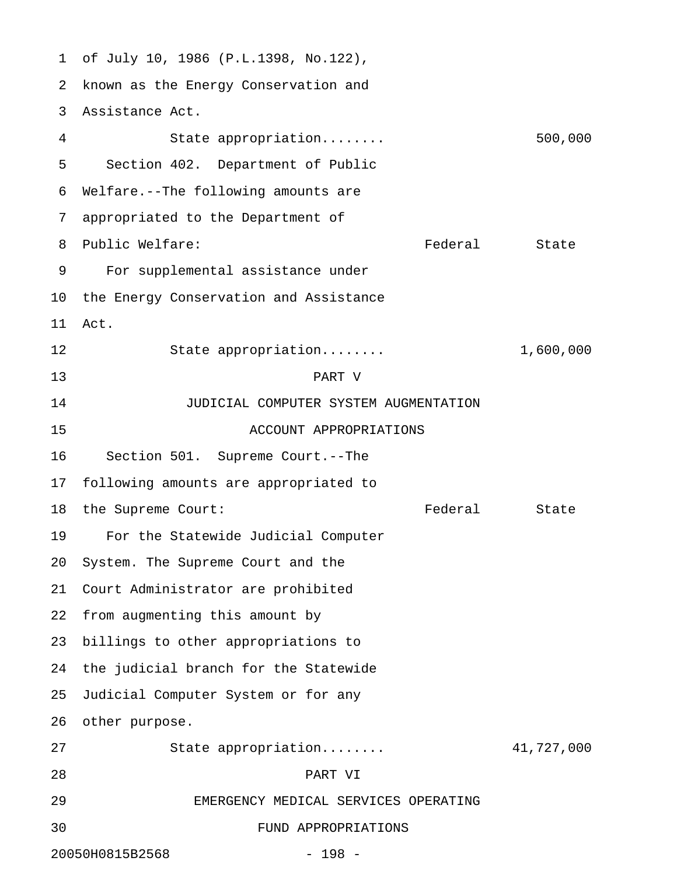1 of July 10, 1986 (P.L.1398, No.122), 2 known as the Energy Conservation and 3 Assistance Act. 4 State appropriation........ 500,000 5 Section 402. Department of Public 6 Welfare.--The following amounts are 7 appropriated to the Department of 8 Public Welfare: The State State State State State State 9 For supplemental assistance under 10 the Energy Conservation and Assistance 11 Act. 12 State appropriation........ 1,600,000 13 PART V 14 JUDICIAL COMPUTER SYSTEM AUGMENTATION 15 ACCOUNT APPROPRIATIONS 16 Section 501. Supreme Court.--The 17 following amounts are appropriated to 18 the Supreme Court: The Supreme Court: The State State State 19 For the Statewide Judicial Computer 20 System. The Supreme Court and the 21 Court Administrator are prohibited 22 from augmenting this amount by 23 billings to other appropriations to 24 the judicial branch for the Statewide 25 Judicial Computer System or for any 26 other purpose. 27 State appropriation........ 41,727,000 28 PART VI 29 EMERGENCY MEDICAL SERVICES OPERATING 30 FUND APPROPRIATIONS

20050H0815B2568 - 198 -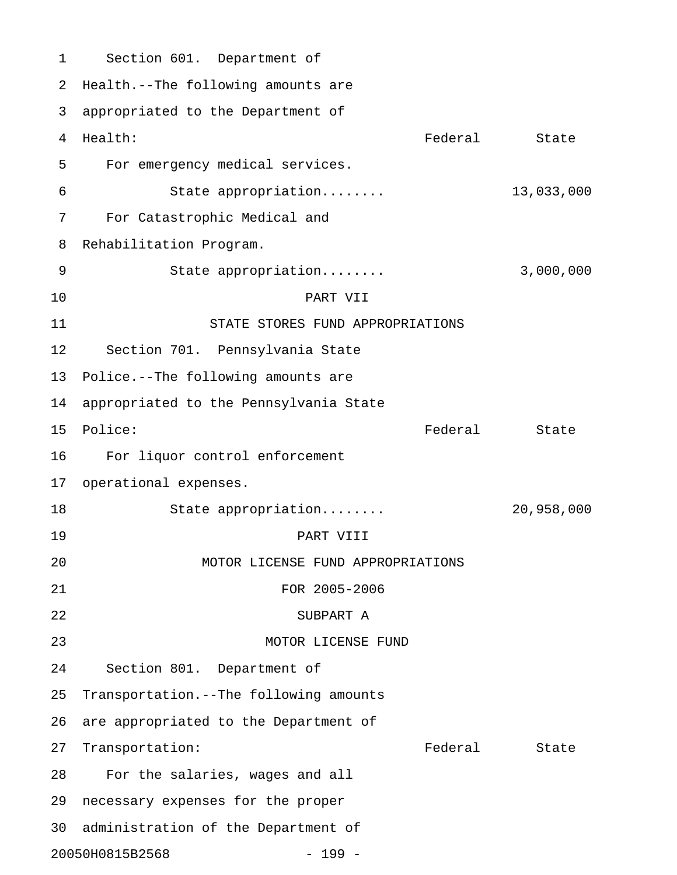1 Section 601. Department of 2 Health.--The following amounts are 3 appropriated to the Department of 4 Health: Federal State 5 For emergency medical services. 6 State appropriation........ 13,033,000 7 For Catastrophic Medical and 8 Rehabilitation Program. 9 State appropriation........ 3,000,000 10 PART VII 11 STATE STORES FUND APPROPRIATIONS 12 Section 701. Pennsylvania State 13 Police.--The following amounts are 14 appropriated to the Pennsylvania State 15 Police: State State State State State State State State State State State State 16 For liquor control enforcement 17 operational expenses. 18 State appropriation........ 20,958,000 19 PART VIII 20 MOTOR LICENSE FUND APPROPRIATIONS 21 FOR 2005-2006 22 SUBPART A 23 MOTOR LICENSE FUND 24 Section 801. Department of 25 Transportation.--The following amounts 26 are appropriated to the Department of 27 Transportation: The State State State State State State State 28 For the salaries, wages and all 29 necessary expenses for the proper 30 administration of the Department of 20050H0815B2568 - 199 -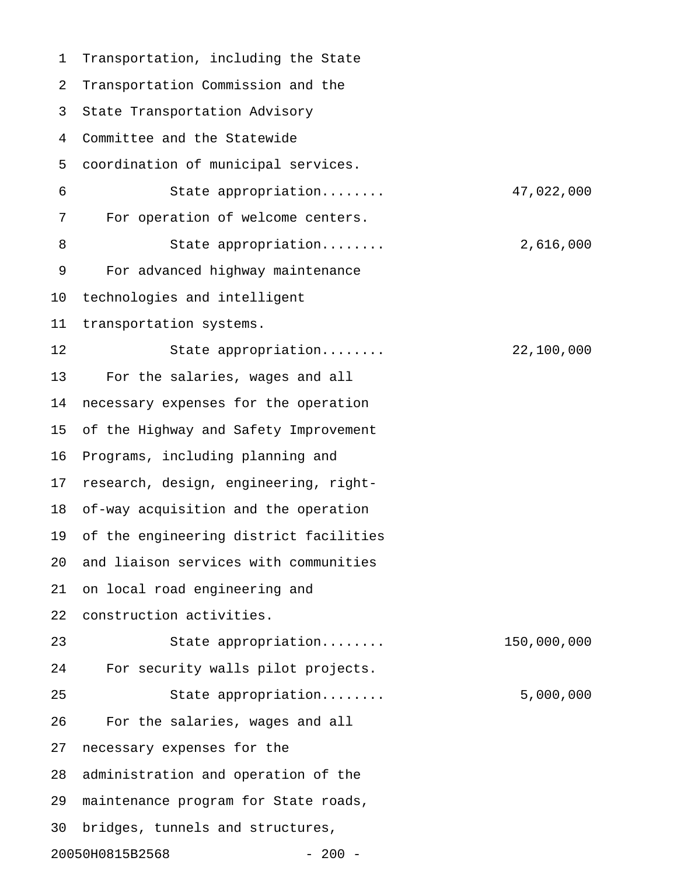1 Transportation, including the State 2 Transportation Commission and the 3 State Transportation Advisory 4 Committee and the Statewide 5 coordination of municipal services. 6 State appropriation........ 47,022,000 7 For operation of welcome centers. 8 State appropriation........ 2,616,000 9 For advanced highway maintenance 10 technologies and intelligent 11 transportation systems. 12 State appropriation........ 22,100,000 13 For the salaries, wages and all 14 necessary expenses for the operation 15 of the Highway and Safety Improvement 16 Programs, including planning and 17 research, design, engineering, right-18 of-way acquisition and the operation 19 of the engineering district facilities 20 and liaison services with communities 21 on local road engineering and 22 construction activities. 23 State appropriation........ 150,000,000 24 For security walls pilot projects. 25 State appropriation........ 5,000,000 26 For the salaries, wages and all 27 necessary expenses for the 28 administration and operation of the 29 maintenance program for State roads, 30 bridges, tunnels and structures, 20050H0815B2568 - 200 -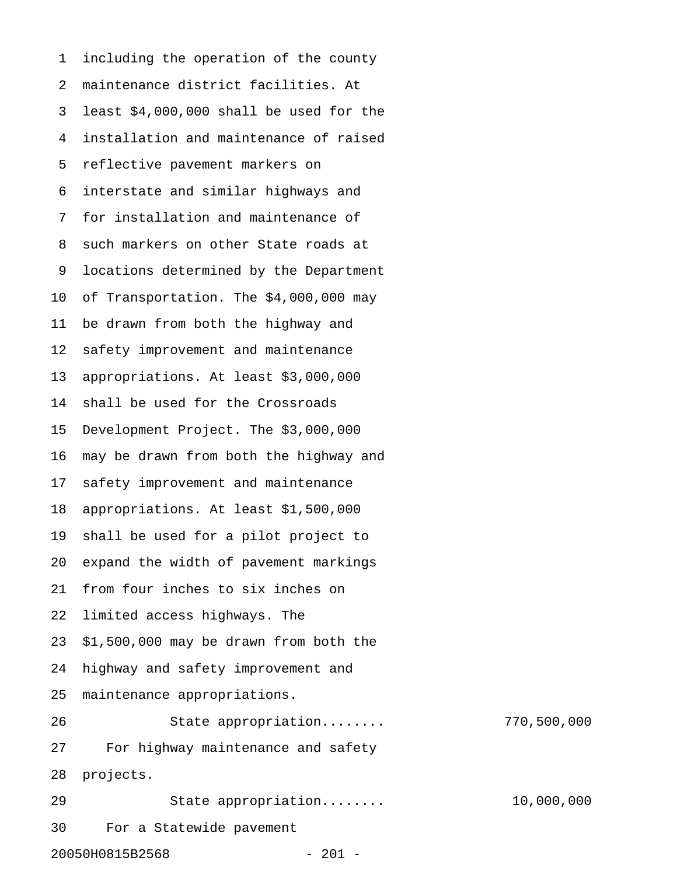1 including the operation of the county 2 maintenance district facilities. At 3 least \$4,000,000 shall be used for the 4 installation and maintenance of raised 5 reflective pavement markers on 6 interstate and similar highways and 7 for installation and maintenance of 8 such markers on other State roads at 9 locations determined by the Department 10 of Transportation. The \$4,000,000 may 11 be drawn from both the highway and 12 safety improvement and maintenance 13 appropriations. At least \$3,000,000 14 shall be used for the Crossroads 15 Development Project. The \$3,000,000 16 may be drawn from both the highway and 17 safety improvement and maintenance 18 appropriations. At least \$1,500,000 19 shall be used for a pilot project to 20 expand the width of pavement markings 21 from four inches to six inches on 22 limited access highways. The 23 \$1,500,000 may be drawn from both the 24 highway and safety improvement and 25 maintenance appropriations. 26 State appropriation........ 770,500,000 27 For highway maintenance and safety 28 projects. 29 State appropriation........ 10,000,000 30 For a Statewide pavement

20050H0815B2568 - 201 -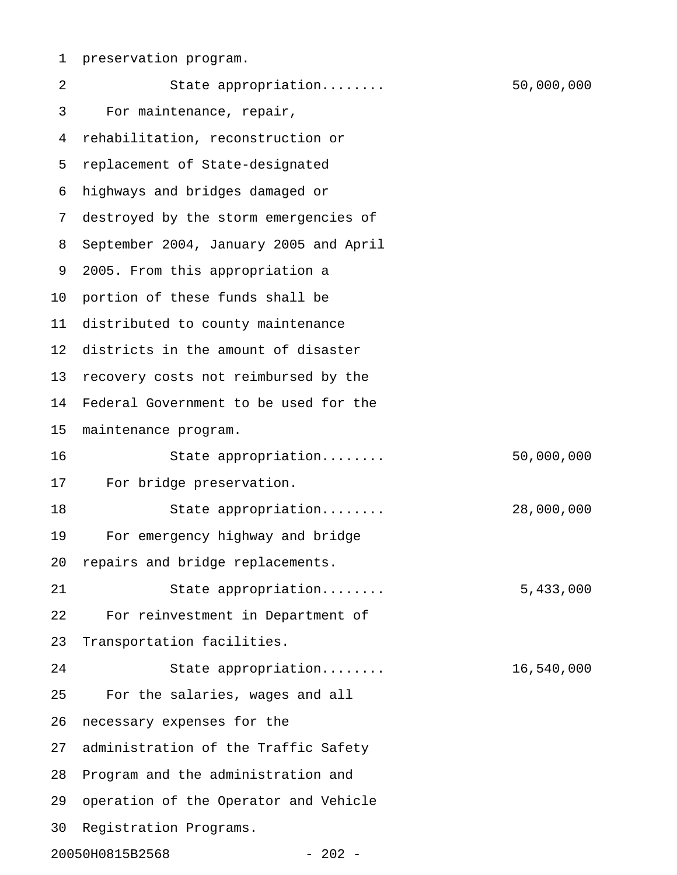1 preservation program.

2 State appropriation........ 50,000,000 3 For maintenance, repair, 4 rehabilitation, reconstruction or 5 replacement of State-designated 6 highways and bridges damaged or 7 destroyed by the storm emergencies of 8 September 2004, January 2005 and April 9 2005. From this appropriation a 10 portion of these funds shall be 11 distributed to county maintenance 12 districts in the amount of disaster 13 recovery costs not reimbursed by the 14 Federal Government to be used for the 15 maintenance program. 16 State appropriation........ 50,000,000 17 For bridge preservation. 18 State appropriation........ 28,000,000 19 For emergency highway and bridge 20 repairs and bridge replacements. 21 State appropriation........ 5,433,000 22 For reinvestment in Department of 23 Transportation facilities. 24 State appropriation........ 16,540,000 25 For the salaries, wages and all 26 necessary expenses for the 27 administration of the Traffic Safety 28 Program and the administration and 29 operation of the Operator and Vehicle 30 Registration Programs. 20050H0815B2568 - 202 -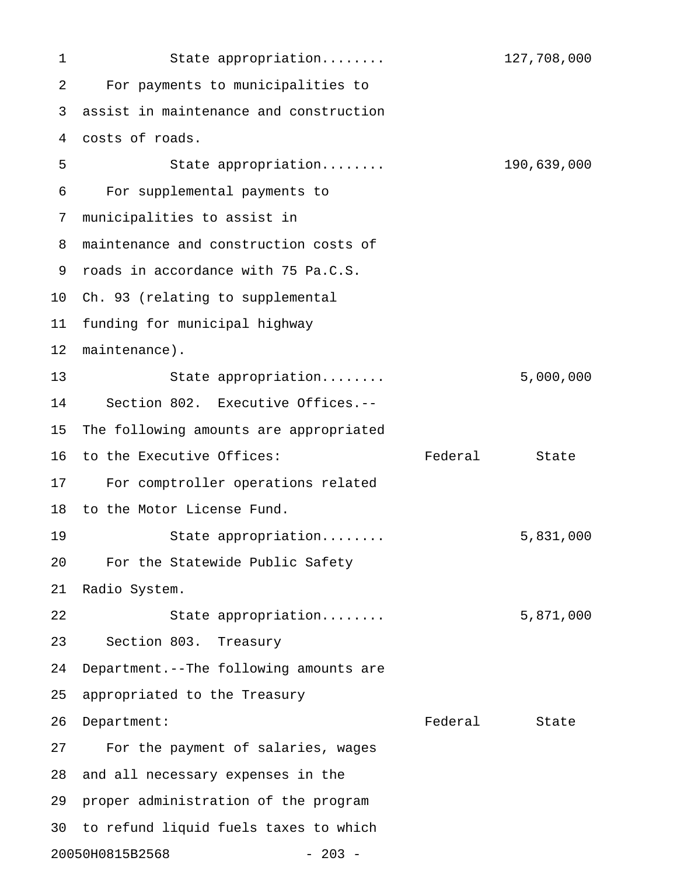1 State appropriation........ 127,708,000 2 For payments to municipalities to 3 assist in maintenance and construction 4 costs of roads. 5 State appropriation........ 190,639,000 6 For supplemental payments to 7 municipalities to assist in 8 maintenance and construction costs of 9 roads in accordance with 75 Pa.C.S. 10 Ch. 93 (relating to supplemental 11 funding for municipal highway 12 maintenance). 13 State appropriation........ 5,000,000 14 Section 802. Executive Offices.-- 15 The following amounts are appropriated 16 to the Executive Offices: The State State State State 17 For comptroller operations related 18 to the Motor License Fund. 19 State appropriation........ 5,831,000 20 For the Statewide Public Safety 21 Radio System. 22 State appropriation........ 5,871,000 23 Section 803. Treasury 24 Department.--The following amounts are 25 appropriated to the Treasury 26 Department: The state of the State State State State State State State State 27 For the payment of salaries, wages 28 and all necessary expenses in the 29 proper administration of the program 30 to refund liquid fuels taxes to which 20050H0815B2568 - 203 -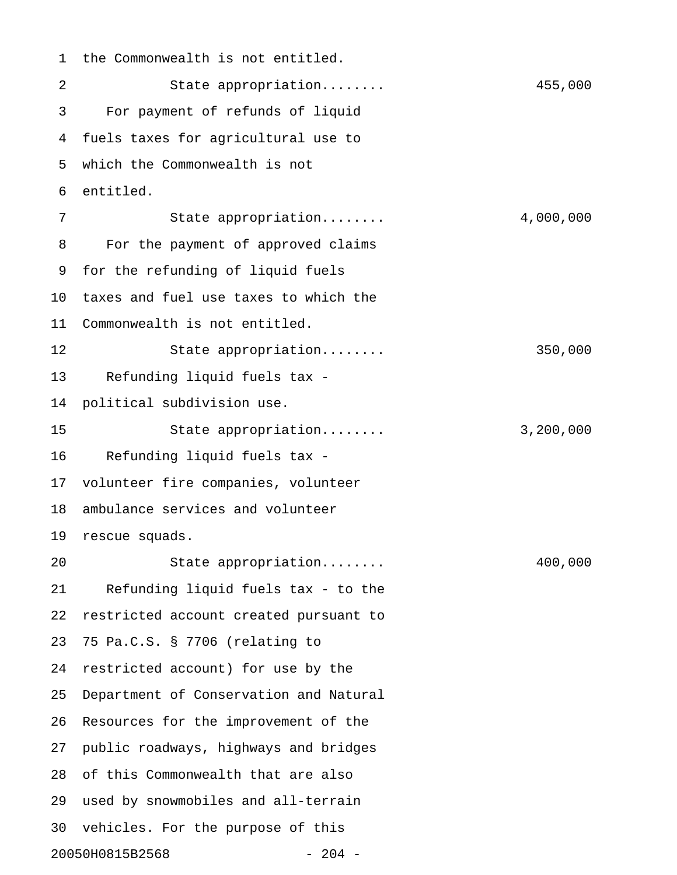1 the Commonwealth is not entitled.

```
2 State appropriation........ 455,000
3 For payment of refunds of liquid
4 fuels taxes for agricultural use to
5 which the Commonwealth is not
6 entitled.
7 State appropriation........ 4,000,000
8 For the payment of approved claims
9 for the refunding of liquid fuels
10 taxes and fuel use taxes to which the
11 Commonwealth is not entitled.
12 State appropriation........ 350,000
13 Refunding liquid fuels tax -
14 political subdivision use.
15 State appropriation........ 3,200,000
16 Refunding liquid fuels tax -
17 volunteer fire companies, volunteer
18 ambulance services and volunteer
19 rescue squads.
20 State appropriation........ 400,000
21 Refunding liquid fuels tax - to the
22 restricted account created pursuant to
23 75 Pa.C.S. § 7706 (relating to
24 restricted account) for use by the
25 Department of Conservation and Natural
26 Resources for the improvement of the
27 public roadways, highways and bridges
28 of this Commonwealth that are also
29 used by snowmobiles and all-terrain
30 vehicles. For the purpose of this
20050H0815B2568 - 204 -
```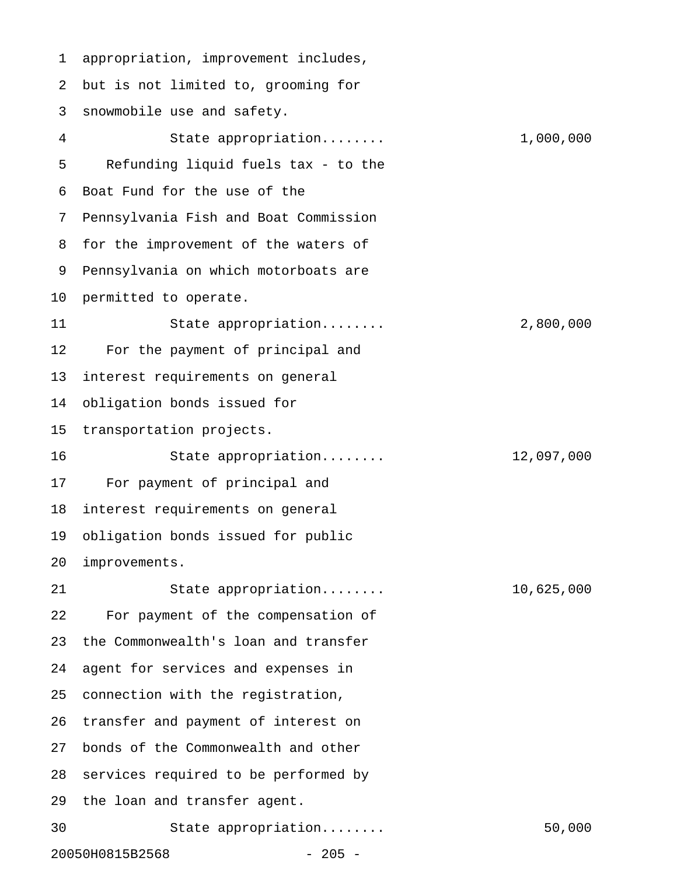1 appropriation, improvement includes, 2 but is not limited to, grooming for 3 snowmobile use and safety. 4 State appropriation........ 1,000,000 5 Refunding liquid fuels tax - to the 6 Boat Fund for the use of the 7 Pennsylvania Fish and Boat Commission 8 for the improvement of the waters of 9 Pennsylvania on which motorboats are 10 permitted to operate. 11 State appropriation........ 2,800,000 12 For the payment of principal and 13 interest requirements on general 14 obligation bonds issued for 15 transportation projects. 16 State appropriation........ 12,097,000 17 For payment of principal and 18 interest requirements on general 19 obligation bonds issued for public 20 improvements. 21 State appropriation........ 10,625,000 22 For payment of the compensation of 23 the Commonwealth's loan and transfer 24 agent for services and expenses in 25 connection with the registration, 26 transfer and payment of interest on 27 bonds of the Commonwealth and other 28 services required to be performed by 29 the loan and transfer agent. 30 State appropriation........ 50,000 20050H0815B2568 - 205 -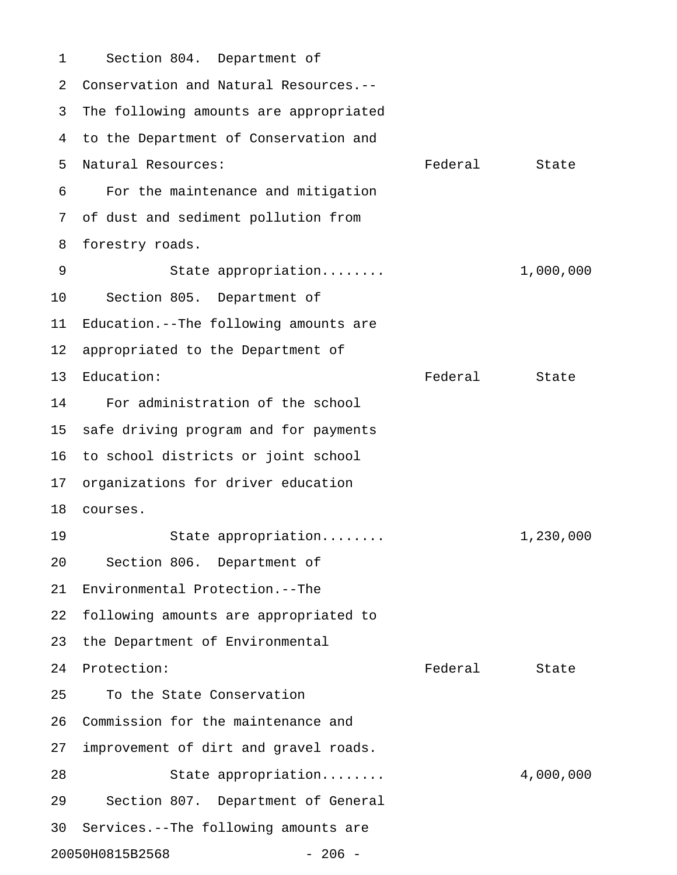1 Section 804. Department of 2 Conservation and Natural Resources.-- 3 The following amounts are appropriated 4 to the Department of Conservation and 5 Natural Resources: The State State State State State State 6 For the maintenance and mitigation 7 of dust and sediment pollution from 8 forestry roads. 9 State appropriation........ 1,000,000 10 Section 805. Department of 11 Education.--The following amounts are 12 appropriated to the Department of 13 Education: Federal State 14 For administration of the school 15 safe driving program and for payments 16 to school districts or joint school 17 organizations for driver education 18 courses. 19 State appropriation........ 1,230,000 20 Section 806. Department of 21 Environmental Protection.--The 22 following amounts are appropriated to 23 the Department of Environmental 24 Protection: The State State State State State State State State State 25 To the State Conservation 26 Commission for the maintenance and 27 improvement of dirt and gravel roads. 28 State appropriation........ 4,000,000 29 Section 807. Department of General 30 Services.--The following amounts are 20050H0815B2568 - 206 -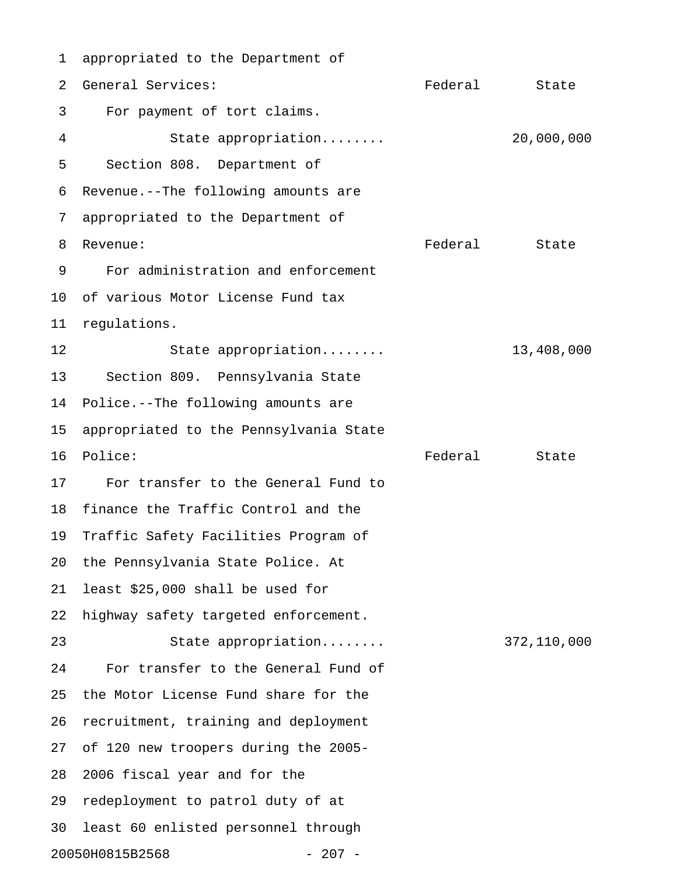1 appropriated to the Department of 2 General Services: The State State State State State State 3 For payment of tort claims. 4 State appropriation........ 20,000,000 5 Section 808. Department of 6 Revenue.--The following amounts are 7 appropriated to the Department of 8 Revenue: Federal State 9 For administration and enforcement 10 of various Motor License Fund tax 11 regulations. 12 State appropriation........ 13,408,000 13 Section 809. Pennsylvania State 14 Police.--The following amounts are 15 appropriated to the Pennsylvania State 16 Police: State Rederal State State 17 For transfer to the General Fund to 18 finance the Traffic Control and the 19 Traffic Safety Facilities Program of 20 the Pennsylvania State Police. At 21 least \$25,000 shall be used for 22 highway safety targeted enforcement. 23 State appropriation........ 372,110,000 24 For transfer to the General Fund of 25 the Motor License Fund share for the 26 recruitment, training and deployment 27 of 120 new troopers during the 2005- 28 2006 fiscal year and for the 29 redeployment to patrol duty of at 30 least 60 enlisted personnel through 20050H0815B2568 - 207 -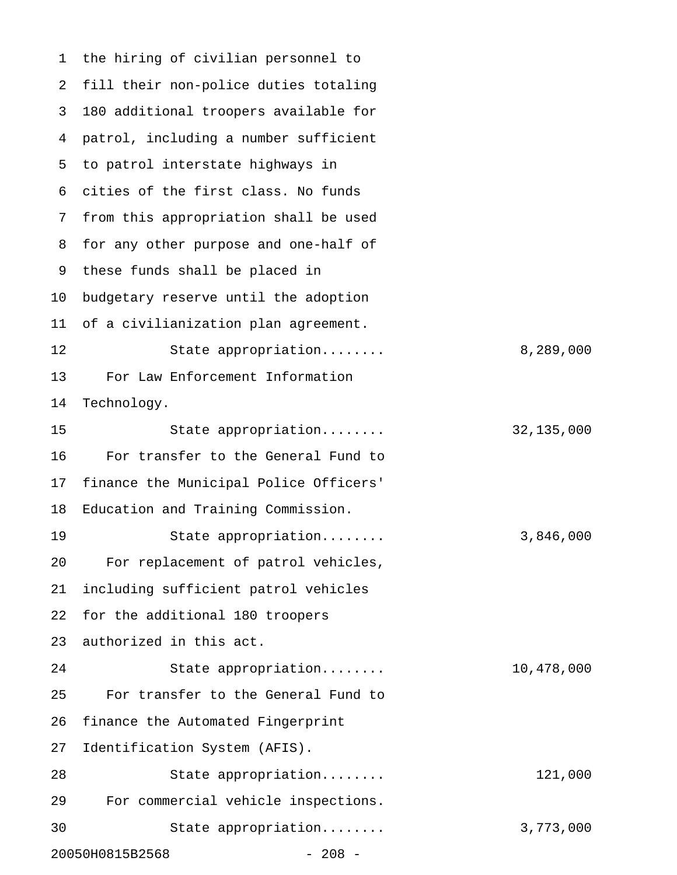1 the hiring of civilian personnel to 2 fill their non-police duties totaling 3 180 additional troopers available for 4 patrol, including a number sufficient 5 to patrol interstate highways in 6 cities of the first class. No funds 7 from this appropriation shall be used 8 for any other purpose and one-half of 9 these funds shall be placed in 10 budgetary reserve until the adoption 11 of a civilianization plan agreement. 12 State appropriation........ 8,289,000 13 For Law Enforcement Information 14 Technology. 15 State appropriation........ 32,135,000 16 For transfer to the General Fund to 17 finance the Municipal Police Officers' 18 Education and Training Commission. 19 State appropriation........ 3,846,000 20 For replacement of patrol vehicles, 21 including sufficient patrol vehicles 22 for the additional 180 troopers 23 authorized in this act. 24 State appropriation........ 10,478,000 25 For transfer to the General Fund to 26 finance the Automated Fingerprint 27 Identification System (AFIS). 28 State appropriation........ 121,000 29 For commercial vehicle inspections. 30 State appropriation........ 3,773,000 20050H0815B2568 - 208 -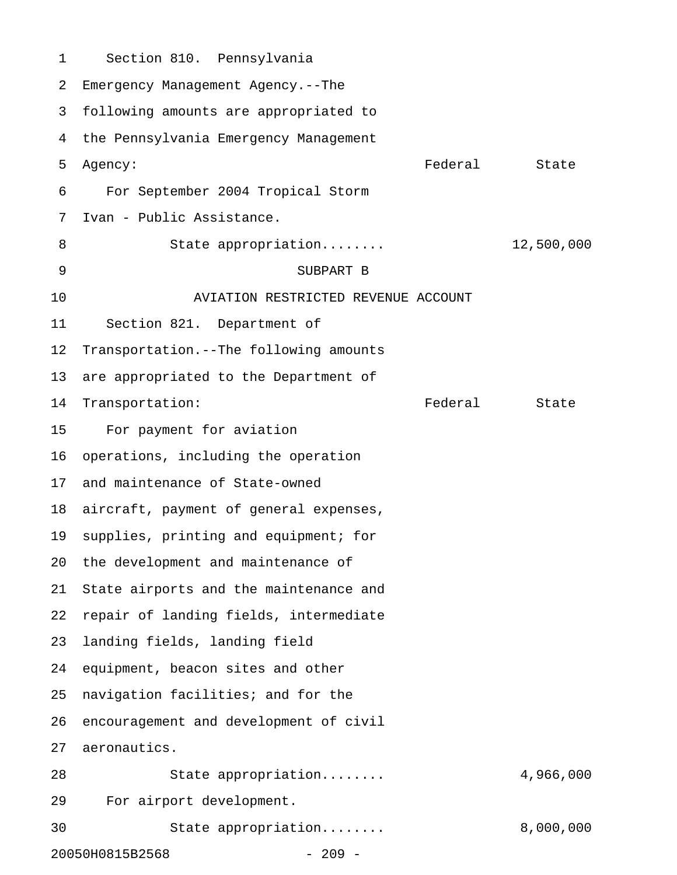1 Section 810. Pennsylvania 2 Emergency Management Agency.--The 3 following amounts are appropriated to 4 the Pennsylvania Emergency Management 5 Agency: Same State State State State State State State State State State State State State State State State 6 For September 2004 Tropical Storm 7 Ivan - Public Assistance. 8 State appropriation........ 12,500,000 9 SUBPART B 10 AVIATION RESTRICTED REVENUE ACCOUNT 11 Section 821. Department of 12 Transportation.--The following amounts 13 are appropriated to the Department of 14 Transportation: The State State State State State State 15 For payment for aviation 16 operations, including the operation 17 and maintenance of State-owned 18 aircraft, payment of general expenses, 19 supplies, printing and equipment; for 20 the development and maintenance of 21 State airports and the maintenance and 22 repair of landing fields, intermediate 23 landing fields, landing field 24 equipment, beacon sites and other 25 navigation facilities; and for the 26 encouragement and development of civil 27 aeronautics. 28 State appropriation........ 4,966,000 29 For airport development. 30 State appropriation........ 8,000,000

20050H0815B2568 - 209 -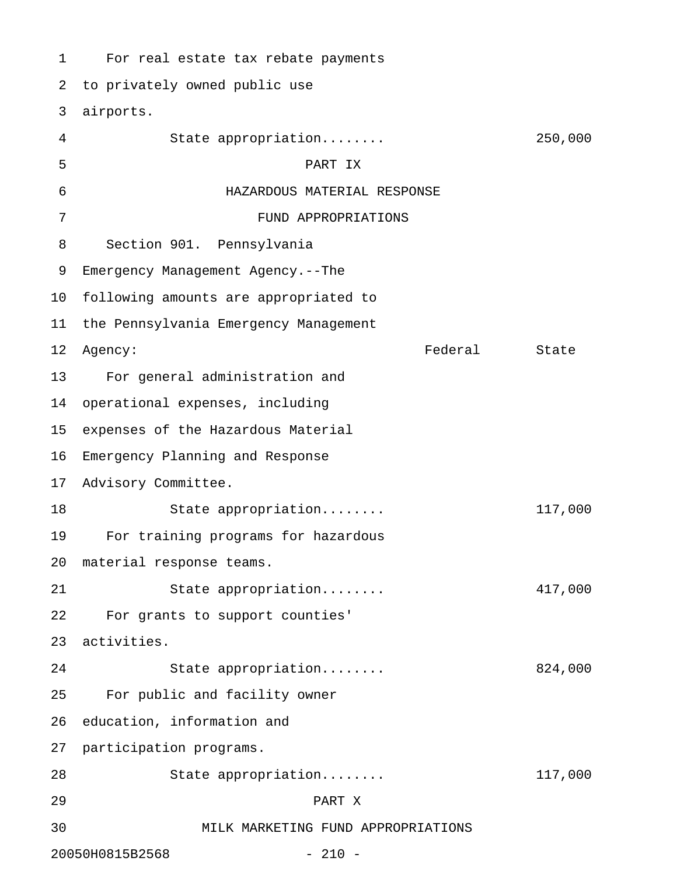1 For real estate tax rebate payments 2 to privately owned public use 3 airports. 4 State appropriation........ 250,000 5 PART IX 6 HAZARDOUS MATERIAL RESPONSE 7 FUND APPROPRIATIONS 8 Section 901. Pennsylvania 9 Emergency Management Agency.--The 10 following amounts are appropriated to 11 the Pennsylvania Emergency Management 12 Agency: State State State State State State State 13 For general administration and 14 operational expenses, including 15 expenses of the Hazardous Material 16 Emergency Planning and Response 17 Advisory Committee. 18 State appropriation........ 117,000 19 For training programs for hazardous 20 material response teams. 21 State appropriation........ 417,000 22 For grants to support counties' 23 activities. 24 State appropriation........ 824,000 25 For public and facility owner 26 education, information and 27 participation programs. 28 State appropriation........ 117,000 29 PART X 30 MILK MARKETING FUND APPROPRIATIONS 20050H0815B2568 - 210 -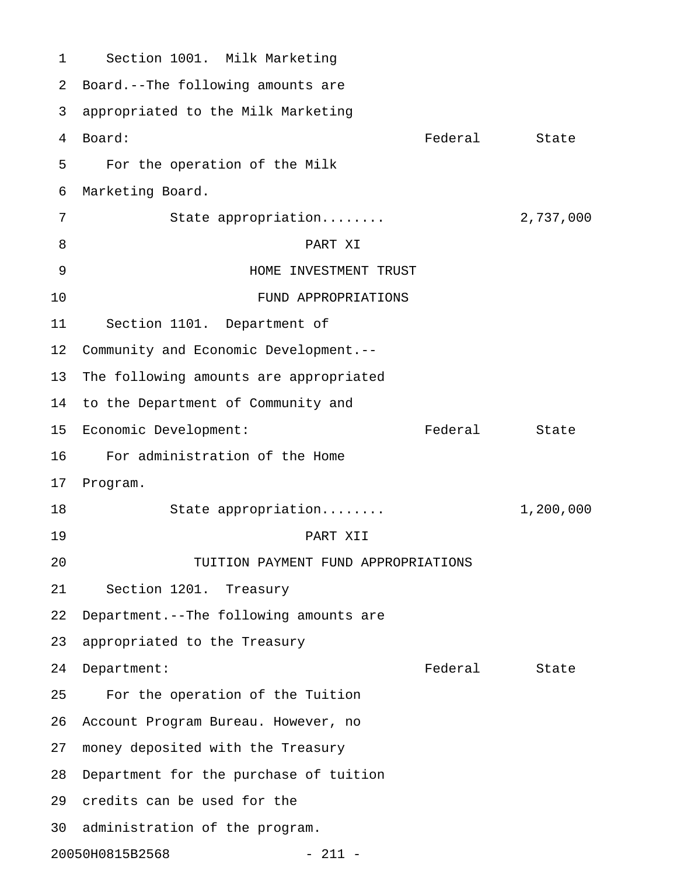1 Section 1001. Milk Marketing 2 Board.--The following amounts are 3 appropriated to the Milk Marketing 4 Board: Federal State 5 For the operation of the Milk 6 Marketing Board. 7 State appropriation....... 2,737,000 8 PART XI 9 HOME INVESTMENT TRUST 10 FUND APPROPRIATIONS 11 Section 1101. Department of 12 Community and Economic Development.-- 13 The following amounts are appropriated 14 to the Department of Community and 15 Economic Development: Federal State 16 For administration of the Home 17 Program. 18 State appropriation........ 1,200,000 19 PART XII 20 TUITION PAYMENT FUND APPROPRIATIONS 21 Section 1201. Treasury 22 Department.--The following amounts are 23 appropriated to the Treasury 24 Department: Federal State 25 For the operation of the Tuition 26 Account Program Bureau. However, no 27 money deposited with the Treasury 28 Department for the purchase of tuition 29 credits can be used for the 30 administration of the program. 20050H0815B2568 - 211 -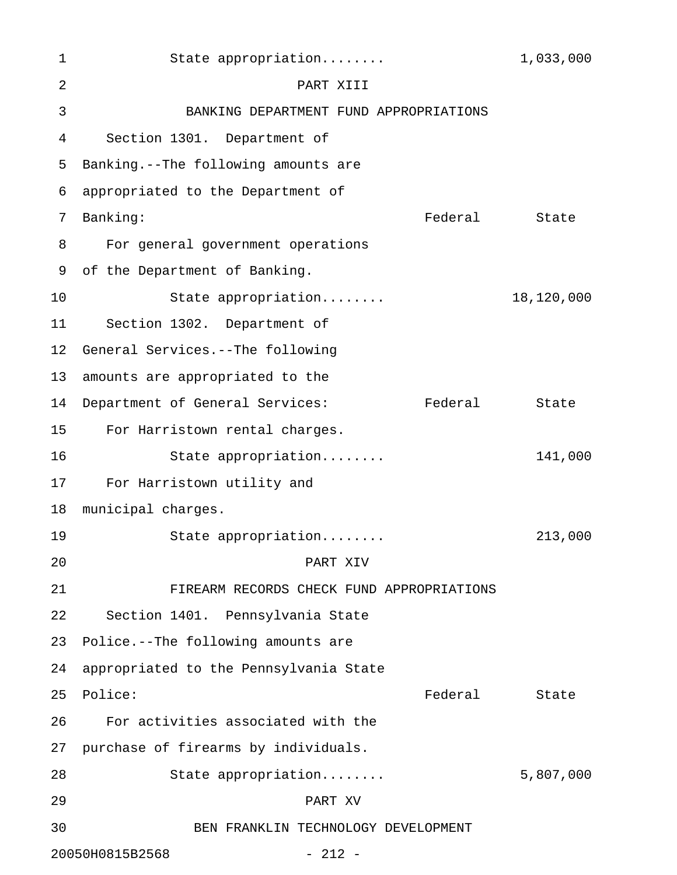1 State appropriation........ 1,033,000 2 PART XIII 3 BANKING DEPARTMENT FUND APPROPRIATIONS 4 Section 1301. Department of 5 Banking.--The following amounts are 6 appropriated to the Department of 7 Banking: State State State State State State State State 8 For general government operations 9 of the Department of Banking. 10 State appropriation........ 18,120,000 11 Section 1302. Department of 12 General Services.--The following 13 amounts are appropriated to the 14 Department of General Services: Federal State 15 For Harristown rental charges. 16 State appropriation........ 141,000 17 For Harristown utility and 18 municipal charges. 19 State appropriation........ 213,000 20 PART XIV 21 FIREARM RECORDS CHECK FUND APPROPRIATIONS 22 Section 1401. Pennsylvania State 23 Police.--The following amounts are 24 appropriated to the Pennsylvania State 25 Police: State State State State State State State State State State State State State State State State State 26 For activities associated with the 27 purchase of firearms by individuals. 28 State appropriation........ 5,807,000 29 PART XV 30 BEN FRANKLIN TECHNOLOGY DEVELOPMENT 20050H0815B2568 - 212 -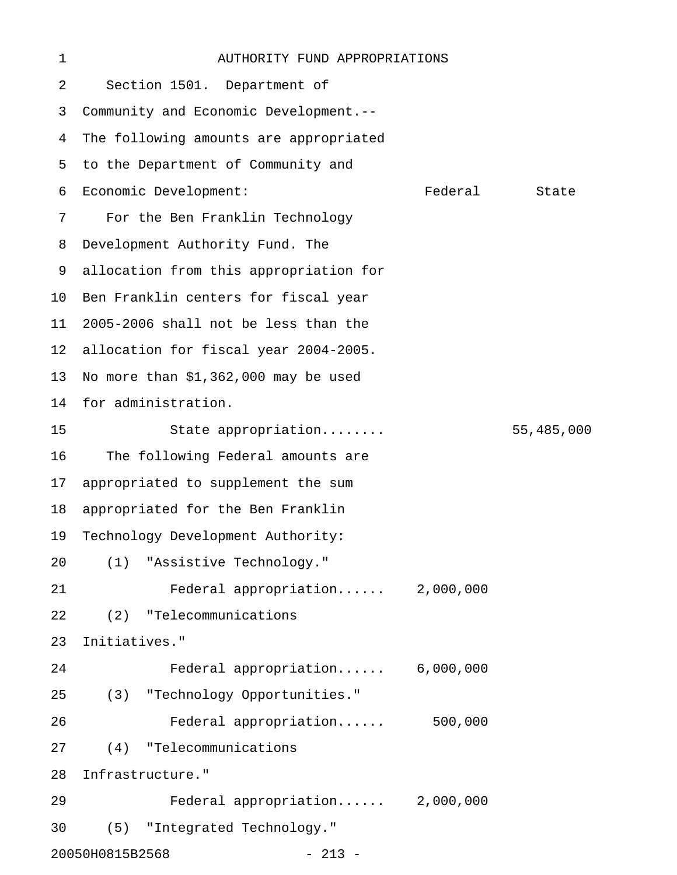1 AUTHORITY FUND APPROPRIATIONS 2 Section 1501. Department of 3 Community and Economic Development.-- 4 The following amounts are appropriated 5 to the Department of Community and 6 Economic Development: Federal State 7 For the Ben Franklin Technology 8 Development Authority Fund. The 9 allocation from this appropriation for 10 Ben Franklin centers for fiscal year 11 2005-2006 shall not be less than the 12 allocation for fiscal year 2004-2005. 13 No more than \$1,362,000 may be used 14 for administration. 15 State appropriation........ 55,485,000 16 The following Federal amounts are 17 appropriated to supplement the sum 18 appropriated for the Ben Franklin 19 Technology Development Authority: 20 (1) "Assistive Technology." 21 Federal appropriation...... 2,000,000 22 (2) "Telecommunications 23 Initiatives." 24 Federal appropriation...... 6,000,000 25 (3) "Technology Opportunities." 26 Federal appropriation...... 500,000 27 (4) "Telecommunications 28 Infrastructure." 29 Federal appropriation...... 2,000,000 30 (5) "Integrated Technology." 20050H0815B2568 - 213 -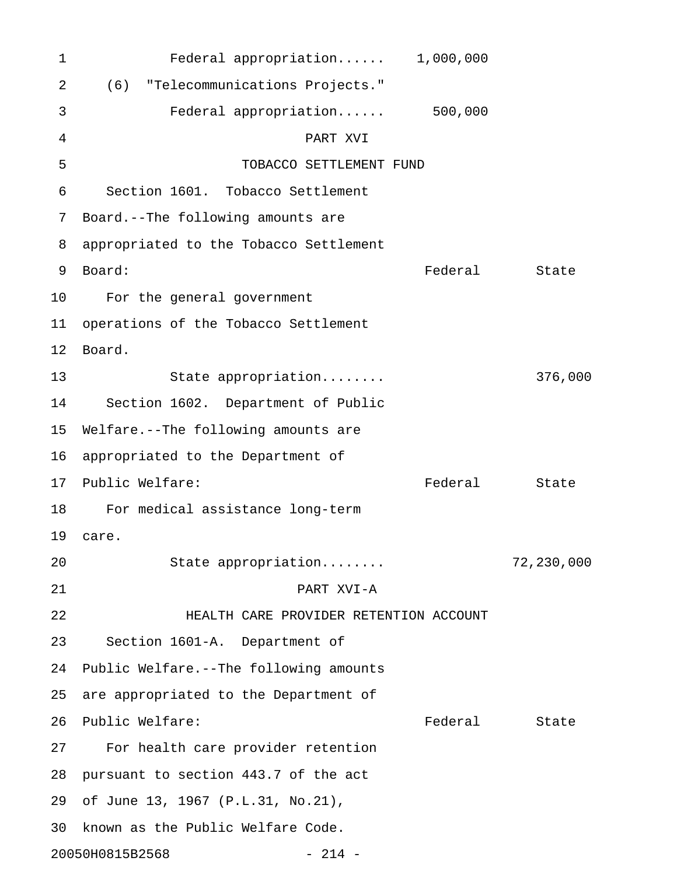| 1  | Federal appropriation 1,000,000        |         |            |
|----|----------------------------------------|---------|------------|
| 2  | (6) "Telecommunications Projects."     |         |            |
| 3  | Federal appropriation 500,000          |         |            |
| 4  | PART XVI                               |         |            |
| 5  | TOBACCO SETTLEMENT FUND                |         |            |
| 6  | Section 1601. Tobacco Settlement       |         |            |
| 7  | Board.--The following amounts are      |         |            |
| 8  | appropriated to the Tobacco Settlement |         |            |
| 9  | Board:                                 | Federal | State      |
| 10 | For the general government             |         |            |
| 11 | operations of the Tobacco Settlement   |         |            |
| 12 | Board.                                 |         |            |
| 13 | State appropriation                    |         | 376,000    |
| 14 | Section 1602. Department of Public     |         |            |
| 15 | Welfare.--The following amounts are    |         |            |
| 16 | appropriated to the Department of      |         |            |
| 17 | Public Welfare:                        | Federal | State      |
| 18 | For medical assistance long-term       |         |            |
| 19 | care.                                  |         |            |
| 20 | State appropriation                    |         | 72,230,000 |
| 21 | PART XVI-A                             |         |            |
| 22 | HEALTH CARE PROVIDER RETENTION ACCOUNT |         |            |
| 23 | Section 1601-A. Department of          |         |            |
| 24 | Public Welfare.--The following amounts |         |            |
| 25 | are appropriated to the Department of  |         |            |
| 26 | Public Welfare:                        | Federal | State      |
| 27 | For health care provider retention     |         |            |
| 28 | pursuant to section 443.7 of the act   |         |            |
| 29 | of June 13, 1967 (P.L.31, No.21),      |         |            |
| 30 | known as the Public Welfare Code.      |         |            |
|    | 20050H0815B2568<br>$-214 -$            |         |            |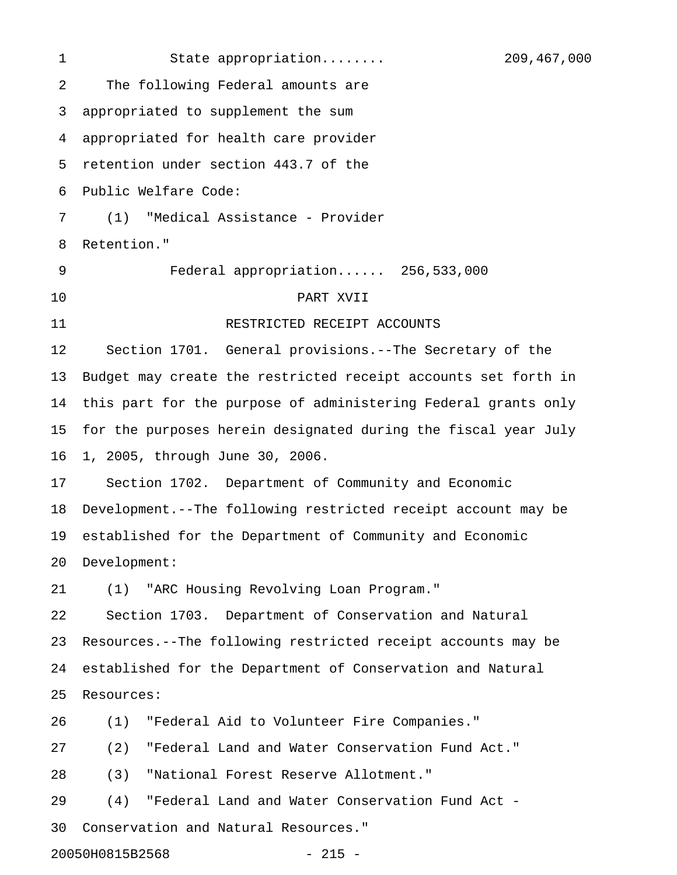1 State appropriation........ 209,467,000 2 The following Federal amounts are 3 appropriated to supplement the sum 4 appropriated for health care provider 5 retention under section 443.7 of the 6 Public Welfare Code: 7 (1) "Medical Assistance - Provider 8 Retention." 9 Federal appropriation...... 256,533,000 10 PART XVII 11 RESTRICTED RECEIPT ACCOUNTS 12 Section 1701. General provisions.--The Secretary of the 13 Budget may create the restricted receipt accounts set forth in 14 this part for the purpose of administering Federal grants only 15 for the purposes herein designated during the fiscal year July 16 1, 2005, through June 30, 2006. 17 Section 1702. Department of Community and Economic 18 Development.--The following restricted receipt account may be 19 established for the Department of Community and Economic 20 Development: 21 (1) "ARC Housing Revolving Loan Program." 22 Section 1703. Department of Conservation and Natural 23 Resources.--The following restricted receipt accounts may be 24 established for the Department of Conservation and Natural 25 Resources: 26 (1) "Federal Aid to Volunteer Fire Companies." 27 (2) "Federal Land and Water Conservation Fund Act." 28 (3) "National Forest Reserve Allotment." 29 (4) "Federal Land and Water Conservation Fund Act - 30 Conservation and Natural Resources."

20050H0815B2568 - 215 -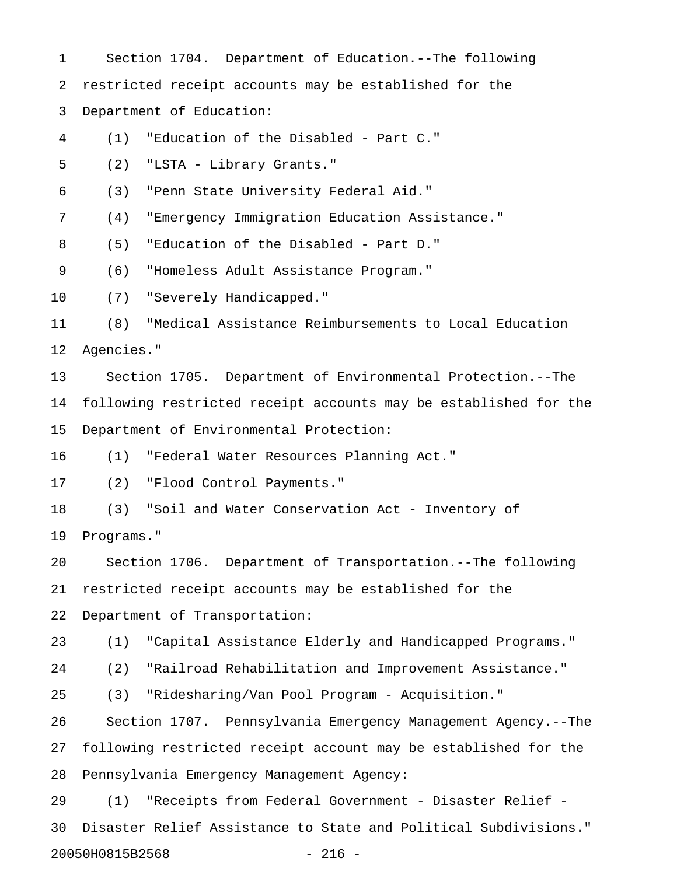1 Section 1704. Department of Education.--The following 2 restricted receipt accounts may be established for the 3 Department of Education: 4 (1) "Education of the Disabled - Part C." 5 (2) "LSTA - Library Grants." 6 (3) "Penn State University Federal Aid." 7 (4) "Emergency Immigration Education Assistance." 8 (5) "Education of the Disabled - Part D." 9 (6) "Homeless Adult Assistance Program." 10 (7) "Severely Handicapped." 11 (8) "Medical Assistance Reimbursements to Local Education 12 Agencies." 13 Section 1705. Department of Environmental Protection.--The 14 following restricted receipt accounts may be established for the 15 Department of Environmental Protection: 16 (1) "Federal Water Resources Planning Act." 17 (2) "Flood Control Payments." 18 (3) "Soil and Water Conservation Act - Inventory of 19 Programs." 20 Section 1706. Department of Transportation.--The following 21 restricted receipt accounts may be established for the 22 Department of Transportation: 23 (1) "Capital Assistance Elderly and Handicapped Programs." 24 (2) "Railroad Rehabilitation and Improvement Assistance." 25 (3) "Ridesharing/Van Pool Program - Acquisition." 26 Section 1707. Pennsylvania Emergency Management Agency.--The 27 following restricted receipt account may be established for the 28 Pennsylvania Emergency Management Agency: 29 (1) "Receipts from Federal Government - Disaster Relief - 30 Disaster Relief Assistance to State and Political Subdivisions."

20050H0815B2568 - 216 -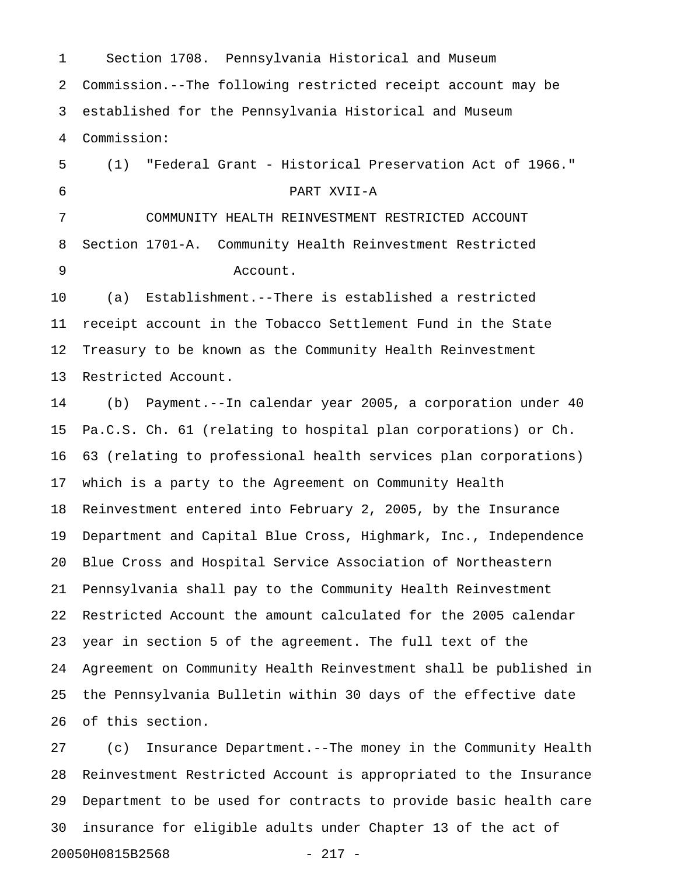1 Section 1708. Pennsylvania Historical and Museum 2 Commission.--The following restricted receipt account may be 3 established for the Pennsylvania Historical and Museum 4 Commission: 5 (1) "Federal Grant - Historical Preservation Act of 1966." 6 PART XVII-A 7 COMMUNITY HEALTH REINVESTMENT RESTRICTED ACCOUNT 8 Section 1701-A. Community Health Reinvestment Restricted 9 Account.

10 (a) Establishment.--There is established a restricted 11 receipt account in the Tobacco Settlement Fund in the State 12 Treasury to be known as the Community Health Reinvestment 13 Restricted Account.

14 (b) Payment.--In calendar year 2005, a corporation under 40 15 Pa.C.S. Ch. 61 (relating to hospital plan corporations) or Ch. 16 63 (relating to professional health services plan corporations) 17 which is a party to the Agreement on Community Health 18 Reinvestment entered into February 2, 2005, by the Insurance 19 Department and Capital Blue Cross, Highmark, Inc., Independence 20 Blue Cross and Hospital Service Association of Northeastern 21 Pennsylvania shall pay to the Community Health Reinvestment 22 Restricted Account the amount calculated for the 2005 calendar 23 year in section 5 of the agreement. The full text of the 24 Agreement on Community Health Reinvestment shall be published in 25 the Pennsylvania Bulletin within 30 days of the effective date 26 of this section.

27 (c) Insurance Department.--The money in the Community Health 28 Reinvestment Restricted Account is appropriated to the Insurance 29 Department to be used for contracts to provide basic health care 30 insurance for eligible adults under Chapter 13 of the act of 20050H0815B2568 - 217 -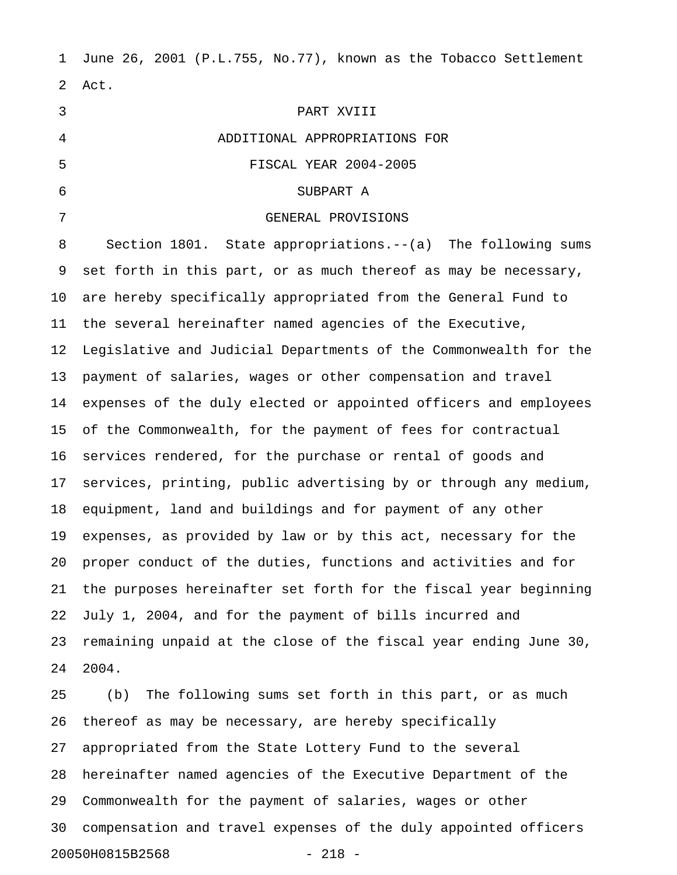1 June 26, 2001 (P.L.755, No.77), known as the Tobacco Settlement 2 Act. 3 PART XVIII

4 ADDITIONAL APPROPRIATIONS FOR 5 FISCAL YEAR 2004-2005 6 SUBPART A

7 GENERAL PROVISIONS

8 Section 1801. State appropriations.--(a) The following sums 9 set forth in this part, or as much thereof as may be necessary, 10 are hereby specifically appropriated from the General Fund to 11 the several hereinafter named agencies of the Executive, 12 Legislative and Judicial Departments of the Commonwealth for the 13 payment of salaries, wages or other compensation and travel 14 expenses of the duly elected or appointed officers and employees 15 of the Commonwealth, for the payment of fees for contractual 16 services rendered, for the purchase or rental of goods and 17 services, printing, public advertising by or through any medium, 18 equipment, land and buildings and for payment of any other 19 expenses, as provided by law or by this act, necessary for the 20 proper conduct of the duties, functions and activities and for 21 the purposes hereinafter set forth for the fiscal year beginning 22 July 1, 2004, and for the payment of bills incurred and 23 remaining unpaid at the close of the fiscal year ending June 30, 24 2004.

25 (b) The following sums set forth in this part, or as much 26 thereof as may be necessary, are hereby specifically 27 appropriated from the State Lottery Fund to the several 28 hereinafter named agencies of the Executive Department of the 29 Commonwealth for the payment of salaries, wages or other 30 compensation and travel expenses of the duly appointed officers 20050H0815B2568 - 218 -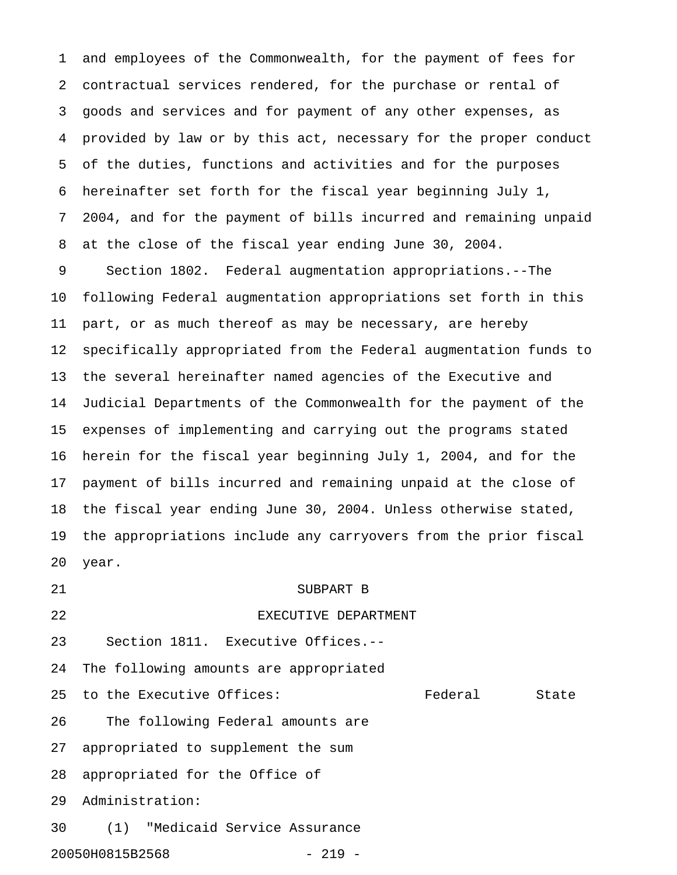1 and employees of the Commonwealth, for the payment of fees for 2 contractual services rendered, for the purchase or rental of 3 goods and services and for payment of any other expenses, as 4 provided by law or by this act, necessary for the proper conduct 5 of the duties, functions and activities and for the purposes 6 hereinafter set forth for the fiscal year beginning July 1, 7 2004, and for the payment of bills incurred and remaining unpaid 8 at the close of the fiscal year ending June 30, 2004.

9 Section 1802. Federal augmentation appropriations.--The 10 following Federal augmentation appropriations set forth in this 11 part, or as much thereof as may be necessary, are hereby 12 specifically appropriated from the Federal augmentation funds to 13 the several hereinafter named agencies of the Executive and 14 Judicial Departments of the Commonwealth for the payment of the 15 expenses of implementing and carrying out the programs stated 16 herein for the fiscal year beginning July 1, 2004, and for the 17 payment of bills incurred and remaining unpaid at the close of 18 the fiscal year ending June 30, 2004. Unless otherwise stated, 19 the appropriations include any carryovers from the prior fiscal 20 year.

21 SUBPART B 22 EXECUTIVE DEPARTMENT 23 Section 1811. Executive Offices.-- 24 The following amounts are appropriated 25 to the Executive Offices: The State State State State 26 The following Federal amounts are 27 appropriated to supplement the sum 28 appropriated for the Office of 29 Administration: 30 (1) "Medicaid Service Assurance 20050H0815B2568 - 219 -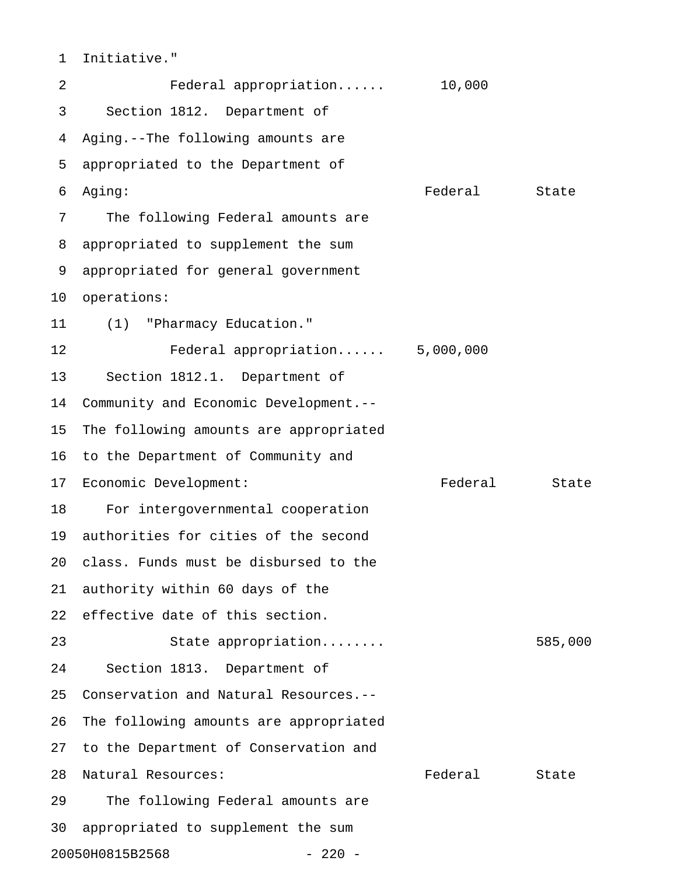1 Initiative."

2 Federal appropriation...... 10,000 3 Section 1812. Department of 4 Aging.--The following amounts are 5 appropriated to the Department of 6 Aging: Federal State 7 The following Federal amounts are 8 appropriated to supplement the sum 9 appropriated for general government 10 operations: 11 (1) "Pharmacy Education." 12 Federal appropriation...... 5,000,000 13 Section 1812.1. Department of 14 Community and Economic Development.-- 15 The following amounts are appropriated 16 to the Department of Community and 17 Economic Development: The State State State State State 18 For intergovernmental cooperation 19 authorities for cities of the second 20 class. Funds must be disbursed to the 21 authority within 60 days of the 22 effective date of this section. 23 State appropriation........ 585,000 24 Section 1813. Department of 25 Conservation and Natural Resources.-- 26 The following amounts are appropriated 27 to the Department of Conservation and 28 Natural Resources: The State of Tederal State 29 The following Federal amounts are 30 appropriated to supplement the sum 20050H0815B2568 - 220 -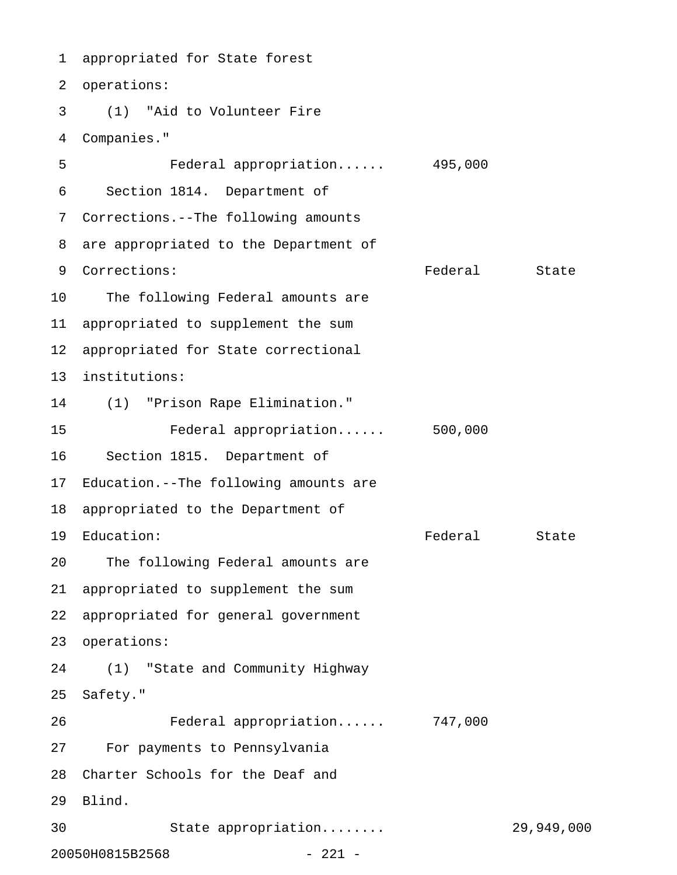1 appropriated for State forest 2 operations: 3 (1) "Aid to Volunteer Fire 4 Companies." 5 Federal appropriation...... 495,000 6 Section 1814. Department of 7 Corrections.--The following amounts 8 are appropriated to the Department of 9 Corrections: Federal State 10 The following Federal amounts are 11 appropriated to supplement the sum 12 appropriated for State correctional 13 institutions: 14 (1) "Prison Rape Elimination." 15 Federal appropriation...... 500,000 16 Section 1815. Department of 17 Education.--The following amounts are 18 appropriated to the Department of 19 Education: Federal State 20 The following Federal amounts are 21 appropriated to supplement the sum 22 appropriated for general government 23 operations: 24 (1) "State and Community Highway 25 Safety." 26 Federal appropriation...... 747,000 27 For payments to Pennsylvania 28 Charter Schools for the Deaf and 29 Blind. 30 State appropriation........ 29,949,000

20050H0815B2568 - 221 -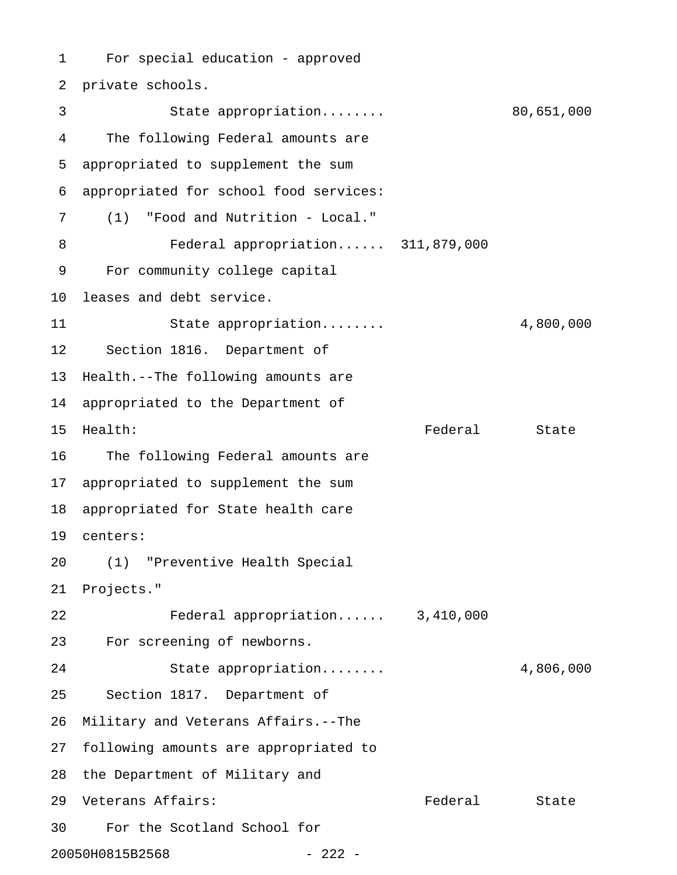1 For special education - approved

2 private schools.

3 State appropriation........ 80,651,000 4 The following Federal amounts are 5 appropriated to supplement the sum 6 appropriated for school food services: 7 (1) "Food and Nutrition - Local." 8 Federal appropriation...... 311,879,000 9 For community college capital 10 leases and debt service. 11 State appropriation....... 4,800,000 12 Section 1816. Department of 13 Health.--The following amounts are 14 appropriated to the Department of 15 Health: Federal State 16 The following Federal amounts are 17 appropriated to supplement the sum 18 appropriated for State health care 19 centers: 20 (1) "Preventive Health Special 21 Projects." 22 Federal appropriation...... 3,410,000 23 For screening of newborns. 24 State appropriation........ 4,806,000 25 Section 1817. Department of 26 Military and Veterans Affairs.--The 27 following amounts are appropriated to 28 the Department of Military and 29 Veterans Affairs: The State State State State State State 30 For the Scotland School for 20050H0815B2568 - 222 -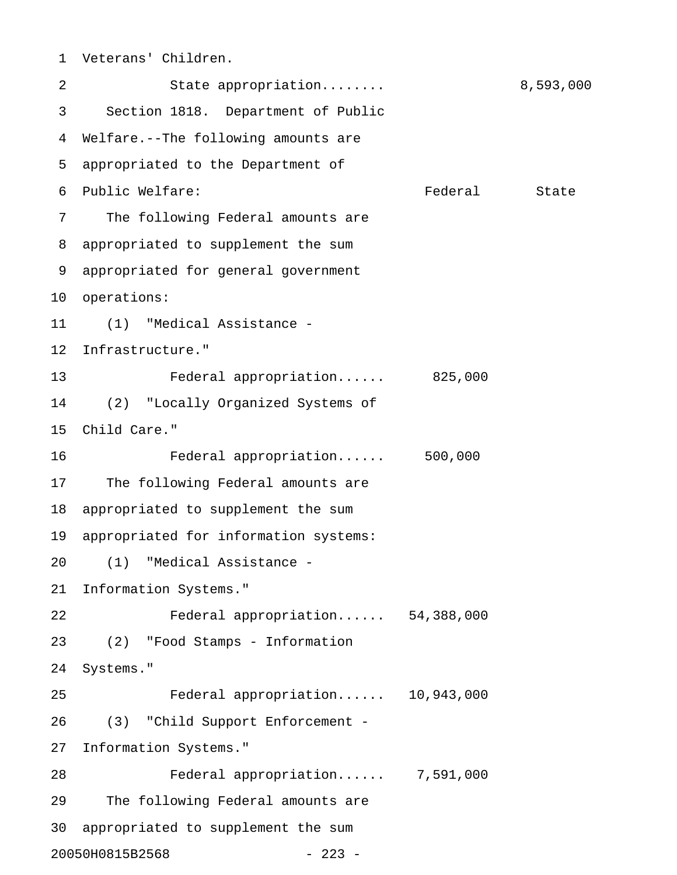1 Veterans' Children.

2 State appropriation........ 8,593,000 3 Section 1818. Department of Public 4 Welfare.--The following amounts are 5 appropriated to the Department of 6 Public Welfare: Federal State 7 The following Federal amounts are 8 appropriated to supplement the sum 9 appropriated for general government 10 operations: 11 (1) "Medical Assistance - 12 Infrastructure." 13 Federal appropriation...... 825,000 14 (2) "Locally Organized Systems of 15 Child Care." 16 Federal appropriation...... 500,000 17 The following Federal amounts are 18 appropriated to supplement the sum 19 appropriated for information systems: 20 (1) "Medical Assistance - 21 Information Systems." 22 Federal appropriation...... 54,388,000 23 (2) "Food Stamps - Information 24 Systems." 25 Federal appropriation...... 10,943,000 26 (3) "Child Support Enforcement - 27 Information Systems." 28 Federal appropriation...... 7,591,000 29 The following Federal amounts are 30 appropriated to supplement the sum 20050H0815B2568 - 223 -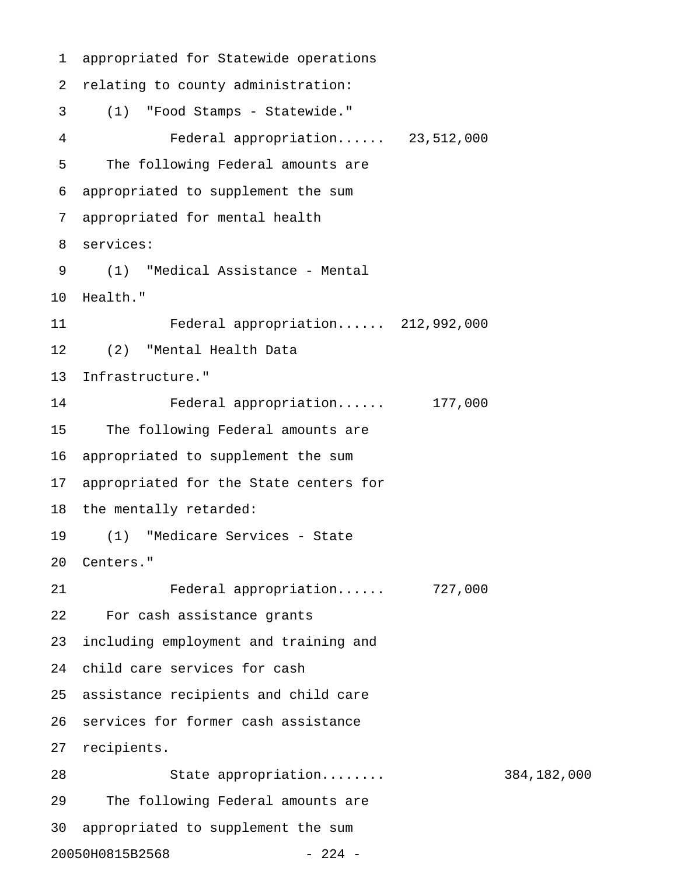1 appropriated for Statewide operations 2 relating to county administration: 3 (1) "Food Stamps - Statewide." 4 Federal appropriation...... 23,512,000 5 The following Federal amounts are 6 appropriated to supplement the sum 7 appropriated for mental health 8 services: 9 (1) "Medical Assistance - Mental 10 Health." 11 Federal appropriation...... 212,992,000 12 (2) "Mental Health Data 13 Infrastructure." 14 Federal appropriation...... 177,000 15 The following Federal amounts are 16 appropriated to supplement the sum 17 appropriated for the State centers for 18 the mentally retarded: 19 (1) "Medicare Services - State 20 Centers." 21 Federal appropriation...... 727,000 22 For cash assistance grants 23 including employment and training and 24 child care services for cash 25 assistance recipients and child care 26 services for former cash assistance 27 recipients. 28 State appropriation........ 384,182,000 29 The following Federal amounts are 30 appropriated to supplement the sum 20050H0815B2568 - 224 -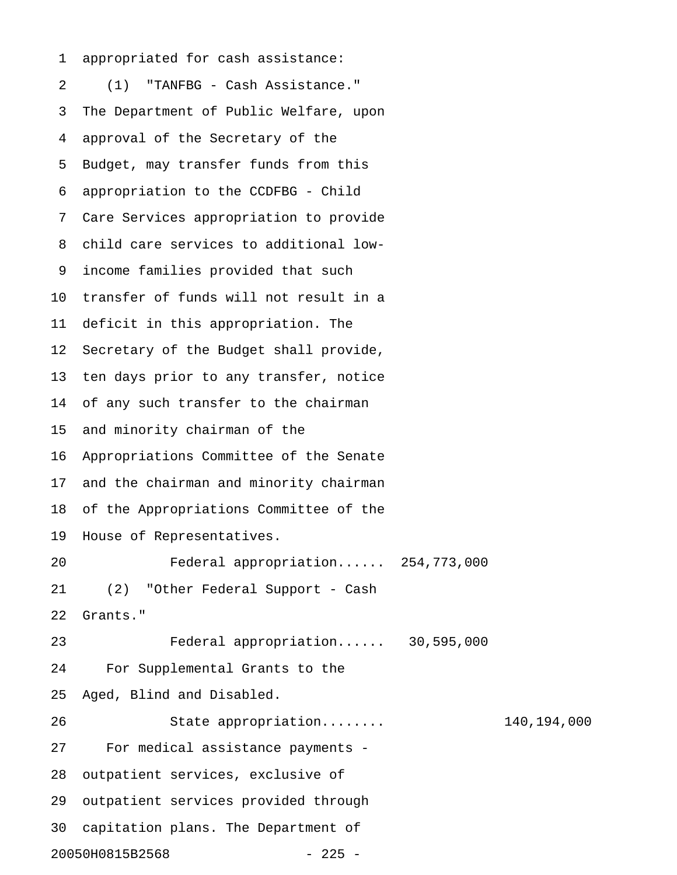1 appropriated for cash assistance:

2 (1) "TANFBG - Cash Assistance." 3 The Department of Public Welfare, upon 4 approval of the Secretary of the 5 Budget, may transfer funds from this 6 appropriation to the CCDFBG - Child 7 Care Services appropriation to provide 8 child care services to additional low-9 income families provided that such 10 transfer of funds will not result in a 11 deficit in this appropriation. The 12 Secretary of the Budget shall provide, 13 ten days prior to any transfer, notice 14 of any such transfer to the chairman 15 and minority chairman of the 16 Appropriations Committee of the Senate 17 and the chairman and minority chairman 18 of the Appropriations Committee of the 19 House of Representatives. 20 Federal appropriation...... 254,773,000 21 (2) "Other Federal Support - Cash 22 Grants." 23 Federal appropriation...... 30,595,000 24 For Supplemental Grants to the 25 Aged, Blind and Disabled. 26 State appropriation........ 140,194,000 27 For medical assistance payments - 28 outpatient services, exclusive of 29 outpatient services provided through 30 capitation plans. The Department of 20050H0815B2568 - 225 -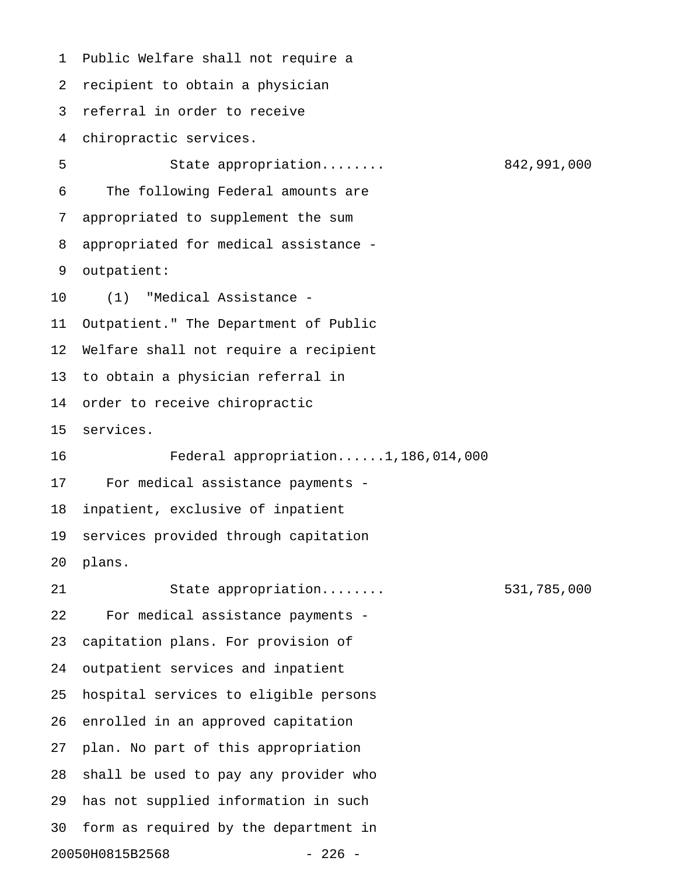1 Public Welfare shall not require a 2 recipient to obtain a physician 3 referral in order to receive 4 chiropractic services. 5 State appropriation........ 842,991,000 6 The following Federal amounts are 7 appropriated to supplement the sum 8 appropriated for medical assistance - 9 outpatient: 10 (1) "Medical Assistance - 11 Outpatient." The Department of Public 12 Welfare shall not require a recipient 13 to obtain a physician referral in 14 order to receive chiropractic 15 services. 16 Federal appropriation......1,186,014,000 17 For medical assistance payments - 18 inpatient, exclusive of inpatient 19 services provided through capitation 20 plans. 21 State appropriation........ 531,785,000 22 For medical assistance payments - 23 capitation plans. For provision of 24 outpatient services and inpatient 25 hospital services to eligible persons 26 enrolled in an approved capitation 27 plan. No part of this appropriation 28 shall be used to pay any provider who 29 has not supplied information in such 30 form as required by the department in 20050H0815B2568 - 226 -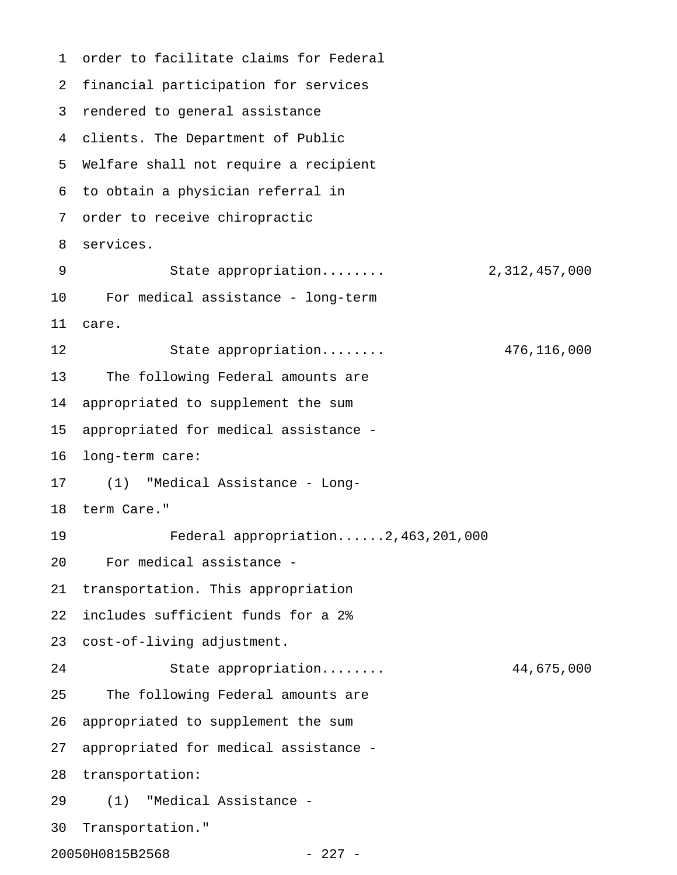1 order to facilitate claims for Federal 2 financial participation for services 3 rendered to general assistance 4 clients. The Department of Public 5 Welfare shall not require a recipient 6 to obtain a physician referral in 7 order to receive chiropractic 8 services. 9 State appropriation........ 2,312,457,000 10 For medical assistance - long-term 11 care. 12 State appropriation........ 476,116,000 13 The following Federal amounts are 14 appropriated to supplement the sum 15 appropriated for medical assistance - 16 long-term care: 17 (1) "Medical Assistance - Long-18 term Care." 19 Federal appropriation......2,463,201,000 20 For medical assistance - 21 transportation. This appropriation 22 includes sufficient funds for a 2% 23 cost-of-living adjustment. 24 State appropriation........ 44,675,000 25 The following Federal amounts are 26 appropriated to supplement the sum 27 appropriated for medical assistance - 28 transportation: 29 (1) "Medical Assistance - 30 Transportation."

20050H0815B2568 - 227 -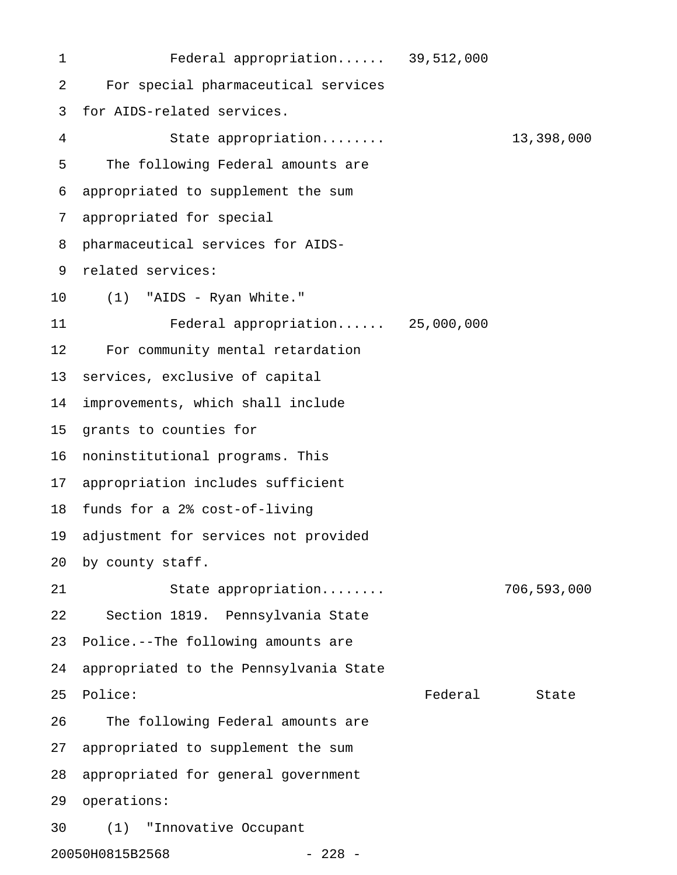1 Federal appropriation...... 39,512,000 2 For special pharmaceutical services 3 for AIDS-related services. 4 State appropriation........ 13,398,000 5 The following Federal amounts are 6 appropriated to supplement the sum 7 appropriated for special 8 pharmaceutical services for AIDS-9 related services: 10 (1) "AIDS - Ryan White." 11 Federal appropriation...... 25,000,000 12 For community mental retardation 13 services, exclusive of capital 14 improvements, which shall include 15 grants to counties for 16 noninstitutional programs. This 17 appropriation includes sufficient 18 funds for a 2% cost-of-living 19 adjustment for services not provided 20 by county staff. 21 State appropriation........ 706,593,000 22 Section 1819. Pennsylvania State 23 Police.--The following amounts are 24 appropriated to the Pennsylvania State 25 Police: State State State State State State State State State State State 26 The following Federal amounts are 27 appropriated to supplement the sum 28 appropriated for general government 29 operations: 30 (1) "Innovative Occupant

20050H0815B2568 - 228 -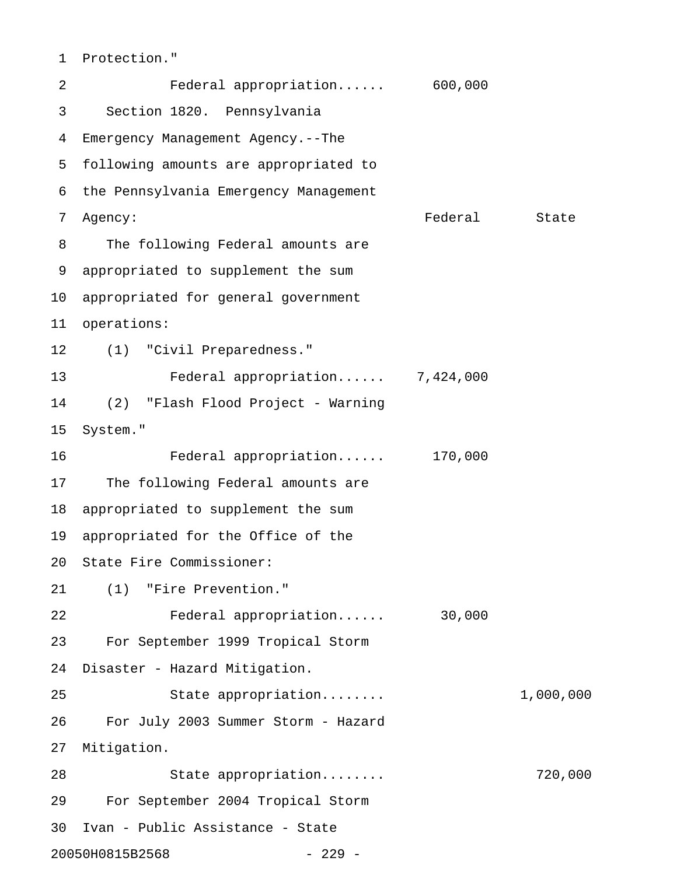1 Protection."

2 Federal appropriation...... 600,000 3 Section 1820. Pennsylvania 4 Emergency Management Agency.--The 5 following amounts are appropriated to 6 the Pennsylvania Emergency Management 7 Agency: State State State State State State State State State State State State 8 The following Federal amounts are 9 appropriated to supplement the sum 10 appropriated for general government 11 operations: 12 (1) "Civil Preparedness." 13 Federal appropriation...... 7,424,000 14 (2) "Flash Flood Project - Warning 15 System." 16 Federal appropriation...... 170,000 17 The following Federal amounts are 18 appropriated to supplement the sum 19 appropriated for the Office of the 20 State Fire Commissioner: 21 (1) "Fire Prevention." 22 Federal appropriation...... 30,000 23 For September 1999 Tropical Storm 24 Disaster - Hazard Mitigation. 25 State appropriation........ 1,000,000 26 For July 2003 Summer Storm - Hazard 27 Mitigation. 28 State appropriation........ 720,000 29 For September 2004 Tropical Storm 30 Ivan - Public Assistance - State 20050H0815B2568 - 229 -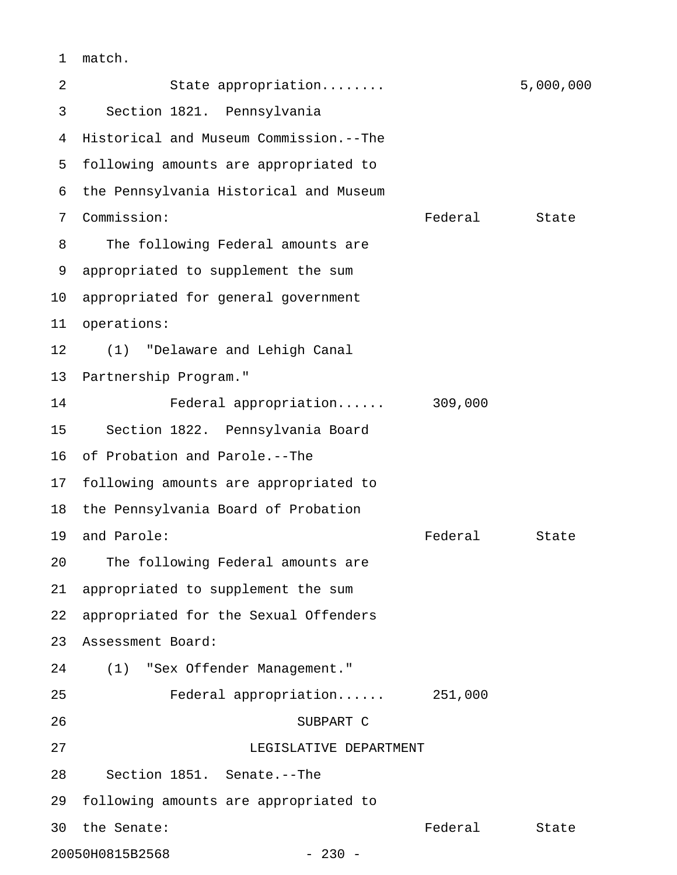1 match.

2 State appropriation........ 5,000,000 3 Section 1821. Pennsylvania 4 Historical and Museum Commission.--The 5 following amounts are appropriated to 6 the Pennsylvania Historical and Museum 7 Commission: Federal State 8 The following Federal amounts are 9 appropriated to supplement the sum 10 appropriated for general government 11 operations: 12 (1) "Delaware and Lehigh Canal 13 Partnership Program." 14 Federal appropriation...... 309,000 15 Section 1822. Pennsylvania Board 16 of Probation and Parole.--The 17 following amounts are appropriated to 18 the Pennsylvania Board of Probation 19 and Parole: The State State State State State State State State State State State 20 The following Federal amounts are 21 appropriated to supplement the sum 22 appropriated for the Sexual Offenders 23 Assessment Board: 24 (1) "Sex Offender Management." 25 Federal appropriation...... 251,000 26 SUBPART C 27 LEGISLATIVE DEPARTMENT 28 Section 1851. Senate.--The 29 following amounts are appropriated to 30 the Senate: The School of the State State State State State State State 20050H0815B2568 - 230 -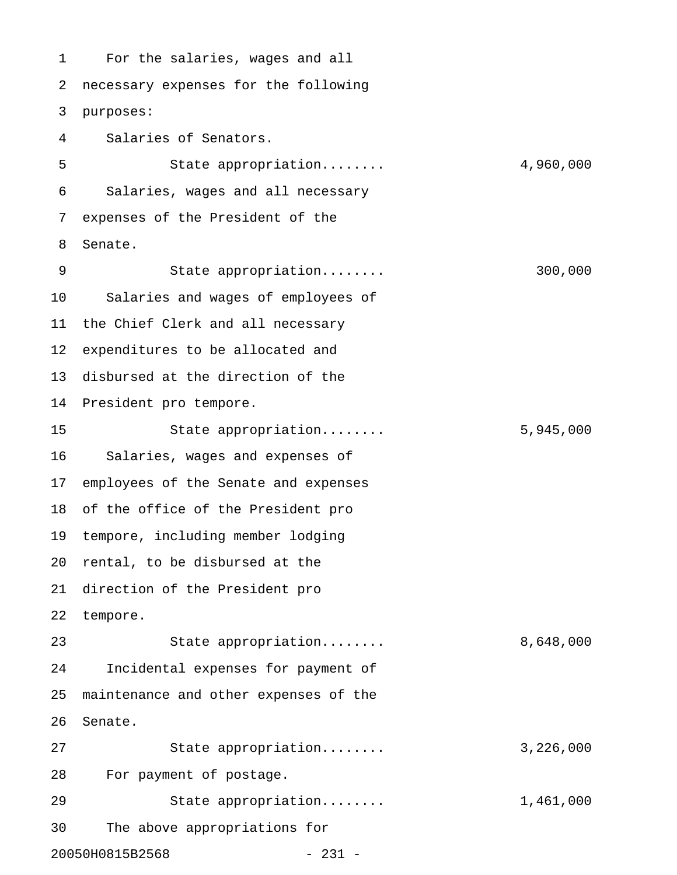1 For the salaries, wages and all 2 necessary expenses for the following 3 purposes: 4 Salaries of Senators. 5 State appropriation........ 4,960,000 6 Salaries, wages and all necessary 7 expenses of the President of the 8 Senate. 9 State appropriation........ 300,000 10 Salaries and wages of employees of 11 the Chief Clerk and all necessary 12 expenditures to be allocated and 13 disbursed at the direction of the 14 President pro tempore. 15 State appropriation........ 5,945,000 16 Salaries, wages and expenses of 17 employees of the Senate and expenses 18 of the office of the President pro 19 tempore, including member lodging 20 rental, to be disbursed at the 21 direction of the President pro 22 tempore. 23 State appropriation........ 8,648,000 24 Incidental expenses for payment of 25 maintenance and other expenses of the 26 Senate. 27 State appropriation........ 3,226,000 28 For payment of postage. 29 State appropriation........ 1,461,000 30 The above appropriations for 20050H0815B2568 - 231 -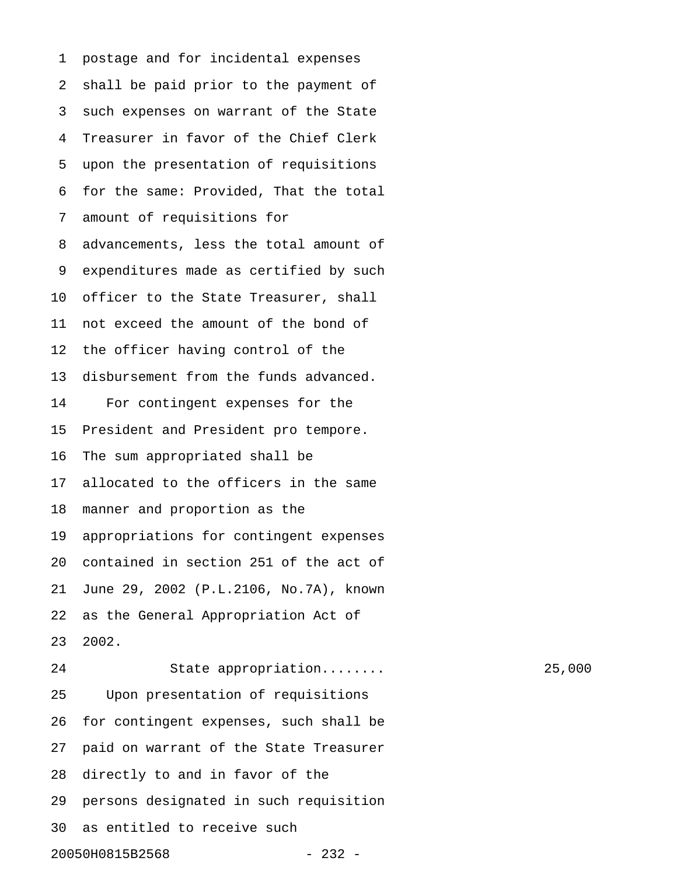1 postage and for incidental expenses 2 shall be paid prior to the payment of 3 such expenses on warrant of the State 4 Treasurer in favor of the Chief Clerk 5 upon the presentation of requisitions 6 for the same: Provided, That the total 7 amount of requisitions for 8 advancements, less the total amount of 9 expenditures made as certified by such 10 officer to the State Treasurer, shall 11 not exceed the amount of the bond of 12 the officer having control of the 13 disbursement from the funds advanced. 14 For contingent expenses for the 15 President and President pro tempore. 16 The sum appropriated shall be 17 allocated to the officers in the same 18 manner and proportion as the 19 appropriations for contingent expenses 20 contained in section 251 of the act of 21 June 29, 2002 (P.L.2106, No.7A), known 22 as the General Appropriation Act of 23 2002.

24 State appropriation........ 25,000 25 Upon presentation of requisitions 26 for contingent expenses, such shall be 27 paid on warrant of the State Treasurer 28 directly to and in favor of the 29 persons designated in such requisition 30 as entitled to receive such 20050H0815B2568 - 232 -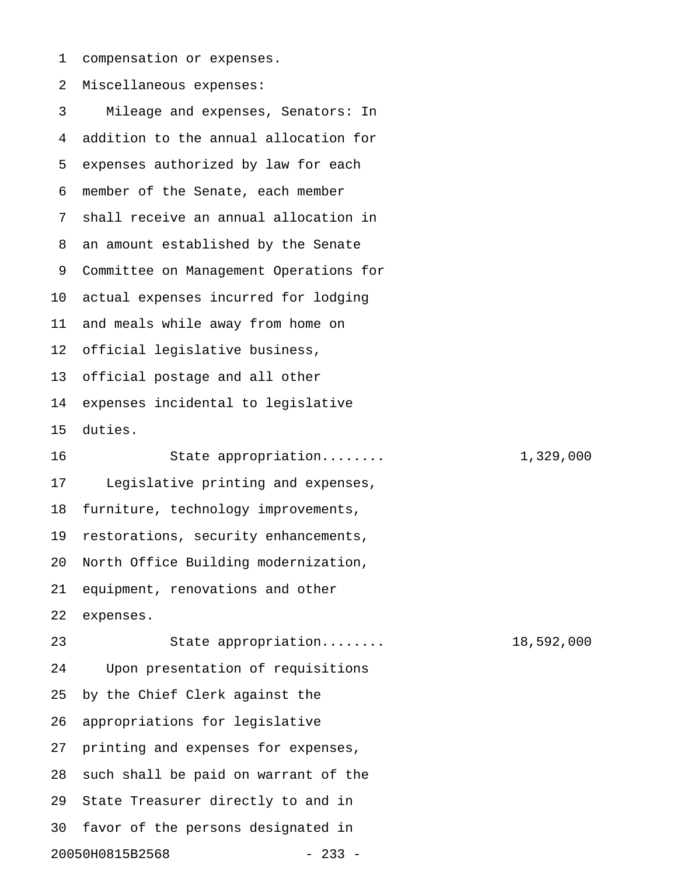1 compensation or expenses.

2 Miscellaneous expenses: 3 Mileage and expenses, Senators: In 4 addition to the annual allocation for 5 expenses authorized by law for each 6 member of the Senate, each member 7 shall receive an annual allocation in 8 an amount established by the Senate 9 Committee on Management Operations for 10 actual expenses incurred for lodging 11 and meals while away from home on 12 official legislative business, 13 official postage and all other 14 expenses incidental to legislative 15 duties. 16 State appropriation........ 1,329,000 17 Legislative printing and expenses, 18 furniture, technology improvements, 19 restorations, security enhancements, 20 North Office Building modernization, 21 equipment, renovations and other 22 expenses. 23 State appropriation........ 18,592,000 24 Upon presentation of requisitions 25 by the Chief Clerk against the 26 appropriations for legislative 27 printing and expenses for expenses, 28 such shall be paid on warrant of the

29 State Treasurer directly to and in 30 favor of the persons designated in

20050H0815B2568 - 233 -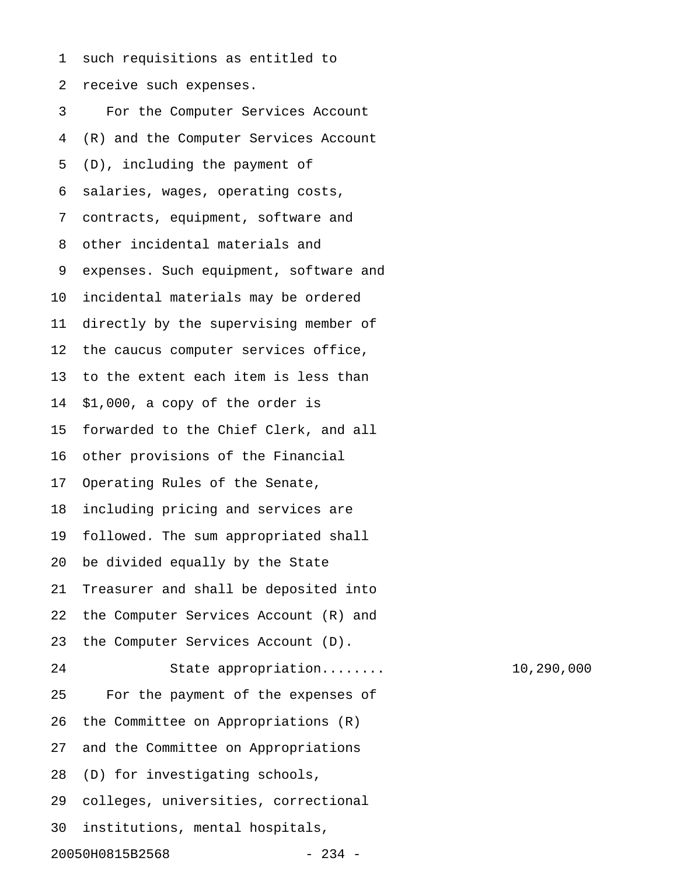1 such requisitions as entitled to

2 receive such expenses.

3 For the Computer Services Account 4 (R) and the Computer Services Account 5 (D), including the payment of 6 salaries, wages, operating costs, 7 contracts, equipment, software and 8 other incidental materials and 9 expenses. Such equipment, software and 10 incidental materials may be ordered 11 directly by the supervising member of 12 the caucus computer services office, 13 to the extent each item is less than 14 \$1,000, a copy of the order is 15 forwarded to the Chief Clerk, and all 16 other provisions of the Financial 17 Operating Rules of the Senate, 18 including pricing and services are 19 followed. The sum appropriated shall 20 be divided equally by the State 21 Treasurer and shall be deposited into 22 the Computer Services Account (R) and 23 the Computer Services Account (D). 24 State appropriation........ 10,290,000 25 For the payment of the expenses of 26 the Committee on Appropriations (R) 27 and the Committee on Appropriations 28 (D) for investigating schools, 29 colleges, universities, correctional 30 institutions, mental hospitals, 20050H0815B2568 - 234 -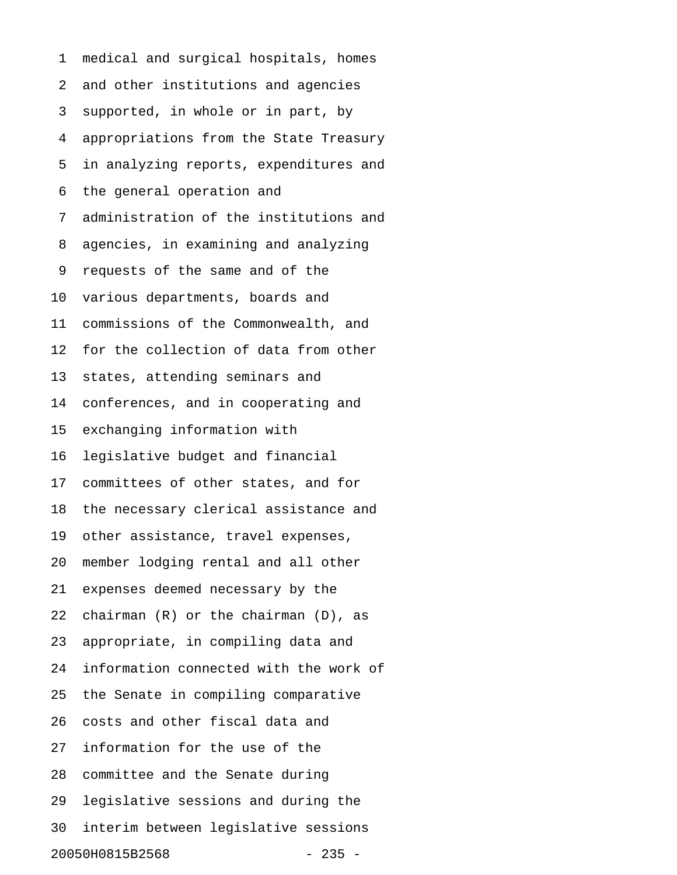1 medical and surgical hospitals, homes 2 and other institutions and agencies 3 supported, in whole or in part, by 4 appropriations from the State Treasury 5 in analyzing reports, expenditures and 6 the general operation and 7 administration of the institutions and 8 agencies, in examining and analyzing 9 requests of the same and of the 10 various departments, boards and 11 commissions of the Commonwealth, and 12 for the collection of data from other 13 states, attending seminars and 14 conferences, and in cooperating and 15 exchanging information with 16 legislative budget and financial 17 committees of other states, and for 18 the necessary clerical assistance and 19 other assistance, travel expenses, 20 member lodging rental and all other 21 expenses deemed necessary by the 22 chairman (R) or the chairman (D), as 23 appropriate, in compiling data and 24 information connected with the work of 25 the Senate in compiling comparative 26 costs and other fiscal data and 27 information for the use of the 28 committee and the Senate during 29 legislative sessions and during the 30 interim between legislative sessions 20050H0815B2568 - 235 -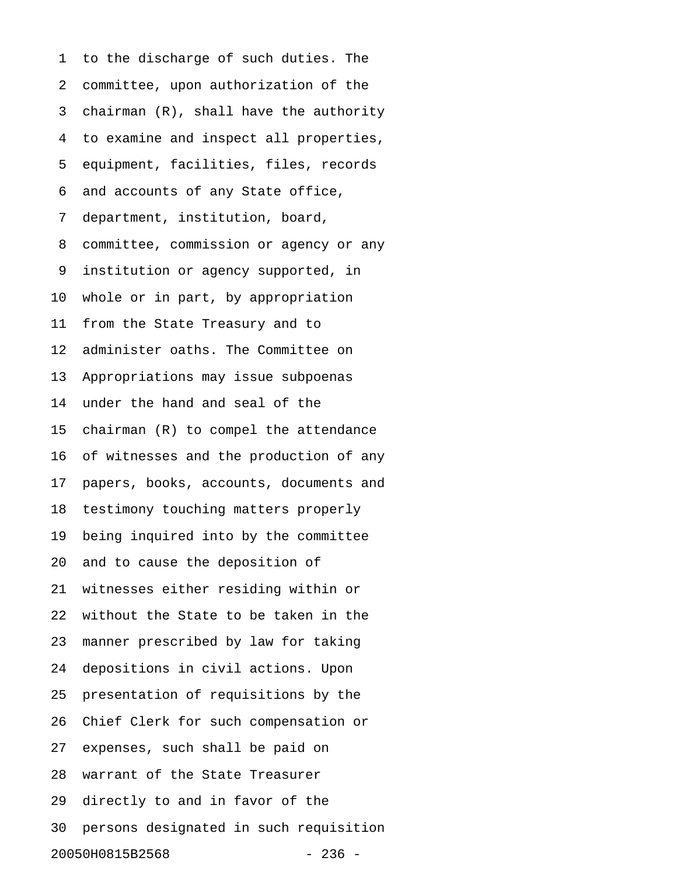1 to the discharge of such duties. The 2 committee, upon authorization of the 3 chairman (R), shall have the authority 4 to examine and inspect all properties, 5 equipment, facilities, files, records 6 and accounts of any State office, 7 department, institution, board, 8 committee, commission or agency or any 9 institution or agency supported, in 10 whole or in part, by appropriation 11 from the State Treasury and to 12 administer oaths. The Committee on 13 Appropriations may issue subpoenas 14 under the hand and seal of the 15 chairman (R) to compel the attendance 16 of witnesses and the production of any 17 papers, books, accounts, documents and 18 testimony touching matters properly 19 being inquired into by the committee 20 and to cause the deposition of 21 witnesses either residing within or 22 without the State to be taken in the 23 manner prescribed by law for taking 24 depositions in civil actions. Upon 25 presentation of requisitions by the 26 Chief Clerk for such compensation or 27 expenses, such shall be paid on 28 warrant of the State Treasurer 29 directly to and in favor of the 30 persons designated in such requisition 20050H0815B2568 - 236 -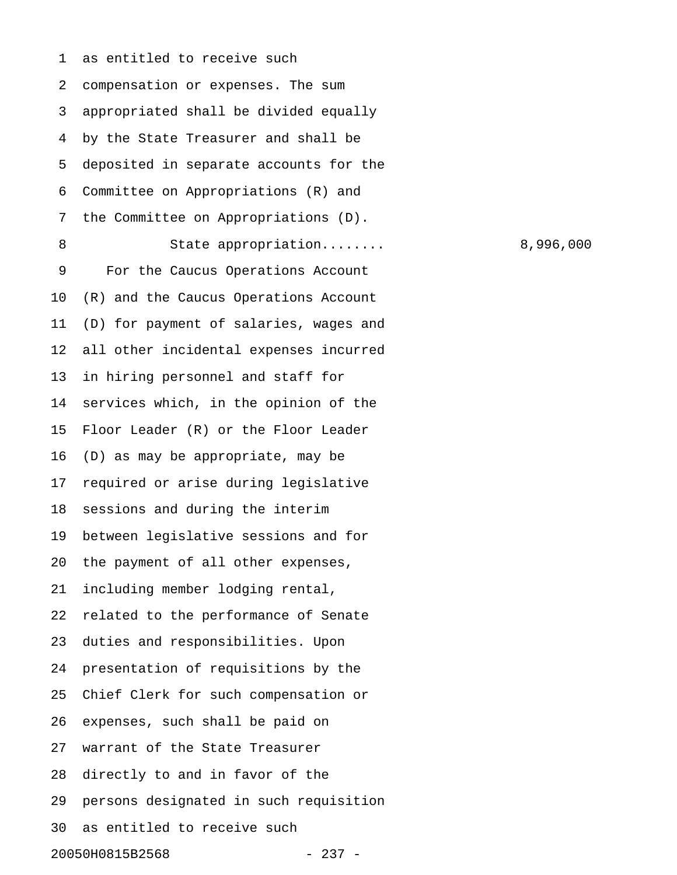1 as entitled to receive such 2 compensation or expenses. The sum 3 appropriated shall be divided equally 4 by the State Treasurer and shall be 5 deposited in separate accounts for the 6 Committee on Appropriations (R) and 7 the Committee on Appropriations (D). 8 State appropriation........ 8,996,000 9 For the Caucus Operations Account 10 (R) and the Caucus Operations Account 11 (D) for payment of salaries, wages and 12 all other incidental expenses incurred 13 in hiring personnel and staff for 14 services which, in the opinion of the 15 Floor Leader (R) or the Floor Leader 16 (D) as may be appropriate, may be 17 required or arise during legislative 18 sessions and during the interim 19 between legislative sessions and for 20 the payment of all other expenses, 21 including member lodging rental, 22 related to the performance of Senate 23 duties and responsibilities. Upon 24 presentation of requisitions by the 25 Chief Clerk for such compensation or 26 expenses, such shall be paid on 27 warrant of the State Treasurer 28 directly to and in favor of the 29 persons designated in such requisition 30 as entitled to receive such 20050H0815B2568 - 237 -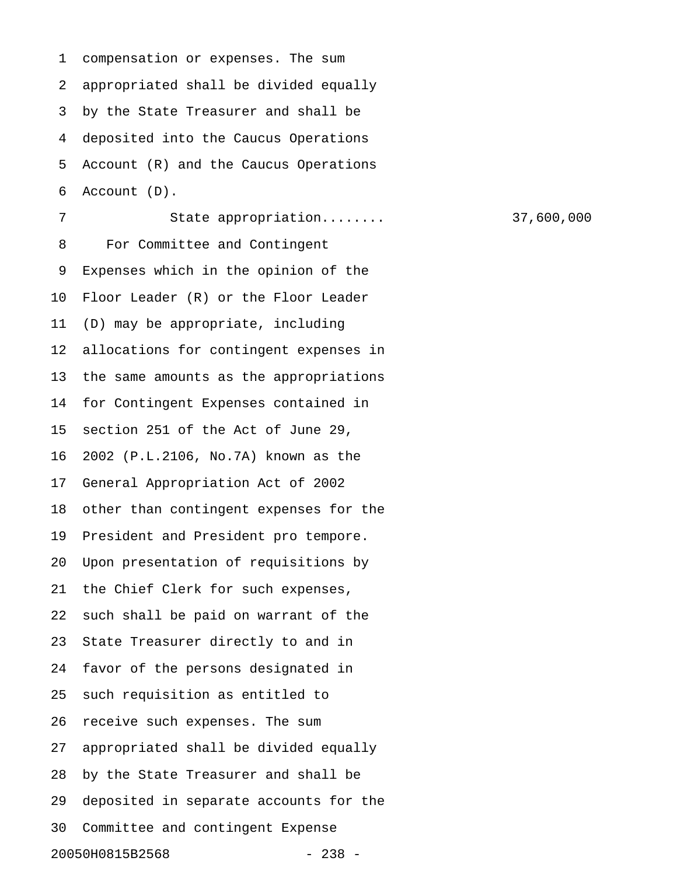1 compensation or expenses. The sum 2 appropriated shall be divided equally 3 by the State Treasurer and shall be 4 deposited into the Caucus Operations 5 Account (R) and the Caucus Operations 6 Account (D).

7 State appropriation........ 37,600,000 8 For Committee and Contingent 9 Expenses which in the opinion of the 10 Floor Leader (R) or the Floor Leader 11 (D) may be appropriate, including 12 allocations for contingent expenses in 13 the same amounts as the appropriations 14 for Contingent Expenses contained in 15 section 251 of the Act of June 29, 16 2002 (P.L.2106, No.7A) known as the 17 General Appropriation Act of 2002 18 other than contingent expenses for the 19 President and President pro tempore. 20 Upon presentation of requisitions by 21 the Chief Clerk for such expenses, 22 such shall be paid on warrant of the 23 State Treasurer directly to and in 24 favor of the persons designated in 25 such requisition as entitled to 26 receive such expenses. The sum 27 appropriated shall be divided equally 28 by the State Treasurer and shall be 29 deposited in separate accounts for the 30 Committee and contingent Expense 20050H0815B2568 - 238 -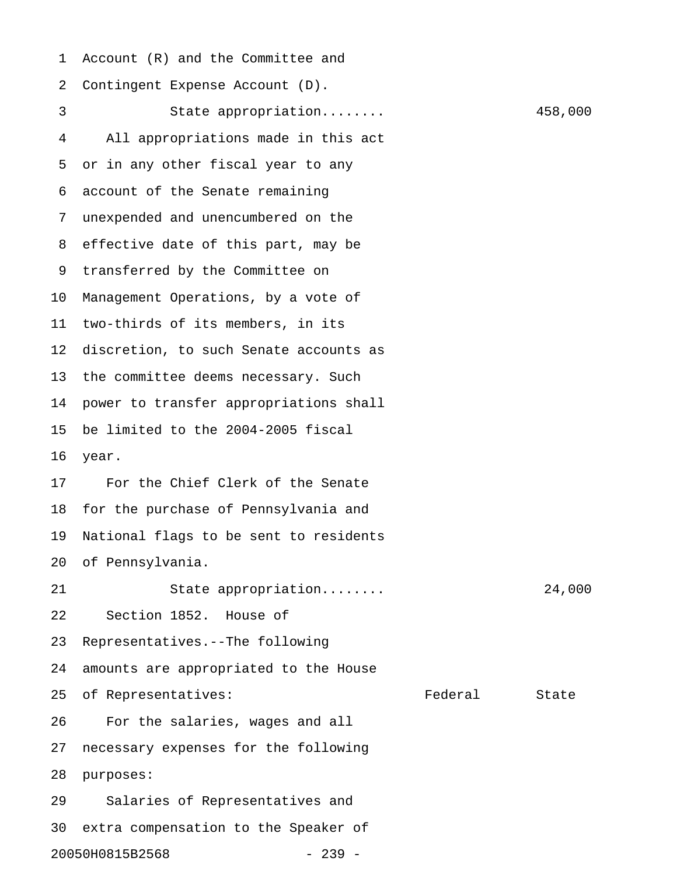1 Account (R) and the Committee and

2 Contingent Expense Account (D). 3 State appropriation........ 458,000 4 All appropriations made in this act 5 or in any other fiscal year to any 6 account of the Senate remaining 7 unexpended and unencumbered on the 8 effective date of this part, may be 9 transferred by the Committee on 10 Management Operations, by a vote of 11 two-thirds of its members, in its 12 discretion, to such Senate accounts as 13 the committee deems necessary. Such 14 power to transfer appropriations shall 15 be limited to the 2004-2005 fiscal 16 year. 17 For the Chief Clerk of the Senate 18 for the purchase of Pennsylvania and 19 National flags to be sent to residents 20 of Pennsylvania. 21 State appropriation........ 24,000 22 Section 1852. House of 23 Representatives.--The following 24 amounts are appropriated to the House 25 of Representatives: The State State State State State State 26 For the salaries, wages and all 27 necessary expenses for the following 28 purposes: 29 Salaries of Representatives and 30 extra compensation to the Speaker of 20050H0815B2568 - 239 -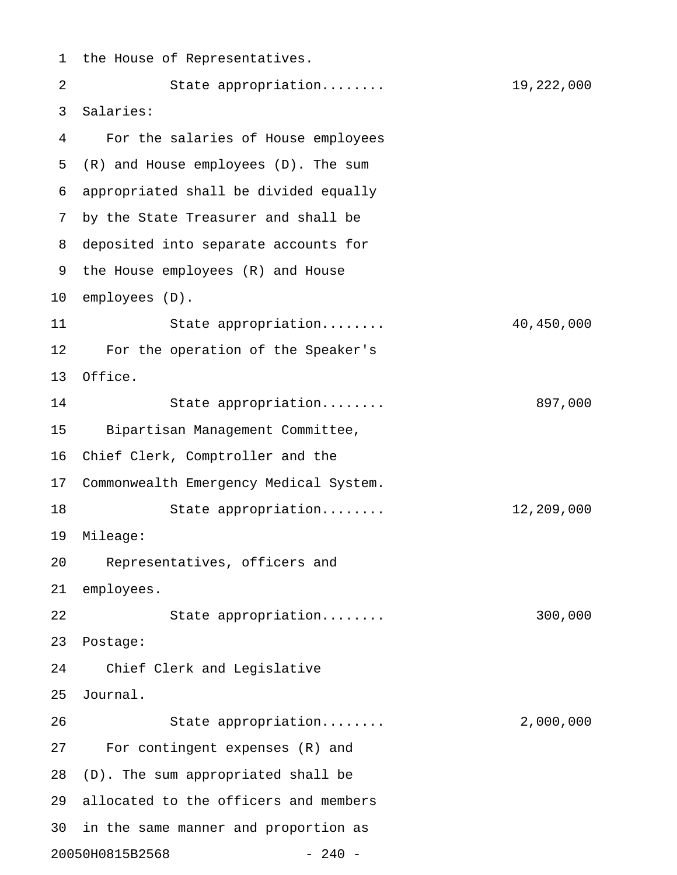1 the House of Representatives. 2 State appropriation........ 19,222,000 3 Salaries: 4 For the salaries of House employees 5 (R) and House employees (D). The sum 6 appropriated shall be divided equally 7 by the State Treasurer and shall be 8 deposited into separate accounts for 9 the House employees (R) and House 10 employees (D). 11 State appropriation........ 40,450,000 12 For the operation of the Speaker's 13 Office. 14 State appropriation........ 897,000 15 Bipartisan Management Committee, 16 Chief Clerk, Comptroller and the 17 Commonwealth Emergency Medical System. 18 State appropriation........ 12,209,000 19 Mileage: 20 Representatives, officers and 21 employees. 22 State appropriation........ 300,000 23 Postage: 24 Chief Clerk and Legislative 25 Journal. 26 State appropriation........ 2,000,000 27 For contingent expenses (R) and 28 (D). The sum appropriated shall be 29 allocated to the officers and members 30 in the same manner and proportion as 20050H0815B2568 - 240 -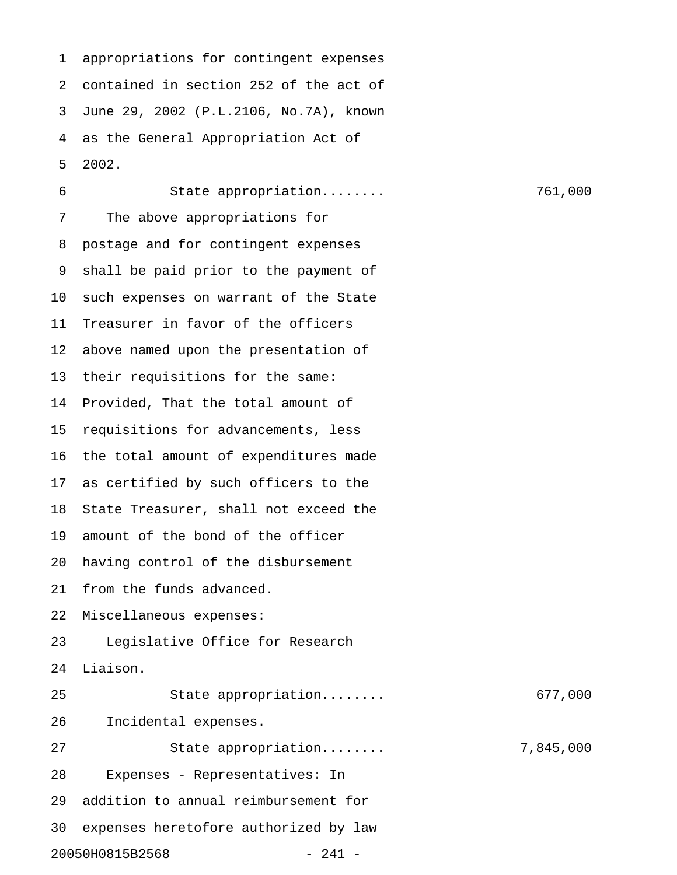1 appropriations for contingent expenses 2 contained in section 252 of the act of 3 June 29, 2002 (P.L.2106, No.7A), known 4 as the General Appropriation Act of 5 2002.

6 State appropriation........ 761,000 7 The above appropriations for 8 postage and for contingent expenses 9 shall be paid prior to the payment of 10 such expenses on warrant of the State 11 Treasurer in favor of the officers 12 above named upon the presentation of 13 their requisitions for the same: 14 Provided, That the total amount of 15 requisitions for advancements, less 16 the total amount of expenditures made 17 as certified by such officers to the 18 State Treasurer, shall not exceed the 19 amount of the bond of the officer 20 having control of the disbursement 21 from the funds advanced. 22 Miscellaneous expenses: 23 Legislative Office for Research 24 Liaison. 25 State appropriation........ 677,000 26 Incidental expenses. 27 State appropriation........ 7,845,000 28 Expenses - Representatives: In 29 addition to annual reimbursement for 30 expenses heretofore authorized by law 20050H0815B2568 - 241 -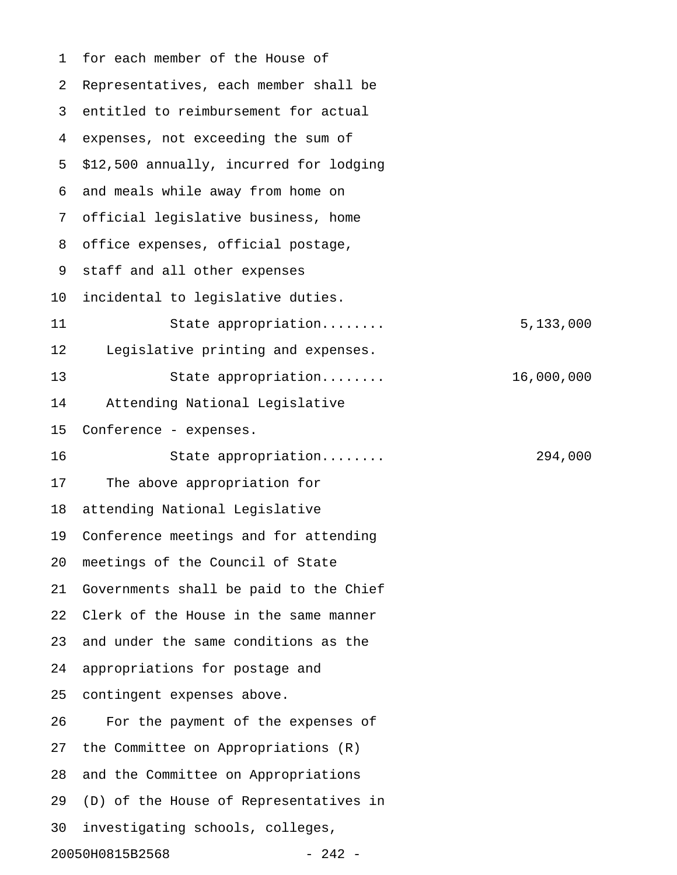1 for each member of the House of 2 Representatives, each member shall be 3 entitled to reimbursement for actual 4 expenses, not exceeding the sum of 5 \$12,500 annually, incurred for lodging 6 and meals while away from home on 7 official legislative business, home 8 office expenses, official postage, 9 staff and all other expenses 10 incidental to legislative duties. 11 State appropriation........ 5,133,000 12 Legislative printing and expenses. 13 State appropriation........ 16,000,000 14 Attending National Legislative 15 Conference - expenses. 16 State appropriation........ 294,000 17 The above appropriation for 18 attending National Legislative 19 Conference meetings and for attending 20 meetings of the Council of State 21 Governments shall be paid to the Chief 22 Clerk of the House in the same manner 23 and under the same conditions as the 24 appropriations for postage and 25 contingent expenses above. 26 For the payment of the expenses of 27 the Committee on Appropriations (R) 28 and the Committee on Appropriations 29 (D) of the House of Representatives in 30 investigating schools, colleges, 20050H0815B2568 - 242 -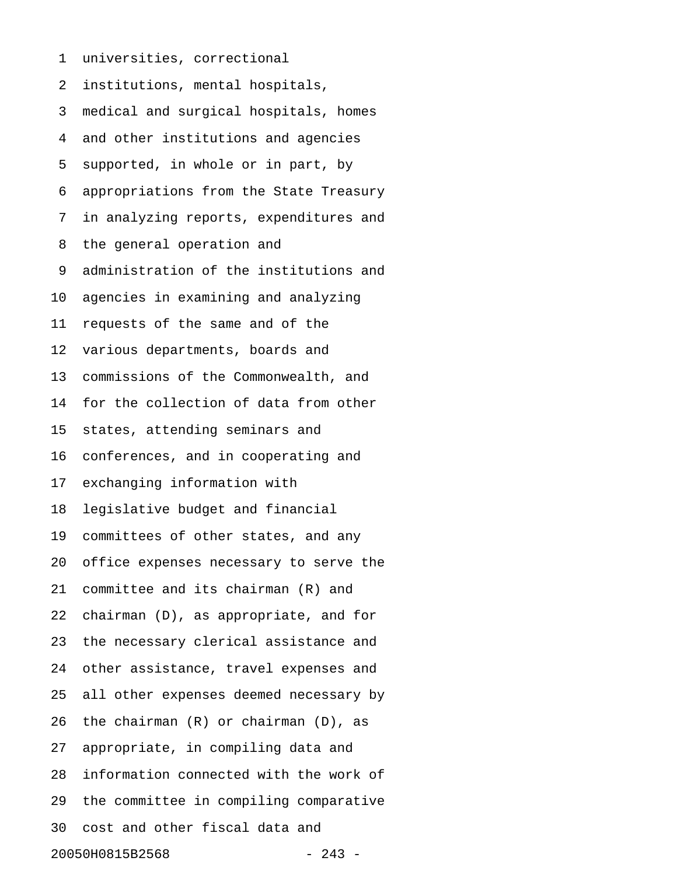1 universities, correctional

2 institutions, mental hospitals, 3 medical and surgical hospitals, homes 4 and other institutions and agencies 5 supported, in whole or in part, by 6 appropriations from the State Treasury 7 in analyzing reports, expenditures and 8 the general operation and 9 administration of the institutions and 10 agencies in examining and analyzing 11 requests of the same and of the 12 various departments, boards and 13 commissions of the Commonwealth, and 14 for the collection of data from other 15 states, attending seminars and 16 conferences, and in cooperating and 17 exchanging information with 18 legislative budget and financial 19 committees of other states, and any 20 office expenses necessary to serve the 21 committee and its chairman (R) and 22 chairman (D), as appropriate, and for 23 the necessary clerical assistance and 24 other assistance, travel expenses and 25 all other expenses deemed necessary by 26 the chairman (R) or chairman (D), as 27 appropriate, in compiling data and 28 information connected with the work of 29 the committee in compiling comparative 30 cost and other fiscal data and 20050H0815B2568 - 243 -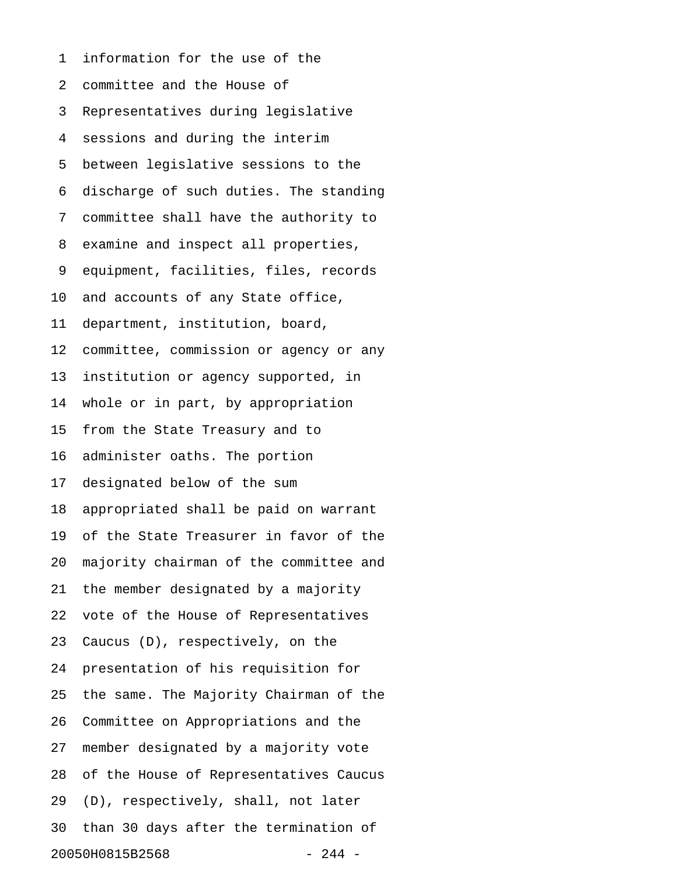1 information for the use of the 2 committee and the House of 3 Representatives during legislative 4 sessions and during the interim 5 between legislative sessions to the 6 discharge of such duties. The standing 7 committee shall have the authority to 8 examine and inspect all properties, 9 equipment, facilities, files, records 10 and accounts of any State office, 11 department, institution, board, 12 committee, commission or agency or any 13 institution or agency supported, in 14 whole or in part, by appropriation 15 from the State Treasury and to 16 administer oaths. The portion 17 designated below of the sum 18 appropriated shall be paid on warrant 19 of the State Treasurer in favor of the 20 majority chairman of the committee and 21 the member designated by a majority 22 vote of the House of Representatives 23 Caucus (D), respectively, on the 24 presentation of his requisition for 25 the same. The Majority Chairman of the 26 Committee on Appropriations and the 27 member designated by a majority vote 28 of the House of Representatives Caucus 29 (D), respectively, shall, not later 30 than 30 days after the termination of 20050H0815B2568 - 244 -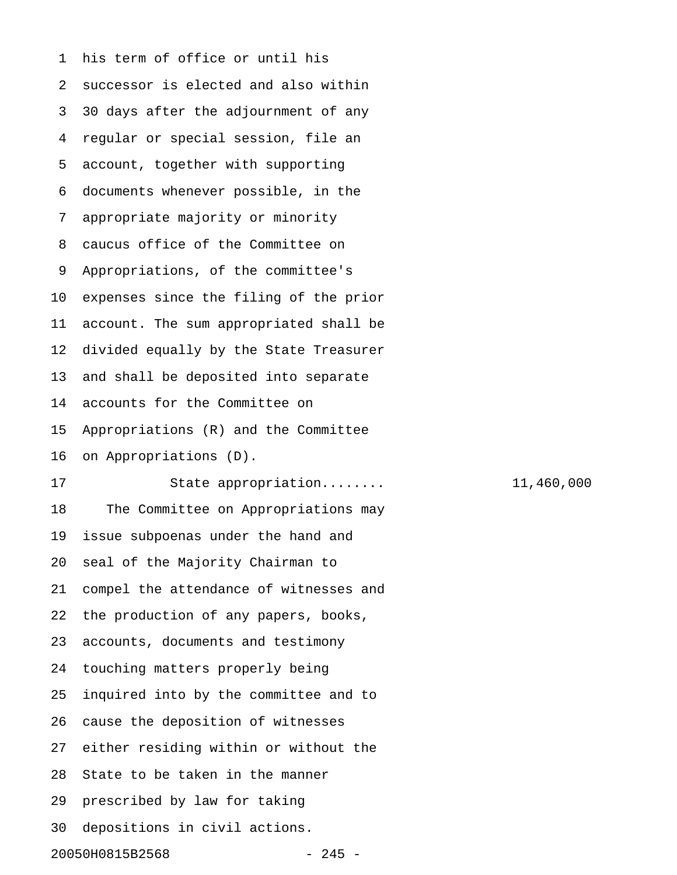1 his term of office or until his 2 successor is elected and also within 3 30 days after the adjournment of any 4 regular or special session, file an 5 account, together with supporting 6 documents whenever possible, in the 7 appropriate majority or minority 8 caucus office of the Committee on 9 Appropriations, of the committee's 10 expenses since the filing of the prior 11 account. The sum appropriated shall be 12 divided equally by the State Treasurer 13 and shall be deposited into separate 14 accounts for the Committee on 15 Appropriations (R) and the Committee 16 on Appropriations (D). 17 State appropriation........ 11,460,000 18 The Committee on Appropriations may 19 issue subpoenas under the hand and 20 seal of the Majority Chairman to 21 compel the attendance of witnesses and 22 the production of any papers, books, 23 accounts, documents and testimony 24 touching matters properly being 25 inquired into by the committee and to 26 cause the deposition of witnesses 27 either residing within or without the 28 State to be taken in the manner 29 prescribed by law for taking 30 depositions in civil actions. 20050H0815B2568 - 245 -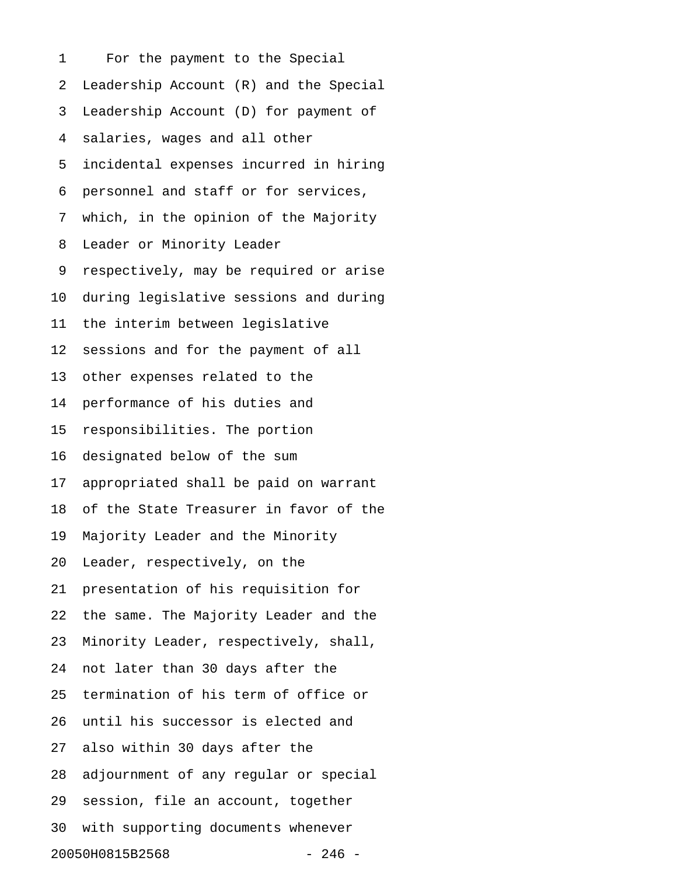1 For the payment to the Special 2 Leadership Account (R) and the Special 3 Leadership Account (D) for payment of 4 salaries, wages and all other 5 incidental expenses incurred in hiring 6 personnel and staff or for services, 7 which, in the opinion of the Majority 8 Leader or Minority Leader 9 respectively, may be required or arise 10 during legislative sessions and during 11 the interim between legislative 12 sessions and for the payment of all 13 other expenses related to the 14 performance of his duties and 15 responsibilities. The portion 16 designated below of the sum 17 appropriated shall be paid on warrant 18 of the State Treasurer in favor of the 19 Majority Leader and the Minority 20 Leader, respectively, on the 21 presentation of his requisition for 22 the same. The Majority Leader and the 23 Minority Leader, respectively, shall, 24 not later than 30 days after the 25 termination of his term of office or 26 until his successor is elected and 27 also within 30 days after the 28 adjournment of any regular or special 29 session, file an account, together 30 with supporting documents whenever 20050H0815B2568 - 246 -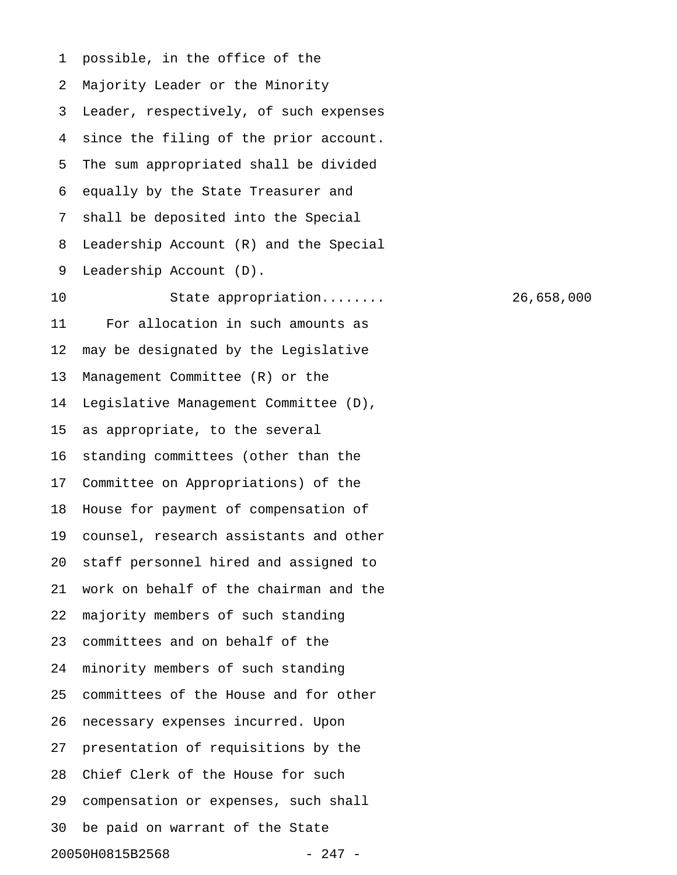1 possible, in the office of the 2 Majority Leader or the Minority 3 Leader, respectively, of such expenses 4 since the filing of the prior account. 5 The sum appropriated shall be divided 6 equally by the State Treasurer and 7 shall be deposited into the Special 8 Leadership Account (R) and the Special 9 Leadership Account (D). 10 State appropriation........ 26,658,000 11 For allocation in such amounts as 12 may be designated by the Legislative 13 Management Committee (R) or the 14 Legislative Management Committee (D), 15 as appropriate, to the several 16 standing committees (other than the 17 Committee on Appropriations) of the 18 House for payment of compensation of 19 counsel, research assistants and other 20 staff personnel hired and assigned to 21 work on behalf of the chairman and the 22 majority members of such standing 23 committees and on behalf of the 24 minority members of such standing 25 committees of the House and for other 26 necessary expenses incurred. Upon 27 presentation of requisitions by the 28 Chief Clerk of the House for such 29 compensation or expenses, such shall 30 be paid on warrant of the State 20050H0815B2568 - 247 -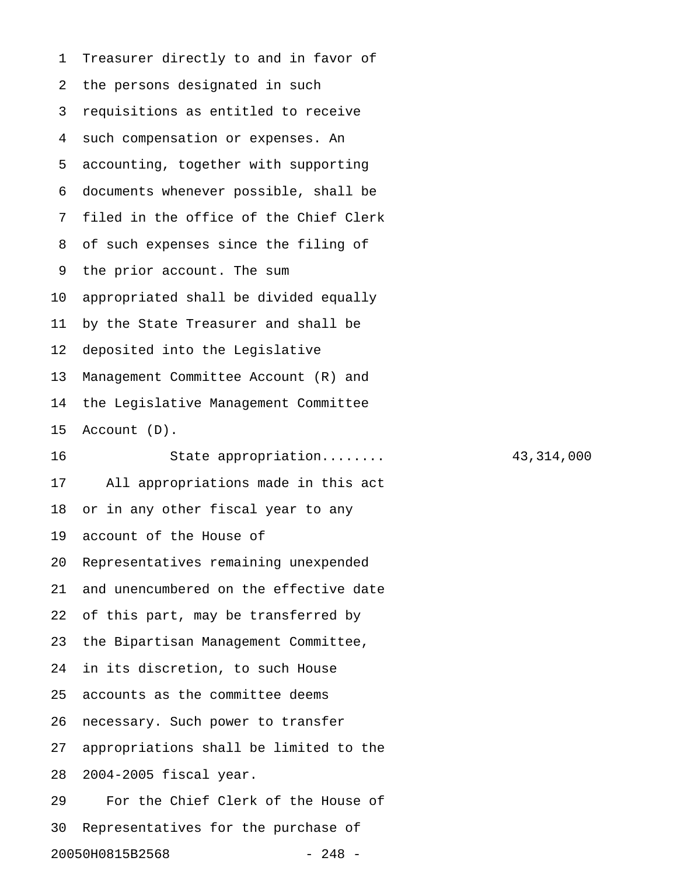1 Treasurer directly to and in favor of 2 the persons designated in such 3 requisitions as entitled to receive 4 such compensation or expenses. An 5 accounting, together with supporting 6 documents whenever possible, shall be 7 filed in the office of the Chief Clerk 8 of such expenses since the filing of 9 the prior account. The sum 10 appropriated shall be divided equally 11 by the State Treasurer and shall be 12 deposited into the Legislative 13 Management Committee Account (R) and 14 the Legislative Management Committee 15 Account (D). 16 State appropriation........ 43,314,000 17 All appropriations made in this act 18 or in any other fiscal year to any 19 account of the House of 20 Representatives remaining unexpended 21 and unencumbered on the effective date 22 of this part, may be transferred by 23 the Bipartisan Management Committee, 24 in its discretion, to such House 25 accounts as the committee deems 26 necessary. Such power to transfer 27 appropriations shall be limited to the 28 2004-2005 fiscal year. 29 For the Chief Clerk of the House of 30 Representatives for the purchase of 20050H0815B2568 - 248 -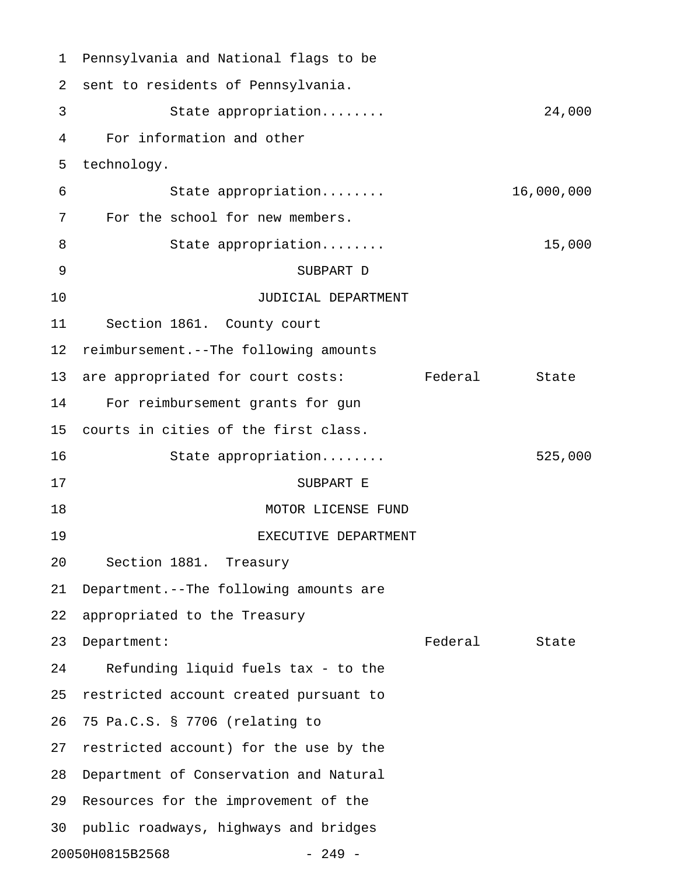1 Pennsylvania and National flags to be 2 sent to residents of Pennsylvania. 3 State appropriation........ 24,000 4 For information and other 5 technology. 6 State appropriation........ 16,000,000 7 For the school for new members. 8 State appropriation....... 15,000 9 SUBPART D 10 JUDICIAL DEPARTMENT 11 Section 1861. County court 12 reimbursement.--The following amounts 13 are appropriated for court costs: Federal State 14 For reimbursement grants for gun 15 courts in cities of the first class. 16 State appropriation........ 525,000 17 SUBPART E 18 MOTOR LICENSE FUND 19 EXECUTIVE DEPARTMENT 20 Section 1881. Treasury 21 Department.--The following amounts are 22 appropriated to the Treasury 23 Department: Federal State 24 Refunding liquid fuels tax - to the 25 restricted account created pursuant to 26 75 Pa.C.S. § 7706 (relating to 27 restricted account) for the use by the 28 Department of Conservation and Natural 29 Resources for the improvement of the 30 public roadways, highways and bridges 20050H0815B2568 - 249 -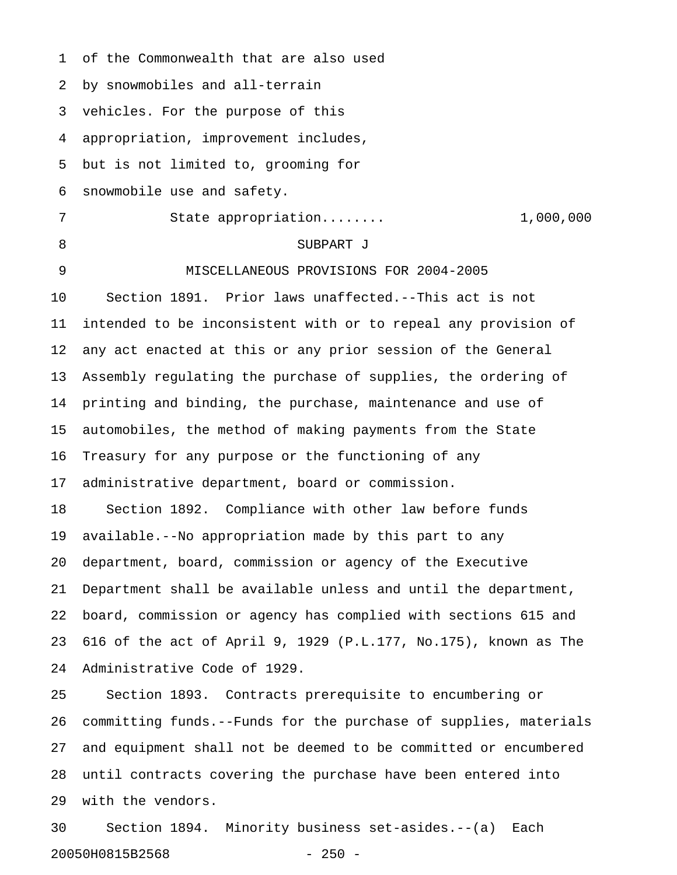1 of the Commonwealth that are also used 2 by snowmobiles and all-terrain 3 vehicles. For the purpose of this 4 appropriation, improvement includes, 5 but is not limited to, grooming for 6 snowmobile use and safety. 7 State appropriation....... 1,000,000 8 SUBPART J 9 MISCELLANEOUS PROVISIONS FOR 2004-2005 10 Section 1891. Prior laws unaffected.--This act is not 11 intended to be inconsistent with or to repeal any provision of 12 any act enacted at this or any prior session of the General 13 Assembly regulating the purchase of supplies, the ordering of 14 printing and binding, the purchase, maintenance and use of 15 automobiles, the method of making payments from the State 16 Treasury for any purpose or the functioning of any 17 administrative department, board or commission. 18 Section 1892. Compliance with other law before funds 19 available.--No appropriation made by this part to any 20 department, board, commission or agency of the Executive 21 Department shall be available unless and until the department, 22 board, commission or agency has complied with sections 615 and 23 616 of the act of April 9, 1929 (P.L.177, No.175), known as The 24 Administrative Code of 1929. 25 Section 1893. Contracts prerequisite to encumbering or 26 committing funds.--Funds for the purchase of supplies, materials 27 and equipment shall not be deemed to be committed or encumbered

29 with the vendors.

30 Section 1894. Minority business set-asides.--(a) Each 20050H0815B2568 - 250 -

28 until contracts covering the purchase have been entered into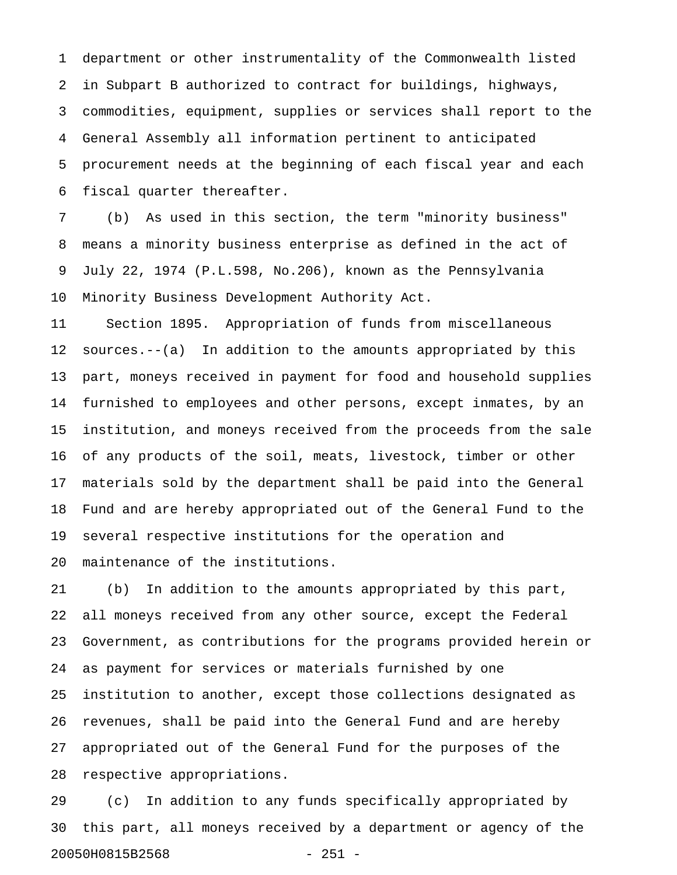1 department or other instrumentality of the Commonwealth listed 2 in Subpart B authorized to contract for buildings, highways, 3 commodities, equipment, supplies or services shall report to the 4 General Assembly all information pertinent to anticipated 5 procurement needs at the beginning of each fiscal year and each 6 fiscal quarter thereafter.

7 (b) As used in this section, the term "minority business" 8 means a minority business enterprise as defined in the act of 9 July 22, 1974 (P.L.598, No.206), known as the Pennsylvania 10 Minority Business Development Authority Act.

11 Section 1895. Appropriation of funds from miscellaneous 12 sources.--(a) In addition to the amounts appropriated by this 13 part, moneys received in payment for food and household supplies 14 furnished to employees and other persons, except inmates, by an 15 institution, and moneys received from the proceeds from the sale 16 of any products of the soil, meats, livestock, timber or other 17 materials sold by the department shall be paid into the General 18 Fund and are hereby appropriated out of the General Fund to the 19 several respective institutions for the operation and 20 maintenance of the institutions.

21 (b) In addition to the amounts appropriated by this part, 22 all moneys received from any other source, except the Federal 23 Government, as contributions for the programs provided herein or 24 as payment for services or materials furnished by one 25 institution to another, except those collections designated as 26 revenues, shall be paid into the General Fund and are hereby 27 appropriated out of the General Fund for the purposes of the 28 respective appropriations.

29 (c) In addition to any funds specifically appropriated by 30 this part, all moneys received by a department or agency of the 20050H0815B2568 - 251 -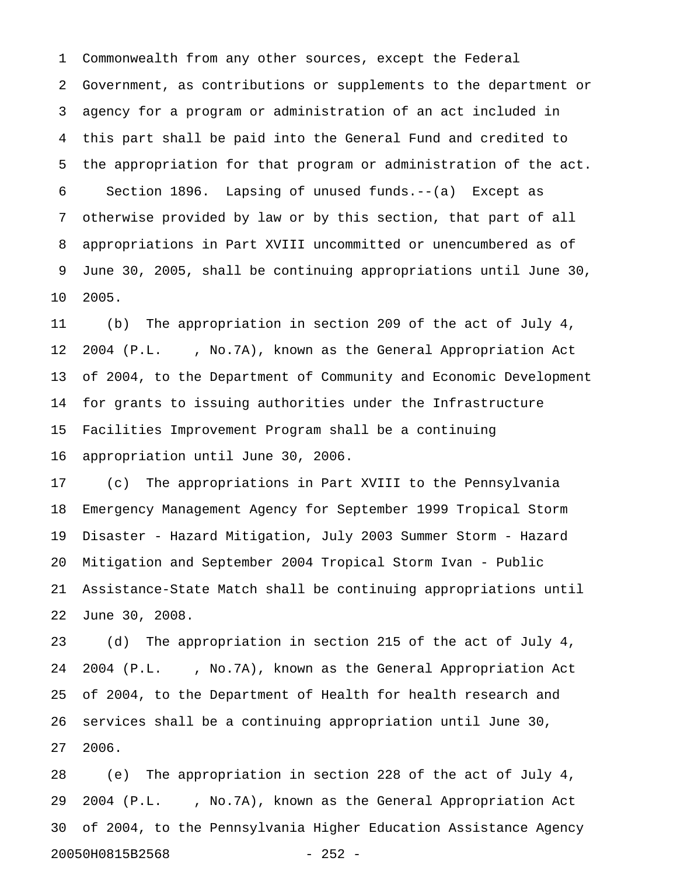1 Commonwealth from any other sources, except the Federal 2 Government, as contributions or supplements to the department or 3 agency for a program or administration of an act included in 4 this part shall be paid into the General Fund and credited to 5 the appropriation for that program or administration of the act. 6 Section 1896. Lapsing of unused funds.--(a) Except as 7 otherwise provided by law or by this section, that part of all 8 appropriations in Part XVIII uncommitted or unencumbered as of 9 June 30, 2005, shall be continuing appropriations until June 30, 10 2005.

11 (b) The appropriation in section 209 of the act of July 4, 12 2004 (P.L. , No.7A), known as the General Appropriation Act 13 of 2004, to the Department of Community and Economic Development 14 for grants to issuing authorities under the Infrastructure 15 Facilities Improvement Program shall be a continuing 16 appropriation until June 30, 2006.

17 (c) The appropriations in Part XVIII to the Pennsylvania 18 Emergency Management Agency for September 1999 Tropical Storm 19 Disaster - Hazard Mitigation, July 2003 Summer Storm - Hazard 20 Mitigation and September 2004 Tropical Storm Ivan - Public 21 Assistance-State Match shall be continuing appropriations until 22 June 30, 2008.

23 (d) The appropriation in section 215 of the act of July 4, 24 2004 (P.L. , No.7A), known as the General Appropriation Act 25 of 2004, to the Department of Health for health research and 26 services shall be a continuing appropriation until June 30, 27 2006.

28 (e) The appropriation in section 228 of the act of July 4, 29 2004 (P.L. , No.7A), known as the General Appropriation Act 30 of 2004, to the Pennsylvania Higher Education Assistance Agency 20050H0815B2568 - 252 -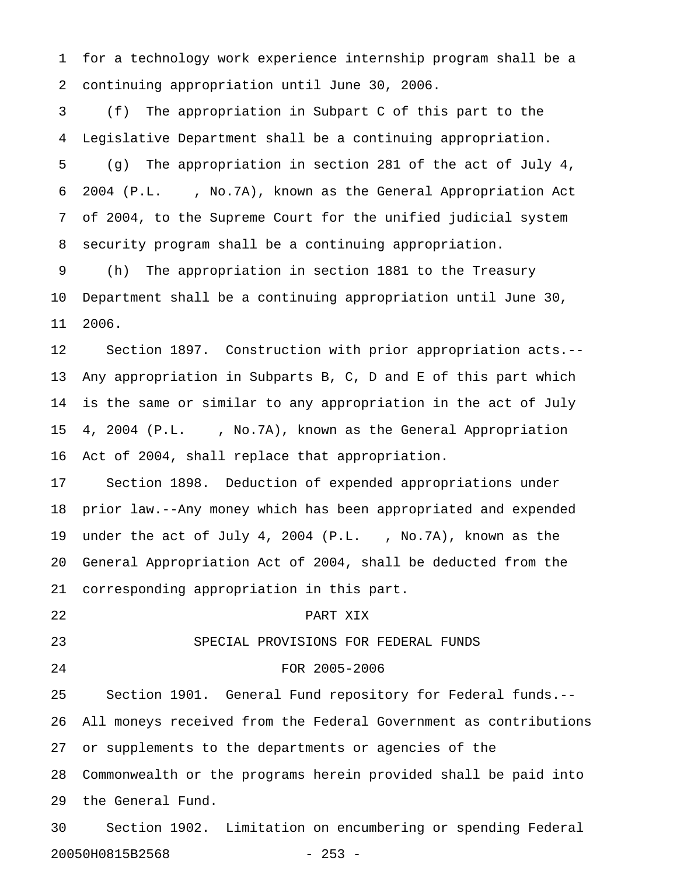1 for a technology work experience internship program shall be a 2 continuing appropriation until June 30, 2006.

3 (f) The appropriation in Subpart C of this part to the 4 Legislative Department shall be a continuing appropriation. 5 (g) The appropriation in section 281 of the act of July 4, 6 2004 (P.L. , No.7A), known as the General Appropriation Act 7 of 2004, to the Supreme Court for the unified judicial system 8 security program shall be a continuing appropriation.

9 (h) The appropriation in section 1881 to the Treasury 10 Department shall be a continuing appropriation until June 30, 11 2006.

12 Section 1897. Construction with prior appropriation acts.-- 13 Any appropriation in Subparts B, C, D and E of this part which 14 is the same or similar to any appropriation in the act of July 15 4, 2004 (P.L. , No.7A), known as the General Appropriation 16 Act of 2004, shall replace that appropriation.

17 Section 1898. Deduction of expended appropriations under 18 prior law.--Any money which has been appropriated and expended 19 under the act of July 4, 2004 (P.L. , No.7A), known as the 20 General Appropriation Act of 2004, shall be deducted from the 21 corresponding appropriation in this part.

22 PART XIX

23 SPECIAL PROVISIONS FOR FEDERAL FUNDS

## 24 FOR 2005-2006

25 Section 1901. General Fund repository for Federal funds.-- 26 All moneys received from the Federal Government as contributions 27 or supplements to the departments or agencies of the 28 Commonwealth or the programs herein provided shall be paid into 29 the General Fund.

30 Section 1902. Limitation on encumbering or spending Federal 20050H0815B2568 - 253 -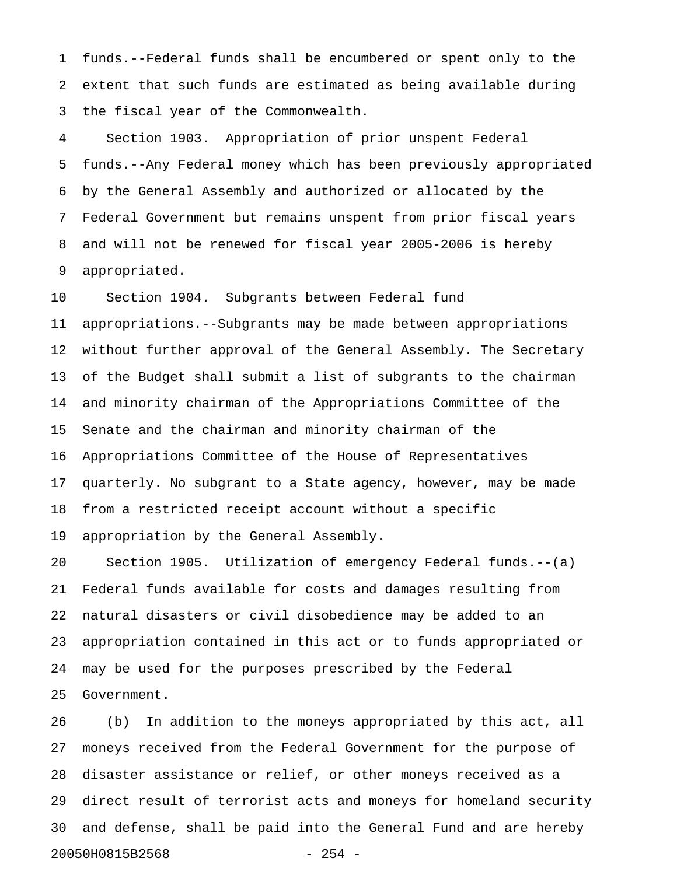1 funds.--Federal funds shall be encumbered or spent only to the 2 extent that such funds are estimated as being available during 3 the fiscal year of the Commonwealth.

4 Section 1903. Appropriation of prior unspent Federal 5 funds.--Any Federal money which has been previously appropriated 6 by the General Assembly and authorized or allocated by the 7 Federal Government but remains unspent from prior fiscal years 8 and will not be renewed for fiscal year 2005-2006 is hereby 9 appropriated.

10 Section 1904. Subgrants between Federal fund 11 appropriations.--Subgrants may be made between appropriations 12 without further approval of the General Assembly. The Secretary 13 of the Budget shall submit a list of subgrants to the chairman 14 and minority chairman of the Appropriations Committee of the 15 Senate and the chairman and minority chairman of the 16 Appropriations Committee of the House of Representatives 17 quarterly. No subgrant to a State agency, however, may be made 18 from a restricted receipt account without a specific 19 appropriation by the General Assembly.

20 Section 1905. Utilization of emergency Federal funds.--(a) 21 Federal funds available for costs and damages resulting from 22 natural disasters or civil disobedience may be added to an 23 appropriation contained in this act or to funds appropriated or 24 may be used for the purposes prescribed by the Federal 25 Government.

26 (b) In addition to the moneys appropriated by this act, all 27 moneys received from the Federal Government for the purpose of 28 disaster assistance or relief, or other moneys received as a 29 direct result of terrorist acts and moneys for homeland security 30 and defense, shall be paid into the General Fund and are hereby 20050H0815B2568 - 254 -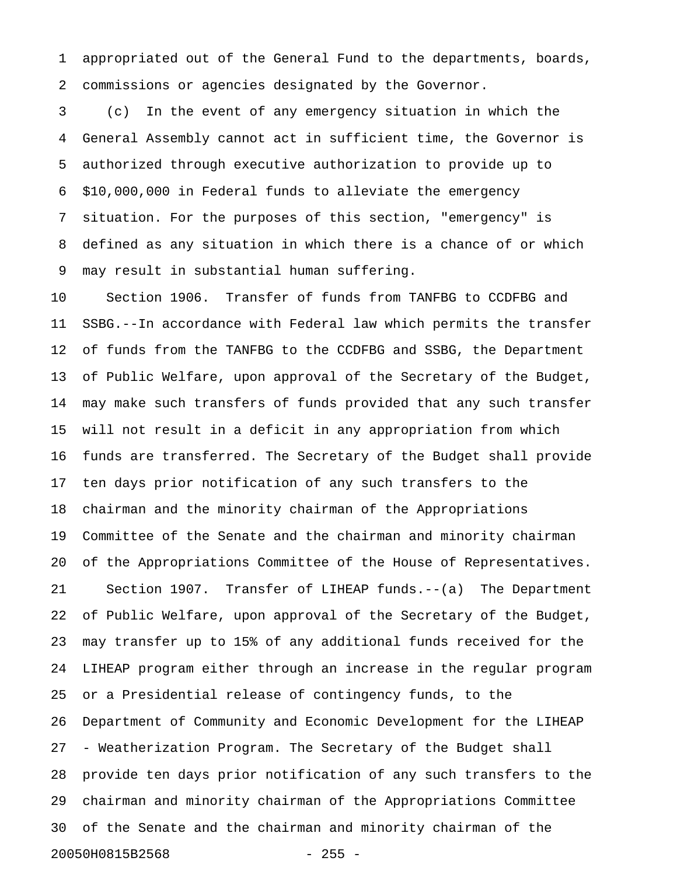1 appropriated out of the General Fund to the departments, boards, 2 commissions or agencies designated by the Governor.

3 (c) In the event of any emergency situation in which the 4 General Assembly cannot act in sufficient time, the Governor is 5 authorized through executive authorization to provide up to 6 \$10,000,000 in Federal funds to alleviate the emergency 7 situation. For the purposes of this section, "emergency" is 8 defined as any situation in which there is a chance of or which 9 may result in substantial human suffering.

10 Section 1906. Transfer of funds from TANFBG to CCDFBG and 11 SSBG.--In accordance with Federal law which permits the transfer 12 of funds from the TANFBG to the CCDFBG and SSBG, the Department 13 of Public Welfare, upon approval of the Secretary of the Budget, 14 may make such transfers of funds provided that any such transfer 15 will not result in a deficit in any appropriation from which 16 funds are transferred. The Secretary of the Budget shall provide 17 ten days prior notification of any such transfers to the 18 chairman and the minority chairman of the Appropriations 19 Committee of the Senate and the chairman and minority chairman 20 of the Appropriations Committee of the House of Representatives. 21 Section 1907. Transfer of LIHEAP funds.--(a) The Department 22 of Public Welfare, upon approval of the Secretary of the Budget, 23 may transfer up to 15% of any additional funds received for the 24 LIHEAP program either through an increase in the regular program 25 or a Presidential release of contingency funds, to the 26 Department of Community and Economic Development for the LIHEAP 27 - Weatherization Program. The Secretary of the Budget shall 28 provide ten days prior notification of any such transfers to the 29 chairman and minority chairman of the Appropriations Committee 30 of the Senate and the chairman and minority chairman of the 20050H0815B2568 - 255 -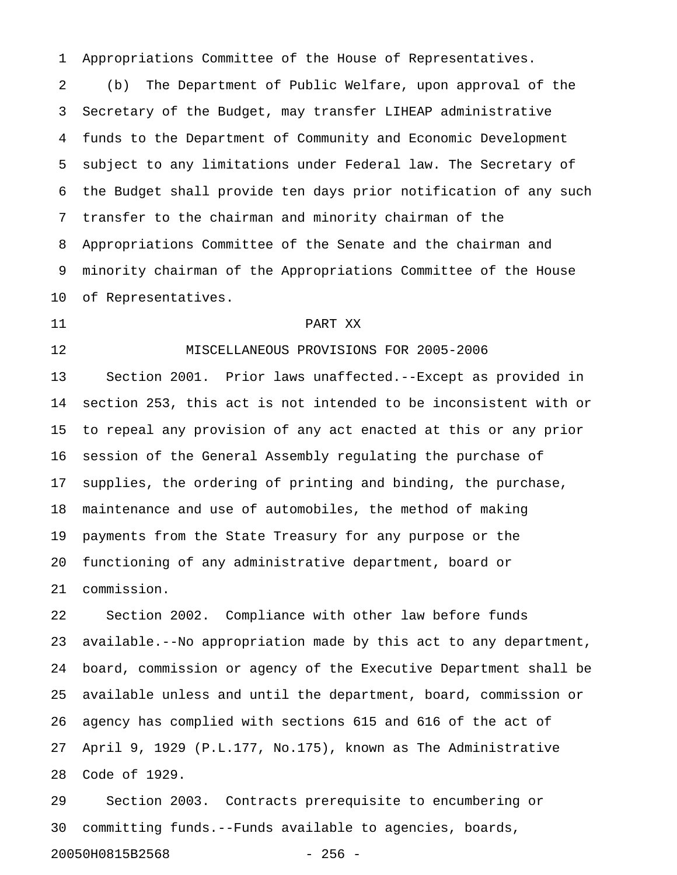1 Appropriations Committee of the House of Representatives.

2 (b) The Department of Public Welfare, upon approval of the 3 Secretary of the Budget, may transfer LIHEAP administrative 4 funds to the Department of Community and Economic Development 5 subject to any limitations under Federal law. The Secretary of 6 the Budget shall provide ten days prior notification of any such 7 transfer to the chairman and minority chairman of the 8 Appropriations Committee of the Senate and the chairman and 9 minority chairman of the Appropriations Committee of the House 10 of Representatives.

## 11 PART XX

12 MISCELLANEOUS PROVISIONS FOR 2005-2006

13 Section 2001. Prior laws unaffected.--Except as provided in 14 section 253, this act is not intended to be inconsistent with or 15 to repeal any provision of any act enacted at this or any prior 16 session of the General Assembly regulating the purchase of 17 supplies, the ordering of printing and binding, the purchase, 18 maintenance and use of automobiles, the method of making 19 payments from the State Treasury for any purpose or the 20 functioning of any administrative department, board or 21 commission.

22 Section 2002. Compliance with other law before funds 23 available.--No appropriation made by this act to any department, 24 board, commission or agency of the Executive Department shall be 25 available unless and until the department, board, commission or 26 agency has complied with sections 615 and 616 of the act of 27 April 9, 1929 (P.L.177, No.175), known as The Administrative 28 Code of 1929.

29 Section 2003. Contracts prerequisite to encumbering or 30 committing funds.--Funds available to agencies, boards, 20050H0815B2568 - 256 -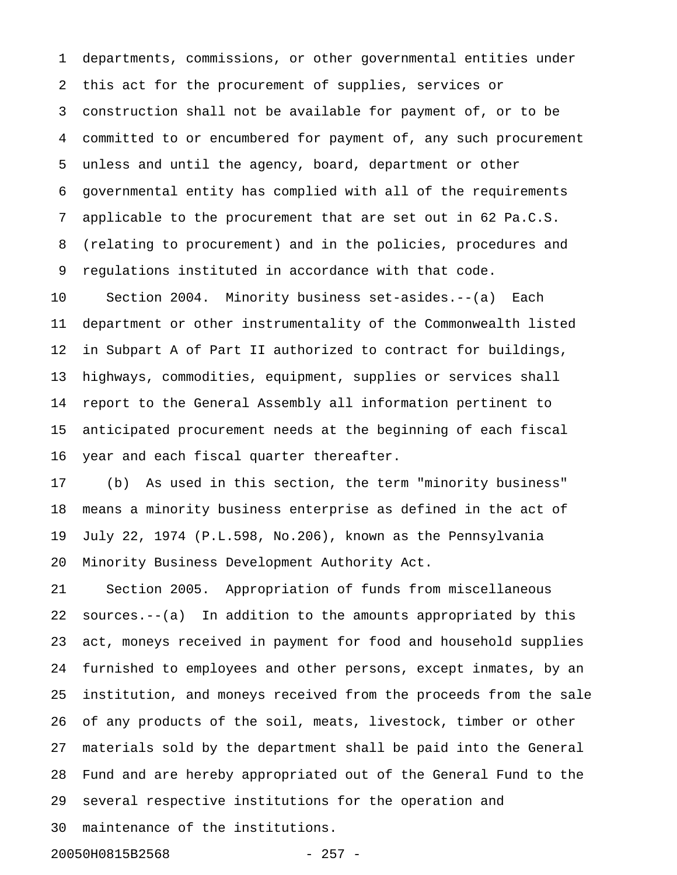1 departments, commissions, or other governmental entities under 2 this act for the procurement of supplies, services or 3 construction shall not be available for payment of, or to be 4 committed to or encumbered for payment of, any such procurement 5 unless and until the agency, board, department or other 6 governmental entity has complied with all of the requirements 7 applicable to the procurement that are set out in 62 Pa.C.S. 8 (relating to procurement) and in the policies, procedures and 9 regulations instituted in accordance with that code. 10 Section 2004. Minority business set-asides.--(a) Each 11 department or other instrumentality of the Commonwealth listed 12 in Subpart A of Part II authorized to contract for buildings, 13 highways, commodities, equipment, supplies or services shall 14 report to the General Assembly all information pertinent to

15 anticipated procurement needs at the beginning of each fiscal 16 year and each fiscal quarter thereafter.

17 (b) As used in this section, the term "minority business" 18 means a minority business enterprise as defined in the act of 19 July 22, 1974 (P.L.598, No.206), known as the Pennsylvania 20 Minority Business Development Authority Act.

21 Section 2005. Appropriation of funds from miscellaneous 22 sources.--(a) In addition to the amounts appropriated by this 23 act, moneys received in payment for food and household supplies 24 furnished to employees and other persons, except inmates, by an 25 institution, and moneys received from the proceeds from the sale 26 of any products of the soil, meats, livestock, timber or other 27 materials sold by the department shall be paid into the General 28 Fund and are hereby appropriated out of the General Fund to the 29 several respective institutions for the operation and 30 maintenance of the institutions.

20050H0815B2568 - 257 -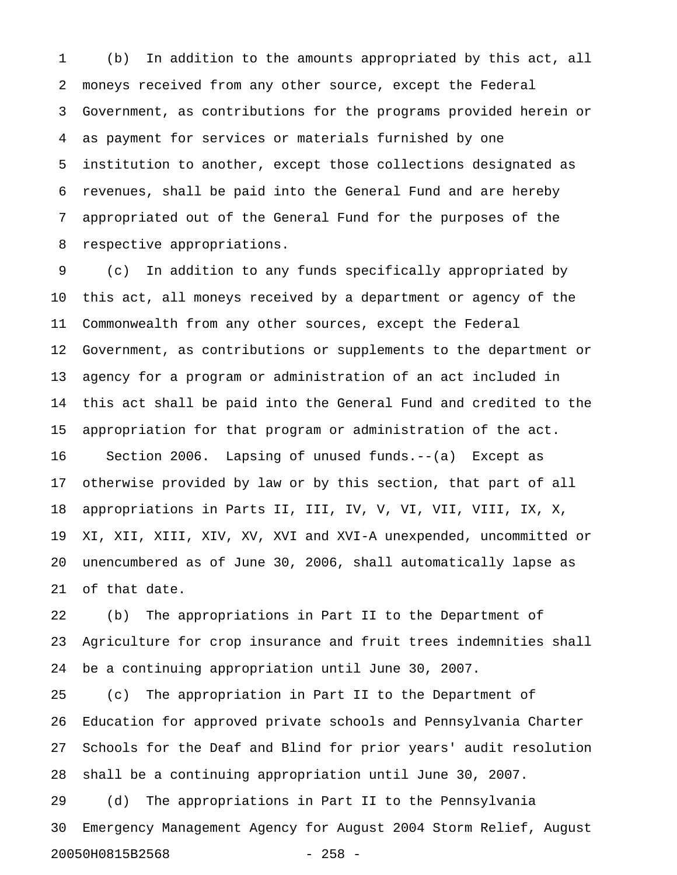1 (b) In addition to the amounts appropriated by this act, all 2 moneys received from any other source, except the Federal 3 Government, as contributions for the programs provided herein or 4 as payment for services or materials furnished by one 5 institution to another, except those collections designated as 6 revenues, shall be paid into the General Fund and are hereby 7 appropriated out of the General Fund for the purposes of the 8 respective appropriations.

9 (c) In addition to any funds specifically appropriated by 10 this act, all moneys received by a department or agency of the 11 Commonwealth from any other sources, except the Federal 12 Government, as contributions or supplements to the department or 13 agency for a program or administration of an act included in 14 this act shall be paid into the General Fund and credited to the 15 appropriation for that program or administration of the act. 16 Section 2006. Lapsing of unused funds.--(a) Except as 17 otherwise provided by law or by this section, that part of all 18 appropriations in Parts II, III, IV, V, VI, VII, VIII, IX, X, 19 XI, XII, XIII, XIV, XV, XVI and XVI-A unexpended, uncommitted or 20 unencumbered as of June 30, 2006, shall automatically lapse as 21 of that date.

22 (b) The appropriations in Part II to the Department of 23 Agriculture for crop insurance and fruit trees indemnities shall 24 be a continuing appropriation until June 30, 2007.

25 (c) The appropriation in Part II to the Department of 26 Education for approved private schools and Pennsylvania Charter 27 Schools for the Deaf and Blind for prior years' audit resolution 28 shall be a continuing appropriation until June 30, 2007.

29 (d) The appropriations in Part II to the Pennsylvania 30 Emergency Management Agency for August 2004 Storm Relief, August 20050H0815B2568 - 258 -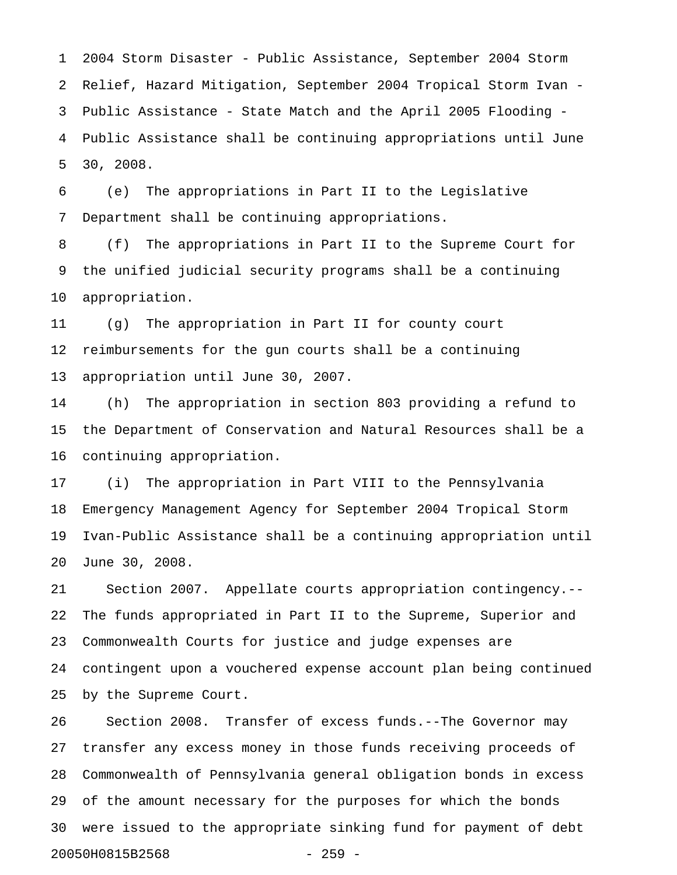1 2004 Storm Disaster - Public Assistance, September 2004 Storm 2 Relief, Hazard Mitigation, September 2004 Tropical Storm Ivan - 3 Public Assistance - State Match and the April 2005 Flooding - 4 Public Assistance shall be continuing appropriations until June 5 30, 2008.

6 (e) The appropriations in Part II to the Legislative 7 Department shall be continuing appropriations.

8 (f) The appropriations in Part II to the Supreme Court for 9 the unified judicial security programs shall be a continuing 10 appropriation.

11 (g) The appropriation in Part II for county court 12 reimbursements for the gun courts shall be a continuing 13 appropriation until June 30, 2007.

14 (h) The appropriation in section 803 providing a refund to 15 the Department of Conservation and Natural Resources shall be a 16 continuing appropriation.

17 (i) The appropriation in Part VIII to the Pennsylvania 18 Emergency Management Agency for September 2004 Tropical Storm 19 Ivan-Public Assistance shall be a continuing appropriation until 20 June 30, 2008.

21 Section 2007. Appellate courts appropriation contingency.-- 22 The funds appropriated in Part II to the Supreme, Superior and 23 Commonwealth Courts for justice and judge expenses are 24 contingent upon a vouchered expense account plan being continued 25 by the Supreme Court.

26 Section 2008. Transfer of excess funds.--The Governor may 27 transfer any excess money in those funds receiving proceeds of 28 Commonwealth of Pennsylvania general obligation bonds in excess 29 of the amount necessary for the purposes for which the bonds 30 were issued to the appropriate sinking fund for payment of debt 20050H0815B2568 - 259 -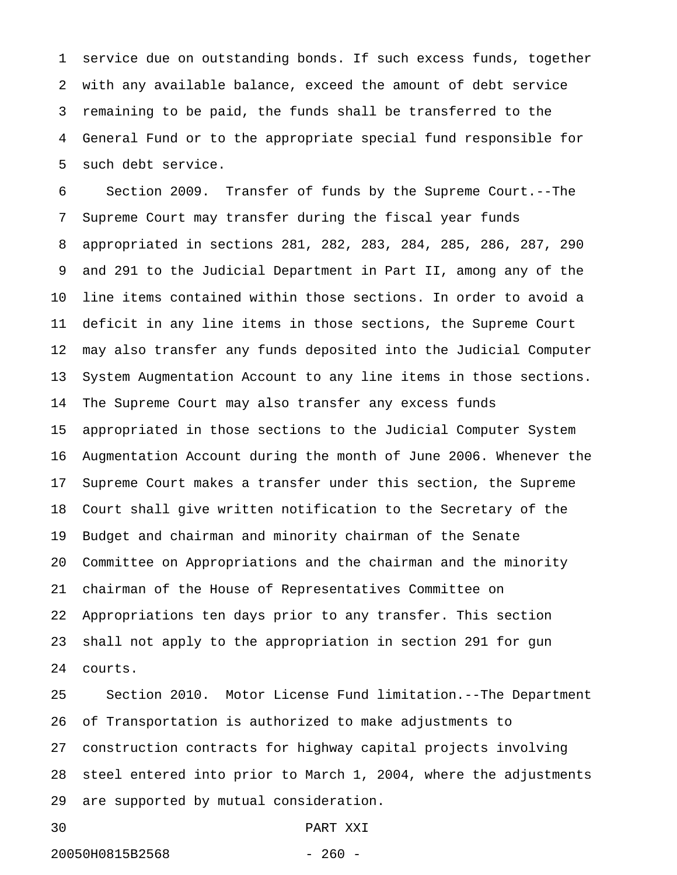1 service due on outstanding bonds. If such excess funds, together 2 with any available balance, exceed the amount of debt service 3 remaining to be paid, the funds shall be transferred to the 4 General Fund or to the appropriate special fund responsible for 5 such debt service.

6 Section 2009. Transfer of funds by the Supreme Court.--The 7 Supreme Court may transfer during the fiscal year funds 8 appropriated in sections 281, 282, 283, 284, 285, 286, 287, 290 9 and 291 to the Judicial Department in Part II, among any of the 10 line items contained within those sections. In order to avoid a 11 deficit in any line items in those sections, the Supreme Court 12 may also transfer any funds deposited into the Judicial Computer 13 System Augmentation Account to any line items in those sections. 14 The Supreme Court may also transfer any excess funds 15 appropriated in those sections to the Judicial Computer System 16 Augmentation Account during the month of June 2006. Whenever the 17 Supreme Court makes a transfer under this section, the Supreme 18 Court shall give written notification to the Secretary of the 19 Budget and chairman and minority chairman of the Senate 20 Committee on Appropriations and the chairman and the minority 21 chairman of the House of Representatives Committee on 22 Appropriations ten days prior to any transfer. This section 23 shall not apply to the appropriation in section 291 for gun 24 courts.

25 Section 2010. Motor License Fund limitation.--The Department 26 of Transportation is authorized to make adjustments to 27 construction contracts for highway capital projects involving 28 steel entered into prior to March 1, 2004, where the adjustments 29 are supported by mutual consideration.

30 PART XXI

20050H0815B2568 - 260 -